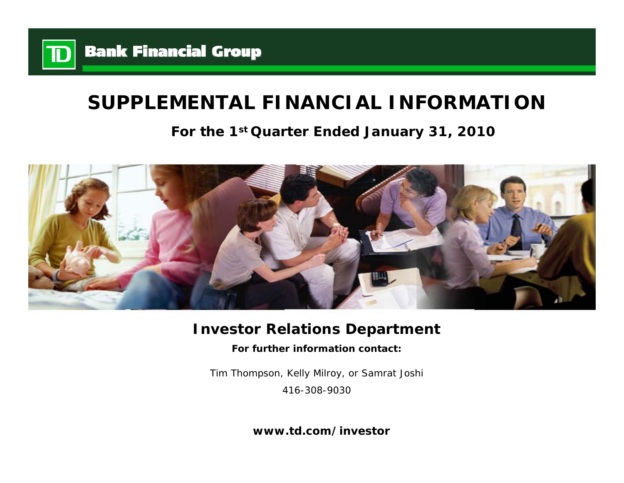

# **SUPPLEMENTAL FINANCIAL INFORMATION**

# **For the 1st Quarter Ended January 31, 2010**



# **Investor Relations Department**

**For further information contact:**

Tim Thompson, Kelly Milroy, or Samrat Joshi 416-308-9030

**www.td.com/investor**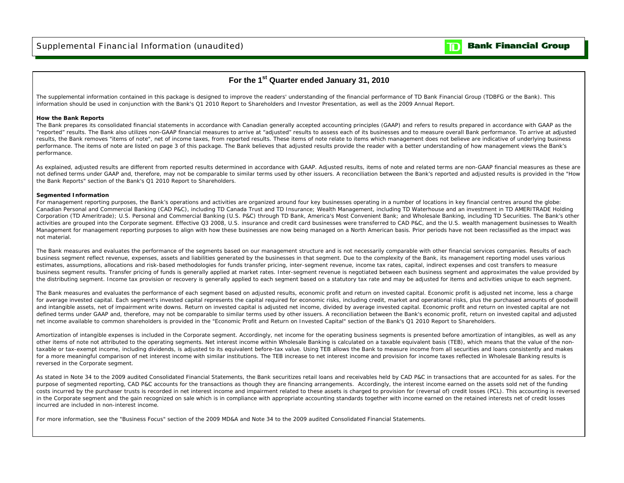### **Bank Financial Group**

m

## **For the 1st Quarter ended January 31, 2010**

The supplemental information contained in this package is designed to improve the readers' understanding of the financial performance of TD Bank Financial Group (TDBFG or the Bank). This information should be used in conjunction with the Bank's Q1 2010 Report to Shareholders and Investor Presentation, as well as the 2009 Annual Report.

#### **How the Bank Reports**

The Bank prepares its consolidated financial statements in accordance with Canadian generally accepted accounting principles (GAAP) and refers to results prepared in accordance with GAAP as the "reported" results. The Bank also utilizes non-GAAP financial measures to arrive at "adjusted" results to assess each of its businesses and to measure overall Bank performance. To arrive at adjusted results, the Bank removes "items of note", net of income taxes, from reported results. These items of note relate to items which management does not believe are indicative of underlying business performance. The items of note are listed on page 3 of this package. The Bank believes that adjusted results provide the reader with a better understanding of how management views the Bank's performance.

As explained, adjusted results are different from reported results determined in accordance with GAAP. Adjusted results, items of note and related terms are non-GAAP financial measures as these are not defined terms under GAAP and, therefore, may not be comparable to similar terms used by other issuers. A reconciliation between the Bank's reported and adjusted results is provided in the "How the Bank Reports" section of the Bank's Q1 2010 Report to Shareholders.

#### **Segmented Information**

For management reporting purposes, the Bank's operations and activities are organized around four key businesses operating in a number of locations in key financial centres around the globe: Canadian Personal and Commercial Banking (CAD P&C), including TD Canada Trust and TD Insurance; Wealth Management, including TD Waterhouse and an investment in TD AMERITRADE Holding Corporation (TD Ameritrade); U.S. Personal and Commercial Banking (U.S. P&C) through TD Bank, America's Most Convenient Bank; and Wholesale Banking, including TD Securities. The Bank's other activities are grouped into the Corporate segment. Effective Q3 2008, U.S. insurance and credit card businesses were transferred to CAD P&C, and the U.S. wealth management businesses to Wealth Management for management reporting purposes to align with how these businesses are now being managed on a North American basis. Prior periods have not been reclassified as the impact was not material.

The Bank measures and evaluates the performance of the segments based on our management structure and is not necessarily comparable with other financial services companies. Results of each business segment reflect revenue, expenses, assets and liabilities generated by the businesses in that segment. Due to the complexity of the Bank, its management reporting model uses various estimates, assumptions, allocations and risk-based methodologies for funds transfer pricing, inter-segment revenue, income tax rates, capital, indirect expenses and cost transfers to measure business segment results. Transfer pricing of funds is generally applied at market rates. Inter-segment revenue is negotiated between each business segment and approximates the value provided by the distributing segment. Income tax provision or recovery is generally applied to each segment based on a statutory tax rate and may be adjusted for items and activities unique to each segment.

The Bank measures and evaluates the performance of each segment based on adjusted results, economic profit and return on invested capital. Economic profit is adjusted net income, less a charge for average invested capital. Each segment's invested capital represents the capital required for economic risks, including credit, market and operational risks, plus the purchased amounts of goodwill and intangible assets, net of impairment write downs. Return on invested capital is adjusted net income, divided by average invested capital. Economic profit and return on invested capital are not defined terms under GAAP and, therefore, may not be comparable to similar terms used by other issuers. A reconciliation between the Bank's economic profit, return on invested capital and adjusted net income available to common shareholders is provided in the "Economic Profit and Return on Invested Capital" section of the Bank's Q1 2010 Report to Shareholders.

Amortization of intangible expenses is included in the Corporate segment. Accordingly, net income for the operating business segments is presented before amortization of intangibles, as well as any other items of note not attributed to the operating segments. Net interest income within Wholesale Banking is calculated on a taxable equivalent basis (TEB), which means that the value of the nontaxable or tax-exempt income, including dividends, is adjusted to its equivalent before-tax value. Using TEB allows the Bank to measure income from all securities and loans consistently and makes for a more meaningful comparison of net interest income with similar institutions. The TEB increase to net interest income and provision for income taxes reflected in Wholesale Banking results is reversed in the Corporate segment.

As stated in Note 34 to the 2009 audited Consolidated Financial Statements, the Bank securitizes retail loans and receivables held by CAD P&C in transactions that are accounted for as sales. For the purpose of segmented reporting, CAD P&C accounts for the transactions as though they are financing arrangements. Accordingly, the interest income earned on the assets sold net of the funding costs incurred by the purchaser trusts is recorded in net interest income and impairment related to these assets is charged to provision for (reversal of) credit losses (PCL). This accounting is reversed in the Corporate segment and the gain recognized on sale which is in compliance with appropriate accounting standards together with income earned on the retained interests net of credit losses incurred are included in non-interest income.

For more information, see the "Business Focus" section of the 2009 MD&A and Note 34 to the 2009 audited Consolidated Financial Statements.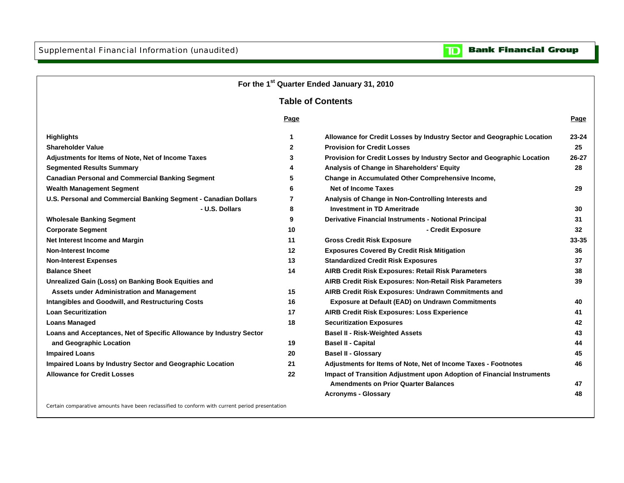

Certain comparative amounts have been reclassified to conform with current period presentation

**Bank Financial Group** 

 $\mathbf{D}% _{T}=\mathbf{D}_{T}\!\left( \mathbf{1}_{T}% \mathbf{1}_{T}\mathbf{1}_{T}\mathbf{1}_{T}\mathbf{1}_{T}\mathbf{1}_{T}\mathbf{1}_{T}\mathbf{1}_{T}\mathbf{1}_{T}\mathbf{1}_{T}\mathbf{1}_{T}\mathbf{1}_{T}\mathbf{1}_{T}\mathbf{1}_{T}\mathbf{1}_{T}\mathbf{1}_{T}\mathbf{1}_{T}\mathbf{1}_{T}\mathbf{1}_{T}\mathbf{1}_{T}\mathbf{1}_{T}\mathbf{1}_{T}\mathbf{1}_{T}$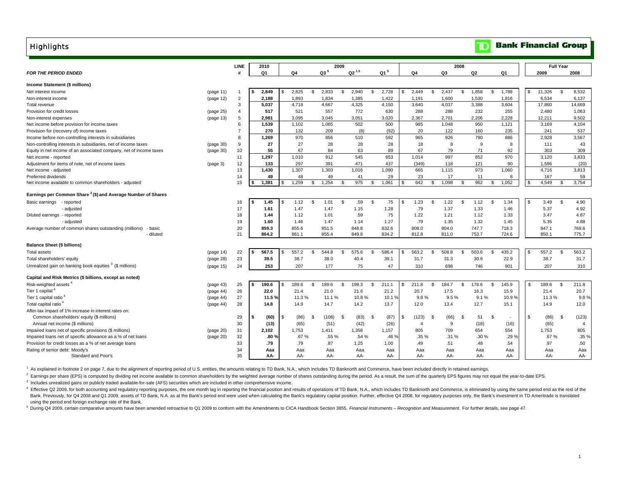**Highlights** 

|  | <b>Bank Financial Group</b> |  |
|--|-----------------------------|--|
|--|-----------------------------|--|

|                                                                                  | <b>LINE</b>    | 2010        |     |             |        | 2009     |            |              |     |                |               | 2008  |               |       |                |       |                |        | <b>Full Year</b> |                |
|----------------------------------------------------------------------------------|----------------|-------------|-----|-------------|--------|----------|------------|--------------|-----|----------------|---------------|-------|---------------|-------|----------------|-------|----------------|--------|------------------|----------------|
| <b>FOR THE PERIOD ENDED</b>                                                      | £              | Q1          |     | Q4          | $Q3^5$ |          | $Q2^{1,5}$ | $Q1^5$       |     | Q4             |               | Q3    |               | Q2    |                | Q1    |                | 2009   |                  | 2008           |
|                                                                                  |                |             |     |             |        |          |            |              |     |                |               |       |               |       |                |       |                |        |                  |                |
| Income Statement (\$ millions)                                                   |                |             |     |             |        |          |            |              |     |                |               |       |               |       |                |       |                |        |                  |                |
| Net interest income<br>(page 11)                                                 | $\overline{1}$ | 2,849<br>s. | \$. | 2,825<br>\$ | 2,833  | <b>S</b> | 2,940      | 2,728<br>\$  | \$. | 2,449          | S.            | 2,437 | $\mathbb{S}$  | 1,858 | \$             | 1,788 | \$             | 11,326 | <b>S</b>         | 8,532          |
| (page 12)<br>Non-interest income                                                 | $\overline{2}$ | 2,188       |     | 1,893       | 1,834  |          | 1,385      | 1,422        |     | 1,191          |               | 1,600 |               | 1,530 |                | 1,816 |                | 6,534  |                  | 6,137          |
| Total revenue                                                                    | 3              | 5,037       |     | 4,718       | 4,667  |          | 4,325      | 4,150        |     | 3,640          |               | 4,037 |               | 3,388 |                | 3,604 |                | 17,860 |                  | 14,669         |
| Provision for credit losses<br>(page 25)                                         | 4              | 517         |     | 521         | 557    |          | 772        | 630          |     | 288            |               | 288   |               | 232   |                | 255   |                | 2,480  |                  | 1,063          |
| Non-interest expenses<br>(page 13)                                               | 5              | 2.981       |     | 3,095       | 3.045  |          | 3,051      | 3,020        |     | 2.367          |               | 2.701 |               | 2.206 |                | 2,228 |                | 12,211 |                  | 9.502          |
| Net income before provision for income taxes                                     | 6              | 1,539       |     | 1,102       | 1,065  |          | 502        | 500          |     | 985            |               | 1,048 |               | 950   |                | 1,121 |                | 3,169  |                  | 4.104          |
| Provision for (recovery of) income taxes                                         | $\overline{7}$ | 270         |     | 132         | 209    |          | (8)        | (92)         |     | 20             |               | 122   |               | 160   |                | 235   |                | 241    |                  | 537            |
| Income before non-controlling interests in subsidiaries                          | 8              | 1,269       |     | 970         | 856    |          | 510        | 592          |     | 965            |               | 926   |               | 790   |                | 886   |                | 2,928  |                  | 3,567          |
| Non-controlling interests in subsidiaries, net of income taxes<br>(page 30)      | 9              | 27          |     | 27          | 28     |          | 28         | 28           |     | 18             |               | 8     |               | 9     |                | 8     |                | 111    |                  | 43             |
| Equity in net income of an associated company, net of income taxes<br>(page 30)  | 10             | 55          |     | 67          | 84     |          | 63         | 89           |     | 67             |               | 79    |               | 71    |                | 92    |                | 303    |                  | 309            |
| Net income - reported                                                            | 11             | 1,297       |     | 1,010       | 912    |          | 545        | 653          |     | 1,014          |               | 997   |               | 852   |                | 970   |                | 3,120  |                  | 3,833          |
| Adjustment for items of note, net of income taxes<br>(page 3)                    | 12             | 133         |     | 297         | 391    |          | 471        | 437          |     | (349)          |               | 118   |               | 121   |                | 90    |                | 1,596  |                  | (20)           |
| Net income - adjusted                                                            | 13             | 1,430       |     | 1,307       | 1,303  |          | 1,016      | 1,090        |     | 665            |               | 1,115 |               | 973   |                | 1,060 |                | 4,716  |                  | 3,813          |
| Preferred dividends                                                              | 14             | 49          |     | 48          | 49     |          | 41         | 29           |     | 23             |               | 17    |               | 11    |                | 8     |                | 167    |                  | 59             |
| Net income available to common shareholders - adjusted                           | 15             | 1,381       | \$. | 1,259<br>\$ | 1,254  | -S       | 975        | 1,061<br>-96 |     | 642            | \$.           | 1,098 | -S            | 962   | \$             | 1,052 |                | 4,549  |                  | 3,754          |
| Earnings per Common Share <sup>2</sup> (\$) and Average Number of Shares         |                |             |     |             |        |          |            |              |     |                |               |       |               |       |                |       |                |        |                  |                |
| Basic earnings - reported                                                        | 16             | 1.45        | \$. | 1.12<br>\$  | 1.01   | - \$     | .59        | .75<br>- \$  | s   | 1.23           | -S            | 1.22  | S.            | 1.12  | - \$           | 1.34  | $\mathfrak{L}$ | 3.49   | -S               | 4.90           |
| - adjusted                                                                       | 17             | 1.61        |     | 1.47        | 1.47   |          | 1.15       | 1.28         |     | .79            |               | 1.37  |               | 1.33  |                | 1.46  |                | 5.37   |                  | 4.92           |
| Diluted earnings - reported                                                      | 18             | 1.44        |     | 1.12        | 1.01   |          | .59        | .75          |     | 1.22           |               | 1.21  |               | 1.12  |                | 1.33  |                | 3.47   |                  | 4.87           |
| - adjusted                                                                       | 19             | 1.60        |     | 1.46        | 1.47   |          | 1.14       | 1.27         |     | .79            |               | 1.35  |               | 1.32  |                | 1.45  |                | 5.35   |                  | 4.88           |
| Average number of common shares outstanding (millions)<br>- basic                | 20             | 859.3       |     | 855.6       | 851.5  |          | 848.8      | 832.6        |     | 808.0          |               | 804.0 |               | 747.7 |                | 718.3 |                | 847.1  |                  | 769.6          |
| - diluted                                                                        | 21             | 864.2       |     | 861.1       | 855.4  |          | 849.8      | 834.2        |     | 812.8          |               | 811.0 |               | 753.7 |                | 724.6 |                | 850.1  |                  | 775.7          |
| <b>Balance Sheet (\$ billions)</b>                                               |                |             |     |             |        |          |            |              |     |                |               |       |               |       |                |       |                |        |                  |                |
| <b>Total assets</b><br>(page 14)                                                 | 22             | 567.5       |     | 557.2<br>\$ | 544.8  | \$       | 575.6      | 586.4<br>-96 |     | 563.2          | £.            | 508.8 | $\mathcal{S}$ | 503.6 | $\mathcal{S}$  | 435.2 | \$             | 557.2  | -96              | 563.2          |
| Total shareholders' equity<br>(page 28)                                          | 23             | 39.5        |     | 38.7        | 38.0   |          | 40.4       | 39.1         |     | 31.7           |               | 31.3  |               | 30.6  |                | 22.9  |                | 38.7   |                  | 31.7           |
| Unrealized gain on banking book equities <sup>3</sup> (\$ millions)<br>(page 15) | 24             | 253         |     | 207         | 177    |          | 75         | 47           |     | 310            |               | 698   |               | 746   |                | 901   |                | 207    |                  | 310            |
| Capital and Risk Metrics (\$ billions, except as noted)                          |                |             |     |             |        |          |            |              |     |                |               |       |               |       |                |       |                |        |                  |                |
| Risk-weighted assets<br>(page 43)                                                | 25             | 190.6       |     | 189.6<br>\$ | 189.6  | \$       | 199.3      | 211.1<br>-96 |     | 211.8          | $\mathcal{S}$ | 184.7 | $\mathbf{s}$  | 178.6 | $\mathfrak{S}$ | 145.9 | \$             | 189.6  | \$               | 211.8          |
| Tier 1 capital <sup>4</sup><br>(page 44)                                         | 26             | 22.0        |     | 21.4        | 21.0   |          | 21.6       | 21.2         |     | 20.7           |               | 17.5  |               | 16.3  |                | 15.9  |                | 21.4   |                  | 20.7           |
| Tier 1 capital ratio<br>(page 44)                                                | 27             | 11.5%       |     | 11.3%       | 11.1%  |          | 10.8%      | 10.1%        |     | 9.8%           |               | 9.5%  |               | 9.1%  |                | 10.9% |                | 11.3%  |                  | 9.8%           |
| Total capital ratio <sup>4</sup><br>(page 44)                                    | 28             | 14.8        |     | 14.9        | 14.7   |          | 14.2       | 13.7         |     | 12.0           |               | 13.4  |               | 12.7  |                | 15.1  |                | 14.9   |                  | 12.0           |
| After-tax impact of 1% increase in interest rates on:                            |                |             |     |             |        |          |            |              |     |                |               |       |               |       |                |       |                |        |                  |                |
| Common shareholders' equity (\$ millions)                                        | 29             | (60)<br>\$  | \$  | (86)<br>\$  | (108)  | - \$     | (83)       | (87)<br>\$   | \$. | (123)          | -S            | (66)  | - \$          | 51    | - \$           |       | \$             | (86)   | \$               | (123)          |
| Annual net income (\$ millions)                                                  | 30             | (13)        |     | (65)        | (51)   |          | (42)       | (26)         |     | $\overline{a}$ |               | 9     |               | (18)  |                | (16)  |                | (65)   |                  | $\overline{4}$ |
| Impaired loans net of specific provisions (\$ millions)<br>(page 20)             | 31             | 2,102       |     | 1,753       | 1,411  |          | 1,358      | 1,157        |     | 805            |               | 709   |               | 654   |                | 554   |                | 1,753  |                  | 805            |
| Impaired loans net of specific allowance as a % of net loans<br>(page 20)        | 32             | .80%        |     | .67 %       | .55 %  |          | .54 %      | .46 %        |     | .35%           |               | .31 % |               | .30 % |                | .29 % |                | .67%   |                  | .35 %          |
| Provision for credit losses as a % of net average loans                          | 33             | .79         |     | .79         | .87    |          | 1.25       | 1.00         |     | .49            |               | .51   |               | .48   |                | .54   |                | .97    |                  | .50            |
| Rating of senior debt: Moody's                                                   | 34             | Aaa         |     | Aaa         | Aaa    |          | Aaa        | Aaa          |     | Aaa            |               | Aaa   |               | Aaa   |                | Aaa   |                | Aaa    |                  | Aaa            |
| Standard and Poor's                                                              | 35             | AA-         |     | AA-         | AA-    |          | AA-        | AA-          |     | AA-            |               | AA-   |               | AA-   |                | AA-   |                | AA-    |                  | AA-            |

<sup>1</sup> As explained in footnote 2 on page 7, due to the alignment of reporting period of U.S. entities, the amounts relating to TD Bank, N.A., which includes TD Banknorth and Commerce, have been included directly in retained

<sup>2</sup> Earnings per share (EPS) is computed by dividing net income available to common shareholders by the weighted average number of shares outstanding during the period. As a result, the sum of the quarterly EPS figures may

<sup>3</sup> Includes unrealized gains on publicly traded available-for-sale (AFS) securities which are included in other comprehensive income.

 using the period end foreign exchange rate of the Bank. 4 Effective Q2 2009, for both accounting and regulatory reporting purposes, the one month lag in reporting the financial position and results of operations of TD Bank, N.A., which includes TD Banknorth and Commerce, is eli Bank. Previously, for Q4 2008 and Q1 2009, assets of TD Bank, N.A. as at the Bank's period end were used when calculating the Bank's regulatory capital position. Further, effective Q4 2008, for regulatory purposes only, th

<sup>5</sup> During Q4 2009, certain comparative amounts have been amended retroactive to Q1 2009 to conform with the Amendments to CICA Handbook Section 3855, Financial Instruments - Recognition and Measurement. For further detail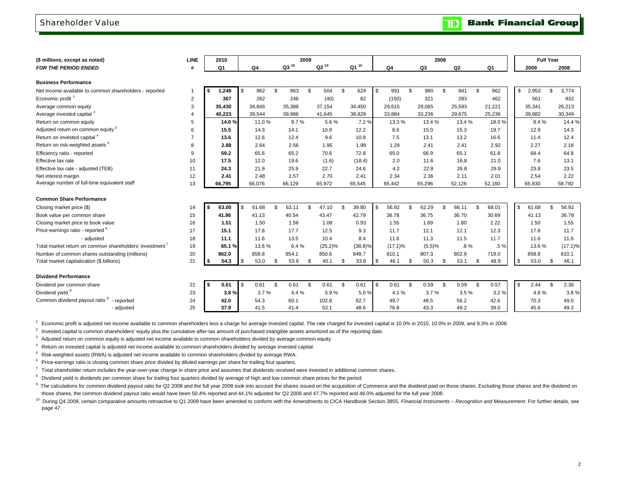### Shareholder Value

| (\$ millions, except as noted)                          | <b>LINE</b>    | 2010           |                |        |     |           | 2009 |            |     |            |             |                | 2008 |                |     |                | <b>Full Year</b> |             |
|---------------------------------------------------------|----------------|----------------|----------------|--------|-----|-----------|------|------------|-----|------------|-------------|----------------|------|----------------|-----|----------------|------------------|-------------|
| <b>FOR THE PERIOD ENDED</b>                             | #              | Q <sub>1</sub> |                | Q4     |     | $Q3^{10}$ |      | $Q2^{10}$  |     | Q1 10      | Q4          | Q <sub>3</sub> |      | Q <sub>2</sub> |     | Q <sub>1</sub> | 2009             | 2008        |
| <b>Business Performance</b>                             |                |                |                |        |     |           |      |            |     |            |             |                |      |                |     |                |                  |             |
| Net income available to common shareholders - reported  | 1              | 1,248<br>\$    | $\mathbf{s}$   | 962    | \$  | 863       | \$   | 504        | \$  | 624        | \$<br>991   | \$<br>980      | \$   | 841            | \$  | 962            | \$<br>2,953      | \$<br>3,774 |
| Economic profit <sup>1</sup>                            | $\overline{2}$ | 367            |                | 262    |     | 246       |      | (40)       |     | 82         | (150)       | 321            |      | 283            |     | 462            | 561              | 932         |
| Average common equity                                   | 3              | 35.430         |                | 34,846 |     | 35,388    |      | 37,154     |     | 34,450     | 29,615      | 29,065         |      | 25,593         |     | 21,221         | 35,341           | 26,213      |
| Average invested capital <sup>2</sup>                   | $\overline{4}$ | 40,223         |                | 39,544 |     | 39.986    |      | 41,645     |     | 38,829     | 33,884      | 33,236         |      | 29,675         |     | 25,236         | 39,882           | 30,349      |
| Return on common equity                                 | 5              | 14.0%          |                | 11.0%  |     | 9.7%      |      | 5.6%       |     | 7.2%       | 13.3%       | 13.4%          |      | 13.4 %         |     | 18.0%          | 8.4%             | 14.4 %      |
| Adjusted return on common equity <sup>3</sup>           | 6              | 15.5           |                | 14.3   |     | 14.1      |      | 10.8       |     | 12.2       | 8.6         | 15.0           |      | 15.3           |     | 19.7           | 12.9             | 14.3        |
| Return on invested capital <sup>4</sup>                 | $\overline{7}$ | 13.6           |                | 12.6   |     | 12.4      |      | 9.6        |     | 10.8       | 7.5         | 13.1           |      | 13.2           |     | 16.6           | 11.4             | 12.4        |
| Return on risk-weighted assets <sup>5</sup>             | 8              | 2.88           |                | 2.64   |     | 2.56      |      | 1.95       |     | 1.99       | 1.29        | 2.41           |      | 2.41           |     | 2.92           | 2.27             | 2.18        |
| Efficiency ratio - reported                             | $\mathbf{Q}$   | 59.2           |                | 65.6   |     | 65.2      |      | 70.6       |     | 72.8       | 65.0        | 66.9           |      | 65.1           |     | 61.8           | 68.4             | 64.8        |
| Effective tax rate                                      | 10             | 17.5           |                | 12.0   |     | 19.6      |      | (1.6)      |     | (18.4)     | 2.0         | 11.6           |      | 16.8           |     | 21.0           | 7.6              | 13.1        |
| Effective tax rate - adjusted (TEB)                     | 11             | 24.3           |                | 21.9   |     | 25.9      |      | 22.7       |     | 24.6       | 4.2         | 22.8           |      | 26.8           |     | 29.9           | 23.8             | 23.5        |
| Net interest margin                                     | 12             | 2.41           |                | 2.48   |     | 2.57      |      | 2.70       |     | 2.41       | 2.34        | 2.36           |      | 2.11           |     | 2.01           | 2.54             | 2.22        |
| Average number of full-time equivalent staff            | 13             | 66.795         |                | 66,076 |     | 66,129    |      | 65,972     |     | 65,545     | 65,442      | 65,296         |      | 52,126         |     | 52,160         | 65,930           | 58,792      |
| <b>Common Share Performance</b>                         |                |                |                |        |     |           |      |            |     |            |             |                |      |                |     |                |                  |             |
| Closing market price (\$)                               | 14             | 63.00<br>\$    | $\mathfrak{L}$ | 61.68  | \$. | 63.11     | \$   | 47.10      | \$. | 39.80      | \$<br>56.92 | \$<br>62.29    | \$.  | 66.11          | . ጽ | 68.01          | \$<br>61.68      | \$<br>56.92 |
| Book value per common share                             | 15             | 41.86          |                | 41.13  |     | 40.54     |      | 43.47      |     | 42.79      | 36.78       | 36.75          |      | 36.70          |     | 30.69          | 41.13            | 36.78       |
| Closing market price to book value                      | 16             | 1.51           |                | 1.50   |     | 1.56      |      | 1.08       |     | 0.93       | 1.55        | 1.69           |      | 1.80           |     | 2.22           | 1.50             | 1.55        |
| Price-earnings ratio - reported <sup>6</sup>            | 17             | 15.1           |                | 17.8   |     | 17.7      |      | 12.5       |     | 9.3        | 11.7        | 12.1           |      | 12.1           |     | 12.3           | 17.8             | 11.7        |
| - adjusted                                              | 18             | 11.1           |                | 11.6   |     | 13.5      |      | 10.4       |     | 8.4        | 11.6        | 11.3           |      | 11.5           |     | 11.7           | 11.6             | 11.6        |
| Total market return on common shareholders' investment' | 19             | 65.1%          |                | 13.6%  |     | 6.4%      |      | $(25.2)\%$ |     | $(38.8)\%$ | $(17.1)\%$  | (5.5)%         |      | $.8\%$         |     | .5%            | 13.6%            | $(17.1)\%$  |
| Number of common shares outstanding (millions)          | 20             | 862.0          |                | 858.8  |     | 854.1     |      | 850.6      |     | 848.7      | 810.1       | 807.3          |      | 802.9          |     | 719.0          | 858.8            | 810.1       |
| Total market capitalization (\$ billions)               | 21             | 54.3<br>s      | <b>S</b>       | 53.0   | \$  | 53.9      | \$   | 40.1       | \$  | 33.8       | \$<br>46.1  | \$<br>50.3     | \$   | 53.1           | \$  | 48.9           | \$<br>53.0       | \$<br>46.1  |
| <b>Dividend Performance</b>                             |                |                |                |        |     |           |      |            |     |            |             |                |      |                |     |                |                  |             |
| Dividend per common share                               | 22             | 0.61<br>\$     | \$             | 0.61   | \$  | 0.61      | \$   | 0.61       | \$  | 0.61       | \$<br>0.61  | \$<br>0.59     | \$   | 0.59           | \$  | 0.57           | \$<br>2.44       | \$<br>2.36  |
| Dividend yield <sup>8</sup>                             | 23             | 3.8%           |                | 3.7%   |     | 4.4 %     |      | 5.9%       |     | 5.0%       | 4.1%        | 3.7%           |      | 3.5%           |     | 3.2%           | 4.8%             | 3.8%        |
| Common dividend payout ratio 9 - reported               | 24             | 42.0           |                | 54.3   |     | 60.1      |      | 102.8      |     | 82.7       | 49.7        | 48.5           |      | 56.2           |     | 42.6           | 70.3             | 49.0        |
| - adjusted                                              | 25             | 37.9           |                | 41.5   |     | 41.4      |      | 53.1       |     | 48.6       | 76.8        | 43.3           |      | 49.2           |     | 39.0           | 45.6             | 49.3        |

1 Economic profit is adjusted net income available to common shareholders less a charge for average invested capital. The rate charged for invested capital is 10.0% in 2010, 10.0% in 2009, and 9.3% in 2008.

 $2$  Invested capital is common shareholders' equity plus the cumulative after-tax amount of purchased intangible assets amortized as of the reporting date.

 $3$  Adjusted return on common equity is adjusted net income available to common shareholders divided by average common equity.

4 Return on invested capital is adjusted net income available to common shareholders divided by average invested capital.

5 Risk-weighted assets (RWA) is adjusted net income available to common shareholders divided by average RWA.

 $6$  Price-earnings ratio is closing common share price divided by diluted earnings per share for trailing four quarters.

 $7$  Total shareholder return includes the year-over-year change in share price and assumes that dividends received were invested in additional common shares.

<sup>8</sup> Dividend yield is dividends per common share for trailing four quarters divided by average of high and low common share prices for the period.

 those shares, the common dividend payout ratio would have been 50.4% reported and 44.1% adjusted for Q2 2008 and 47.7% reported and 48.0% adjusted for the full year 2008. 9 The calculations for common dividend payout ratio for Q2 2008 and the full year 2008 took into account the shares issued on the acquisition of Commerce and the dividend paid on those shares. Excluding those shares and th

 page 47. <sup>10</sup> During Q4 2009, certain comparative amounts retroactive to Q1 2009 have been amended to conform with the Amendments to CICA Handbook Section 3855, Financial Instruments - Recognition and Measurement. For further detai

**Bank Financial Group** 

TD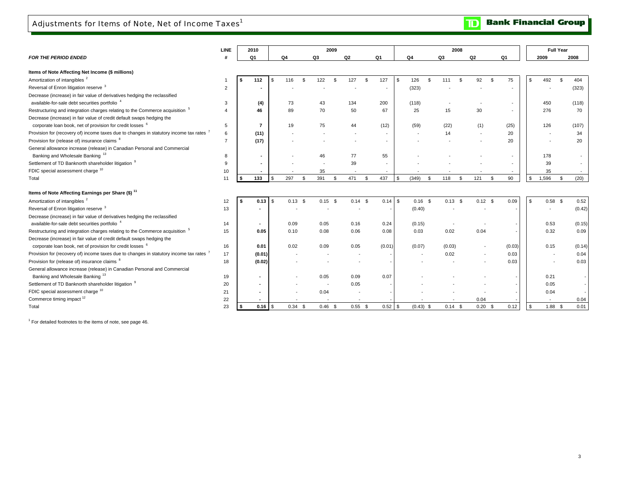**Bank Financial Group**  $\mathbf{D}$ 

| Q3<br>Q1<br>Q <sub>4</sub><br>Q <sub>2</sub><br>Q1<br>Q4<br>Q3<br>Q <sub>2</sub><br>Q1<br>2009<br>2008<br>Items of Note Affecting Net Income (\$ millions)<br>Amortization of intangibles <sup>2</sup><br>75<br>116<br>$\mathfrak{s}$<br>127<br>127<br>s.<br>126<br>$\mathfrak{L}$<br>92<br>\$<br>492<br>404<br>112<br>£.<br>122<br>£.<br>111<br>$\mathfrak{L}$<br>$\mathfrak{s}$<br>. ፍ<br>Reversal of Enron litigation reserve 3<br>(323)<br>(323)<br>$\overline{2}$<br>Decrease (increase) in fair value of derivatives hedging the reclassified<br>available-for-sale debt securities portfolio <sup>4</sup><br>(4)<br>73<br>43<br>134<br>200<br>(118)<br>450<br>(118)<br>3<br>$\overline{\phantom{a}}$<br>Restructuring and integration charges relating to the Commerce acquisition <sup>5</sup><br>70<br>46<br>89<br>70<br>50<br>67<br>25<br>15<br>30<br>276<br>$\overline{4}$<br>$\overline{\phantom{a}}$<br>Decrease (increase) in fair value of credit default swaps hedging the<br>corporate loan book, net of provision for credit losses <sup>6</sup><br>(25)<br>$\overline{7}$<br>19<br>75<br>(12)<br>(59)<br>(22)<br>(1)<br>126<br>(107)<br>5<br>44<br>Provision for (recovery of) income taxes due to changes in statutory income tax rates <sup>7</sup><br>(11)<br>20<br>34<br>14<br>6<br>Provision for (release of) insurance claims <sup>8</sup><br>(17)<br>20<br>20<br>$\overline{7}$<br>General allowance increase (release) in Canadian Personal and Commercial<br>Banking and Wholesale Banking 13<br>46<br>77<br>55<br>178<br>8<br>$\overline{\phantom{a}}$<br>Settlement of TD Banknorth shareholder litigation 9<br>39<br>39<br>9<br>FDIC special assessment charge 10<br>35<br>10<br>35<br>133<br>297<br>437<br>121<br>90<br>1,596<br>(20)<br>391<br>471<br>\$<br>(349)<br>118<br>\$<br>\$<br>\$<br>\$<br>$\mathbf{s}$<br>11<br>$\mathfrak{s}$<br>$\mathfrak{L}$<br>\$<br>- \$<br>Total<br>0.09<br>$0.13$ \$<br>$0.14$ \$<br>$0.14$ \$<br>$0.16$ \$<br>$0.13$ \$<br>$0.12$ \$<br>\$<br>$0.58$ \$<br>0.13<br>l \$<br>$0.15$ \$<br>0.52<br>12<br>13<br>(0.40)<br>(0.42)<br>available-for-sale debt securities portfolio <sup>4</sup><br>0.24<br>(0.15)<br>0.53<br>(0.15)<br>14<br>0.09<br>0.05<br>0.16<br>0.04<br>0.32<br>15<br>0.08<br>0.06<br>0.08<br>0.03<br>0.02<br>0.09<br>0.05<br>0.10<br>corporate loan book, net of provision for credit losses <sup>6</sup><br>0.02<br>0.09<br>(0.03)<br>(0.03)<br>0.15<br>(0.14)<br>16<br>0.01<br>0.05<br>(0.01)<br>(0.07)<br>0.03<br>17<br>(0.01)<br>0.02<br>0.04<br>(0.02)<br>0.03<br>0.03<br>18<br>Banking and Wholesale Banking <sup>13</sup><br>0.07<br>19<br>0.05<br>0.09<br>0.21<br>20<br>0.05<br>0.05<br>0.04<br>21<br>0.04<br>22<br>0.04<br>0.04<br>23<br>$0.46$ \$<br>$0.52$ \$<br>$0.20$ \$<br>0.12<br>$1.88$ \$<br>0.01<br>$0.34$ \$<br>$0.55$ \$<br>$(0.43)$ \$<br>$0.14$ \$<br>$\mathfrak{s}$ |                                                                                         | <b>LINE</b> | 2010 |  |  | 2009 |  |  |  | 2008 |  |  | <b>Full Year</b> |  |
|--------------------------------------------------------------------------------------------------------------------------------------------------------------------------------------------------------------------------------------------------------------------------------------------------------------------------------------------------------------------------------------------------------------------------------------------------------------------------------------------------------------------------------------------------------------------------------------------------------------------------------------------------------------------------------------------------------------------------------------------------------------------------------------------------------------------------------------------------------------------------------------------------------------------------------------------------------------------------------------------------------------------------------------------------------------------------------------------------------------------------------------------------------------------------------------------------------------------------------------------------------------------------------------------------------------------------------------------------------------------------------------------------------------------------------------------------------------------------------------------------------------------------------------------------------------------------------------------------------------------------------------------------------------------------------------------------------------------------------------------------------------------------------------------------------------------------------------------------------------------------------------------------------------------------------------------------------------------------------------------------------------------------------------------------------------------------------------------------------------------------------------------------------------------------------------------------------------------------------------------------------------------------------------------------------------------------------------------------------------------------------------------------------------------------------------------------------------------------------------------------------------------------------------------------------------------------------------------------------------------------------------------------------------------------------------------------------------------------------------------------------------------------------------------------------------------------------------------------------------------------------|-----------------------------------------------------------------------------------------|-------------|------|--|--|------|--|--|--|------|--|--|------------------|--|
|                                                                                                                                                                                                                                                                                                                                                                                                                                                                                                                                                                                                                                                                                                                                                                                                                                                                                                                                                                                                                                                                                                                                                                                                                                                                                                                                                                                                                                                                                                                                                                                                                                                                                                                                                                                                                                                                                                                                                                                                                                                                                                                                                                                                                                                                                                                                                                                                                                                                                                                                                                                                                                                                                                                                                                                                                                                                                | <b>FOR THE PERIOD ENDED</b>                                                             |             |      |  |  |      |  |  |  |      |  |  |                  |  |
|                                                                                                                                                                                                                                                                                                                                                                                                                                                                                                                                                                                                                                                                                                                                                                                                                                                                                                                                                                                                                                                                                                                                                                                                                                                                                                                                                                                                                                                                                                                                                                                                                                                                                                                                                                                                                                                                                                                                                                                                                                                                                                                                                                                                                                                                                                                                                                                                                                                                                                                                                                                                                                                                                                                                                                                                                                                                                |                                                                                         |             |      |  |  |      |  |  |  |      |  |  |                  |  |
|                                                                                                                                                                                                                                                                                                                                                                                                                                                                                                                                                                                                                                                                                                                                                                                                                                                                                                                                                                                                                                                                                                                                                                                                                                                                                                                                                                                                                                                                                                                                                                                                                                                                                                                                                                                                                                                                                                                                                                                                                                                                                                                                                                                                                                                                                                                                                                                                                                                                                                                                                                                                                                                                                                                                                                                                                                                                                |                                                                                         |             |      |  |  |      |  |  |  |      |  |  |                  |  |
|                                                                                                                                                                                                                                                                                                                                                                                                                                                                                                                                                                                                                                                                                                                                                                                                                                                                                                                                                                                                                                                                                                                                                                                                                                                                                                                                                                                                                                                                                                                                                                                                                                                                                                                                                                                                                                                                                                                                                                                                                                                                                                                                                                                                                                                                                                                                                                                                                                                                                                                                                                                                                                                                                                                                                                                                                                                                                |                                                                                         |             |      |  |  |      |  |  |  |      |  |  |                  |  |
|                                                                                                                                                                                                                                                                                                                                                                                                                                                                                                                                                                                                                                                                                                                                                                                                                                                                                                                                                                                                                                                                                                                                                                                                                                                                                                                                                                                                                                                                                                                                                                                                                                                                                                                                                                                                                                                                                                                                                                                                                                                                                                                                                                                                                                                                                                                                                                                                                                                                                                                                                                                                                                                                                                                                                                                                                                                                                |                                                                                         |             |      |  |  |      |  |  |  |      |  |  |                  |  |
|                                                                                                                                                                                                                                                                                                                                                                                                                                                                                                                                                                                                                                                                                                                                                                                                                                                                                                                                                                                                                                                                                                                                                                                                                                                                                                                                                                                                                                                                                                                                                                                                                                                                                                                                                                                                                                                                                                                                                                                                                                                                                                                                                                                                                                                                                                                                                                                                                                                                                                                                                                                                                                                                                                                                                                                                                                                                                |                                                                                         |             |      |  |  |      |  |  |  |      |  |  |                  |  |
|                                                                                                                                                                                                                                                                                                                                                                                                                                                                                                                                                                                                                                                                                                                                                                                                                                                                                                                                                                                                                                                                                                                                                                                                                                                                                                                                                                                                                                                                                                                                                                                                                                                                                                                                                                                                                                                                                                                                                                                                                                                                                                                                                                                                                                                                                                                                                                                                                                                                                                                                                                                                                                                                                                                                                                                                                                                                                |                                                                                         |             |      |  |  |      |  |  |  |      |  |  |                  |  |
|                                                                                                                                                                                                                                                                                                                                                                                                                                                                                                                                                                                                                                                                                                                                                                                                                                                                                                                                                                                                                                                                                                                                                                                                                                                                                                                                                                                                                                                                                                                                                                                                                                                                                                                                                                                                                                                                                                                                                                                                                                                                                                                                                                                                                                                                                                                                                                                                                                                                                                                                                                                                                                                                                                                                                                                                                                                                                |                                                                                         |             |      |  |  |      |  |  |  |      |  |  |                  |  |
|                                                                                                                                                                                                                                                                                                                                                                                                                                                                                                                                                                                                                                                                                                                                                                                                                                                                                                                                                                                                                                                                                                                                                                                                                                                                                                                                                                                                                                                                                                                                                                                                                                                                                                                                                                                                                                                                                                                                                                                                                                                                                                                                                                                                                                                                                                                                                                                                                                                                                                                                                                                                                                                                                                                                                                                                                                                                                |                                                                                         |             |      |  |  |      |  |  |  |      |  |  |                  |  |
|                                                                                                                                                                                                                                                                                                                                                                                                                                                                                                                                                                                                                                                                                                                                                                                                                                                                                                                                                                                                                                                                                                                                                                                                                                                                                                                                                                                                                                                                                                                                                                                                                                                                                                                                                                                                                                                                                                                                                                                                                                                                                                                                                                                                                                                                                                                                                                                                                                                                                                                                                                                                                                                                                                                                                                                                                                                                                |                                                                                         |             |      |  |  |      |  |  |  |      |  |  |                  |  |
|                                                                                                                                                                                                                                                                                                                                                                                                                                                                                                                                                                                                                                                                                                                                                                                                                                                                                                                                                                                                                                                                                                                                                                                                                                                                                                                                                                                                                                                                                                                                                                                                                                                                                                                                                                                                                                                                                                                                                                                                                                                                                                                                                                                                                                                                                                                                                                                                                                                                                                                                                                                                                                                                                                                                                                                                                                                                                |                                                                                         |             |      |  |  |      |  |  |  |      |  |  |                  |  |
|                                                                                                                                                                                                                                                                                                                                                                                                                                                                                                                                                                                                                                                                                                                                                                                                                                                                                                                                                                                                                                                                                                                                                                                                                                                                                                                                                                                                                                                                                                                                                                                                                                                                                                                                                                                                                                                                                                                                                                                                                                                                                                                                                                                                                                                                                                                                                                                                                                                                                                                                                                                                                                                                                                                                                                                                                                                                                |                                                                                         |             |      |  |  |      |  |  |  |      |  |  |                  |  |
|                                                                                                                                                                                                                                                                                                                                                                                                                                                                                                                                                                                                                                                                                                                                                                                                                                                                                                                                                                                                                                                                                                                                                                                                                                                                                                                                                                                                                                                                                                                                                                                                                                                                                                                                                                                                                                                                                                                                                                                                                                                                                                                                                                                                                                                                                                                                                                                                                                                                                                                                                                                                                                                                                                                                                                                                                                                                                |                                                                                         |             |      |  |  |      |  |  |  |      |  |  |                  |  |
|                                                                                                                                                                                                                                                                                                                                                                                                                                                                                                                                                                                                                                                                                                                                                                                                                                                                                                                                                                                                                                                                                                                                                                                                                                                                                                                                                                                                                                                                                                                                                                                                                                                                                                                                                                                                                                                                                                                                                                                                                                                                                                                                                                                                                                                                                                                                                                                                                                                                                                                                                                                                                                                                                                                                                                                                                                                                                |                                                                                         |             |      |  |  |      |  |  |  |      |  |  |                  |  |
|                                                                                                                                                                                                                                                                                                                                                                                                                                                                                                                                                                                                                                                                                                                                                                                                                                                                                                                                                                                                                                                                                                                                                                                                                                                                                                                                                                                                                                                                                                                                                                                                                                                                                                                                                                                                                                                                                                                                                                                                                                                                                                                                                                                                                                                                                                                                                                                                                                                                                                                                                                                                                                                                                                                                                                                                                                                                                |                                                                                         |             |      |  |  |      |  |  |  |      |  |  |                  |  |
|                                                                                                                                                                                                                                                                                                                                                                                                                                                                                                                                                                                                                                                                                                                                                                                                                                                                                                                                                                                                                                                                                                                                                                                                                                                                                                                                                                                                                                                                                                                                                                                                                                                                                                                                                                                                                                                                                                                                                                                                                                                                                                                                                                                                                                                                                                                                                                                                                                                                                                                                                                                                                                                                                                                                                                                                                                                                                |                                                                                         |             |      |  |  |      |  |  |  |      |  |  |                  |  |
|                                                                                                                                                                                                                                                                                                                                                                                                                                                                                                                                                                                                                                                                                                                                                                                                                                                                                                                                                                                                                                                                                                                                                                                                                                                                                                                                                                                                                                                                                                                                                                                                                                                                                                                                                                                                                                                                                                                                                                                                                                                                                                                                                                                                                                                                                                                                                                                                                                                                                                                                                                                                                                                                                                                                                                                                                                                                                |                                                                                         |             |      |  |  |      |  |  |  |      |  |  |                  |  |
|                                                                                                                                                                                                                                                                                                                                                                                                                                                                                                                                                                                                                                                                                                                                                                                                                                                                                                                                                                                                                                                                                                                                                                                                                                                                                                                                                                                                                                                                                                                                                                                                                                                                                                                                                                                                                                                                                                                                                                                                                                                                                                                                                                                                                                                                                                                                                                                                                                                                                                                                                                                                                                                                                                                                                                                                                                                                                | Items of Note Affecting Earnings per Share (\$) <sup>11</sup>                           |             |      |  |  |      |  |  |  |      |  |  |                  |  |
|                                                                                                                                                                                                                                                                                                                                                                                                                                                                                                                                                                                                                                                                                                                                                                                                                                                                                                                                                                                                                                                                                                                                                                                                                                                                                                                                                                                                                                                                                                                                                                                                                                                                                                                                                                                                                                                                                                                                                                                                                                                                                                                                                                                                                                                                                                                                                                                                                                                                                                                                                                                                                                                                                                                                                                                                                                                                                | Amortization of intangibles <sup>2</sup>                                                |             |      |  |  |      |  |  |  |      |  |  |                  |  |
|                                                                                                                                                                                                                                                                                                                                                                                                                                                                                                                                                                                                                                                                                                                                                                                                                                                                                                                                                                                                                                                                                                                                                                                                                                                                                                                                                                                                                                                                                                                                                                                                                                                                                                                                                                                                                                                                                                                                                                                                                                                                                                                                                                                                                                                                                                                                                                                                                                                                                                                                                                                                                                                                                                                                                                                                                                                                                | Reversal of Enron litigation reserve 3                                                  |             |      |  |  |      |  |  |  |      |  |  |                  |  |
|                                                                                                                                                                                                                                                                                                                                                                                                                                                                                                                                                                                                                                                                                                                                                                                                                                                                                                                                                                                                                                                                                                                                                                                                                                                                                                                                                                                                                                                                                                                                                                                                                                                                                                                                                                                                                                                                                                                                                                                                                                                                                                                                                                                                                                                                                                                                                                                                                                                                                                                                                                                                                                                                                                                                                                                                                                                                                | Decrease (increase) in fair value of derivatives hedging the reclassified               |             |      |  |  |      |  |  |  |      |  |  |                  |  |
|                                                                                                                                                                                                                                                                                                                                                                                                                                                                                                                                                                                                                                                                                                                                                                                                                                                                                                                                                                                                                                                                                                                                                                                                                                                                                                                                                                                                                                                                                                                                                                                                                                                                                                                                                                                                                                                                                                                                                                                                                                                                                                                                                                                                                                                                                                                                                                                                                                                                                                                                                                                                                                                                                                                                                                                                                                                                                |                                                                                         |             |      |  |  |      |  |  |  |      |  |  |                  |  |
|                                                                                                                                                                                                                                                                                                                                                                                                                                                                                                                                                                                                                                                                                                                                                                                                                                                                                                                                                                                                                                                                                                                                                                                                                                                                                                                                                                                                                                                                                                                                                                                                                                                                                                                                                                                                                                                                                                                                                                                                                                                                                                                                                                                                                                                                                                                                                                                                                                                                                                                                                                                                                                                                                                                                                                                                                                                                                | Restructuring and integration charges relating to the Commerce acquisition <sup>5</sup> |             |      |  |  |      |  |  |  |      |  |  |                  |  |
|                                                                                                                                                                                                                                                                                                                                                                                                                                                                                                                                                                                                                                                                                                                                                                                                                                                                                                                                                                                                                                                                                                                                                                                                                                                                                                                                                                                                                                                                                                                                                                                                                                                                                                                                                                                                                                                                                                                                                                                                                                                                                                                                                                                                                                                                                                                                                                                                                                                                                                                                                                                                                                                                                                                                                                                                                                                                                | Decrease (increase) in fair value of credit default swaps hedging the                   |             |      |  |  |      |  |  |  |      |  |  |                  |  |
|                                                                                                                                                                                                                                                                                                                                                                                                                                                                                                                                                                                                                                                                                                                                                                                                                                                                                                                                                                                                                                                                                                                                                                                                                                                                                                                                                                                                                                                                                                                                                                                                                                                                                                                                                                                                                                                                                                                                                                                                                                                                                                                                                                                                                                                                                                                                                                                                                                                                                                                                                                                                                                                                                                                                                                                                                                                                                |                                                                                         |             |      |  |  |      |  |  |  |      |  |  |                  |  |
|                                                                                                                                                                                                                                                                                                                                                                                                                                                                                                                                                                                                                                                                                                                                                                                                                                                                                                                                                                                                                                                                                                                                                                                                                                                                                                                                                                                                                                                                                                                                                                                                                                                                                                                                                                                                                                                                                                                                                                                                                                                                                                                                                                                                                                                                                                                                                                                                                                                                                                                                                                                                                                                                                                                                                                                                                                                                                | Provision for (recovery of) income taxes due to changes in statutory income tax rates 7 |             |      |  |  |      |  |  |  |      |  |  |                  |  |
|                                                                                                                                                                                                                                                                                                                                                                                                                                                                                                                                                                                                                                                                                                                                                                                                                                                                                                                                                                                                                                                                                                                                                                                                                                                                                                                                                                                                                                                                                                                                                                                                                                                                                                                                                                                                                                                                                                                                                                                                                                                                                                                                                                                                                                                                                                                                                                                                                                                                                                                                                                                                                                                                                                                                                                                                                                                                                | Provision for (release of) insurance claims 8                                           |             |      |  |  |      |  |  |  |      |  |  |                  |  |
|                                                                                                                                                                                                                                                                                                                                                                                                                                                                                                                                                                                                                                                                                                                                                                                                                                                                                                                                                                                                                                                                                                                                                                                                                                                                                                                                                                                                                                                                                                                                                                                                                                                                                                                                                                                                                                                                                                                                                                                                                                                                                                                                                                                                                                                                                                                                                                                                                                                                                                                                                                                                                                                                                                                                                                                                                                                                                | General allowance increase (release) in Canadian Personal and Commercial                |             |      |  |  |      |  |  |  |      |  |  |                  |  |
|                                                                                                                                                                                                                                                                                                                                                                                                                                                                                                                                                                                                                                                                                                                                                                                                                                                                                                                                                                                                                                                                                                                                                                                                                                                                                                                                                                                                                                                                                                                                                                                                                                                                                                                                                                                                                                                                                                                                                                                                                                                                                                                                                                                                                                                                                                                                                                                                                                                                                                                                                                                                                                                                                                                                                                                                                                                                                |                                                                                         |             |      |  |  |      |  |  |  |      |  |  |                  |  |
|                                                                                                                                                                                                                                                                                                                                                                                                                                                                                                                                                                                                                                                                                                                                                                                                                                                                                                                                                                                                                                                                                                                                                                                                                                                                                                                                                                                                                                                                                                                                                                                                                                                                                                                                                                                                                                                                                                                                                                                                                                                                                                                                                                                                                                                                                                                                                                                                                                                                                                                                                                                                                                                                                                                                                                                                                                                                                | Settlement of TD Banknorth shareholder litigation 9                                     |             |      |  |  |      |  |  |  |      |  |  |                  |  |
|                                                                                                                                                                                                                                                                                                                                                                                                                                                                                                                                                                                                                                                                                                                                                                                                                                                                                                                                                                                                                                                                                                                                                                                                                                                                                                                                                                                                                                                                                                                                                                                                                                                                                                                                                                                                                                                                                                                                                                                                                                                                                                                                                                                                                                                                                                                                                                                                                                                                                                                                                                                                                                                                                                                                                                                                                                                                                | FDIC special assessment charge 10                                                       |             |      |  |  |      |  |  |  |      |  |  |                  |  |
|                                                                                                                                                                                                                                                                                                                                                                                                                                                                                                                                                                                                                                                                                                                                                                                                                                                                                                                                                                                                                                                                                                                                                                                                                                                                                                                                                                                                                                                                                                                                                                                                                                                                                                                                                                                                                                                                                                                                                                                                                                                                                                                                                                                                                                                                                                                                                                                                                                                                                                                                                                                                                                                                                                                                                                                                                                                                                | Commerce timing impact <sup>12</sup>                                                    |             |      |  |  |      |  |  |  |      |  |  |                  |  |
|                                                                                                                                                                                                                                                                                                                                                                                                                                                                                                                                                                                                                                                                                                                                                                                                                                                                                                                                                                                                                                                                                                                                                                                                                                                                                                                                                                                                                                                                                                                                                                                                                                                                                                                                                                                                                                                                                                                                                                                                                                                                                                                                                                                                                                                                                                                                                                                                                                                                                                                                                                                                                                                                                                                                                                                                                                                                                | Total                                                                                   |             |      |  |  |      |  |  |  |      |  |  |                  |  |

 $<sup>1</sup>$  For detailed footnotes to the items of note, see page 46.</sup>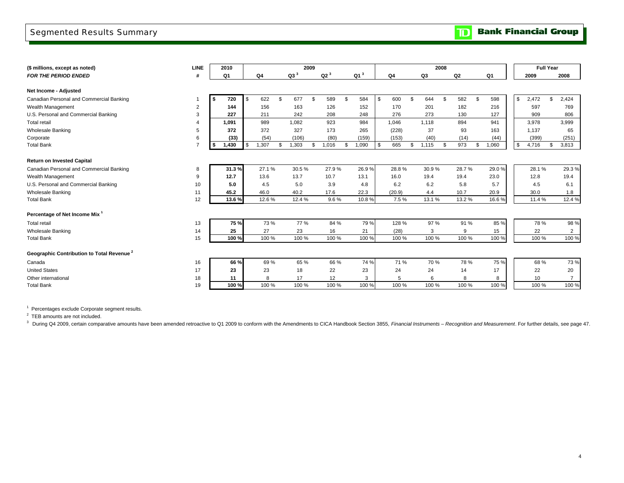### Segmented Results Summary

**TD** Bank Financial Group

| (\$ millions, except as noted)                        | LINE           |    | 2010  |       |    | 2009            |    |                 |    |                 |    |                | 2008   |     |        |                |       | <b>Full Year</b> |    |                |
|-------------------------------------------------------|----------------|----|-------|-------|----|-----------------|----|-----------------|----|-----------------|----|----------------|--------|-----|--------|----------------|-------|------------------|----|----------------|
| <b>FOR THE PERIOD ENDED</b>                           | #              |    | Q1    | Q4    |    | Q3 <sup>3</sup> |    | Q2 <sup>3</sup> |    | Q1 <sup>3</sup> |    | Q <sub>4</sub> | Q3     |     | Q2     |                | Q1    | 2009             |    | 2008           |
|                                                       |                |    |       |       |    |                 |    |                 |    |                 |    |                |        |     |        |                |       |                  |    |                |
| Net Income - Adjusted                                 |                |    |       |       |    |                 |    |                 |    |                 |    |                |        |     |        |                |       |                  |    |                |
| Canadian Personal and Commercial Banking              |                | -S | 720   | 622   | \$ | 677             | \$ | 589             | £. | 584             | S. | 600            | 644    | \$  | 582    | -S             | 598   | \$<br>2,472      | \$ | 2,424          |
| Wealth Management                                     | $\overline{2}$ |    | 144   | 156   |    | 163             |    | 126             |    | 152             |    | 170            | 201    |     | 182    |                | 216   | 597              |    | 769            |
| U.S. Personal and Commercial Banking                  | 3              |    | 227   | 211   |    | 242             |    | 208             |    | 248             |    | 276            | 273    |     | 130    |                | 127   | 909              |    | 806            |
| <b>Total retail</b>                                   | $\overline{4}$ |    | 1,091 | 989   |    | 1,082           |    | 923             |    | 984             |    | 1,046          | 1,118  |     | 894    |                | 941   | 3,978            |    | 3,999          |
| <b>Wholesale Banking</b>                              | 5              |    | 372   | 372   |    | 327             |    | 173             |    | 265             |    | (228)          | 37     |     | 93     |                | 163   | 1,137            |    | 65             |
| Corporate                                             | 6              |    | (33)  | (54)  |    | (106)           |    | (80)            |    | (159)           |    | (153)          | (40)   |     | (14)   |                | (44)  | (399)            |    | (251)          |
| <b>Total Bank</b>                                     | $\overline{7}$ |    | 1,430 | 1,307 | \$ | 1,303           | \$ | 1,016           | \$ | 1,090           | \$ | 665            | 1,115  | \$. | 973    | $\mathfrak{L}$ | 1,060 | \$<br>4,716      | \$ | 3,813          |
|                                                       |                |    |       |       |    |                 |    |                 |    |                 |    |                |        |     |        |                |       |                  |    |                |
| <b>Return on Invested Capital</b>                     |                |    |       |       |    |                 |    |                 |    |                 |    |                |        |     |        |                |       |                  |    |                |
| Canadian Personal and Commercial Banking              | 8              |    | 31.3% | 27.1% |    | 30.5%           |    | 27.9%           |    | 26.9%           |    | 28.8%          | 30.9%  |     | 28.7%  |                | 29.0% | 28.1%            |    | 29.3%          |
| Wealth Management                                     | 9              |    | 12.7  | 13.6  |    | 13.7            |    | 10.7            |    | 13.1            |    | 16.0           | 19.4   |     | 19.4   |                | 23.0  | 12.8             |    | 19.4           |
| U.S. Personal and Commercial Banking                  | 10             |    | 5.0   | 4.5   |    | 5.0             |    | 3.9             |    | 4.8             |    | 6.2            | 6.2    |     | 5.8    |                | 5.7   | 4.5              |    | 6.1            |
| <b>Wholesale Banking</b>                              | 11             |    | 45.2  | 46.0  |    | 40.2            |    | 17.6            |    | 22.3            |    | (20.9)         | 4.4    |     | 10.7   |                | 20.9  | 30.0             |    | 1.8            |
| <b>Total Bank</b>                                     | 12             |    | 13.6% | 12.6% |    | 12.4 %          |    | 9.6%            |    | 10.8%           |    | 7.5%           | 13.1 % |     | 13.2 % |                | 16.6% | 11.4 %           |    | 12.4 %         |
|                                                       |                |    |       |       |    |                 |    |                 |    |                 |    |                |        |     |        |                |       |                  |    |                |
| Percentage of Net Income Mix <sup>1</sup>             |                |    |       |       |    |                 |    |                 |    |                 |    |                |        |     |        |                |       |                  |    |                |
| <b>Total retail</b>                                   | 13             |    | 75%   | 73%   |    | 77 %            |    | 84 %            |    | 79%             |    | 128 %          | 97 %   |     | 91 %   |                | 85 %  | 78 %             |    | 98 %           |
| <b>Wholesale Banking</b>                              | 14             |    | 25    | 27    |    | 23              |    | 16              |    | 21              |    | (28)           | 3      |     | 9      |                | 15    | 22               |    | $\overline{2}$ |
| <b>Total Bank</b>                                     | 15             |    | 100 % | 100 % |    | 100 %           |    | 100 %           |    | 100 %           |    | 100 %          | 100 %  |     | 100 %  |                | 100 % | 100 %            |    | 100 %          |
|                                                       |                |    |       |       |    |                 |    |                 |    |                 |    |                |        |     |        |                |       |                  |    |                |
| Geographic Contribution to Total Revenue <sup>2</sup> |                |    |       |       |    |                 |    |                 |    |                 |    |                |        |     |        |                |       |                  |    |                |
| Canada                                                | 16             |    | 66 %  | 69%   |    | 65 %            |    | 66 %            |    | 74 %            |    | 71 %           | 70 %   |     | 78%    |                | 75 %  | 68%              |    | 73 %           |
| <b>United States</b>                                  | 17             |    | 23    | 23    |    | 18              |    | 22              |    | 23              |    | 24             | 24     |     | 14     |                | 17    | 22               |    | 20             |
| Other international                                   | 18             |    | 11    | 8     |    | 17              |    | 12              |    | 3               |    | 5              | 6      |     | 8      |                | 8     | 10               |    | $\overline{7}$ |
| <b>Total Bank</b>                                     | 19             |    | 100 % | 100 % |    | 100 %           |    | 100 %           |    | 100 %           |    | 100 %          | 100 %  |     | 100 %  |                | 100 % | 100 %            |    | 100 %          |

 $1$  Percentages exclude Corporate segment results.

<sup>2</sup> TEB amounts are not included.

3 During Q4 2009, certain comparative amounts have been amended retroactive to Q1 2009 to conform with the Amendments to CICA Handbook Section 3855, Financial Instruments – Recognition and Measurement. For further details,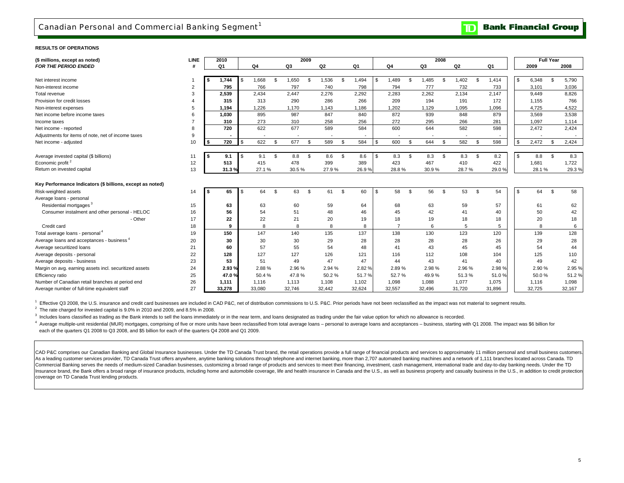### Canadian Personal and Commercial Banking Segment<sup>1</sup>

#### **RESULTS OF OPERATIONS**

| (\$ millions, except as noted)                            | <b>LINE</b>    | 2010        |              |             |                          | 2009 |        |             |     |                |             | 2008 |                |                |        |     |        | <b>Full Year</b> |        |
|-----------------------------------------------------------|----------------|-------------|--------------|-------------|--------------------------|------|--------|-------------|-----|----------------|-------------|------|----------------|----------------|--------|-----|--------|------------------|--------|
| <b>FOR THE PERIOD ENDED</b>                               | #              | Q1          |              | Q4          | Q <sub>3</sub>           |      | Q2     | Q1          |     | Q <sub>4</sub> | Q3          |      | Q <sub>2</sub> |                | Q1     |     | 2009   |                  | 2008   |
|                                                           |                |             |              |             |                          |      |        |             |     |                |             |      |                |                |        |     |        |                  |        |
| Net interest income                                       |                | 1,744       |              | 1,668<br>-S | 1,650                    | \$   | 1,536  | \$<br>1,494 | \$  | ,489           | \$<br>1,485 | - \$ | 1,402          | \$.            | 1,414  | \$. | 6,348  | \$               | 5,790  |
| Non-interest income                                       | $\overline{2}$ | 795         |              | 766         | 797                      |      | 740    | 798         |     | 794            | 777         |      | 732            |                | 733    |     | 3,101  |                  | 3,036  |
| Total revenue                                             | 3              | 2,539       |              | 2,434       | 2.447                    |      | 2,276  | 2,292       |     | 2,283          | 2,262       |      | 2,134          |                | 2,147  |     | 9,449  |                  | 8,826  |
| Provision for credit losses                               |                | 315         |              | 313         | 290                      |      | 286    | 266         |     | 209            | 194         |      | 191            |                | 172    |     | 1,155  |                  | 766    |
| Non-interest expenses                                     | 5              | 1,194       |              | 1,226       | 1.170                    |      | 1,143  | 1,186       |     | .202           | 1,129       |      | 1,095          |                | 1,096  |     | 4,725  |                  | 4,522  |
| Net income before income taxes                            | 6              | 1,030       |              | 895         | 987                      |      | 847    | 840         |     | 872            | 939         |      | 848            |                | 879    |     | 3,569  |                  | 3,538  |
| Income taxes                                              |                | 310         |              | 273         | 310                      |      | 258    | 256         |     | 272            | 295         |      | 266            |                | 281    |     | 1,097  |                  | 1,114  |
| Net income - reported                                     | 8              | 720         |              | 622         | 677                      |      | 589    | 584         |     | 600            | 644         |      | 582            |                | 598    |     | 2,472  |                  | 2,424  |
| Adjustments for items of note, net of income taxes        | 9              |             |              |             | $\overline{\phantom{a}}$ |      |        |             |     |                |             |      |                |                |        |     |        |                  |        |
| Net income - adjusted                                     | 10             | 720<br>- \$ | $\mathbf{s}$ | 622<br>\$.  | 677                      | \$   | 589    | \$<br>584   | \$  | 600            | \$<br>644   | \$   | 582            | $\mathfrak{L}$ | 598    | \$  | 2,472  | - \$             | 2,424  |
|                                                           |                |             |              |             |                          |      |        |             |     |                |             |      |                |                |        |     |        |                  |        |
| Average invested capital (\$ billions)                    | 11             | 9.1<br>- \$ | l \$         | 9.1<br>\$   | 8.8                      | \$   | 8.6    | \$<br>8.6   | \$. | 8.3            | \$<br>8.3   | \$   | 8.3            | \$             | 8.2    |     | 8.8    | <b>S</b>         | 8.3    |
| Economic profit <sup>2</sup>                              | 12             | 513         |              | 415         | 478                      |      | 399    | 389         |     | 423            | 467         |      | 410            |                | 422    |     | 1,681  |                  | 1,722  |
| Return on invested capital                                | 13             | 31.3%       |              | 27.1%       | 30.5%                    |      | 27.9%  | 26.9%       |     | 28.8%          | 30.9%       |      | 28.7%          |                | 29.0%  |     | 28.1%  |                  | 29.3%  |
|                                                           |                |             |              |             |                          |      |        |             |     |                |             |      |                |                |        |     |        |                  |        |
| Key Performance Indicators (\$ billions, except as noted) |                |             |              |             |                          |      |        |             |     |                |             |      |                |                |        |     |        |                  |        |
| Risk-weighted assets                                      | 14             | 65          | -S           | 64<br>\$.   | 63                       | \$   | 61     | \$<br>60    | \$. | 58             | \$<br>56    | \$   | 53             | \$             | 54     | \$  | 64     | \$               | 58     |
| Average loans - personal                                  |                |             |              |             |                          |      |        |             |     |                |             |      |                |                |        |     |        |                  |        |
| Residential mortgages <sup>3</sup>                        | 15             | 63          |              | 63          | 60                       |      | 59     | 64          |     | 68             | 63          |      | 59             |                | 57     |     | 61     |                  | 62     |
| Consumer instalment and other personal - HELOC            | 16             | 56          |              | 54          | 51                       |      | 48     | 46          |     | 45             | 42          |      | 41             |                | 40     |     | 50     |                  | 42     |
| - Other                                                   | 17             | 22          |              | 22          | 21                       |      | 20     | 19          |     | 18             | 19          |      | 18             |                | 18     |     | 20     |                  | 18     |
| Credit card                                               | 18             | 9           |              | 8           |                          |      | 8      | 8           |     | $\overline{7}$ | 6           |      | 5              |                | 5      |     | 8      |                  | 6      |
| Total average loans - personal <sup>4</sup>               | 19             | 150         |              | 147         | 140                      |      | 135    | 137         |     | 138            | 130         |      | 123            |                | 120    |     | 139    |                  | 128    |
| Average loans and acceptances - business <sup>4</sup>     | 20             | 30          |              | 30          | 30                       |      | 29     | 28          |     | 28             | 28          |      | 28             |                | 26     |     | 29     |                  | 28     |
| Average securitized loans                                 | 21             | 60          |              | 57          | 55                       |      | 54     | 48          |     | 41             | 43          |      | 45             |                | 45     |     | 54     |                  | 44     |
| Average deposits - personal                               | 22             | 128         |              | 127         | 127                      |      | 126    | 121         |     | 116            | 112         |      | 108            |                | 104    |     | 125    |                  | 110    |
| Average deposits - business                               | 23             | 53          |              | 51          | 49                       |      | 47     | 47          |     | 44             | 43          |      | 41             |                | 40     |     | 49     |                  | 42     |
| Margin on avg. earning assets incl. securitized assets    | 24             | 2.93%       |              | 2.88%       | 2.96%                    |      | 2.94 % | 2.82%       |     | 2.89%          | 2.98%       |      | 2.96%          |                | 2.98%  |     | 2.90%  |                  | 2.95%  |
| Efficiency ratio                                          | 25             | 47.0%       |              | 50.4%       | 47.8%                    |      | 50.2%  | 51.7%       |     | 52.7%          | 49.9%       |      | 51.3%          |                | 51.0%  |     | 50.0%  |                  | 51.2%  |
| Number of Canadian retail branches at period end          | 26             | 1,111       |              | 1,116       | 1,113                    |      | 1,108  | 1,102       |     | 1,098          | 1,088       |      | 1,077          |                | 1,075  |     | 1,116  |                  | 1,098  |
| Average number of full-time equivalent staff              | 27             | 33.278      |              | 33,080      | 32,746                   |      | 32,442 | 32,624      |     | 32,557         | 32,496      |      | 31,720         |                | 31.896 |     | 32,725 |                  | 32,167 |

<sup>1</sup> Effective Q3 2008, the U.S. insurance and credit card businesses are included in CAD P&C, net of distribution commissions to U.S. P&C. Prior periods have not been reclassified as the impact was not material to segment

 $2$  The rate charged for invested capital is 9.0% in 2010 and 2009, and 8.5% in 2008.

<sup>3</sup> Includes loans classified as trading as the Bank intends to sell the loans immediately or in the near term, and loans designated as trading under the fair value option for which no allowance is recorded.

 each of the quarters Q1 2008 to Q3 2008, and \$5 billion for each of the quarters Q4 2008 and Q1 2009. 4 Average multiple-unit residential (MUR) mortgages, comprising of five or more units have been reclassified from total average loans - personal to average loans and acceptances - business, starting with Q1 2008. The impac

CAD P&C comprises our Canadian Banking and Global Insurance businesses. Under the TD Canada Trust brand, the retail operations provide a full range of financial products and services to approximately 11 million personal an As a leading customer services provider, TD Canada Trust offers anywhere, anytime banking solutions through telephone and internet banking, more than 2,707 automated banking machines and a network of 1,111 branches located Commercial Banking serves the needs of medium-sized Canadian businesses, customizing a broad range of products and services to meet their financing, investment, cash management, international trade and day-to-day banking n Insurance brand, the Bank offers a broad range of insurance products, including home and automobile coverage, life and health insurance in Canada and the U.S., as well as business property and casualty business in the U.S. coverage on TD Canada Trust lending products.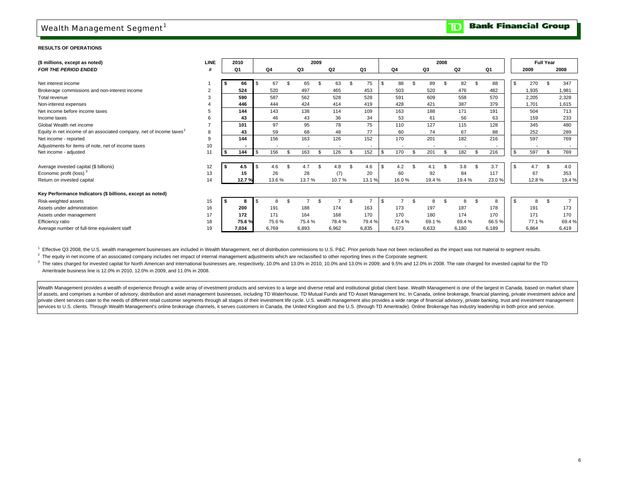### Wealth Management Segment<sup>1</sup>

#### **RESULTS OF OPERATIONS**

| (\$ millions, except as noted)                                                  | <b>LINE</b> | 2010  |        |                | 2009  |    |                |                |        |                |                          | 2008   |    |       |           | <b>Full Year</b> |    |                |
|---------------------------------------------------------------------------------|-------------|-------|--------|----------------|-------|----|----------------|----------------|--------|----------------|--------------------------|--------|----|-------|-----------|------------------|----|----------------|
| <b>FOR THE PERIOD ENDED</b>                                                     |             | Q1    | Q4     |                | Q3    |    | Q <sub>2</sub> |                | Q1     |                | Q4                       | Q3     |    | Q2    | Q1        | 2009             |    | 2008           |
|                                                                                 |             |       |        |                |       |    |                |                |        |                |                          |        |    |       |           |                  |    |                |
| Net interest income                                                             |             | 66    | 67     |                | 65    |    | 63             | \$             | 75     | \$             | 88                       | 89     |    | 82    | \$<br>88  | 270              |    | 347            |
| Brokerage commissions and non-interest income                                   | 2           | 524   | 520    |                | 497   |    | 465            |                | 453    |                | 503                      | 520    |    | 476   | 482       | 1,935            |    | 1,981          |
| Total revenue                                                                   | 3           | 590   | 587    |                | 562   |    | 528            |                | 528    |                | 591                      | 609    |    | 558   | 570       | 2,205            |    | 2,328          |
| Non-interest expenses                                                           |             | 446   | 444    |                | 424   |    | 414            |                | 419    |                | 428                      | 421    |    | 387   | 379       | 1.701            |    | 1,615          |
| Net income before income taxes                                                  |             | 144   | 143    |                | 138   |    | 114            |                | 109    |                | 163                      | 188    |    | 171   | 191       | 504              |    | 713            |
| Income taxes                                                                    | 6           | 43    | 46     |                | 43    |    | 36             |                | 34     |                | 53                       | 61     |    | 56    | 63        | 159              |    | 233            |
| Global Wealth net income                                                        |             | 101   | 97     |                | 95    |    | 78             |                | 75     |                | 110                      | 127    |    | 115   | 128       | 345              |    | 480            |
| Equity in net income of an associated company, net of income taxes <sup>2</sup> | 8           | 43    | 59     |                | 68    |    | 48             |                | 77     |                | 60                       | 74     |    | 67    | 88        | 252              |    | 289            |
| Net income - reported                                                           | 9           | 144   | 156    |                | 163   |    | 126            |                | 152    |                | 170                      | 201    |    | 182   | 216       | 597              |    | 769            |
| Adjustments for items of note, net of income taxes                              | 10          |       |        |                |       |    |                |                |        |                | $\overline{\phantom{a}}$ |        |    |       |           |                  |    |                |
| Net income - adjusted                                                           | 11          | 144   | 156    |                | 163   | \$ | 126            | \$             | 152    | $\mathfrak{L}$ | 170                      | 201    |    | 182   | \$<br>216 | 597              | \$ | 769            |
|                                                                                 |             |       |        |                |       |    |                |                |        |                |                          |        |    |       |           |                  |    |                |
| Average invested capital (\$ billions)                                          | 12          | 4.5   | 4.6    | $\mathfrak{L}$ | 4.7   | \$ | 4.8            | $\mathfrak{L}$ | 4.6    | \$             | 4.2                      | 4.1    |    | 3.8   | \$<br>3.7 | 4.7              |    | 4.0            |
| Economic profit (loss) <sup>3</sup>                                             | 13          | 15    | 26     |                | 28    |    | (7)            |                | 20     |                | 60                       | 92     |    | 84    | 117       | 67               |    | 353            |
| Return on invested capital                                                      | 14          | 12.7% | 13.6 % |                | 13.7% |    | 10.7%          |                | 13.1 % |                | 16.0%                    | 19.4 % |    | 19.4% | 23.0%     | 12.8%            |    | 19.4%          |
| Key Performance Indicators (\$ billions, except as noted)                       |             |       |        |                |       |    |                |                |        |                |                          |        |    |       |           |                  |    |                |
| Risk-weighted assets                                                            | 15          | -8    | 8      | $\mathcal{F}$  |       |    |                | \$             |        | £.             |                          | 8      | £. |       | \$<br>8   | 8                | \$ | $\overline{7}$ |
| Assets under administration                                                     | 16          | 200   | 191    |                | 188   |    | 174            |                | 163    |                | 173                      | 197    |    | 187   | 178       | 191              |    | 173            |
| Assets under management                                                         | 17          | 172   | 171    |                | 164   |    | 168            |                | 170    |                | 170                      | 180    |    | 174   | 170       | 171              |    | 170            |
| Efficiency ratio                                                                | 18          | 75.6% | 75.6%  |                | 75.4% |    | 78.4%          |                | 79.4%  |                | 72.4 %                   | 69.1%  |    | 69.4% | 66.5%     | 77.1%            |    | 69.4%          |
| Average number of full-time equivalent staff                                    | 19          | 7.034 | 6,769  |                | 6,893 |    | 6,962          |                | 6,835  |                | 6,673                    | 6,633  |    | 6,180 | 6,189     | 6,864            |    | 6,419          |

<sup>1</sup> Effective Q3 2008, the U.S. wealth management businesses are included in Wealth Management, net of distribution commissions to U.S. P&C. Prior periods have not been reclassified as the impact was not material to segmen

<sup>2</sup> The equity in net income of an associated company includes net impact of internal management adjustments which are reclassified to other reporting lines in the Corporate segment.

<sup>3</sup> The rates charged for invested capital for North American and international businesses are, respectively, 10.0% and 13.0% in 2010, 10.0% and 13.0% in 2009; and 9.5% and 12.0% in 2008. The rate charged for invested capi 3 Ameritrade business line is 12.0% in 2010, 12.0% in 2009, and 11.0% in 2008.

Wealth Management provides a wealth of experience through a wide array of investment products and services to a large and diverse retail and institutional global client base. Wealth Management is one of the largest in Cana of assets, and comprises a number of advisory, distribution and asset management businesses, including TD Waterhouse, TD Mutual Funds and TD Asset Management Inc. In Canada, online brokerage, financial planning, private in private client services cater to the needs of different retail customer segments through all stages of their investment life cycle. U.S. wealth management also provides a wide range of financial advisory, private banking, I services to U.S. clients. Through Wealth Management's online brokerage channels, it serves customers in Canada, the United Kingdom and the U.S. (through TD Ameritrade). Online Brokerage has industry leadership in both pr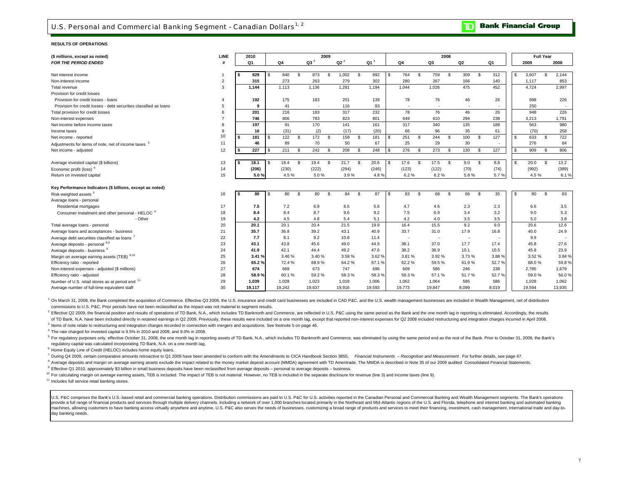### U.S. Personal and Commercial Banking Segment - Canadian Dollars<sup>1,2</sup>

#### **RESULTS OF OPERATIONS**

| (\$ millions, except as noted)                                    | <b>LINE</b>           |     | 2010   |          |        |              |        | 2009           |        |     |        |          |                          |          |                          | 2008               |                |                |       |                |        | <b>Full Year</b> |        |
|-------------------------------------------------------------------|-----------------------|-----|--------|----------|--------|--------------|--------|----------------|--------|-----|--------|----------|--------------------------|----------|--------------------------|--------------------|----------------|----------------|-------|----------------|--------|------------------|--------|
| <b>FOR THE PERIOD ENDED</b>                                       |                       |     | Q1     |          | Q4     |              | $Q3^7$ |                | $Q2^7$ |     | $Q1^7$ |          | Q4                       |          | Q3                       |                    | Q <sub>2</sub> |                | Q1    |                | 2009   |                  | 2008   |
|                                                                   |                       |     |        |          |        |              |        |                |        |     |        |          |                          |          |                          |                    |                |                |       |                |        |                  |        |
| Net interest income                                               |                       | - 5 | 829    | -S       | 840    | -S           | 873    | $\mathfrak{L}$ | 1,002  | \$  | 892    | l \$     | 764                      | <b>S</b> | 759                      | Ŝ.                 | 309            | \$             | 312   |                | 3,607  | \$               | 2,144  |
| Non-interest income                                               | $\overline{2}$        |     | 315    |          | 273    |              | 263    |                | 279    |     | 302    |          | 280                      |          | 267                      |                    | 166            |                | 140   |                | 1,117  |                  | 853    |
| Total revenue                                                     | 3                     |     | 1,144  |          | 1,113  |              | 1,136  |                | 1,281  |     | 1,194  |          | 1,044                    |          | 1,026                    |                    | 475            |                | 452   |                | 4,724  |                  | 2,997  |
| Provision for credit losses                                       |                       |     |        |          |        |              |        |                |        |     |        |          |                          |          |                          |                    |                |                |       |                |        |                  |        |
| Provision for credit losses - loans                               | $\boldsymbol{\Delta}$ |     | 192    |          | 175    |              | 183    |                | 201    |     | 139    |          | 78                       |          | 76                       |                    | 46             |                | 26    |                | 698    |                  | 226    |
| Provision for credit losses - debt securities classified as loans | 5                     |     | 9      |          | 41     |              |        |                | 116    |     | 93     |          | $\overline{\phantom{a}}$ |          | $\overline{\phantom{a}}$ |                    |                |                |       |                | 250    |                  |        |
| Total provision for credit losses                                 | 6                     |     | 201    |          | 216    |              | 183    |                | 317    |     | 232    |          | 78                       |          | 76                       |                    | 46             |                | 26    |                | 948    |                  | 226    |
| Non-interest expenses                                             | $\overline{7}$        |     | 746    |          | 806    |              | 783    |                | 823    |     | 801    |          | 649                      |          | 610                      |                    | 294            |                | 238   |                | 3,213  |                  | 1,791  |
| Net income before income taxes                                    | 8                     |     | 197    |          | 91     |              | 170    |                | 141    |     | 161    |          | 317                      |          | 340                      |                    | 135            |                | 188   |                | 563    |                  | 980    |
| Income taxes                                                      | 9                     |     | 16     |          | (31)   |              | (2)    |                | (17)   |     | (20)   |          | 66                       |          | 96                       |                    | 35             |                | 61    |                | (70)   |                  | 258    |
| Net income - reported                                             | 10                    | s.  | 181    | <b>S</b> | 122    | -S           | 172    | \$             | 158    | \$  | 181    | <b>S</b> | 251                      | <b>S</b> | 244                      | \$                 | 100            | \$             | 127   | \$             | 633    | \$               | 722    |
| Adjustments for items of note, net of income taxes <sup>3</sup>   | 11                    |     | 46     |          | 89     |              | 70     |                | 50     |     | 67     |          | 25                       |          | 29                       |                    | 30             |                |       |                | 276    |                  | 84     |
| Net income - adjusted                                             | 12                    | S.  | 227    |          | 211    | $\mathbf{s}$ | 242    | $\mathfrak{L}$ | 208    | \$. | 248    | \$.      | 276                      | £.       | 273                      | $\mathbf{\hat{z}}$ | 130            | $\mathfrak{L}$ | 127   | $\mathfrak{L}$ | 909    | $\mathfrak{L}$   | 806    |
|                                                                   |                       |     |        |          |        |              |        |                |        |     |        |          |                          |          |                          |                    |                |                |       |                |        |                  |        |
| Average invested capital (\$ billions)                            | 13                    | l S | 18.1   | l S      | 18.4   | <b>S</b>     | 19.4   | \$             | 21.7   | \$  | 20.6   | <b>S</b> | 17.6                     | -S       | 17.5                     | \$                 | 9.0            | $\mathfrak{s}$ | 8.8   | \$             | 20.0   | \$               | 13.2   |
| Economic profit (loss) <sup>4</sup>                               | 14                    |     | (206)  |          | (230)  |              | (222)  |                | (294)  |     | (246)  |          | (123)                    |          | (122)                    |                    | (70)           |                | (74)  |                | (992)  |                  | (389)  |
| Return on invested capital                                        | 15                    |     | 5.0%   |          | 4.5%   |              | 5.0%   |                | 3.9%   |     | 4.8%   |          | 6.2%                     |          | 6.2%                     |                    | 5.8%           |                | 5.7%  |                | 4.5%   |                  | 6.1%   |
|                                                                   |                       |     |        |          |        |              |        |                |        |     |        |          |                          |          |                          |                    |                |                |       |                |        |                  |        |
| Key Performance Indicators (\$ billions, except as noted)         |                       |     |        |          |        |              |        |                |        |     |        |          |                          |          |                          |                    |                |                |       |                |        |                  |        |
| Risk-weighted assets <sup>5</sup>                                 | 16                    | S   | 80     | -S       | 80     | -S           | 80     | $\mathbf{s}$   | 84     | \$  | 87     | l S      | 83                       | <b>S</b> | 68                       | Ŝ.                 | 66             | \$             | 35    | \$.            | 80     | \$               | 83     |
| Average loans - personal                                          |                       |     |        |          |        |              |        |                |        |     |        |          |                          |          |                          |                    |                |                |       |                |        |                  |        |
| Residential mortgages                                             | 17                    |     | 7.5    |          | 7.2    |              | 6.9    |                | 6.5    |     | 5.6    |          | 4.7                      |          | 4.6                      |                    | 2.3            |                | 2.3   |                | 6.6    |                  | 3.5    |
| Consumer instalment and other personal - HELOC <sup>6</sup>       | 18                    |     | 8.4    |          | 8.4    |              | 8.7    |                | 9.6    |     | 9.2    |          | 7.5                      |          | 6.9                      |                    | 3.4            |                | 3.2   |                | 9.0    |                  | 5.3    |
| - Other                                                           | 19                    |     | 4.2    |          | 4.5    |              | 4.8    |                | 5.4    |     | 5.1    |          | 4.2                      |          | 4.0                      |                    | 3.5            |                | 3.5   |                | 5.0    |                  | 3.8    |
| Total average loans - personal                                    | 20                    |     | 20.1   |          | 20.1   |              | 20.4   |                | 21.5   |     | 19.9   |          | 16.4                     |          | 15.5                     |                    | 9.2            |                | 9.0   |                | 20.6   |                  | 12.6   |
| Average loans and acceptances - business                          | 21                    |     | 35.7   |          | 36.8   |              | 39.2   |                | 43.1   |     | 40.9   |          | 33.7                     |          | 31.0                     |                    | 17.9           |                | 16.8  |                | 40.0   |                  | 24.9   |
| Average debt securities classified as loans                       | 22                    |     | 7.7    |          | 8.1    |              | 9.2    |                | 10.8   |     | 11.4   |          | ٠.                       |          | $\sim$                   |                    | ٠.             |                |       |                | 9.9    |                  |        |
| Average deposits - personal 8,9                                   | 23                    |     | 43.1   |          | 43.8   |              | 45.6   |                | 49.0   |     | 44.9   |          | 38.1                     |          | 37.0                     |                    | 17.7           |                | 17.4  |                | 45.8   |                  | 27.6   |
| Average deposits - business 9                                     | 24                    |     | 41.9   |          | 42.1   |              | 44.4   |                | 49.2   |     | 47.6   |          | 38.2                     |          | 36.9                     |                    | 10.1           |                | 10.5  |                | 45.8   |                  | 23.9   |
| Margin on average earning assets (TEB) 8,10                       | 25                    |     | 3.41%  |          | 3.46%  |              | 3.40%  |                | 3.58%  |     | 3.62%  |          | 3.81%                    |          | 3.92 %                   |                    | 3.73%          |                | 3.88% |                | 3.52%  |                  | 3.84 % |
| Efficiency ratio - reported                                       | 26                    |     | 65.2%  |          | 72.4%  |              | 68.9%  |                | 64.2%  |     | 67.1%  |          | 62.2%                    |          | 59.5%                    |                    | 61.9%          |                | 52.7% |                | 68.0%  |                  | 59.8%  |
| Non-interest expenses - adjusted (\$ millions)                    | 27                    |     | 674    |          | 669    |              | 673    |                | 747    |     | 696    |          | 609                      |          | 586                      |                    | 246            |                | 238   |                | 2,785  |                  | 1,679  |
| Efficiency ratio - adjusted                                       | 28                    |     | 58.9%  |          | 60.1%  |              | 59.2%  |                | 58.3%  |     | 58.3%  |          | 58.3%                    |          | 57.1%                    |                    | 51.7%          |                | 52.7% |                | 59.0%  |                  | 56.0%  |
| Number of U.S. retail stores as at period end 11                  | 29                    |     | 1.039  |          | 1,028  |              | 1,023  |                | 1,018  |     | 1,006  |          | 1,062                    |          | 1,064                    |                    | 585            |                | 586   |                | 1,028  |                  | 1.062  |
| Average number of full-time equivalent staff                      | 30                    |     | 19,117 |          | 19,242 |              | 19,637 |                | 19,916 |     | 19,593 |          | 19,773                   |          | 19,847                   |                    | 8.099          |                | 8,019 |                | 19,594 |                  | 13,935 |

<sup>1</sup> On March 31, 2008, the Bank completed the acquisition of Commerce. Effective Q3 2008, the U.S. insurance and credit card businesses are included in CAD P&C, and the U.S. wealth management businesses are included in Wea commissions to U.S. P&C. Prior periods have not been reclassified as the impact was not material to segment results.

<sup>2</sup> Effective Q2 2009, the financial position and results of operations of TD Bank, N.A., which includes TD Banknorth and Commerce, are reflected in U.S. P&C using the same period as the Bank and the one month lag in repor of TD Bank, N.A. have been included directly in retained earnings in Q2 2009. Previously, these results were included on a one month lag, except that reported non-interest expenses for Q2 2008 included restructuring and in

<sup>3</sup> Items of note relate to restructuring and integration charges recorded in connection with mergers and acquisitions. See footnote 5 on page 46.

4 The rate charged for invested capital is 9.5% in 2010 and 2009, and 9.0% in 2008.

<sup>5</sup> For regulatory purposes only, effective October 31, 2008, the one month lag in reporting assets of TD Bank, N.A., which includes TD Banknorth and Commerce, was eliminated by using the same period end as the rest of the regulatory capital was calculated incorporating TD Bank, N.A. on a one month lag.

6 Home Equity Line of Credit (HELOC) includes home equity loans.

<sup>7</sup> During Q4 2009, certain comparative amounts retroactive to Q1 2009 have been amended to conform with the Amendments to CICA Handbook Section 3855, Financial Instruments - Recognition and Measurement. For further detail

<sup>8</sup> Average deposits and margin on average earning assets exclude the impact related to the money market deposit account (MMDA) agreement with TD Ameritrade. The MMDA is described in Note 35 of our 2009 audited Consolidate

 $^9$  Effective Q1 2010, approximately \$3 billion in small business deposits have been reclassified from average deposits – personal to average deposits – business.

<sup>10</sup> For calculating margin on average earning assets, TEB is included. The impact of TEB is not material. However, no TEB is included in the separate disclosure for revenue (line 3) and income taxes (line 9).

<sup>11</sup> Includes full service retail banking stores.

U.S. P&C comprises the Bank's U.S.-based retail and commercial banking operations. Distribution commissions are paid to U.S. P&C for U.S. activities reported in the Canadian Personal and Commercial Banking and Wealth Manag provide a full range of financial products and services through multiple delivery channels, including a network of over 1,000 branches located primarily in the Northeast and Mid-Atlantic regions of the U.S. and Florida, te machines, allowing customers to have banking access virtually anywhere and anytime. U.S. P&C also serves the needs of businesses, customizing a broad range of products and services to meet their financing, investment, cash day banking needs.

#### **Bank Financial Group** D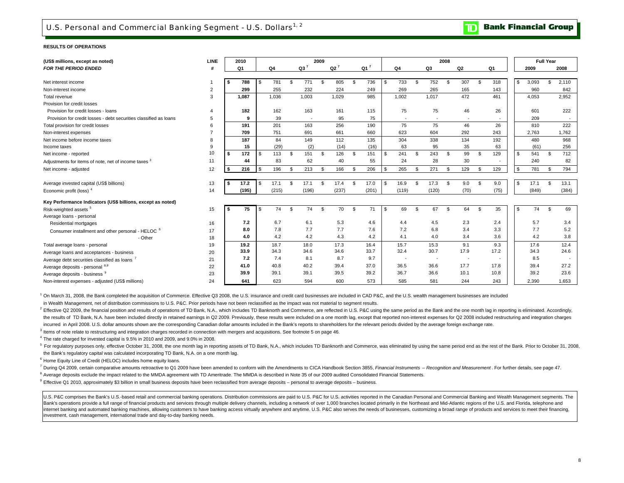### U.S. Personal and Commercial Banking Segment - U.S. Dollars<sup>1, 2</sup>

**Bank Financial Group**  $\mathbf{D}% _{T}=\mathbf{D}_{T}\!\left( \mathbf{1}_{T}% \mathbf{1}_{T}\mathbf{1}_{T}\mathbf{1}_{T}\mathbf{1}_{T}\mathbf{1}_{T}\mathbf{1}_{T}\mathbf{1}_{T}\mathbf{1}_{T}\mathbf{1}_{T}\mathbf{1}_{T}\mathbf{1}_{T}\mathbf{1}_{T}\mathbf{1}_{T}\mathbf{1}_{T}\mathbf{1}_{T}\mathbf{1}_{T}\mathbf{1}_{T}\mathbf{1}_{T}\mathbf{1}_{T}\mathbf{1}_{T}\mathbf{1}_{T}\mathbf{1}_{T}\mathbf{1}_{T}\mathbf{1}_{T}\mathbf{1}_{T}\mathbf{1}_{T}\mathbf{1}_{T}\math$ 

#### **RESULTS OF OPERATIONS**

| (US\$ millions, except as noted)                                  | LINE           | 2010      |            |     |                          | 2009 |        |            |                          |            | 2008 |                          |           |              |       | <b>Full Year</b> |                          |
|-------------------------------------------------------------------|----------------|-----------|------------|-----|--------------------------|------|--------|------------|--------------------------|------------|------|--------------------------|-----------|--------------|-------|------------------|--------------------------|
| <b>FOR THE PERIOD ENDED</b>                                       |                | Q1        | Q4         |     | $Q3^7$                   |      | $Q2^7$ | $Q1^7$     | Q4                       | Q3         |      | Q2                       | Q1        |              | 2009  |                  | 2008                     |
|                                                                   |                |           |            |     |                          |      |        |            |                          |            |      |                          |           |              |       |                  |                          |
| Net interest income                                               |                | 788       | \$<br>781  | \$  | 771                      | - \$ | 805    | \$<br>736  | \$<br>733                | \$<br>752  | \$   | 307                      | \$<br>318 | \$           | 3,093 | $\mathfrak{L}$   | 2.110                    |
| Non-interest income                                               | $\overline{2}$ | 299       | 255        |     | 232                      |      | 224    | 249        | 269                      | 265        |      | 165                      | 143       |              | 960   |                  | 842                      |
| Total revenue                                                     | 3              | 1,087     | 1,036      |     | 1,003                    |      | 1.029  | 985        | 1,002                    | 1,017      |      | 472                      | 461       |              | 4,053 |                  | 2,952                    |
| Provision for credit losses                                       |                |           |            |     |                          |      |        |            |                          |            |      |                          |           |              |       |                  |                          |
| Provision for credit losses - loans                               | $\overline{4}$ | 182       | 162        |     | 163                      |      | 161    | 115        | 75                       | 75         |      | 46                       | 26        |              | 601   |                  | 222                      |
| Provision for credit losses - debt securities classified as loans | 5              | 9         | 39         |     | $\overline{\phantom{a}}$ |      | 95     | 75         | $\overline{\phantom{a}}$ |            |      | $\overline{\phantom{a}}$ |           |              | 209   |                  | $\overline{\phantom{a}}$ |
| Total provision for credit losses                                 | 6              | 191       | 201        |     | 163                      |      | 256    | 190        | 75                       | 75         |      | 46                       | 26        |              | 810   |                  | 222                      |
| Non-interest expenses                                             |                | 709       | 751        |     | 691                      |      | 661    | 660        | 623                      | 604        |      | 292                      | 243       |              | 2,763 |                  | 1,762                    |
| Net income before income taxes                                    | 8              | 187       | 84         |     | 149                      |      | 112    | 135        | 304                      | 338        |      | 134                      | 192       |              | 480   |                  | 968                      |
| Income taxes                                                      | 9              | 15        | (29)       |     | (2)                      |      | (14)   | (16)       | 63                       | 95         |      | 35                       | 63        |              | (61)  |                  | 256                      |
| Net income - reported                                             | 10             | \$<br>172 | \$<br>113  | £.  | 151                      | \$   | 126    | \$<br>151  | \$<br>241                | \$<br>243  | -S   | 99                       | \$<br>129 | $\mathbb{S}$ | 541   | \$               | 712                      |
| Adjustments for items of note, net of income taxes <sup>3</sup>   | 11             | 44        | 83         |     | 62                       |      | 40     | 55         | 24                       | 28         |      | 30                       |           |              | 240   |                  | 82                       |
| Net income - adjusted                                             | 12             | 216       | \$<br>196  | \$  | 213                      | \$   | 166    | \$<br>206  | \$<br>265                | \$<br>271  | -S   | 129                      | \$<br>129 | \$           | 781   | \$               | 794                      |
|                                                                   |                |           |            |     |                          |      |        |            |                          |            |      |                          |           |              |       |                  |                          |
| Average invested capital (US\$ billions)                          | 13             | 17.2      | \$<br>17.1 | \$. | 17.1                     | - \$ | 17.4   | \$<br>17.0 | \$<br>16.9               | \$<br>17.3 | -S   | 9.0                      | \$<br>9.0 | \$           | 17.1  | \$               | 13.1                     |
| Economic profit (loss) <sup>4</sup>                               | 14             | (195)     | (215)      |     | (196)                    |      | (237)  | (201)      | (119)                    | (120)      |      | (70)                     | (75)      |              | (849) |                  | (384)                    |
| Key Performance Indicators (US\$ billions, except as noted)       |                |           |            |     |                          |      |        |            |                          |            |      |                          |           |              |       |                  |                          |
| Risk-weighted assets <sup>5</sup>                                 | 15             | 75        | \$<br>74   | \$  | 74                       | \$   | 70     | \$<br>71   | \$<br>69                 | \$<br>67   | -S   | 64                       | \$<br>35  | \$           | 74    | \$               | 69                       |
| Average loans - personal                                          |                |           |            |     |                          |      |        |            |                          |            |      |                          |           |              |       |                  |                          |
| Residential mortgages                                             | 16             | 7.2       | 6.7        |     | 6.1                      |      | 5.3    | 4.6        | 4.4                      | 4.5        |      | 2.3                      | 2.4       |              | 5.7   |                  | 3.4                      |
| Consumer installment and other personal - HELOC 6                 | 17             | 8.0       | 7.8        |     | 7.7                      |      | 7.7    | 7.6        | 7.2                      | 6.8        |      | 3.4                      | 3.3       |              | 7.7   |                  | 5.2                      |
| - Other                                                           | 18             | 4.0       | 4.2        |     | 4.2                      |      | 4.3    | 4.2        | 4.1                      | 4.0        |      | 3.4                      | 3.6       |              | 4.2   |                  | 3.8                      |
| Total average loans - personal                                    | 19             | 19.2      | 18.7       |     | 18.0                     |      | 17.3   | 16.4       | 15.7                     | 15.3       |      | 9.1                      | 9.3       |              | 17.6  |                  | 12.4                     |
| Average loans and acceptances - business                          | 20             | 33.9      | 34.3       |     | 34.6                     |      | 34.6   | 33.7       | 32.4                     | 30.7       |      | 17.9                     | 17.2      |              | 34.3  |                  | 24.6                     |
| Average debt securities classified as loans <sup>7</sup>          | 21             | 7.2       | 7.4        |     | 8.1                      |      | 8.7    | 9.7        | ۰.                       |            |      | $\sim$                   |           |              | 8.5   |                  |                          |
| Average deposits - personal 8,9                                   | 22             | 41.0      | 40.8       |     | 40.2                     |      | 39.4   | 37.0       | 36.5                     | 36.6       |      | 17.7                     | 17.8      |              | 39.4  |                  | 27.2                     |
| Average deposits - business 9                                     | 23             | 39.9      | 39.1       |     | 39.1                     |      | 39.5   | 39.2       | 36.7                     | 36.6       |      | 10.1                     | 10.8      |              | 39.2  |                  | 23.6                     |
| Non-interest expenses - adjusted (US\$ millions)                  | 24             | 641       | 623        |     | 594                      |      | 600    | 573        | 585                      | 581        |      | 244                      | 243       |              | 2.390 |                  | 1.653                    |

<sup>1</sup> On March 31, 2008, the Bank completed the acquisition of Commerce. Effective Q3 2008, the U.S. insurance and credit card businesses are included in CAD P&C, and the U.S. wealth management businesses are included

in Wealth Management, net of distribution commissions to U.S. P&C. Prior periods have not been reclassified as the impact was not material to segment results.

<sup>2</sup> Effective Q2 2009, the financial position and results of operations of TD Bank, N.A., which includes TD Banknorth and Commerce, are reflected in U.S. P&C using the same period as the Bank and the one month lag in repor the results of TD Bank, N.A. have been included directly in retained earnings in Q2 2009. Previously, these results were included on a one month lag, except that reported non-interest expenses for Q2 2008 included restruct incurred in April 2008. U.S. dollar amounts shown are the corresponding Canadian dollar amounts included in the Bank's reports to shareholders for the relevant periods divided by the average foreign exchange rate.

<sup>3</sup> Items of note relate to restructuring and integration charges recorded in connection with mergers and acquisitions. See footnote 5 on page 46.

 $^4$  The rate charged for invested capital is 9.5% in 2010 and 2009, and 9.0% in 2008.

<sup>5</sup> For regulatory purposes only, effective October 31, 2008, the one month lag in reporting assets of TD Bank, N.A., which includes TD Banknorth and Commerce, was eliminated by using the same period end as the rest of the the Bank's regulatory capital was calculated incorporating TD Bank, N.A. on a one month lag.

<sup>6</sup> Home Equity Line of Credit (HELOC) includes home equity loans.

7 During Q4 2009, certain comparative amounts retroactive to Q1 2009 have been amended to conform with the Amendments to CICA Handbook Section 3855, Financial Instruments - Recognition and Measurement. For further details,

<sup>8</sup> Average deposits exclude the impact related to the MMDA agreement with TD Ameritrade. The MMDA is described in Note 35 of our 2009 audited Consolidated Financial Statements.

 $^9$  Effective Q1 2010, approximately \$3 billion in small business deposits have been reclassified from average deposits – personal to average deposits – business.

U.S. P&C comprises the Bank's U.S.-based retail and commercial banking operations. Distribution commissions are paid to U.S. P&C for U.S. activities reported in the Canadian Personal and Commercial Banking and Wealth Manag Bank's operations provide a full range of financial products and services through multiple delivery channels, including a network of over 1,000 branches located primarily in the Northeast and Mid-Atlantic regions of the U. internet banking and automated banking machines, allowing customers to have banking access virtually anywhere and anytime. U.S. P&C also serves the needs of businesses, customizing a broad range of products and services to investment, cash management, international trade and day-to-day banking needs.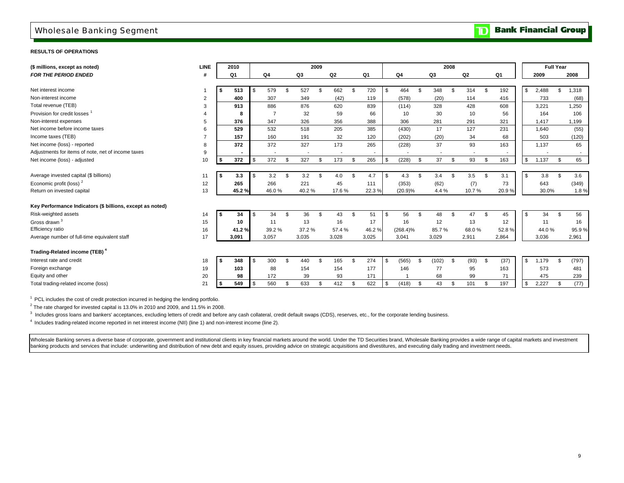### Wholesale Banking Segment

**TD** Bank Financial Group

### **RESULTS OF OPERATIONS**

| (\$ millions, except as noted)                            | LINE |    | 2010  |           |                |                | 2009           |       |     |       |            |                |                |                          | 2008 |                          |                |                |             | <b>Full Year</b> |       |
|-----------------------------------------------------------|------|----|-------|-----------|----------------|----------------|----------------|-------|-----|-------|------------|----------------|----------------|--------------------------|------|--------------------------|----------------|----------------|-------------|------------------|-------|
| <b>FOR THE PERIOD ENDED</b>                               | #    |    | Q1    | Q4        |                | Q3             |                | Q2    |     | Q1    |            | Q <sub>4</sub> |                | Q3                       |      | Q2                       |                | Q1             | 2009        |                  | 2008  |
|                                                           |      |    |       |           |                |                |                |       |     |       |            |                |                |                          |      |                          |                |                |             |                  |       |
| Net interest income                                       |      | \$ | 513   | \$<br>579 | \$             | 527            | \$.            | 662   | \$. | 720   | \$         | 464            | \$.            | 348                      | S.   | 314                      | $\mathfrak{L}$ | 192            | \$<br>2,488 | \$               | 1,318 |
| Non-interest income                                       | 2    |    | 400   | 307       |                | 349            |                | (42)  |     | 119   |            | (578)          |                | (20)                     |      | 114                      |                | 416            | 733         |                  | (68)  |
| Total revenue (TEB)                                       | 3    |    | 913   | 886       |                | 876            |                | 620   |     | 839   |            | (114)          |                | 328                      |      | 428                      |                | 608            | 3,221       |                  | 1,250 |
| Provision for credit losses                               |      |    | 8     | 7         |                | 32             |                | 59    |     | 66    |            | 10             |                | 30                       |      | 10                       |                | 56             | 164         |                  | 106   |
| Non-interest expenses                                     | 5    |    | 376   | 347       |                | 326            |                | 356   |     | 388   |            | 306            |                | 281                      |      | 291                      |                | 321            | 1,417       |                  | 1,199 |
| Net income before income taxes                            | 6    |    | 529   | 532       |                | 518            |                | 205   |     | 385   |            | (430)          |                | 17                       |      | 127                      |                | 231            | 1,640       |                  | (55)  |
| Income taxes (TEB)                                        |      |    | 157   | 160       |                | 191            |                | 32    |     | 120   |            | (202)          |                | (20)                     |      | 34                       |                | 68             | 503         |                  | (120) |
| Net income (loss) - reported                              | 8    |    | 372   | 372       |                | 327            |                | 173   |     | 265   |            | (228)          |                | 37                       |      | 93                       |                | 163            | 1,137       |                  | 65    |
| Adjustments for items of note, net of income taxes        | 9    |    |       |           |                | $\blacksquare$ |                |       |     |       |            |                |                | $\overline{\phantom{a}}$ |      | $\overline{\phantom{a}}$ |                | $\blacksquare$ |             |                  |       |
| Net income (loss) - adjusted                              | 10   | \$ | 372   | \$<br>372 | \$             | 327            | \$             | 173   | \$  | 265   | \$         | (228)          | $\mathfrak{R}$ | 37                       | S.   | 93                       | \$             | 163            | \$<br>1,137 | \$               | 65    |
|                                                           |      |    |       |           |                |                |                |       |     |       |            |                |                |                          |      |                          |                |                |             |                  |       |
| Average invested capital (\$ billions)                    | 11   | Ŝ. | 3.3   | \$<br>3.2 | \$             | 3.2            | \$             | 4.0   | \$  | 4.7   | \$         | 4.3            | \$             | 3.4                      | \$   | 3.5                      | \$             | 3.1            | \$<br>3.8   | \$               | 3.6   |
| Economic profit (loss) <sup>2</sup>                       | 12   |    | 265   | 266       |                | 221            |                | 45    |     | 111   |            | (353)          |                | (62)                     |      | (7)                      |                | 73             | 643         |                  | (349) |
| Return on invested capital                                | 13   |    | 45.2% | 46.0%     |                | 40.2%          |                | 17.6% |     | 22.3% |            | (20.9)%        |                | 4.4%                     |      | 10.7%                    |                | 20.9%          | 30.0%       |                  | 1.8%  |
|                                                           |      |    |       |           |                |                |                |       |     |       |            |                |                |                          |      |                          |                |                |             |                  |       |
| Key Performance Indicators (\$ billions, except as noted) |      |    |       |           |                |                |                |       |     |       |            |                |                |                          |      |                          |                |                |             |                  |       |
| Risk-weighted assets                                      | 14   | \$ | 34    | \$<br>34  | S.             | 36             | \$.            | 43    | \$  | 51    | $\sqrt{3}$ | 56             | \$             | 48                       | \$   | 47                       | \$             | 45             | \$<br>34    | \$               | 56    |
| Gross drawn <sup>3</sup>                                  | 15   |    | 10    | 11        |                | 13             |                | 16    |     | 17    |            | 16             |                | 12                       |      | 13                       |                | 12             | 11          |                  | 16    |
| Efficiency ratio                                          | 16   |    | 41.2% | 39.2%     |                | 37.2 %         |                | 57.4% |     | 46.2% |            | $(268.4)\%$    |                | 85.7%                    |      | 68.0%                    |                | 52.8%          | 44.0%       |                  | 95.9% |
| Average number of full-time equivalent staff              | 17   |    | 3,091 | 3,057     |                | 3,035          |                | 3,028 |     | 3,025 |            | 3,041          |                | 3,029                    |      | 2,911                    |                | 2,864          | 3,036       |                  | 2,961 |
| Trading-Related income (TEB) <sup>4</sup>                 |      |    |       |           |                |                |                |       |     |       |            |                |                |                          |      |                          |                |                |             |                  |       |
| Interest rate and credit                                  | 18   | Ŝ. | 348   | \$<br>300 | $\mathfrak{L}$ | 440            | $\mathfrak{L}$ | 165   | \$  | 274   | \$         | (565)          | \$.            | (102)                    | - \$ | (93)                     | \$             | (37)           | \$<br>1,179 | \$               | (797) |
| Foreign exchange                                          | 19   |    | 103   | 88        |                | 154            |                | 154   |     | 177   |            | 146            |                | 77                       |      | 95                       |                | 163            | 573         |                  | 481   |
| Equity and other                                          | 20   |    | 98    | 172       |                | 39             |                | 93    |     | 171   |            |                |                | 68                       |      | 99                       |                | 71             | 475         |                  | 239   |
| Total trading-related income (loss)                       | 21   | \$ | 549   | \$<br>560 | \$             | 633            | \$             | 412   | \$  | 622   | \$         | (418)          | \$.            | 43                       | \$   | 101                      | \$             | 197            | \$<br>2,227 | \$               | (77)  |
|                                                           |      |    |       |           |                |                |                |       |     |       |            |                |                |                          |      |                          |                |                |             |                  |       |

 $1$  PCL includes the cost of credit protection incurred in hedging the lending portfolio.

 $2$  The rate charged for invested capital is 13.0% in 2010 and 2009, and 11.5% in 2008.

<sup>3</sup> Includes gross loans and bankers' acceptances, excluding letters of credit and before any cash collateral, credit default swaps (CDS), reserves, etc., for the corporate lending business.

4 Includes trading-related income reported in net interest income (NII) (line 1) and non-interest income (line 2).

Wholesale Banking serves a diverse base of corporate, government and institutional clients in key financial markets around the world. Under the TD Securities brand, Wholesale Banking provides a wide range of capital market banking products and services that include: underwriting and distribution of new debt and equity issues, providing advice on strategic acquisitions and divestitures, and executing daily trading and investment needs.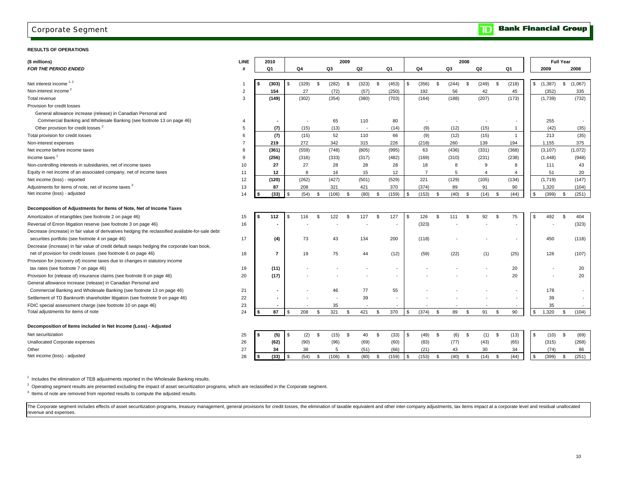### Corporate Segment

#### **RESULTS OF OPERATIONS**

| (\$ millions)                                                                                     | <b>LINE</b>    | 2010                     |       |               |       | 2009           |       |             |                |                |       | 2008 |       |              |                |                |          | <b>Full Year</b> |         |
|---------------------------------------------------------------------------------------------------|----------------|--------------------------|-------|---------------|-------|----------------|-------|-------------|----------------|----------------|-------|------|-------|--------------|----------------|----------------|----------|------------------|---------|
| <b>FOR THE PERIOD ENDED</b>                                                                       |                | Q1                       | Q4    |               | Q3    |                | Q2    | Q1          |                | Q4             | Q3    |      | Q2    |              | Q1             |                | 2009     |                  | 2008    |
|                                                                                                   |                |                          |       |               |       |                |       |             |                |                |       |      |       |              |                |                |          |                  |         |
| Net interest income 1, 2                                                                          |                | (303)                    | (329) | -S            | (282) | $\mathfrak{s}$ | (323) | \$<br>(453) | - \$           | (356)<br>\$    | (244) | \$   | (249) | - \$         | (218)          | \$             | (1, 387) | \$               | (1,067) |
| Non-interest income <sup>2</sup>                                                                  | $\overline{2}$ | 154                      | 27    |               | (72)  |                | (57)  | (250)       |                | 192            | 56    |      | 42    |              | 45             |                | (352)    |                  | 335     |
| Total revenue                                                                                     | 3              | (149)                    | (302) |               | (354) |                | (380) | (703)       |                | (164)          | (188) |      | (207) |              | (173)          |                | (1,739)  |                  | (732)   |
| Provision for credit losses                                                                       |                |                          |       |               |       |                |       |             |                |                |       |      |       |              |                |                |          |                  |         |
| General allowance increase (release) in Canadian Personal and                                     |                |                          |       |               |       |                |       |             |                |                |       |      |       |              |                |                |          |                  |         |
| Commercial Banking and Wholesale Banking (see footnote 13 on page 46)                             | $\overline{4}$ |                          |       |               | 65    |                | 110   | 80          |                |                |       |      |       |              |                |                | 255      |                  | $\sim$  |
| Other provision for credit losses <sup>2</sup>                                                    | 5              | (7)                      | (15)  |               | (13)  |                |       | (14)        |                | (9)            | (12)  |      | (15)  |              | $\overline{1}$ |                | (42)     |                  | (35)    |
| Total provision for credit losses                                                                 | 6              | (7)                      | (15)  |               | 52    |                | 110   | 66          |                | (9)            | (12)  |      | (15)  |              | $\overline{1}$ |                | 213      |                  | (35)    |
| Non-interest expenses                                                                             | $\overline{7}$ | 219                      | 272   |               | 342   |                | 315   | 226         |                | (218)          | 260   |      | 139   |              | 194            |                | 1,155    |                  | 375     |
| Net income before income taxes                                                                    | 8              | (361)                    | (559) |               | (748) |                | (805) | (995)       |                | 63             | (436) |      | (331) |              | (368)          |                | (3, 107) |                  | (1,072) |
| Income taxes                                                                                      | 9              | (256)                    | (316) |               | (333) |                | (317) | (482)       |                | (169)          | (310) |      | (231) |              | (238)          |                | (1, 448) |                  | (948)   |
| Non-controlling interests in subsidiaries, net of income taxes                                    | 10             | 27                       | 27    |               | 28    |                | 28    | 28          |                | 18             | 8     |      | 9     |              | 8              |                | 111      |                  | 43      |
| Equity in net income of an associated company, net of income taxes                                | 11             | 12                       | 8     |               | 16    |                | 15    | 12          |                | $\overline{7}$ | 5     |      | 4     |              | $\overline{4}$ |                | 51       |                  | 20      |
| Net income (loss) - reported                                                                      | 12             | (120)                    | (262) |               | (427) |                | (501) | (529)       |                | 221            | (129) |      | (105) |              | (134)          |                | (1,719)  |                  | (147)   |
| Adjustments for items of note, net of income taxes 3                                              | 13             | 87                       | 208   |               | 321   |                | 421   | 370         |                | (374)          | 89    |      | 91    |              | 90             |                | 1,320    |                  | (104)   |
| Net income (loss) - adjusted                                                                      | 14             | (33)                     | (54)  | \$            | (106) | $\mathfrak{s}$ | (80)  | \$<br>(159) | $\mathfrak{s}$ | (153)<br>\$    | (40)  | \$   | (14)  | \$           | (44)           | S.             | (399)    | \$               | (251)   |
|                                                                                                   |                |                          |       |               |       |                |       |             |                |                |       |      |       |              |                |                |          |                  |         |
| Decomposition of Adjustments for Items of Note, Net of Income Taxes                               |                |                          |       |               |       |                |       |             |                |                |       |      |       |              |                |                |          |                  |         |
| Amortization of intangibles (see footnote 2 on page 46)                                           | 15             | 112                      | 116   | $\mathcal{S}$ | 122   | <b>S</b>       | 127   | \$<br>127   | \$.            | 126<br>\$      | 111   | Ŝ.   | 92    | - \$         | 75             | $\mathfrak{L}$ | 492      | \$               | 404     |
| Reversal of Enron litigation reserve (see footnote 3 on page 46)                                  | 16             |                          |       |               |       |                |       |             |                | (323)          |       |      |       |              |                |                |          |                  | (323)   |
| Decrease (increase) in fair value of derivatives hedging the reclassified available-for-sale debt |                |                          |       |               |       |                |       |             |                |                |       |      |       |              |                |                |          |                  |         |
| securities portfolio (see footnote 4 on page 46)                                                  | 17             | (4)                      | 73    |               | 43    |                | 134   | 200         |                | (118)          |       |      |       |              |                |                | 450      |                  | (118)   |
| Decrease (increase) in fair value of credit default swaps hedging the corporate loan book,        |                |                          |       |               |       |                |       |             |                |                |       |      |       |              |                |                |          |                  |         |
| net of provision for credit losses (see footnote 6 on page 46)                                    | 18             | $\overline{7}$           | 19    |               | 75    |                | 44    | (12)        |                | (59)           | (22)  |      | (1)   |              | (25)           |                | 126      |                  | (107)   |
| Provision for (recovery of) income taxes due to changes in statutory income                       |                |                          |       |               |       |                |       |             |                |                |       |      |       |              |                |                |          |                  |         |
| tax rates (see footnote 7 on page 46)                                                             | 19             | (11)                     |       |               |       |                |       |             |                |                |       |      |       |              | 20             |                |          |                  | 20      |
| Provision for (release of) insurance claims (see footnote 8 on page 46)                           | 20             | (17)                     |       |               |       |                |       |             |                |                |       |      |       |              | 20             |                |          |                  | 20      |
| General allowance increase (release) in Canadian Personal and                                     |                |                          |       |               |       |                |       |             |                |                |       |      |       |              |                |                |          |                  |         |
| Commercial Banking and Wholesale Banking (see footnote 13 on page 46)                             | 21             |                          |       |               | 46    |                | 77    | 55          |                |                |       |      |       |              |                |                | 178      |                  |         |
| Settlement of TD Banknorth shareholder litigation (see footnote 9 on page 46)                     | 22             |                          |       |               |       |                | 39    |             |                |                |       |      |       |              |                |                | 39       |                  | $\sim$  |
| FDIC special assessment charge (see footnote 10 on page 46)                                       | 23             | $\overline{\phantom{a}}$ |       |               | 35    |                |       |             |                |                |       |      |       |              |                |                | 35       |                  |         |
| Total adjustments for items of note                                                               | 24             | 87                       | 208   | <b>S</b>      | 321   | $\mathfrak{s}$ | 421   | \$<br>370   | \$             | (374)<br>\$    | 89    | \$   | 91    | <b>S</b>     | 90             | $\sqrt{3}$     | 1,320    | \$               | (104)   |
|                                                                                                   |                |                          |       |               |       |                |       |             |                |                |       |      |       |              |                |                |          |                  |         |
| Decomposition of Items included in Net Income (Loss) - Adjusted                                   |                |                          |       |               |       |                |       |             |                |                |       |      |       |              |                |                |          |                  |         |
| Net securitization                                                                                | 25             | (5)                      | (2)   | - \$          | (15)  | \$             | 40    | \$<br>(33)  | \$             | $(49)$ \$      | (6)   | \$   | (1)   | $\mathsf{s}$ | (13)           | $\mathfrak{L}$ | (10)     | \$               | (69)    |
| Unallocated Corporate expenses                                                                    | 26             | (62)                     | (90)  |               | (96)  |                | (69)  | (60)        |                | (83)           | (77)  |      | (43)  |              | (65)           |                | (315)    |                  | (268)   |
| Other                                                                                             | 27             | 34                       | 38    |               | 5     |                | (51)  | (66)        |                | (21)           | 43    |      | 30    |              | 34             |                | (74)     |                  | 86      |
| Net income (loss) - adjusted                                                                      | 28             | (33)                     | (54)  | - \$          | (106) | $\mathfrak{s}$ | (80)  | \$<br>(159) | \$.            | (153)<br>\$    | (40)  | \$   | (14)  | <b>S</b>     | (44)           | $\mathfrak{s}$ | (399)    | \$               | (251)   |
|                                                                                                   |                |                          |       |               |       |                |       |             |                |                |       |      |       |              |                |                |          |                  |         |

 $1$  Includes the elimination of TEB adjustments reported in the Wholesale Banking results.

 $2$  Operating segment results are presented excluding the impact of asset securitization programs, which are reclassified in the Corporate segment.

<sup>3</sup> Items of note are removed from reported results to compute the adjusted results.

The Corporate segment includes effects of asset securitization programs, treasury management, general provisions for credit losses, the elimination of taxable equivalent and other inter-company adjustments, tax items impac revenue and expenses.

#### **Bank Financial Group**  $\overline{\mathbf{D}}$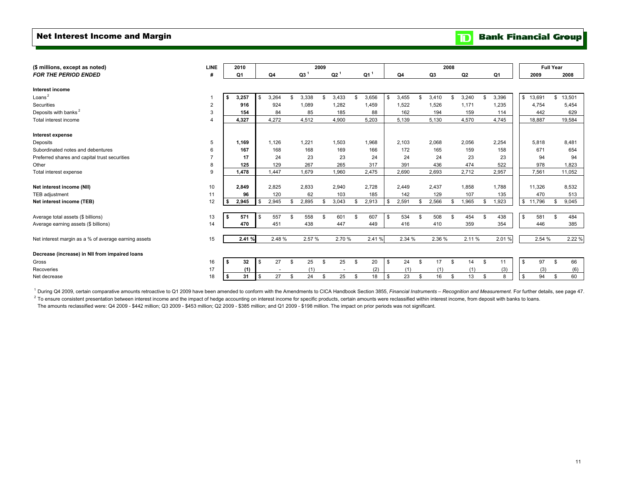### Net Interest Income and Margin

**TD** Bank Financial Group

| (\$ millions, except as noted)                       | <b>LINE</b>    |      | 2010   |     |                          |                 | 2009 |                          |          |                 |              |        |          |        | 2008 |       |             |          | <b>Full Year</b> |              |
|------------------------------------------------------|----------------|------|--------|-----|--------------------------|-----------------|------|--------------------------|----------|-----------------|--------------|--------|----------|--------|------|-------|-------------|----------|------------------|--------------|
| <b>FOR THE PERIOD ENDED</b>                          | #              |      | Q1     | Q4  |                          | Q3 <sup>1</sup> |      | Q2 <sup>1</sup>          |          | Q1 <sup>1</sup> |              | Q4     |          | Q3     |      | Q2    | Q1          |          | 2009             | 2008         |
|                                                      |                |      |        |     |                          |                 |      |                          |          |                 |              |        |          |        |      |       |             |          |                  |              |
| Interest income                                      |                |      |        |     |                          |                 |      |                          |          |                 |              |        |          |        |      |       |             |          |                  |              |
| Loans $2$                                            |                | \$   | 3,257  | \$  | 3,264                    | \$<br>3,338     | \$   | 3,433                    | \$       | 3,656           | $\mathbf{s}$ | 3,455  | £.       | 3,410  | S    | 3,240 | \$<br>3,396 | \$       | 13,691           | \$<br>13,501 |
| Securities                                           | 2              |      | 916    |     | 924                      | 1,089           |      | 1,282                    |          | 1,459           |              | 1,522  |          | 1,526  |      | 1,171 | 1,235       |          | 4,754            | 5,454        |
| Deposits with banks <sup>2</sup>                     | 3              |      | 154    |     | 84                       | 85              |      | 185                      |          | 88              |              | 162    |          | 194    |      | 159   | 114         |          | 442              | 629          |
| Total interest income                                | $\overline{4}$ |      | 4.327  |     | 4,272                    | 4,512           |      | 4,900                    |          | 5,203           |              | 5,139  |          | 5,130  |      | 4,570 | 4,745       |          | 18,887           | 19,584       |
| Interest expense                                     |                |      |        |     |                          |                 |      |                          |          |                 |              |        |          |        |      |       |             |          |                  |              |
| Deposits                                             | 5              |      | 1,169  |     | 1.126                    | 1,221           |      | 1,503                    |          | 1,968           |              | 2,103  |          | 2,068  |      | 2,056 | 2,254       |          | 5,818            | 8,481        |
| Subordinated notes and debentures                    | 6              |      | 167    |     | 168                      | 168             |      | 169                      |          | 166             |              | 172    |          | 165    |      | 159   | 158         |          | 671              | 654          |
| Preferred shares and capital trust securities        |                |      | 17     |     | 24                       | 23              |      | 23                       |          | 24              |              | 24     |          | 24     |      | 23    | 23          |          | 94               | 94           |
| Other                                                | 8              |      | 125    |     | 129                      | 267             |      | 265                      |          | 317             |              | 391    |          | 436    |      | 474   | 522         |          | 978              | 1,823        |
| Total interest expense                               | 9              |      | 1,478  |     | 1.447                    | 1,679           |      | 1,960                    |          | 2,475           |              | 2,690  |          | 2,693  |      | 2,712 | 2,957       |          | 7,561            | 11,052       |
|                                                      |                |      |        |     |                          |                 |      |                          |          |                 |              |        |          |        |      |       |             |          |                  |              |
| Net interest income (NII)                            | 10             |      | 2,849  |     | 2,825                    | 2,833           |      | 2,940                    |          | 2,728           |              | 2,449  |          | 2,437  |      | 1,858 | 1,788       |          | 11,326           | 8,532        |
| TEB adjustment                                       | 11             |      | 96     |     | 120                      | 62              |      | 103                      |          | 185             |              | 142    |          | 129    |      | 107   | 135         |          | 470              | 513          |
| Net interest income (TEB)                            | 12             |      | 2,945  |     | 2,945                    | \$<br>2,895     | \$   | 3,043                    |          | 2,913           | \$.          | 2,591  |          | 2,566  | S    | 1,965 | \$<br>1,923 |          | \$11,796         | 9,045        |
|                                                      |                |      |        |     |                          |                 |      |                          |          |                 |              |        |          |        |      |       |             |          |                  |              |
| Average total assets (\$ billions)                   | 13             | - \$ | 571    | \$  | 557                      | \$<br>558       | \$   | 601                      | \$       | 607             | - \$         | 534    | £.       | 508    | S    | 454   | \$<br>438   | <b>S</b> | 581              | \$<br>484    |
| Average earning assets (\$ billions)                 | 14             |      | 470    |     | 451                      | 438             |      | 447                      |          | 449             |              | 416    |          | 410    |      | 359   | 354         |          | 446              | 385          |
|                                                      |                |      |        |     |                          |                 |      |                          |          |                 |              |        |          |        |      |       |             |          |                  |              |
| Net interest margin as a % of average earning assets | 15             |      | 2.41 % |     | 2.48 %                   | 2.57 %          |      | 2.70 %                   |          | 2.41%           |              | 2.34 % |          | 2.36 % |      | 2.11% | 2.01%       |          | 2.54 %           | 2.22 %       |
| Decrease (increase) in NII from impaired loans       |                |      |        |     |                          |                 |      |                          |          |                 |              |        |          |        |      |       |             |          |                  |              |
| Gross                                                | 16             | \$   | 32     | \$. | 27                       | \$<br>25        | \$   | 25                       | <b>S</b> | 20              | \$           | 24     | <b>S</b> | 17     | \$   | 14    | \$<br>11    | l S      | 97               | \$<br>66     |
| Recoveries                                           | 17             |      | (1)    |     | $\overline{\phantom{a}}$ | (1)             |      | $\overline{\phantom{a}}$ |          | (2)             |              | (1)    |          | (1)    |      | (1)   | (3)         |          | (3)              | (6)          |
| Net decrease                                         | 18             | - \$ | 31     | \$  | 27                       | \$<br>24        | \$   | 25                       | \$       | 18              | <b>S</b>     | 23     | \$.      | 16     | \$   | 13    | \$<br>8     | - \$     | 94               | \$<br>60     |

<sup>1</sup> During Q4 2009, certain comparative amounts retroactive to Q1 2009 have been amended to conform with the Amendments to CICA Handbook Section 3855, Financial Instruments - Recognition and Measurement. For further detail

<sup>2</sup> To ensure consistent presentation between interest income and the impact of hedge accounting on interest income for specific products, certain amounts were reclassified within interest income, from deposit with banks t The amounts reclassified were: Q4 2009 - \$442 million; Q3 2009 - \$453 million; Q2 2009 - \$385 million; and Q1 2009 - \$198 million. The impact on prior periods was not significant.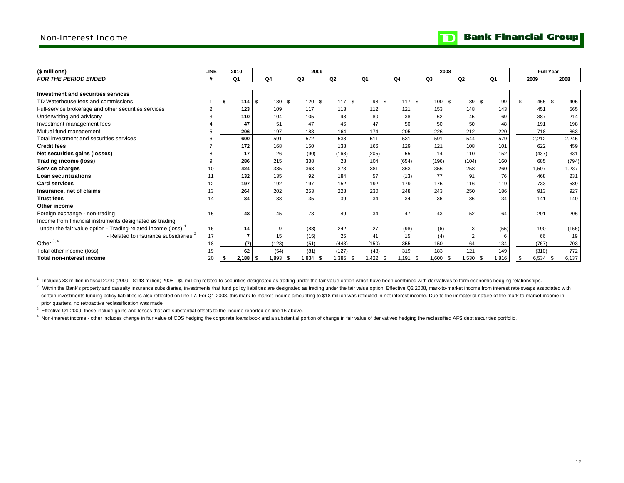### Non-Interest Income

| <b>Bank Financial Group</b> |  |
|-----------------------------|--|
|-----------------------------|--|

 $\mathbf{D}$ 

| (\$ millions)                                               | <b>LINE</b> | 2010  |      |                | 2009     |                |                |           | 2008                     |                |                | <b>Full Year</b> |       |
|-------------------------------------------------------------|-------------|-------|------|----------------|----------|----------------|----------------|-----------|--------------------------|----------------|----------------|------------------|-------|
| FOR THE PERIOD ENDED                                        |             | Q1    |      | Q <sub>4</sub> | Q3       | Q <sub>2</sub> | Q <sub>1</sub> | Q4        | Q3                       | Q <sub>2</sub> | Q <sub>1</sub> | 2009             | 2008  |
|                                                             |             |       |      |                |          |                |                |           |                          |                |                |                  |       |
| Investment and securities services                          |             |       |      |                |          |                |                |           |                          |                |                |                  |       |
| TD Waterhouse fees and commissions                          |             | 114   | - \$ | 130 \$         | 120 \$   | 117 \$         | 98             | 117<br>\$ | $\mathfrak{s}$<br>100 \$ | 89<br>\$       | 99             | 465 \$           | 405   |
| Full-service brokerage and other securities services        | 2           | 123   |      | 109            | 117      | 113            | 112            | 121       | 153                      | 148            | 143            | 451              | 565   |
| Underwriting and advisory                                   |             | 110   |      | 104            | 105      | 98             | 80             | 38        | 62                       | 45             | 69             | 387              | 214   |
| Investment management fees                                  |             | 47    |      | 51             | 47       | 46             | 47             | 50        | 50                       | 50             | 48             | 191              | 198   |
| Mutual fund management                                      | 5           | 206   |      | 197            | 183      | 164            | 174            | 205       | 226                      | 212            | 220            | 718              | 863   |
| Total investment and securities services                    | 6           | 600   |      | 591            | 572      | 538            | 511            | 531       | 591                      | 544            | 579            | 2,212            | 2,245 |
| <b>Credit fees</b>                                          |             | 172   |      | 168            | 150      | 138            | 166            | 129       | 121                      | 108            | 101            | 622              | 459   |
| Net securities gains (losses)                               |             | 17    |      | 26             | (90)     | (168)          | (205)          | 55        | 14                       | 110            | 152            | (437)            | 331   |
| Trading income (loss)                                       | 9           | 286   |      | 215            | 338      | 28             | 104            | (654)     | (196)                    | (104)          | 160            | 685              | (794) |
| Service charges                                             | 10          | 424   |      | 385            | 368      | 373            | 381            | 363       | 356                      | 258            | 260            | 1,507            | 1,237 |
| <b>Loan securitizations</b>                                 | 11          | 132   |      | 135            | 92       | 184            | 57             | (13)      | 77                       | 91             | 76             | 468              | 231   |
| <b>Card services</b>                                        | 12          | 197   |      | 192            | 197      | 152            | 192            | 179       | 175                      | 116            | 119            | 733              | 589   |
| Insurance, net of claims                                    | 13          | 264   |      | 202            | 253      | 228            | 230            | 248       | 243                      | 250            | 186            | 913              | 927   |
| <b>Trust fees</b>                                           | 14          |       | 34   | 33             | 35       | 39             | 34             | 34        | 36                       | 36             | 34             | 141              | 140   |
| Other income                                                |             |       |      |                |          |                |                |           |                          |                |                |                  |       |
| Foreign exchange - non-trading                              | 15          |       | 48   | 45             | 73       | 49             | 34             | 47        | 43                       | 52             | 64             | 201              | 206   |
| Income from financial instruments designated as trading     |             |       |      |                |          |                |                |           |                          |                |                |                  |       |
| under the fair value option - Trading-related income (loss) | 16          |       | 14   | 9              | (88)     | 242            | 27             | (98)      | (6)                      | 3              | (55)           | 190              | (156) |
| - Related to insurance subsidiaries <sup>2</sup>            | 17          |       |      | 15             | (15)     | 25             | 41             | 15        | (4)                      | 2              | 6              | 66               | 19    |
| Other $3, 4$                                                | 18          |       | (7)  | (123)          | (51)     | (443)          | (150)          | 355       | 150                      | 64             | 134            | (767)            | 703   |
| Total other income (loss)                                   | 19          |       | 62   | (54)           | (81)     | (127)          | (48)           | 319       | 183                      | 121            | 149            | (310)            | 772   |
| Total non-interest income                                   | 20          | 2,188 | l \$ | 1,893 \$       | 1,834 \$ | 1,385 \$       | $.422$ \$      | 1,191     | 1,600 \$<br>- \$         | 1,530 \$       | 1,816          | $6,534$ \$       | 6,137 |

<sup>1</sup> Includes \$3 million in fiscal 2010 (2009 - \$143 million; 2008 - \$9 million) related to securities designated as trading under the fair value option which have been combined with derivatives to form economic hedging rel

<sup>2</sup> Within the Bank's property and casualty insurance subsidiaries, investments that fund policy liabilities are designated as trading under the fair value option. Effective Q2 2008, mark-to-market income from interest rat certain investments funding policy liabilities is also reflected on line 17. For Q1 2008, this mark-to-market income amounting to \$18 million was reflected in net interest income. Due to the immaterial nature of the mark-t prior quarters, no retroactive reclassification was made.

 $3$  Effective Q1 2009, these include gains and losses that are substantial offsets to the income reported on line 16 above.

4 Non-interest income - other includes change in fair value of CDS hedging the corporate loans book and a substantial portion of change in fair value of derivatives hedging the reclassified AFS debt securities portfolio.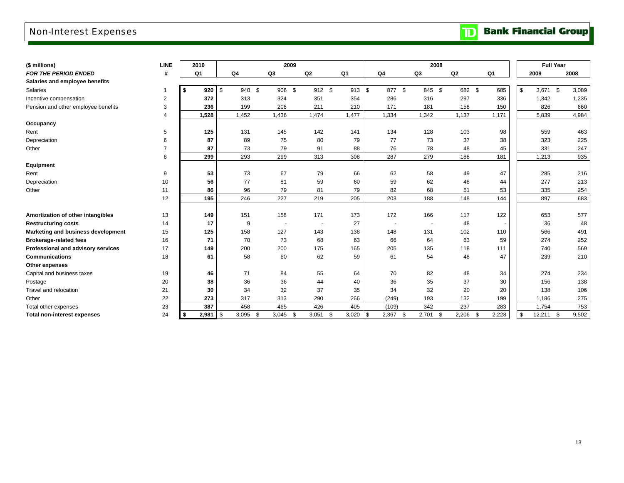## Non-Interest Expenses

**TD** Bank Financial Group

| (\$ millions)                       | LINE           |          | 2010           |            |                | 2009           |                |                          |       |               |                          |        | 2008 |        |     |       | <b>Full Year</b> |             |
|-------------------------------------|----------------|----------|----------------|------------|----------------|----------------|----------------|--------------------------|-------|---------------|--------------------------|--------|------|--------|-----|-------|------------------|-------------|
| <b>FOR THE PERIOD ENDED</b>         | #              |          | Q <sub>1</sub> |            | Q <sub>4</sub> | Q <sub>3</sub> | Q <sub>2</sub> |                          | Q1    |               | Q4                       | Q3     |      | Q2     |     | Q1    | 2009             | 2008        |
| Salaries and employee benefits      |                |          |                |            |                |                |                |                          |       |               |                          |        |      |        |     |       |                  |             |
| <b>Salaries</b>                     | 1              | \$       | 920            | $\sqrt{3}$ | 940 \$         | 906<br>\$      |                | 912 \$                   | 913   | \$            | 877 \$                   | 845 \$ |      | 682 \$ |     | 685   | \$<br>3,671      | \$<br>3,089 |
| Incentive compensation              | $\overline{c}$ |          | 372            |            | 313            | 324            | 351            |                          | 354   |               | 286                      | 316    |      | 297    |     | 336   | 1,342            | 1,235       |
| Pension and other employee benefits | 3              |          | 236            |            | 199            | 206            | 211            |                          | 210   |               | 171                      | 181    |      | 158    |     | 150   | 826              | 660         |
|                                     | $\overline{4}$ |          | 1,528          |            | 1,452          | 1,436          | 1,474          |                          | 1,477 |               | 1,334                    | 1,342  |      | 1,137  |     | 1,171 | 5,839            | 4,984       |
| Occupancy                           |                |          |                |            |                |                |                |                          |       |               |                          |        |      |        |     |       |                  |             |
| Rent                                | 5              |          | 125            |            | 131            | 145            | 142            |                          | 141   |               | 134                      | 128    |      | 103    |     | 98    | 559              | 463         |
| Depreciation                        | 6              |          | 87             |            | 89             | 75             | 80             |                          | 79    |               | 77                       | 73     |      | 37     |     | 38    | 323              | 225         |
| Other                               | $\overline{7}$ |          | 87             |            | 73             | 79             | 91             |                          | 88    |               | 76                       | 78     |      | 48     |     | 45    | 331              | 247         |
|                                     | 8              |          | 299            |            | 293            | 299            | 313            |                          | 308   |               | 287                      | 279    |      | 188    |     | 181   | 1,213            | 935         |
| Equipment                           |                |          |                |            |                |                |                |                          |       |               |                          |        |      |        |     |       |                  |             |
| Rent                                | 9              |          | 53             |            | 73             | 67             | 79             |                          | 66    |               | 62                       | 58     |      | 49     |     | 47    | 285              | 216         |
| Depreciation                        | 10             |          | 56             |            | 77             | 81             | 59             |                          | 60    |               | 59                       | 62     |      | 48     |     | 44    | 277              | 213         |
| Other                               | 11             |          | 86             |            | 96             | 79             | 81             |                          | 79    |               | 82                       | 68     |      | 51     |     | 53    | 335              | 254         |
|                                     | 12             |          | 195            |            | 246            | 227            | 219            |                          | 205   |               | 203                      | 188    |      | 148    |     | 144   | 897              | 683         |
|                                     |                |          |                |            |                |                |                |                          |       |               |                          |        |      |        |     |       |                  |             |
| Amortization of other intangibles   | 13             |          | 149            |            | 151            | 158            | 171            |                          | 173   |               | 172                      | 166    |      | 117    |     | 122   | 653              | 577         |
| <b>Restructuring costs</b>          | 14             |          | 17             |            | 9              |                |                | $\overline{\phantom{a}}$ | 27    |               | $\overline{\phantom{a}}$ |        |      | 48     |     |       | 36               | 48          |
| Marketing and business development  | 15             |          | 125            |            | 158            | 127            | 143            |                          | 138   |               | 148                      | 131    |      | 102    |     | 110   | 566              | 491         |
| <b>Brokerage-related fees</b>       | 16             |          | 71             |            | 70             | 73             | 68             |                          | 63    |               | 66                       | 64     |      | 63     |     | 59    | 274              | 252         |
| Professional and advisory services  | 17             |          | 149            |            | 200            | 200            | 175            |                          | 165   |               | 205                      | 135    |      | 118    |     | 111   | 740              | 569         |
| <b>Communications</b>               | 18             |          | 61             |            | 58             | 60             | 62             |                          | 59    |               | 61                       | 54     |      | 48     |     | 47    | 239              | 210         |
| Other expenses                      |                |          |                |            |                |                |                |                          |       |               |                          |        |      |        |     |       |                  |             |
| Capital and business taxes          | 19             |          | 46             |            | 71             | 84             | 55             |                          | 64    |               | 70                       | 82     |      | 48     |     | 34    | 274              | 234         |
| Postage                             | 20             |          | 38             |            | 36             | 36             | 44             |                          | 40    |               | 36                       | 35     |      | 37     |     | 30    | 156              | 138         |
| Travel and relocation               | 21             |          | 30             |            | 34             | 32             | 37             |                          | 35    |               | 34                       | 32     |      | 20     |     | 20    | 138              | 106         |
| Other                               | 22             |          | 273            |            | 317            | 313            | 290            |                          | 266   |               | (249)                    | 193    |      | 132    |     | 199   | 1,186            | 275         |
| Total other expenses                | 23             |          | 387            |            | 458            | 465            | 426            |                          | 405   |               | (109)                    | 342    |      | 237    |     | 283   | 1,754            | 753         |
| <b>Total non-interest expenses</b>  | 24             | <b>S</b> | 2,981          | l \$       | 3,095          | 3,045<br>\$    | 3,051          | \$                       | 3,020 | $\mathfrak s$ | 2,367<br>- \$            | 2,701  | \$   | 2,206  | -\$ | 2,228 | \$<br>12,211     | \$<br>9,502 |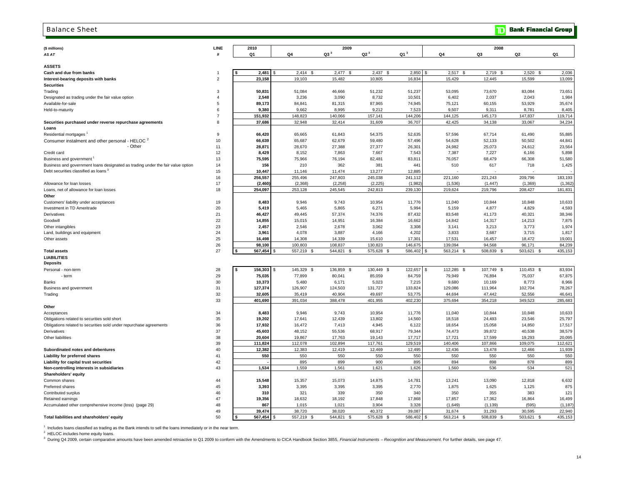#### Balance Sheet

| (\$ millions)                                                                   | LINE               | 2010 |                   |                   | 2009              |                   |                   |                   | 2008                    |                   |                   |
|---------------------------------------------------------------------------------|--------------------|------|-------------------|-------------------|-------------------|-------------------|-------------------|-------------------|-------------------------|-------------------|-------------------|
| AS AT                                                                           | $\boldsymbol{\mu}$ | Q1   |                   | Q4                | Q3 <sup>3</sup>   | Q2 <sup>3</sup>   | Q1 <sup>3</sup>   | Q4                | Q3                      | Q2                | Q1                |
|                                                                                 |                    |      |                   |                   |                   |                   |                   |                   |                         |                   |                   |
| <b>ASSETS</b>                                                                   |                    |      |                   |                   | <b>S</b>          | $\mathcal{S}$     |                   | £.                |                         |                   |                   |
| Cash and due from banks                                                         | $\overline{2}$     |      | 2,481<br>23,158   | 2,414<br>19,103   | 2,477<br>15,482   | 2,437<br>10,805   | 2,850<br>16,834   | 2,517<br>15,429   | 2,719<br>- \$<br>12,445 | 2,520<br>15,599   | 2,036<br>13,099   |
| Interest-bearing deposits with banks<br><b>Securities</b>                       |                    |      |                   |                   |                   |                   |                   |                   |                         |                   |                   |
| Trading                                                                         | 3                  |      | 50,831            | 51,084            | 46,666            | 51,232            | 51,237            | 53,095            | 73,670                  | 83,084            | 73,651            |
| Designated as trading under the fair value option                               | $\overline{4}$     |      | 2,548             | 3,236             | 3,090             | 8,732             | 10,501            | 6,402             | 2,037                   | 2,043             | 1,984             |
| Available-for-sale                                                              | 5                  |      | 89,173            | 84,841            | 81,315            | 87,965            | 74,945            | 75,121            | 60,155                  | 53,929            | 35,674            |
| Held-to-maturity                                                                | 6                  |      | 9,380             | 9,662             | 8,995             | 9,212             | 7,523             | 9,507             | 9,311                   | 8,781             | 8,405             |
|                                                                                 | $\overline{7}$     |      | 151,932           | 148,823           | 140,066           | 157,141           | 144,206           | 144,125           | 145,173                 | 147,837           | 119,714           |
| Securities purchased under reverse repurchase agreements                        | 8                  |      | 37,686            | 32,948            | 32,414            | 31,609            | 36,707            | 42,425            | 34,138                  | 33,067            | 34,234            |
| Loans                                                                           |                    |      |                   |                   |                   |                   |                   |                   |                         |                   |                   |
| Residential mortgages                                                           | 9                  |      | 66,420            | 65,665            | 61,843            | 54,375            | 52,635            | 57,596            | 67,714                  | 61,490            | 55,885            |
| Consumer instalment and other personal - HELOC <sup>2</sup>                     | 10                 |      | 66,639            | 65,687            | 62,679            | 59,480            | 57,496            | 54,628            | 52,133                  | 50,502            | 44,841            |
| - Other                                                                         | 11                 |      | 28,871            | 28,670            | 27,388            | 27,377            | 26,301            | 24,982            | 25.073                  | 24,612            | 23,564            |
| Credit card                                                                     | 12                 |      | 8,429             | 8,152             | 7,863             | 7,667             | 7,543             | 7,387             | 7,227                   | 6,166             | 5,898             |
| Business and government                                                         | 13                 |      | 75,595            | 75,966            | 76,194            | 82,481            | 83,81'            | 76,057            | 68,479                  | 66,308            | 51,580            |
| Business and government loans designated as trading under the fair value option | 14                 |      | 156               | 210               | 362               | 381               | 441               | 510               | 617                     | 718               | 1,425             |
| Debt securities classified as loans <sup>3</sup>                                | 15                 |      | 10,447            | 11,146            | 11,474            | 13,277            | 12,885            |                   |                         |                   |                   |
|                                                                                 | 16                 |      | 256,557           | 255,496           | 247,803           | 245,038           | 241,112           | 221,160           | 221,243                 | 209,796           | 183,193           |
| Allowance for loan losses                                                       | 17                 |      | (2, 460)          | (2,368)           | (2, 258)          | (2, 225)          | (1,982)           | (1,536)           | (1, 447)                | (1, 369)          | (1, 362)          |
| Loans, net of allowance for loan losses                                         | 18                 |      | 254,097           | 253,128           | 245,545           | 242,813           | 239,130           | 219,624           | 219,796                 | 208,427           | 181,831           |
| Other                                                                           |                    |      |                   |                   |                   |                   |                   |                   |                         |                   |                   |
| Customers' liability under acceptances                                          | 19                 |      | 8,483             | 9,946             | 9,743             | 10,954            | 11,776            | 11,040            | 10,844                  | 10,848            | 10,633            |
| Investment in TD Ameritrade                                                     | 20                 |      | 5,419             | 5,465             | 5,865             | 6,271             | 5,994             | 5,159             | 4,877                   | 4,829             | 4,593             |
| Derivatives                                                                     | 21                 |      | 46,427            | 49,445            | 57,374            | 74,376            | 87,432            | 83,548            | 41,173                  | 40,321            | 38,346            |
| Goodwill                                                                        | 22                 |      | 14,855            | 15,015            | 14,951            | 16,384            | 16,662            | 14,842            | 14,317                  | 14,213            | 7,875             |
| Other intangibles                                                               | 23                 |      | 2,457             | 2,546             | 2,678             | 3,062             | 3,308             | 3,141             | 3,213                   | 3,773             | 1,974             |
| Land, buildings and equipment                                                   | 24                 |      | 3,961             | 4,078             | 3,887             | 4,166             | 4,202             | 3,833             | 3,687                   | 3,715             | 1,817             |
| Other assets                                                                    | 25                 |      | 16,498            | 14,308            | 14,339            | 15,610            | 17,301            | 17,531            | 16,457                  | 18,472            | 19,001            |
|                                                                                 | 26                 |      | 98,100            | 100,803           | 108,837           | 130,823           | 146,675           | 139,094           | 94,568                  | 96,171            | 84,239            |
| <b>Total assets</b>                                                             | 27                 |      | 567,454           | 557,219 \$        | 544,821<br>- \$   | 575,628 \$        | 586,402           | 563,214 \$        | 508,839<br>- 93         | 503,621 \$        | 435,153           |
| <b>LIABILITIES</b>                                                              |                    |      |                   |                   |                   |                   |                   |                   |                         |                   |                   |
| <b>Deposits</b>                                                                 |                    |      |                   |                   |                   |                   |                   |                   |                         |                   |                   |
| Personal - non-term                                                             | 28                 | 5    | 156,303           | 145,329 \$        | 136,859 \$        | 130,449 \$        | 122,657           | 112,285 \$        | 107,749 \$              | 110,453<br>- \$   | 83,934            |
| - term                                                                          | 29                 |      | 75,035            | 77,899            | 80,041            | 85,059            | 84,759            | 79,949            | 76,894                  | 75,037            | 67,875            |
| Banks                                                                           | 30                 |      | 10,373            | 5,480             | 6,171             | 5,023             | 7,215             | 9,680             | 10,169                  | 8,773             | 8,966             |
| Business and government                                                         | 31                 |      | 127,374           | 126,907           | 124,503           | 131,727           | 133,824           | 129,086           | 111,964                 | 102,704           | 78,267            |
| Trading                                                                         | 32                 |      | 32.605            | 35,419            | 40.904            | 49.697            | 53.775            | 44.694            | 47.442                  | 52,556            | 46.641            |
|                                                                                 | 33                 |      | 401,690           | 391,034           | 388,478           | 401,955           | 402,230           | 375,694           | 354,218                 | 349,523           | 285,683           |
| Other                                                                           |                    |      |                   |                   |                   |                   |                   |                   |                         |                   |                   |
| Acceptances                                                                     | 34                 |      | 8,483             | 9,946             | 9,743             | 10,954            | 11,776            | 11,040            | 10,844                  | 10,848            | 10,633            |
| Obligations related to securities sold short                                    | 35                 |      | 19,202            | 17,641            | 12,439            | 13,802            | 14,560            | 18,518            | 24,493                  | 23,546            | 25,797            |
| Obligations related to securities sold under repurchase agreements              | 36<br>37           |      | 17,932            | 16,472            | 7,413             | 4,945             | 6,122             | 18,654            | 15,058                  | 14,850            | 17,517            |
| Derivatives                                                                     |                    |      | 45,603            | 48,152            | 55,536            | 68,917            | 79,344            | 74,473            | 39,872                  | 40,538            | 38,579            |
| Other liabilities                                                               | 38<br>39           |      | 20,604            | 19,867            | 17,763            | 19,143            | 17,717            | 17,721            | 17,599                  | 19,293            | 20,095            |
| Subordinated notes and debentures                                               | 40                 |      | 111,824<br>12,382 | 112,078<br>12,383 | 102,894<br>12.419 | 117,761<br>12,469 | 129,519<br>12,495 | 140,406<br>12,436 | 107,866<br>13.478       | 109,075<br>12,466 | 112,621<br>11,939 |
| Liability for preferred shares                                                  | 41                 |      | 550               | 550               | 550               | 550               | 550               | 550               | 550                     | 550               | 550               |
| Liability for capital trust securities                                          | 42                 |      |                   | 895               | 899               | 900               | 895               | 894               | 898                     | 878               | 899               |
| Non-controlling interests in subsidiaries                                       | 43                 |      | 1,534             | 1,559             | 1,561             | 1,621             | 1,626             | 1,560             | 536                     | 534               | 521               |
| Shareholders' equity                                                            |                    |      |                   |                   |                   |                   |                   |                   |                         |                   |                   |
| Common shares                                                                   | 44                 |      | 15,548            | 15,357            | 15,073            | 14,875            | 14,781            | 13,241            | 13,090                  | 12,818            | 6,632             |
| Preferred shares                                                                | 45                 |      | 3,393             | 3,395             | 3,395             | 3,395             | 2,770             | 1,875             | 1,625                   | 1,125             | 875               |
| Contributed surplus                                                             | 46                 |      | 310               | 321               | 339               | 350               | 340               | 350               | 355                     | 383               | 121               |
| Retained earnings                                                               | 47                 |      | 19,356            | 18,632            | 18,192            | 17,848            | 17,868            | 17,857            | 17,362                  | 16,864            | 16,499            |
| Accumulated other comprehensive income (loss) (page 29)                         | 48                 |      | 867               | 1,015             | 1,021             | 3.904             | 3,328             | (1,649)           | (1, 139)                | (595)             | (1, 187)          |
|                                                                                 | 49                 |      | 39,474            | 38,720            | 38,020            | 40,372            | 39,087            | 31,674            | 31,293                  | 30,595            | 22,940            |
| Total liabilities and shareholders' equity                                      | 50                 |      | 567,454           | 557,219           | 544.821           | 575,628           | 586,402           | 563,214<br>- \$   | 508,839                 | 503,621           | 435,153           |
|                                                                                 |                    |      |                   |                   |                   |                   |                   |                   |                         |                   |                   |

 $1$  Includes loans classified as trading as the Bank intends to sell the loans immediately or in the near term.

<sup>2</sup> HELOC includes home equity loans.

<sup>3</sup> During Q4 2009, certain comparative amounts have been amended retroactive to Q1 2009 to conform with the Amendments to CICA Handbook Section 3855, Financial Instruments - Recognition and Measurement. For further detail

**TD** Bank Financial Group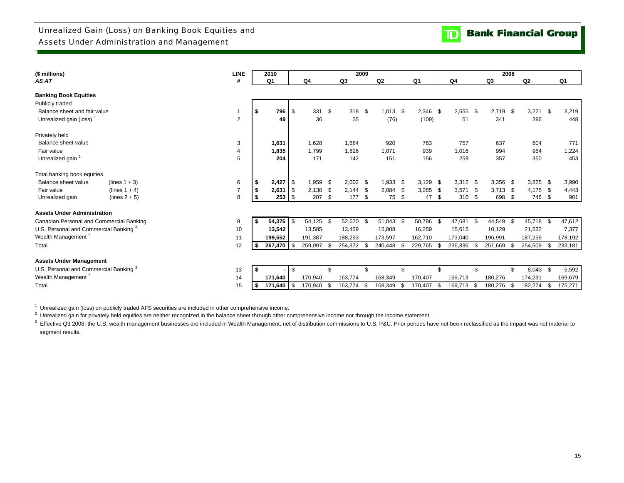

| (\$ millions)                                     |                 | <b>LINE</b>    |            | 2010           |          |            |      |            | 2009 |            |      |              |             |            |      | 2008           |      |            |      |         |
|---------------------------------------------------|-----------------|----------------|------------|----------------|----------|------------|------|------------|------|------------|------|--------------|-------------|------------|------|----------------|------|------------|------|---------|
| AS AT                                             |                 | #              |            | Q <sub>1</sub> |          | Q4         |      | Q3         |      | Q2         |      | Q1           |             | Q4         |      | Q <sub>3</sub> |      | Q2         |      | Q1      |
| <b>Banking Book Equities</b>                      |                 |                |            |                |          |            |      |            |      |            |      |              |             |            |      |                |      |            |      |         |
| Publicly traded                                   |                 |                |            |                |          |            |      |            |      |            |      |              |             |            |      |                |      |            |      |         |
| Balance sheet and fair value                      |                 | $\mathbf{1}$   | <b>S</b>   | 796            | -\$      | 331        | -\$  | 318        | - \$ | $1,013$ \$ |      | 2,346        | \$          | 2,555      | -\$  | 2,719          | \$   | 3,221      | - \$ | 3,219   |
| Unrealized gain (loss) <sup>1</sup>               |                 | 2              |            | 49             |          | 36         |      | 35         |      | (76)       |      | (109)        |             | 51         |      | 341            |      | 396        |      | 448     |
| Privately held                                    |                 |                |            |                |          |            |      |            |      |            |      |              |             |            |      |                |      |            |      |         |
| Balance sheet value                               |                 | 3              |            | 1,631          |          | 1,628      |      | 1.684      |      | 920        |      | 783          |             | 757        |      | 637            |      | 604        |      | 771     |
| Fair value                                        |                 | 4              |            | 1,835          |          | 1,799      |      | 1,826      |      | 1,071      |      | 939          |             | 1,016      |      | 994            |      | 954        |      | 1,224   |
| Unrealized gain <sup>2</sup>                      |                 | 5              |            | 204            |          | 171        |      | 142        |      | 151        |      | 156          |             | 259        |      | 357            |      | 350        |      | 453     |
| Total banking book equities                       |                 |                |            |                |          |            |      |            |      |            |      |              |             |            |      |                |      |            |      |         |
| Balance sheet value                               | $(lines 1 + 3)$ | 6              | \$         | 2,427          | ′ I \$   | 1,959      | - \$ | $2,002$ \$ |      | 1,933      | -\$  | $3,129$ \ \$ |             | $3,312$ \$ |      | 3,356          | - \$ | $3,825$ \$ |      | 3,990   |
| Fair value                                        | $(lines 1 + 4)$ | $\overline{7}$ | $\sqrt{2}$ | 2,631          | l \$     | 2,130      | -\$  | 2,144      | - \$ | 2,084      | - \$ | $3,285$ \$   |             | 3,571      | - \$ | 3.713          | - \$ | 4.175 \$   |      | 4,443   |
| Unrealized gain                                   | $(lines 2 + 5)$ | 8              | <b>S</b>   | $253$ \$       |          | 207        | \$   | 177        | \$   | 75         | \$   | 47           | <b>1</b> \$ | 310        | -\$  | 698            | -\$  | 746 \$     |      | 901     |
| <b>Assets Under Administration</b>                |                 |                |            |                |          |            |      |            |      |            |      |              |             |            |      |                |      |            |      |         |
| Canadian Personal and Commercial Banking          |                 | 9              |            | $54,376$ \$    |          | 54,125 \$  |      | 52,620 \$  |      | 51,043 \$  |      | $50,796$ \$  |             | 47,681     | - \$ | 44,549 \$      |      | 45,718 \$  |      | 47,612  |
| U.S. Personal and Commercial Banking <sup>3</sup> |                 | 10             |            | 13,542         |          | 13,585     |      | 13,459     |      | 15,808     |      | 16,259       |             | 15,615     |      | 10,129         |      | 21,532     |      | 7,377   |
| Wealth Management <sup>3</sup>                    |                 | 11             |            | 199,552        |          | 191,387    |      | 188,293    |      | 173,597    |      | 162,710      |             | 173,040    |      | 196,991        |      | 187,259    |      | 178,192 |
| Total                                             |                 | 12             |            | 267.470 S      |          | 259,097    | - \$ | 254,372 \$ |      | 240,448    | -S   | 229,765      | \$          | 236,336    | -\$  | 251,669        | \$.  | 254,509    |      | 233,181 |
| <b>Assets Under Management</b>                    |                 |                |            |                |          |            |      |            |      |            |      |              |             |            |      |                |      |            |      |         |
| U.S. Personal and Commercial Banking <sup>3</sup> |                 | 13             | ∣\$.       |                | <b>S</b> | $\sim$     | \$   | $\sim$     | \$   | $\sim$     | \$   |              | \$          | $\sim$     | -\$  | $\sim$         | \$   | $8,043$ \$ |      | 5,592   |
| Wealth Management <sup>3</sup>                    |                 | 14             |            | 171,640        |          | 170,940    |      | 163,774    |      | 168,349    |      | 170,407      |             | 169,713    |      | 180,276        |      | 174,231    |      | 169,679 |
| Total                                             |                 | 15             | ∣\$.       | $171,640$ \$   |          | 170,940 \$ |      | 163,774    | - \$ | 168,349    | - \$ | 170,407 \$   |             | 169,713 \$ |      | 180,276        | \$   | 182,274    | \$.  | 175,271 |

<sup>1</sup> Unrealized gain (loss) on publicly traded AFS securities are included in other comprehensive income.

<sup>2</sup> Unrealized gain for privately held equities are neither recognized in the balance sheet through other comprehensive income nor through the income statement.

 segment results. <sup>3</sup> Effective Q3 2008, the U.S. wealth management businesses are included in Wealth Management, net of distribution commissions to U.S. P&C. Prior periods have not been reclassified as the impact was not material to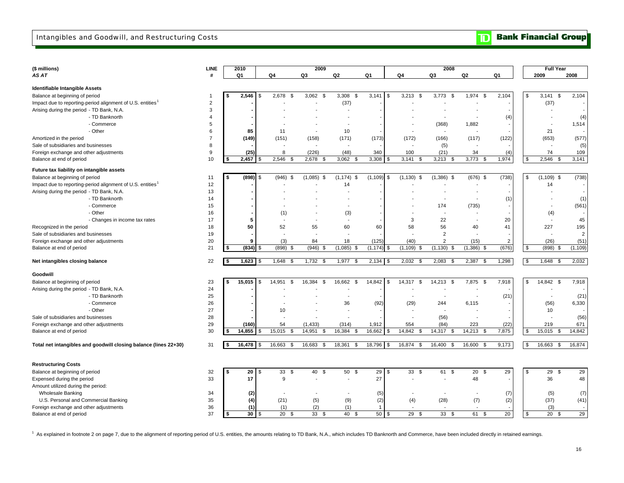### Intangibles and Goodwill, and Restructuring Costs

| <b>TD</b> Bank Financial Group |  |  |
|--------------------------------|--|--|
|--------------------------------|--|--|

| (\$ millions)                                                          | LINE           |    | 2010          |                       | 2009                 |                          |                |                              | 2008                     |                          |                 |               | <b>Full Year</b> |                  |
|------------------------------------------------------------------------|----------------|----|---------------|-----------------------|----------------------|--------------------------|----------------|------------------------------|--------------------------|--------------------------|-----------------|---------------|------------------|------------------|
| AS AT                                                                  | #              |    | Q1            | Q4                    | Q3                   | Q2                       | Q1             | Q4                           | Q3                       | Q2                       | Q1              |               | 2009             | 2008             |
|                                                                        |                |    |               |                       |                      |                          |                |                              |                          |                          |                 |               |                  |                  |
| Identifiable Intangible Assets                                         | -1             | \$ |               |                       |                      | 3,308                    |                |                              |                          |                          |                 |               |                  |                  |
| Balance at beginning of period                                         |                |    | 2,546         | 2,678<br>-\$<br>S     | 3,062<br>- \$        | - \$                     | 3,141<br>\$    | 3,213<br>\$                  | 3,773<br>\$              | 1,974<br>\$              | 2,104           | \$            | 3,141            | 2,104<br>\$      |
| Impact due to reporting-period alignment of U.S. entities              | $\overline{2}$ |    |               |                       |                      | (37)                     |                |                              |                          |                          |                 |               | (37)             |                  |
| Arising during the period - TD Bank, N.A.                              | 3              |    |               |                       |                      |                          |                |                              |                          |                          |                 |               |                  |                  |
| - TD Banknorth                                                         | 4              |    |               |                       |                      |                          |                |                              |                          |                          | (4)             |               |                  | (4)              |
| - Commerce                                                             | 5              |    |               |                       |                      |                          |                |                              | (368)                    | 1,882                    |                 |               |                  | 1,514            |
| - Other                                                                | 6              |    | 85            | 11                    | $\blacksquare$       | 10                       |                |                              |                          |                          |                 |               | 21               |                  |
| Amortized in the period                                                | $\overline{7}$ |    | (149)         | (151)                 | (158)                | (171)                    | (173)          | (172)                        | (166)                    | (117)                    | (122)           |               | (653)            | (577)            |
| Sale of subsidiaries and businesses                                    | 8              |    |               |                       |                      |                          |                |                              | (5)                      |                          |                 |               |                  | (5)              |
| Foreign exchange and other adjustments                                 | 9<br>10        | -S | (25)<br>2,457 | 8                     | (226)<br>2,678<br>\$ | (48)<br>3,062            | 340            | 100<br>3,141<br>\$           | (21)<br>\$               | 34<br>3,773<br>-S        | (4)             | \$            | 74<br>2,546      | 109<br>-S        |
| Balance at end of period                                               |                |    |               | $2,546$ \$            |                      | - \$                     | 3,308<br>\$    |                              | 3,213                    |                          | 1,974           |               |                  | 3,141            |
| Future tax liability on intangible assets                              |                |    |               |                       |                      |                          |                |                              |                          |                          |                 |               |                  |                  |
| Balance at beginning of period                                         | 11             | \$ | (898)         | $(946)$ \$<br>\$      | (1,085)<br>\$        | $(1, 174)$ \$            | (1, 109)       | \$<br>(1, 130)<br>\$         | $(1,386)$ \$             | $(676)$ \$               | (738)           | \$            | (1, 109)         | (738)<br>\$      |
| Impact due to reporting-period alignment of U.S. entities <sup>1</sup> | 12             |    |               |                       |                      | 14                       |                |                              |                          |                          |                 |               | 14               |                  |
| Arising during the period - TD Bank, N.A.                              | 13             |    |               |                       |                      |                          |                |                              |                          | $\overline{\phantom{a}}$ |                 |               |                  |                  |
| - TD Banknorth                                                         | 14             |    |               |                       |                      |                          |                |                              | $\overline{\phantom{a}}$ | $\blacksquare$           | (1)             |               |                  | (1)              |
| - Commerce                                                             | 15             |    |               |                       |                      |                          |                |                              | 174                      | (735)                    |                 |               |                  | (561)            |
| - Other                                                                | 16             |    |               | (1)                   |                      | (3)                      |                |                              | $\sim$                   |                          |                 |               | (4)              |                  |
| - Changes in income tax rates                                          | 17             |    | 5             | ÷,                    |                      | $\overline{\phantom{a}}$ |                | 3                            | 22                       |                          | 20              |               |                  | 45               |
| Recognized in the period                                               | 18             |    | 50            | 52                    | 55                   | 60                       | 60             | 58                           | 56                       | 40                       | 41              |               | 227              | 195              |
| Sale of subsidiaries and businesses                                    | 19             |    |               |                       |                      |                          |                |                              | $\overline{2}$           |                          |                 |               |                  | $\sqrt{2}$       |
| Foreign exchange and other adjustments                                 | 20             |    | g             | (3)                   | 84                   | 18                       | (125)          | (40)                         | $\overline{2}$           | (15)                     | $\overline{2}$  |               | (26)             | (51)             |
| Balance at end of period                                               | 21             |    | (834)         | (898)<br>l \$<br>- \$ | (946)<br>S           | (1,085)<br>- \$          | (1, 174)<br>\$ | $(1, 109)$ \$                | (1, 130)<br>-\$          | (1,386)<br>-\$           | (676)           | \$            | (898)            | (1, 109)<br>- \$ |
| Net intangibles closing balance                                        | 22             | \$ | $1,623$ \$    | 1,648<br>- \$         | 1,732 \$             | 1,977<br>- \$            | 2,134<br>\$    | 2,032 \$                     | 2,083<br>\$              | 2,387<br>\$              | 1,298           | $\sqrt{3}$    | 1,648 \$         | 2,032            |
| Goodwill                                                               |                |    |               |                       |                      |                          |                |                              |                          |                          |                 |               |                  |                  |
| Balance at beginning of period                                         | 23             | \$ | 15,015        | \$<br>14,951<br>\$    | 16,384<br>\$         | 16,662<br>- \$           | 14,842         | \$<br>14,317<br>- \$         | 14,213<br>- \$           | 7,875<br>\$              | 7,918           | \$            | 14,842 \$        | 7,918            |
| Arising during the period - TD Bank, N.A.                              | 24             |    |               |                       |                      |                          |                |                              | $\sim$                   |                          |                 |               |                  |                  |
| - TD Banknorth                                                         | 25             |    |               |                       |                      | $\overline{\phantom{a}}$ |                |                              | $\overline{\phantom{a}}$ |                          | (21)            |               |                  | (21)             |
| - Commerce                                                             | 26             |    |               |                       |                      | 36                       | (92)           | (29)                         | 244                      | 6,115                    |                 |               | (56)             | 6,330            |
| - Other                                                                | 27             |    |               | 10                    |                      |                          |                |                              |                          |                          |                 |               | 10               |                  |
| Sale of subsidiaries and businesses                                    | 28             |    |               |                       |                      | $\overline{\phantom{a}}$ |                |                              | (56)                     | $\blacksquare$           |                 |               |                  | (56)             |
| Foreign exchange and other adjustments                                 | 29             |    | (160)         | 54                    | (1, 433)             | (314)                    | 1,912          | 554                          | (84)                     | 223                      | (22)            |               | 219              | 671              |
| Balance at end of period                                               | 30             |    | 14,855        | 15,015<br>- \$        | 14,951<br>\$         | 16,384<br>٩              | 16,662<br>\$.  | $14,842 \quad \overline{\$}$ | 14,317<br>$\mathfrak{L}$ | 14,213<br>- \$           | 7,875           | \$            | 15,015           | 14,842<br>- \$   |
|                                                                        |                |    |               |                       |                      |                          |                |                              |                          |                          |                 |               |                  |                  |
| Total net intangibles and goodwill closing balance (lines 22+30)       | 31             |    | 16,478 \$     | 16,663<br>-\$         | 16,683<br>- \$       | 18,361<br>- \$           | 18,796<br>\$   | 16,874 \$                    | 16,400<br>\$             | 16,600<br>- \$           | 9,173           | \$            | 16,663           | 16,874<br>- \$   |
| <b>Restructuring Costs</b>                                             |                |    |               |                       |                      |                          |                |                              |                          |                          |                 |               |                  |                  |
| Balance at beginning of period                                         | 32             | \$ | 20            | \$<br>\$<br>33        | \$<br>40             | 50 \$                    | 29             | \$<br>33<br>\$               | 61<br>\$                 | 20<br>\$                 | 29              | $\mathbf{\$}$ | 29               | <b>S</b><br>29   |
| Expensed during the period                                             | 33             |    | 17            | 9                     |                      |                          | 27             |                              |                          | 48                       |                 |               | 36               | 48               |
| Amount utilized during the period:                                     |                |    |               |                       |                      |                          |                |                              |                          |                          |                 |               |                  |                  |
| <b>Wholesale Banking</b>                                               | 34             |    | (2)           |                       |                      |                          | (5)            |                              |                          | $\blacksquare$           | (7)             |               | (5)              | (7)              |
| U.S. Personal and Commercial Banking                                   | 35             |    | (4)           | (21)                  | (5)                  | (9)                      | (2)            | (4)                          | (28)                     | (7)                      | (2)             |               | (37)             | (41)             |
| Foreign exchange and other adjustments                                 | 36             |    | (1)           | (1)                   | (2)                  | (1)                      | 1              |                              |                          |                          |                 |               | (3)              |                  |
| Balance at end of period                                               | 37             |    | 30            | 20<br>\$<br>\$        | 33<br>\$.            | 40<br>$\mathfrak{P}$     | 50<br>\$       | 29<br>$\mathcal{F}$          | 33<br>$\mathfrak{L}$     | 61<br>\$                 | $\overline{20}$ | $\mathbf{\$}$ | 20               | 29               |

<sup>1</sup> As explained in footnote 2 on page 7, due to the alignment of reporting period of U.S. entities, the amounts relating to TD Bank, N.A., which includes TD Banknorth and Commerce, have been included directly in retained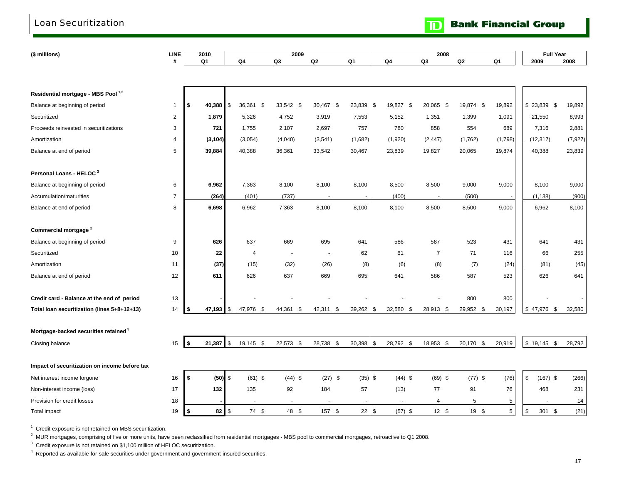### Loan Securitization

**TD** Bank Financial Group

| (\$ millions)                                    | <b>LINE</b>    | 2010         |            |                | 2009      |           |         |                 | 2008           |           |         | <b>Full Year</b> |          |
|--------------------------------------------------|----------------|--------------|------------|----------------|-----------|-----------|---------|-----------------|----------------|-----------|---------|------------------|----------|
|                                                  | #              | Q1           |            | Q4             | Q3        | Q2        | Q1      | Q4              | Q3             | Q2        | Q1      | 2009             | 2008     |
|                                                  |                |              |            |                |           |           |         |                 |                |           |         |                  |          |
|                                                  |                |              |            |                |           |           |         |                 |                |           |         |                  |          |
| Residential mortgage - MBS Pool <sup>1,2</sup>   |                |              |            |                |           |           |         |                 |                |           |         |                  |          |
| Balance at beginning of period                   | $\mathbf{1}$   | 40,388<br>\$ | l \$       | 36,361 \$      | 33,542 \$ | 30,467 \$ | 23,839  | \$<br>19,827 \$ | 20,065 \$      | 19,874 \$ | 19,892  | $$23,839$ \$     | 19,892   |
| Securitized                                      | 2              | 1,879        |            | 5,326          | 4,752     | 3,919     | 7,553   | 5,152           | 1,351          | 1,399     | 1,091   | 21,550           | 8,993    |
| Proceeds reinvested in securitizations           | 3              | 721          |            | 1,755          | 2,107     | 2,697     | 757     | 780             | 858            | 554       | 689     | 7,316            | 2,881    |
| Amortization                                     | 4              | (3, 104)     |            | (3,054)        | (4,040)   | (3, 541)  | (1,682) | (1,920)         | (2, 447)       | (1, 762)  | (1,798) | (12, 317)        | (7, 927) |
| Balance at end of period                         | 5              | 39,884       |            | 40,388         | 36,361    | 33,542    | 30,467  | 23,839          | 19,827         | 20,065    | 19,874  | 40,388           | 23,839   |
| Personal Loans - HELOC <sup>3</sup>              |                |              |            |                |           |           |         |                 |                |           |         |                  |          |
| Balance at beginning of period                   | 6              | 6,962        |            | 7,363          | 8,100     | 8,100     | 8,100   | 8,500           | 8,500          | 9,000     | 9,000   | 8,100            | 9,000    |
| Accumulation/maturities                          | $\overline{7}$ | (264)        |            | (401)          | (737)     |           |         | (400)           |                | (500)     |         | (1, 138)         | (900)    |
| Balance at end of period                         | 8              | 6,698        |            | 6,962          | 7,363     | 8,100     | 8,100   | 8,100           | 8,500          | 8,500     | 9,000   | 6,962            | 8,100    |
|                                                  |                |              |            |                |           |           |         |                 |                |           |         |                  |          |
| Commercial mortgage <sup>2</sup>                 |                |              |            |                |           |           |         |                 |                |           |         |                  |          |
| Balance at beginning of period                   | 9              | 626          |            | 637            | 669       | 695       | 641     | 586             | 587            | 523       | 431     | 641              | 431      |
| Securitized                                      | 10             | 22           |            | $\overline{4}$ |           |           | 62      | 61              | $\overline{7}$ | 71        | 116     | 66               | 255      |
| Amortization                                     | 11             | (37)         |            | (15)           | (32)      | (26)      | (8)     | (6)             | (8)            | (7)       | (24)    | (81)             | (45)     |
| Balance at end of period                         | 12             | 611          |            | 626            | 637       | 669       | 695     | 641             | 586            | 587       | 523     | 626              | 641      |
|                                                  |                |              |            |                |           |           |         |                 |                |           |         |                  |          |
| Credit card - Balance at the end of period       | 13             |              |            |                |           |           |         |                 |                | 800       | 800     |                  |          |
| Total loan securitization (lines 5+8+12+13)      | 14             | 47,193<br>\$ | l Si       | 47,976 \$      | 44,361 \$ | 42,311 \$ | 39,262  | \$<br>32,580 \$ | 28,913 \$      | 29,952 \$ | 30,197  | $$47,976$ \$     | 32,580   |
|                                                  |                |              |            |                |           |           |         |                 |                |           |         |                  |          |
| Mortgage-backed securities retained <sup>4</sup> |                |              |            |                |           |           |         |                 |                |           |         |                  |          |
| Closing balance                                  | 15             | \$<br>21,387 | \$         | 19,145 \$      | 22,573 \$ | 28,738 \$ | 30,398  | \$<br>28,792 \$ | 18,953 \$      | 20,170 \$ | 20,919  | $$19,145$ \$     | 28,792   |
|                                                  |                |              |            |                |           |           |         |                 |                |           |         |                  |          |
| Impact of securitization on income before tax    |                |              |            |                |           |           |         |                 |                |           |         |                  |          |
| Net interest income forgone                      | 16             | \$           | $(50)$ \$  | $(61)$ \$      | $(44)$ \$ | $(27)$ \$ | (35)    | \$<br>$(44)$ \$ | $(69)$ \$      | $(77)$ \$ | (76)    | \$<br>$(167)$ \$ | (266)    |
| Non-interest income (loss)                       | 17             | 132          |            | 135            | 92        | 184       | 57      | (13)            | 77             | 91        | 76      | 468              | 231      |
| Provision for credit losses                      | 18             |              |            |                |           |           |         |                 | 4              | 5         | 5       |                  | 14       |
| Total impact                                     | 19             | ∣\$          | $82$ \ $$$ | 74 \$          | 48 \$     | 157 \$    | 22      | \$<br>$(57)$ \$ | 12S            | 19 \$     | 5       | \$<br>301 \$     | (21)     |

<sup>1</sup> Credit exposure is not retained on MBS securitization.

<sup>2</sup> MUR mortgages, comprising of five or more units, have been reclassified from residential mortgages - MBS pool to commercial mortgages, retroactive to Q1 2008.

<sup>3</sup> Credit exposure is not retained on \$1,100 million of HELOC securitization.

4 Reported as available-for-sale securities under government and government-insured securities.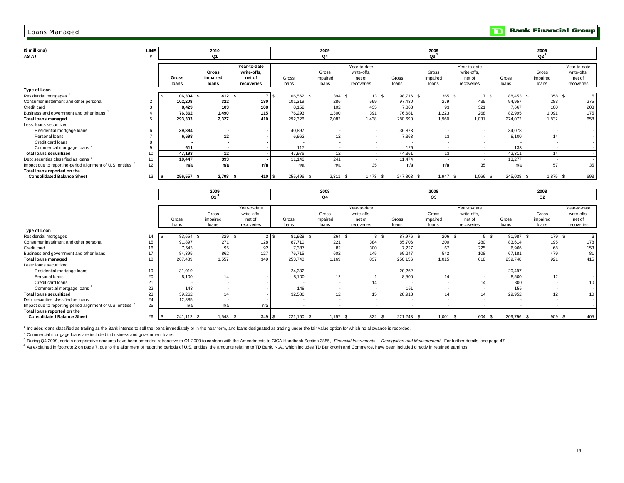#### Loans Managed

| (\$ millions)<br>AS AT                                                 | LINE |                 | 2010<br><b>Q1</b>                 |                                                     |                | 2009<br>Q4                 |                                                     |                 | 2009<br>$Q3^3$             |                                                     |                | 2009<br>$Q2^3$             |                                                     |
|------------------------------------------------------------------------|------|-----------------|-----------------------------------|-----------------------------------------------------|----------------|----------------------------|-----------------------------------------------------|-----------------|----------------------------|-----------------------------------------------------|----------------|----------------------------|-----------------------------------------------------|
|                                                                        |      | Gross<br>loans  | <b>Gross</b><br>impaired<br>loans | Year-to-date<br>write-offs.<br>net of<br>recoveries | Gross<br>loans | Gross<br>impaired<br>loans | Year-to-date<br>write-offs,<br>net of<br>recoveries | Gross<br>loans  | Gross<br>impaired<br>loans | Year-to-date<br>write-offs,<br>net of<br>recoveries | Gross<br>loans | Gross<br>impaired<br>loans | Year-to-date<br>write-offs,<br>net of<br>recoveries |
| Type of Loan                                                           |      |                 |                                   |                                                     |                |                            |                                                     |                 |                            |                                                     |                |                            |                                                     |
| Residential mortgages                                                  |      | 106,304 \$      | 412S                              | 7 S                                                 | 106,562 \$     | 394 \$                     | 13 S                                                | 98,716 \$       | 365 \$                     | 7 \$                                                | 88,453 \$      | 358 \$                     |                                                     |
| Consumer instalment and other personal                                 |      | 102,208         | 322                               | 180                                                 | 101,319        | 286                        | 599                                                 | 97,430          | 279                        | 435                                                 | 94,957         | 283                        | 275                                                 |
| Credit card                                                            |      | 8,429           | 103                               | 108                                                 | 8,152          | 102                        | 435                                                 | 7,863           | 93                         | 321                                                 | 7,667          | 100                        | 203                                                 |
| Business and government and other loans                                |      | 76.362          | 1.490                             | 115                                                 | 76.293         | 1,300                      | 391                                                 | 76.681          | 1.223                      | 268                                                 | 82.995         | 1,091                      | 175                                                 |
| <b>Total loans managed</b>                                             | 5    | 293,303         | 2,327                             | 410                                                 | 292,326        | 2,082                      | 1.438                                               | 280.690         | 1.960                      | 1,031                                               | 274.072        | 1.832                      | 658                                                 |
| Less: loans securitized                                                |      |                 |                                   |                                                     |                |                            |                                                     |                 |                            |                                                     |                |                            |                                                     |
| Residential mortgage loans                                             | 6    | 39,884          |                                   |                                                     | 40,897         |                            |                                                     | 36,873          |                            |                                                     | 34,078         |                            |                                                     |
| Personal loans                                                         |      | 6,698           | 12                                |                                                     | 6,962          | 12                         |                                                     | 7,363           | 13                         |                                                     | 8,100          | 14                         |                                                     |
| Credit card loans                                                      | 8    |                 |                                   |                                                     |                |                            |                                                     |                 |                            |                                                     |                |                            |                                                     |
| Commercial mortgage loans <sup>2</sup>                                 | 9    | 611             |                                   |                                                     | 117            | $\overline{a}$             |                                                     | 125             |                            |                                                     | 133            |                            |                                                     |
| <b>Total loans securitized</b>                                         | 10   | 47,193          | 12                                |                                                     | 47,976         | 12                         |                                                     | 44,361          | 13                         |                                                     | 42,311         | 14                         |                                                     |
| Debt securities classified as loans 3                                  | 11   | 10.447          | 393                               |                                                     | 11,146         | 241                        |                                                     | 11,474          |                            |                                                     | 13.277         |                            |                                                     |
| Impact due to reporting-period alignment of U.S. entities <sup>4</sup> | 12   | n/a             | n/a                               | n/a                                                 | n/a            | n/a                        | 35                                                  | n/a             | n/a                        | 35                                                  | n/a            | 57                         | 35                                                  |
| Total loans reported on the                                            |      |                 |                                   |                                                     |                |                            |                                                     |                 |                            |                                                     |                |                            |                                                     |
| <b>Consolidated Balance Sheet</b>                                      | 13   | 256,557 \$      | 2,708 \$                          | 410 \$                                              | 255,496 \$     | $2,311$ \$                 | $1,473$ \$                                          | 247,803 \$      | $1,947$ \$                 | $1,066$ \$                                          | 245,038 \$     | 1,875 \$                   | 693                                                 |
|                                                                        |      |                 |                                   |                                                     |                |                            |                                                     |                 |                            |                                                     |                |                            |                                                     |
|                                                                        |      |                 | 2009                              |                                                     |                | 2008                       |                                                     |                 | 2008                       |                                                     |                | 2008                       |                                                     |
|                                                                        |      |                 | $Q1^3$                            |                                                     |                | Q4                         |                                                     |                 | Q3                         |                                                     |                | Q2                         |                                                     |
|                                                                        |      |                 |                                   |                                                     |                |                            |                                                     |                 |                            |                                                     |                |                            |                                                     |
|                                                                        |      |                 |                                   | Year-to-date                                        |                |                            | Year-to-date                                        |                 |                            | Year-to-date                                        |                |                            | Year-to-date                                        |
|                                                                        |      |                 | Gross                             | write-offs,                                         |                | Gross                      | write-offs,                                         |                 | Gross                      | write-offs,                                         |                | Gross                      | write-offs,                                         |
|                                                                        |      | Gross           | impaired                          | net of                                              | Gross          | impaired                   | net of                                              | Gross           | impaired                   | net of                                              | Gross          | impaired                   | net of                                              |
|                                                                        |      | loans           | loans                             | recoveries                                          | loans          | loans                      | recoveries                                          | loans           | loans                      | recoveries                                          | loans          | loans                      | recoveries                                          |
| <b>Type of Loan</b>                                                    |      |                 |                                   |                                                     |                |                            |                                                     |                 |                            |                                                     |                |                            |                                                     |
| Residential mortgages                                                  | 14   | 83,654 \$<br>S. | 329S                              | $2 \overline{3}$                                    | 81,928 \$      | $264$ \$                   |                                                     | 8S<br>87,976 \$ | 206 <sup>5</sup>           | $5 \overline{\smash{\circ}}$                        | 81,987 \$      | 179S                       | 3                                                   |
| Consumer instalment and other personal                                 | 15   | 91,897          | 271                               | 128                                                 | 87,710         | 221                        | 384                                                 | 85,706          | 200                        | 280                                                 | 83,614         | 195                        | 178                                                 |
| Credit card                                                            | 16   | 7,543           | 95                                | 92                                                  | 7,387          | 82                         | 300                                                 | 7,227           | 67                         | 225                                                 | 6,966          | 68                         | 153                                                 |
| Business and government and other loans                                | 17   | 84.395          | 862                               | 127                                                 | 76,715         | 602                        | 145                                                 | 69,247          | 542                        | 108                                                 | 67,181         | 479                        | 81                                                  |
| <b>Total loans managed</b>                                             | 18   | 267,489         | 1,557                             | 349                                                 | 253,740        | 1,169                      | 837                                                 | 250,156         | 1,015                      | 618                                                 | 239,748        | 921                        | 415                                                 |
| Less: loans securitized                                                |      |                 |                                   |                                                     |                |                            |                                                     |                 |                            |                                                     |                |                            |                                                     |
| Residential mortgage loans                                             | 19   | 31,019          |                                   |                                                     | 24,332         |                            |                                                     | 20,262          |                            |                                                     | 20,497         |                            |                                                     |
| Personal loans                                                         | 20   | 8,100           | 14                                |                                                     | 8,100          | 12                         |                                                     | 8,500           | 14                         |                                                     | 8,500          | 12                         |                                                     |
| Credit card loans                                                      | 21   |                 |                                   |                                                     |                |                            | 14                                                  |                 |                            | 14                                                  | 800            |                            | 10                                                  |
| Commercial mortgage loans <sup>2</sup>                                 | 22   | 143             |                                   |                                                     | 148            |                            |                                                     | 151             |                            |                                                     | 155            |                            |                                                     |
| <b>Total loans securitized</b>                                         | 23   | 39.262          | 14                                |                                                     | 32.580         | 12 <sup>°</sup>            | 15                                                  | 28.913          | 14                         | 14                                                  | 29.952         | 12                         | 10                                                  |
| Debt securities classified as loans 3                                  | 24   | 12.885          | $\sim$                            |                                                     |                | in 1919.                   |                                                     | a.              |                            |                                                     |                |                            |                                                     |

26 S 241,112 \$ 1,543 \$ 349 S 221,160 \$ 1,157 \$ 822 S 221,243 \$ 1,001 \$ 604 S 209,796 \$ 909 \$ 405

<sup>1</sup> Includes loans classified as trading as the Bank intends to sell the loans immediately or in the near term, and loans designated as trading under the fair value option for which no allowance is recorded.

<sup>2</sup> Commercial mortgage loans are included in business and government loans.

 **Consolidated Balance Sheet**

**Total loans reported on the**

Impact due to reporting-period alignment of U.S. entities <sup>4</sup> <sup>25</sup> n/a n/a n/a - - - - - - - - -

<sup>3</sup> During Q4 2009, certain comparative amounts have been amended retroactive to Q1 2009 to conform with the Amendments to CICA Handbook Section 3855, Financial Instruments - Recognition and Measurement. For further detail

4 As explained in footnote 2 on page 7, due to the alignment of reporting periods of U.S. entities, the amounts relating to TD Bank, N.A., which includes TD Bank north and Commerce, have been included directly in retained

**TD** Bank Financial Group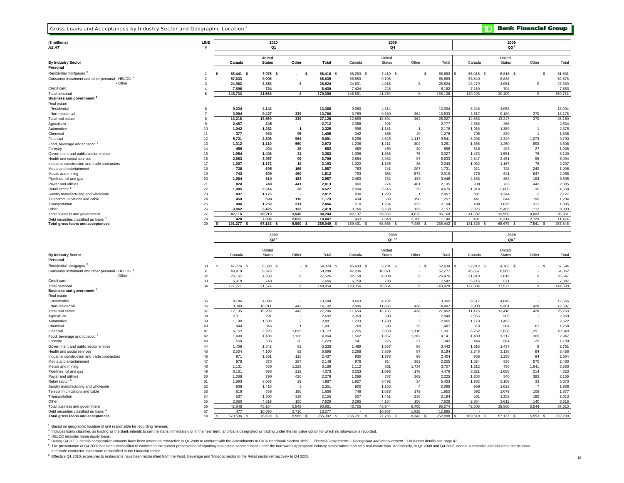#### Gross Loans and Acceptances by Industry Sector and Geographic Location 1

 $\mathbf{D}$ **Bank Financial Group** 

| (\$ millions)<br>AS AT                                                                                                                                                                                                                                                                                                              | LINE                |                            | 2010<br>Q1           |                                |                      |                                              | 2009<br>Q4          |                      |                   |                   | 2009<br>Q3 <sup>4</sup> |                      |                   |
|-------------------------------------------------------------------------------------------------------------------------------------------------------------------------------------------------------------------------------------------------------------------------------------------------------------------------------------|---------------------|----------------------------|----------------------|--------------------------------|----------------------|----------------------------------------------|---------------------|----------------------|-------------------|-------------------|-------------------------|----------------------|-------------------|
|                                                                                                                                                                                                                                                                                                                                     |                     |                            | United               |                                |                      |                                              | United              |                      |                   |                   | United                  |                      |                   |
| <b>By Industry Sector</b>                                                                                                                                                                                                                                                                                                           |                     | Canada                     | <b>States</b>        | Other                          | Total                | Canada                                       | <b>States</b>       | Other                | Total             | Canada            | <b>States</b>           | Other                | Total             |
| Personal                                                                                                                                                                                                                                                                                                                            |                     |                            |                      |                                |                      |                                              |                     |                      |                   |                   |                         |                      |                   |
| Residential mortgages <sup>2</sup>                                                                                                                                                                                                                                                                                                  | 1                   | 58,441 \$<br>\$            | 7,975<br>- \$        | -S<br>$\overline{\phantom{a}}$ | 66,416               | 58,253<br>$\mathbf{\hat{s}}$<br>$\mathbf{s}$ | 7,410 \$            | $-$ \$               | 65,663            | 55,015<br>- \$    | 6,816 \$                | - \$                 | 61,831            |
| Consumer instalment and other personal - HELOC 3                                                                                                                                                                                                                                                                                    | $\overline{c}$      | 57,633                     | 9,006                |                                | 66,639               | 56,583                                       | 9,106               |                      | 65,689            | 53,840            | 8,838                   |                      | 62,678            |
| - Other<br>Credit card                                                                                                                                                                                                                                                                                                              | 3<br>$\overline{4}$ | 24,963<br>7,696            | 3,853<br>734         | 8                              | 28,824<br>8,430      | 24,601<br>7,424                              | 4,015<br>728        | 8                    | 28,624<br>8,152   | 23,279<br>7,159   | 4,051<br>704            | 9                    | 27,339<br>7,863   |
| <b>Total personal</b>                                                                                                                                                                                                                                                                                                               | 5                   | 148,733                    | 21,568               | 8                              | 170,309              | 146,861                                      | 21,259              | 8                    | 168,128           | 139,293           | 20,409                  | 9                    | 159,711           |
| Business and government <sup>2</sup>                                                                                                                                                                                                                                                                                                |                     |                            |                      |                                |                      |                                              |                     |                      |                   |                   |                         |                      |                   |
| Real estate                                                                                                                                                                                                                                                                                                                         |                     |                            |                      |                                |                      |                                              |                     |                      |                   |                   |                         |                      |                   |
| Residential                                                                                                                                                                                                                                                                                                                         | 6                   | 9,224                      | 4,142                |                                | 13,366               | 9,080                                        | 4,314               |                      | 13,394            | 8,946             | 4,058                   |                      | 13,004            |
| Non-residential                                                                                                                                                                                                                                                                                                                     | 7                   | 3,994                      | 9,427                | 339                            | 13,760               | 3,789                                        | 9,380               | 364                  | 13,533            | 3,617             | 9,189                   | 370                  | 13,176            |
| Total real estate                                                                                                                                                                                                                                                                                                                   | 8                   | 13,218                     | 13,569               | 339                            | 27,126               | 12,869                                       | 13,694              | 364                  | 26,927            | 12,563            | 13,247                  | 370                  | 26,180            |
| Agriculture                                                                                                                                                                                                                                                                                                                         | 9                   | 2,467                      | 245                  |                                | 2,712                | 2,386                                        | 391                 | ۰.                   | 2,777             | 2,368             | 266                     |                      | 2,634             |
| Automotive<br>Chemical                                                                                                                                                                                                                                                                                                              | 10<br>11            | 1,042<br>377               | 1,282<br>933         | $\overline{\mathbf{1}}$<br>95  | 2,325<br>1,405       | 996<br>342                                   | 1,181<br>885        | $\overline{1}$<br>49 | 2.178<br>1,276    | 1,016<br>705      | 1,359<br>830            | $\overline{1}$<br>-1 | 2,376<br>1,536    |
| Financial                                                                                                                                                                                                                                                                                                                           | 12                  | 5.731                      | 2.306                | 964                            | 9,001                | 6,298                                        | 2,526               | 1,117                | 9,941             | 6.298             | 2,329                   | 1,073                | 9,700             |
| Food, beverage and tobacco                                                                                                                                                                                                                                                                                                          | 13                  | 1,312                      | 1,110                | 550                            | 2,972                | 1,236                                        | 1,211               | 804                  | 3,251             | 1,365             | 1,250                   | 893                  | 3,508             |
| Forestry                                                                                                                                                                                                                                                                                                                            | 14                  | 459                        | 404                  | 29                             | 892                  | 459                                          | 469                 | 30                   | 958               | 515               | 493                     | 27                   | 1,035             |
| Government and public sector entities                                                                                                                                                                                                                                                                                               | 15                  | 1,954                      | 1,408                | 21                             | 3,383                | 1,396                                        | 1,856               | 75                   | 3,327             | 1,473             | 1,551                   | 76                   | 3,100             |
| Health and social services                                                                                                                                                                                                                                                                                                          | 16                  | 2,653                      | 3,957                | 99                             | 6,709                | 2,554                                        | 3,982               | 97                   | 6,633             | 2,547             | 3,451                   | 96                   | 6,094             |
| Industrial construction and trade contractors                                                                                                                                                                                                                                                                                       | 17                  | 1,007                      | 1,172                | 14                             | 2,193                | 1,022                                        | 1,185               | 36                   | 2,243             | 1,052             | 1,167                   | 78                   | 2,297             |
| Media and entertainment                                                                                                                                                                                                                                                                                                             | 18                  | 726                        | 695                  | 166                            | 1,587                | 783                                          | 741                 | 207                  | 1,731             | 911               | 748                     | 249                  | 1,908             |
| Metals and mining                                                                                                                                                                                                                                                                                                                   | 19                  | 743                        | 609                  | 460                            | 1,812                | 793                                          | 653                 | 573                  | 2,019             | 778               | 641                     | 647                  | 2,066             |
| Pipelines, oil and gas<br>Power and utilities                                                                                                                                                                                                                                                                                       | 20<br>21            | 1,964<br>824               | 810<br>748           | 183<br>441                     | 2,957<br>2,013       | 2,483<br>960                                 | 782<br>774          | 183<br>461           | 3,448<br>2,195    | 2,538<br>909      | 863<br>733              | 194<br>443           | 3,595<br>2,085    |
| Retail sector <sup>5</sup>                                                                                                                                                                                                                                                                                                          | 22                  | 1,985                      | 2,514                | 28                             | 4,527                | 2,004                                        | 2,646               | 29                   | 4,679             | 1,919             | 2,609                   | 30                   | 4,558             |
| Sundry manufacturing and wholesale                                                                                                                                                                                                                                                                                                  | 23                  | 837                        | 1,175                |                                | 2,012                | 838                                          | 1,228               | $\overline{1}$       | 2,067             | 881               | 1,244                   | $\mathcal{P}$        | 2,127             |
| Telecommunications and cable                                                                                                                                                                                                                                                                                                        | 24                  | 459                        | 598                  | 116                            | 1,173                | 434                                          | 633                 | 190                  | 1,257             | 441               | 644                     | 199                  | 1,284             |
| Transportation                                                                                                                                                                                                                                                                                                                      | 25                  | 496                        | 1,259                | 311                            | 2,066                | 518                                          | 1,264               | 322                  | 2,104             | 498               | 1,076                   | 311                  | 1,885             |
| Other                                                                                                                                                                                                                                                                                                                               | 26                  | 3.862                      | 3.425                | 132                            | 7,419                | 3.766                                        | 3.258               | 133                  | 7.157             | 2,825             | 5.455                   | 113                  | 8,393             |
| Total business and government                                                                                                                                                                                                                                                                                                       | 27                  | 42,116                     | 38,219               | 3.949                          | 84.284               | 42,137                                       | 39.359              | 4.672                | 86.168            | 41.602            | 39.956                  | 4.803                | 86,361            |
| Debt securities classified as loans <sup>4</sup><br><b>Total gross loans and acceptances</b>                                                                                                                                                                                                                                        | 28<br>29            | 428<br>191,277 \$          | 7,396<br>$67,183$ \$ | 2,623<br>$6,580$ \$            | 10,447<br>265,040    | 433<br>189,431 \$                            | 7,948<br>68,566 \$  | 2,765<br>$7,445$ \$  | 11,146<br>265,442 | 431<br>181,326 \$ | 8,314<br>68,679 \$      | 2,729<br>$7,541$ \$  | 11,474<br>257,546 |
|                                                                                                                                                                                                                                                                                                                                     |                     |                            | 2009                 |                                |                      |                                              | 2009                |                      |                   |                   | 2008                    |                      |                   |
|                                                                                                                                                                                                                                                                                                                                     |                     |                            | Q2 <sup>4</sup>      |                                |                      |                                              | Q1 4,5              |                      |                   |                   | Q4 <sup>5</sup>         |                      |                   |
|                                                                                                                                                                                                                                                                                                                                     |                     |                            | United               |                                |                      |                                              | United              |                      |                   |                   | United                  |                      |                   |
|                                                                                                                                                                                                                                                                                                                                     |                     | Canada                     | <b>States</b>        | Other                          | Total                | Canada                                       | <b>States</b>       | Other                | Total             | Canada            | <b>States</b>           | Other                | Total             |
|                                                                                                                                                                                                                                                                                                                                     |                     |                            |                      |                                |                      |                                              |                     |                      |                   |                   |                         |                      |                   |
|                                                                                                                                                                                                                                                                                                                                     | 30                  | <sub>\$</sub><br>47,776 \$ | 6,598 \$             | $-$ \$                         | 54,374 \$            | 46,933 \$                                    | 5,701 \$            | $-S$                 | 52,634            | 52,812 \$         | 4,782 \$                | $-5$                 | 57,594            |
| - Other                                                                                                                                                                                                                                                                                                                             | 31<br>32            | 49,410<br>23,167           | 9,878<br>4,350       | $\mathsf{9}$                   | 59,288<br>27,526     | 47,206<br>22,158                             | 10,071<br>4,309     | 9                    | 57,277<br>26,476  | 45,557<br>21,919  | 8,505<br>3,619          | 9                    | 54,062<br>25,547  |
|                                                                                                                                                                                                                                                                                                                                     | 33                  | 6,918                      | 748                  |                                | 7,666                | 6,759                                        | 783                 |                      | 7,542             | 6,716             | 671                     |                      | 7,387             |
| Total personal                                                                                                                                                                                                                                                                                                                      | 34                  | 127,271                    | 21,574               | $\mathsf g$                    | 148,854              | 123,056                                      | 20,864              | 9                    | 143,929           | 127,004           | 17,577                  | 9                    | 144,590           |
|                                                                                                                                                                                                                                                                                                                                     |                     |                            |                      |                                |                      |                                              |                     |                      |                   |                   |                         |                      |                   |
|                                                                                                                                                                                                                                                                                                                                     |                     |                            |                      |                                |                      |                                              |                     |                      |                   |                   |                         |                      |                   |
| Residential                                                                                                                                                                                                                                                                                                                         | 35                  | 8,786                      | 4,898                | $\overline{\phantom{a}}$       | 13,684               | 8,663                                        | 4,702               |                      | 13,365            | 8,517             | 4,049                   |                      | 12,566            |
| Non-residential                                                                                                                                                                                                                                                                                                                     | 36                  | 3,349                      | 10,311               | 442                            | 14,102               | 2,996                                        | 11,063              | 438                  | 14,497            | 2,908             | 9,361                   | 428                  | 12,697            |
| Total real estate                                                                                                                                                                                                                                                                                                                   | 37                  | 12,135                     | 15,209               | 442<br>$\sim$                  | 27,786               | 11,659                                       | 15,765<br>590       | 438                  | 27,862            | 11,425            | 13,410<br>505           | 428                  | 25,263            |
|                                                                                                                                                                                                                                                                                                                                     | 38<br>39            | 2,311<br>1,190             | 291<br>1,689         | $\overline{2}$                 | 2,602<br>2,881       | 2,359<br>1,233                               | 1,730               | $\overline{2}$       | 2,949<br>2,965    | 2,355<br>1,170    | 1,452                   |                      | 2,860<br>2,622    |
|                                                                                                                                                                                                                                                                                                                                     | 40                  | 944                        | 946                  | $\overline{1}$                 | 1,891                | 769                                          | 693                 | 25                   | 1,487             | 613               | 584                     | 61                   | 1,258             |
|                                                                                                                                                                                                                                                                                                                                     | 41                  | 6,152                      | 2,925                | 1,095                          | 10,172               | 7,225                                        | 2,960               | 1,116                | 11,301            | 6,762             | 2,636                   | 1,251                | 10,649            |
|                                                                                                                                                                                                                                                                                                                                     | 42                  | 1.490                      | 1,438                | 1,136                          | 4,064                | 1,502                                        | 1,357               | 1,282                | 4.141             | 1,430             | 1,212                   | 305                  | 2,947             |
|                                                                                                                                                                                                                                                                                                                                     | 43                  | 558                        | 635                  | 30                             | 1,223                | 541                                          | 775                 | 27                   | 1.343             | 446               | 664                     | 29                   | 1,139             |
| <b>By Industry Sector</b><br>Personal<br>Residential mortgages <sup>2</sup><br>Consumer instalment and other personal - HELOC 3<br>Credit card<br>Business and government<br>Real estate<br>Agriculture<br>Automotive<br>Chemical<br>Financial<br>Food, beverage and tobacco '<br>Forestry<br>Government and public sector entities | 44                  | 1.409                      | 1,842                | 82                             | 3,333                | 1.499                                        | 1,857               | 86                   | 3.442             | 1,316             | 1,437                   | $\mathbf{g}$         | 2,761             |
| Health and social services                                                                                                                                                                                                                                                                                                          | 45                  | 2.504                      | 4.100                | 92                             | 6.696                | 2.268                                        | 3.839               | 87                   | 6.194             | 2.246             | 3.138                   | 84                   | 5,468             |
| Industrial construction and trade contractors                                                                                                                                                                                                                                                                                       | 46                  | 971                        | 1,351                | 115                            | 2,437                | 930                                          | 1,378               | 96                   | 2,404             | 955               | 1,255                   | 94                   | 2,304             |
| Media and entertainment<br>Metals and mining                                                                                                                                                                                                                                                                                        | 47<br>48            | 978<br>1,131               | 873<br>830           | 297<br>1,228                   | 2,148<br>3,189       | 979<br>1,112                                 | 914<br>861          | 362<br>1,734         | 2,255<br>3,707    | 1,024<br>1,212    | 836<br>730              | 570<br>1,641         | 2,430<br>3,583    |
| Pipelines, oil and gas                                                                                                                                                                                                                                                                                                              | 49                  | 3,161                      | 993                  | 219                            | 4,373                | 3,203                                        | 1,098               | 178                  | 4,479             | 3,321             | 1,088                   | 214                  | 4,623             |
| Power and utilities                                                                                                                                                                                                                                                                                                                 | 50                  | 1,068                      | 790                  | 420                            | 2,278                | 1,069                                        | 787                 | 369                  | 2,225             | 1,203             | 540                     | 393                  | 2,136             |
| Retail sector <sup>6</sup>                                                                                                                                                                                                                                                                                                          | 51                  | 1,893                      | 3,065                | 29                             | 4,987                | 1,927                                        | 3,492               | 34                   | 5,453             | 1,932             | 3,108                   | 33                   | 5,073             |
| Sundry manufacturing and wholesale                                                                                                                                                                                                                                                                                                  | 52                  | 938                        | 1,410                | 3                              | 2,351                | 900                                          | 1,185               | $\overline{4}$       | 2,089             | 959               | 1,022                   | $\overline{7}$       | 1,988             |
| Telecommunications and cable                                                                                                                                                                                                                                                                                                        | 53                  | 618                        | 858                  | 190                            | 1,666                | 748                                          | 1,028               | 179                  | 1,955             | 692               | 1,079                   | 106                  | 1,877             |
| Transportation<br>Other                                                                                                                                                                                                                                                                                                             | 54                  | 537                        | 1,300                | 318                            | 2,155                | 507                                          | 1,451               | 236                  | 2,194             | 581               | 1,252                   | 180                  | 2,013             |
|                                                                                                                                                                                                                                                                                                                                     | 55                  | 2,860<br>42,848            | 4,619<br>45,164      | 150<br>5,849                   | 7,629<br>93,861      | 3,295                                        | 4,184<br>45,944     | 150<br>6,405         | 7,629<br>96,074   | 2,864<br>42,506   | 3,612<br>39,560         | 140<br>5,544         | 6,616             |
| Total business and government<br>Debt securities classified as loans <sup>4</sup><br><b>Total gross loans and acceptances</b>                                                                                                                                                                                                       | 56<br>57<br>58      | 477<br>170,596 \$          | 10,090<br>76,828 \$  | 2,710<br>8,568 \$              | 13,277<br>255,992 \$ | 43,725<br>166,781 \$                         | 10,957<br>77,765 \$ | 1,928<br>8,342 \$    | 12,885<br>252,888 | 169,510 \$        | 57,137 \$               | $5,553$ \$           | 87,610<br>232,200 |

<sup>1</sup> Based on geographic location of unit responsible for recording revenue.

2 Includes loans classified as trading as the Bank intends to sell the loans immediately or in the near term, and loans designated as trading under the fair value option for which no allowance is recorded.

<sup>3</sup> HELOC includes home equity loans.

4 During Q4 2009, certain comparative amounts have been amended retroactive to Q1 2009 to conform with the Amendments to CICA Handbook Section 3855, Financial Instruments - Recognition and Measurement. For further details

and trade contractor loans were reclassified to the Financial sector.

6 Effective Q1 2010, exposures to restaurants have been reclassified from the Food, Beverage and Tobacco sector to the Retail sector retroactively to Q4 2008.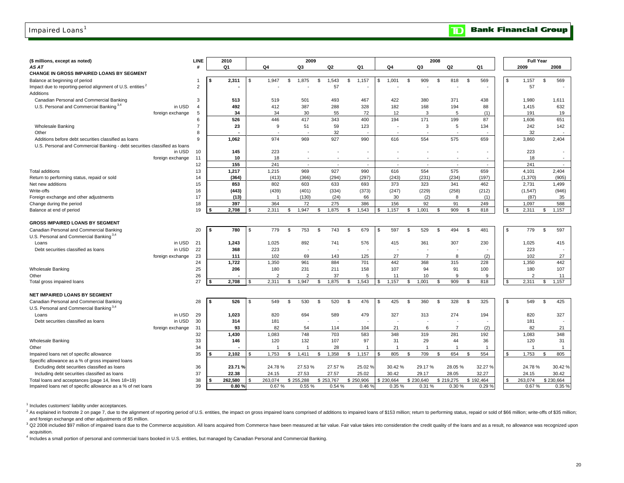### Impaired Loans<sup>1</sup>

#### **Bank Financial Group**  $\mathbf{D}$

| (\$ millions, except as noted)                                                      |                  | LINE           | 2010           |     |                |               | 2009                     |                                 |                |     |                |                | 2008           |                |           |               |          | <b>Full Year</b> |                 |
|-------------------------------------------------------------------------------------|------------------|----------------|----------------|-----|----------------|---------------|--------------------------|---------------------------------|----------------|-----|----------------|----------------|----------------|----------------|-----------|---------------|----------|------------------|-----------------|
| AS AT                                                                               |                  | #              | Q <sub>1</sub> |     | Q4             | Q3            |                          | Q2                              | Q1             |     | Q4             | Q3             |                | Q2             |           | Q1            |          | 2009             | 2008            |
| CHANGE IN GROSS IMPAIRED LOANS BY SEGMENT                                           |                  |                |                |     |                |               |                          |                                 |                |     |                |                |                |                |           |               |          |                  |                 |
| Balance at beginning of period                                                      |                  |                | \$<br>2,311    | S   | 1,947          | 1,875<br>\$   | \$                       | 1,543                           | 1,157<br>\$    | \$. | 1,001          | \$<br>909      | <b>S</b>       | 818            | \$        | 569           | \$       | 1,157            | \$<br>569       |
| Impact due to reporting-period alignment of U.S. entities <sup>2</sup><br>Additions |                  |                |                |     |                |               |                          | 57                              |                |     |                |                |                |                |           |               |          | 57               |                 |
| Canadian Personal and Commercial Banking                                            |                  | 3              | 513            |     | 519            | 501           |                          | 493                             | 467            |     | 422            | 380            |                | 371            |           | 438           |          | 1,980            | 1,611           |
| U.S. Personal and Commercial Banking <sup>3,4</sup>                                 | in USD           | $\overline{4}$ | 492            |     | 412            | 387           |                          | 288                             | 328            |     | 182            | 168            |                | 194            |           | 88            |          | 1,415            | 632             |
|                                                                                     | foreign exchange | 5              | 34             |     | 34             | 30            |                          | 55                              | 72             |     | 12             | 3              |                | 5              |           | (1)           |          | 191              | 19              |
|                                                                                     |                  | 6              | 526            |     | 446            | 417           |                          | 343                             | 400            |     | 194            | 171            |                | 199            |           | 87            |          | 1,606            | 651             |
| <b>Wholesale Banking</b>                                                            |                  |                | 23             |     | 9              | 51            |                          | 59                              | 123            |     |                | 3              |                | 5              |           | 134           |          | 242              | 142             |
| Other                                                                               |                  | 8              |                |     |                |               |                          | 32                              |                |     |                |                |                |                |           |               |          | 32               |                 |
| Additions before debt securities classified as loans                                |                  | 9              | 1,062          |     | 974            | 969           |                          | 927                             | 990            |     | 616            | 554            |                | 575            |           | 659           |          | 3,860            | 2,404           |
| U.S. Personal and Commercial Banking - debt securities classified as loans          |                  |                |                |     |                |               |                          |                                 |                |     |                |                |                |                |           |               |          |                  |                 |
|                                                                                     | in USD           | 10             | 145            |     | 223            |               | $\overline{\phantom{a}}$ |                                 |                |     |                |                |                |                |           |               |          | 223              |                 |
|                                                                                     | foreign exchange | 11             | 10             |     | 18             |               | $\overline{\phantom{a}}$ |                                 |                |     |                |                |                |                |           |               |          | 18               |                 |
| <b>Total additions</b>                                                              |                  | 12<br>13       | 155            |     | 241            | 969           | $\sim$                   | $\overline{\phantom{a}}$<br>927 | $\sim$<br>990  |     | $\sim$<br>616  | $\sim$<br>554  |                | $\sim$<br>575  |           | $\sim$<br>659 |          | 241              | $\sim$<br>2,404 |
| Return to performing status, repaid or sold                                         |                  | 14             | 1,217<br>(364) |     | 1,215<br>(413) | (366)         |                          | (294)                           | (297)          |     | (243)          | (231)          |                | (234)          |           | (197)         |          | 4,101<br>(1,370) | (905)           |
| Net new additions                                                                   |                  | 15             | 853            |     | 802            | 603           |                          | 633                             | 693            |     | 373            | 323            |                | 341            |           | 462           |          | 2,731            | 1,499           |
| Write-offs                                                                          |                  | 16             | (443)          |     | (439)          | (401)         |                          | (334)                           | (373)          |     | (247)          | (229)          |                | (258)          |           | (212)         |          | (1, 547)         | (946)           |
| Foreign exchange and other adjustments                                              |                  | 17             | (13)           |     | $\overline{1}$ | (130)         |                          | (24)                            | 66             |     | 30             | (2)            |                | 8              |           | (1)           |          | (87)             | 35              |
| Change during the period                                                            |                  | 18             | 397            |     | 364            |               | 72                       | 275                             | 386            |     | 156            | 92             |                | 91             |           | 249           |          | 1,097            | 588             |
| Balance at end of period                                                            |                  | 19             | 2,708          |     | 2,311          | 1,947<br>- \$ | \$                       | 1,875                           | 1,543<br>\$    | \$  | 1,157          | 1,001<br>S     | <sup>\$</sup>  | 909            | \$        | 818           | <b>S</b> | 2,311            | 1,157<br>\$     |
|                                                                                     |                  |                |                |     |                |               |                          |                                 |                |     |                |                |                |                |           |               |          |                  |                 |
| <b>GROSS IMPAIRED LOANS BY SEGMENT</b>                                              |                  |                |                |     |                |               |                          |                                 |                |     |                |                |                |                |           |               |          |                  |                 |
| Canadian Personal and Commercial Banking                                            |                  | 20             | \$<br>780      | S   | 779            | 753<br>\$     | \$                       | 743                             | 679<br>\$      | \$  | 597            | 529<br>\$      | \$             | 494            | \$        | 481           | s.       | 779              | \$<br>597       |
| U.S. Personal and Commercial Banking <sup>3,4</sup>                                 |                  |                |                |     |                |               |                          |                                 |                |     |                |                |                |                |           |               |          |                  |                 |
| Loans                                                                               | in USD           | 21             | 1,243          |     | 1,025          | 892           |                          | 741                             | 576            |     | 415            | 361            |                | 307            |           | 230           |          | 1,025            | 415             |
| Debt securities classified as loans                                                 | in USD           | 22             | 368            |     | 223            |               | $\overline{\phantom{a}}$ |                                 |                |     |                |                |                |                |           |               |          | 223              |                 |
|                                                                                     | foreign exchange | 23             | 111            |     | 102            | 69            |                          | 143                             | 125            |     | 27             | $\overline{7}$ |                | 8              |           | (2)           |          | 102              | 27              |
|                                                                                     |                  | 24             | 1,722          |     | 1,350          | 961           |                          | 884                             | 701            |     | 442            | 368            |                | 315            |           | 228           |          | 1,350            | 442             |
| <b>Wholesale Banking</b>                                                            |                  | 25             | 206            |     | 180            | 231           |                          | 211                             | 158            |     | 107            | 94             |                | 91             |           | 100           |          | 180              | 107             |
| Other                                                                               |                  | 26             |                |     | $\mathfrak{p}$ |               | $\overline{2}$           | 37                              | 5              |     | 11             | 10             |                | 9              |           | 9             |          | $\overline{2}$   | 11              |
| Total gross impaired loans                                                          |                  | 27             | \$<br>2,708    |     | 2,311          | 1,947<br>- \$ | \$                       | 1,875                           | 1,543<br>\$.   | \$  | 1,157          | 1,001<br>\$.   | $\mathfrak{L}$ | 909            | \$        | 818           | S        | 2,311            | 1,157<br>\$     |
| NET IMPAIRED LOANS BY SEGMENT                                                       |                  |                |                |     |                |               |                          |                                 |                |     |                |                |                |                |           |               |          |                  |                 |
| Canadian Personal and Commercial Banking                                            |                  | 28             | \$<br>526      | \$. | 549            | 530<br>- \$   | \$                       | 520                             | 476<br>\$      | \$  | 425            | 360<br>\$      | S.             | 328            | \$        | 325           | s.       | 549              | 425<br>\$       |
| U.S. Personal and Commercial Banking <sup>3,4</sup>                                 |                  |                |                |     |                |               |                          |                                 |                |     |                |                |                |                |           |               |          |                  |                 |
| Loans                                                                               | in USD           | 29             | 1,023          |     | 820            | 694           |                          | 589                             | 479            |     | 327            | 313            |                | 274            |           | 194           |          | 820              | 327             |
| Debt securities classified as loans                                                 | in USD           | 30             | 314            |     | 181            |               |                          |                                 |                |     |                |                |                |                |           |               |          | 181              |                 |
|                                                                                     | foreign exchange | 31             | 93             |     | 82             | 54            |                          | 114                             | 104            |     | 21             | 6              |                | $\overline{7}$ |           | (2)           |          | 82               | 21              |
|                                                                                     |                  | 32             | 1,430          |     | 1,083          | 748           |                          | 703                             | 583            |     | 348            | 319            |                | 281            |           | 192           |          | 1,083            | 348             |
| <b>Wholesale Banking</b>                                                            |                  | 33             | 146            |     | 120            | 132           |                          | 107                             | 97             |     | 31             | 29             |                | 44             |           | 36            |          | 120              | 31              |
| Other                                                                               |                  | 34             |                |     | 1              |               | $\overline{1}$           | 28                              | $\overline{1}$ |     | $\overline{1}$ | $\overline{1}$ |                | $\overline{1}$ |           | $\mathbf{1}$  |          | $\mathbf 1$      | $\mathbf{1}$    |
| Impaired loans net of specific allowance                                            |                  | 35             | 2.102          | \$  | 1,753          | 1,411<br>-96  | \$                       | 1,358                           | 1,157<br>\$.   |     | 805            | 709<br>\$      | S.             | 654            | \$        | 554           | \$.      | 1,753            | \$<br>805       |
| Specific allowance as a % of gross impaired loans                                   |                  |                |                |     |                |               |                          |                                 |                |     |                |                |                |                |           |               |          |                  |                 |
| Excluding debt securities classified as loans                                       |                  | 36             | 23.71 %        |     | 24.78%         | 27.53%        |                          | 27.57 %                         | 25.02 %        |     | 30.42%         | 29.17%         |                | 28.05%         |           | 32.27 %       |          | 24.78%           | 30.42 %         |
| Including debt securities classified as loans                                       |                  | 37             | 22.38          |     | 24.15          | 27.53         |                          | 27.57                           | 25.02          |     | 30.42          | 29.17          |                | 28.05          |           | 32.27         |          | 24.15            | 30.42           |
| Total loans and acceptances (page 14, lines 18+19)                                  |                  | 38             | 262,580        |     | 263.074        | \$255.288     |                          | \$253.767                       | \$250,906      |     | 230.664        | \$230,640      |                | \$219,275      | \$192,464 |               |          | 263.074          | \$230.664       |
| Impaired loans net of specific allowance as a % of net loans                        |                  | 39             | 0.80%          |     | 0.67%          |               | 0.55%                    | 0.54 %                          | 0.46%          |     | 0.35%          | 0.31 %         |                | 0.30%          |           | 0.29%         |          | 0.67%            | 0.35%           |

<sup>1</sup> Includes customers' liability under acceptances.

<sup>2</sup> As explained in footnote 2 on page 7, due to the alignment of reporting period of U.S. entities, the impact on gross impaired loans comprised of additions to impaired loans of \$153 million; return to performing status, and foreign exchange and other adjustments of \$5 million.

3 Q2 2008 included \$97 million of impaired loans due to the Commerce acquisition. All loans acquired from Commerce have been measured at fair value. Fair value takes into consideration the credit quality of the loans and a acquisition.

4 Includes a small portion of personal and commercial loans booked in U.S. entities, but managed by Canadian Personal and Commercial Banking.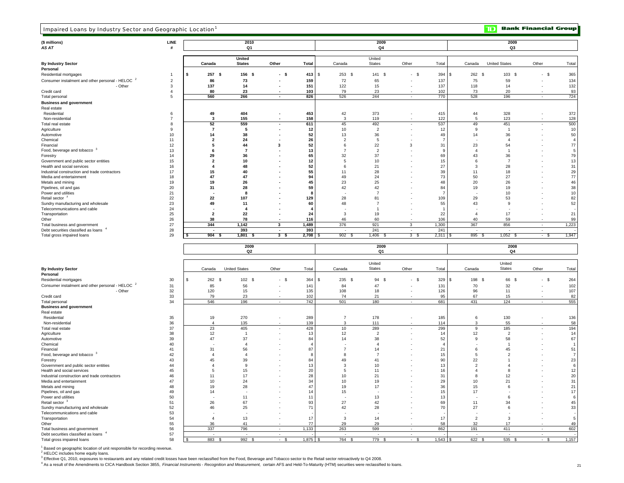| Impaired Loans by Industry Sector and Geographic Location              |                |                                 |                         |                          |              |                          |                                 |                          |                   |                      | םד                      | <b>Bank Financial Group</b>                          |                                   |
|------------------------------------------------------------------------|----------------|---------------------------------|-------------------------|--------------------------|--------------|--------------------------|---------------------------------|--------------------------|-------------------|----------------------|-------------------------|------------------------------------------------------|-----------------------------------|
| (\$ millions)                                                          | LINE           |                                 | 2010                    |                          |              |                          | 2009                            |                          |                   |                      | 2009                    |                                                      |                                   |
| AS AT                                                                  | #              |                                 | Q1                      |                          |              |                          | Q4                              |                          |                   |                      | Q3                      |                                                      |                                   |
| <b>By Industry Sector</b>                                              |                | Canada                          | United<br><b>States</b> | Other                    | Total        | Canada                   | United<br><b>States</b>         | Other                    | Total             | Canada               | <b>United States</b>    | Other                                                | Total                             |
| Personal                                                               |                |                                 |                         |                          |              |                          |                                 |                          |                   |                      |                         |                                                      |                                   |
| Residential mortgages                                                  | -1             | \$<br>257<br>-\$                | 156<br>- \$             | - \$                     | 413          | \$<br>$253$ \$           | 141 \$                          | $-$ \$                   | 394<br>l \$       | 262<br>- \$          | 103 \$                  | - \$                                                 | 365                               |
| Consumer instalment and other personal - HELOC <sup>2</sup>            | $\overline{2}$ | 86                              | 73                      | ٠                        | 159          | 72                       | 65                              |                          | 137               | 75                   | 59                      |                                                      | 134                               |
| - Other                                                                | 3              | 137                             | 14                      |                          | 151          | 122                      | 15                              |                          | 137               | 118                  | 14                      |                                                      | 132                               |
| Credit card                                                            | $\overline{4}$ | 80                              | 23                      |                          | 103          | 79                       | 23                              |                          | 102               | 73                   | 20                      |                                                      | 93                                |
| Total personal                                                         | 5              | 560                             | 266                     | $\blacksquare$           | 826          | 526                      | 244                             | $\overline{\phantom{a}}$ | 770               | 528                  | 196                     | $\sim$                                               | 724                               |
| <b>Business and government</b>                                         |                |                                 |                         |                          |              |                          |                                 |                          |                   |                      |                         |                                                      |                                   |
| Real estate                                                            |                |                                 |                         |                          |              |                          |                                 |                          |                   |                      |                         |                                                      |                                   |
| Residential                                                            | 6              | 49                              | 404                     | ٠                        | 453          | 42                       | 373                             | $\overline{\phantom{a}}$ | 415               | 44                   | 328                     | $\overline{\phantom{a}}$                             | 372                               |
| Non-residential                                                        | $\overline{7}$ | 3                               | 155                     |                          | 158          | 3                        | 119                             |                          | 122               | 5                    | 123                     |                                                      | 128                               |
| Total real estate                                                      | 8              | 52                              | 559                     | ٠                        | 611          | 45                       | 492                             | $\overline{\phantom{a}}$ | 537               | 49                   | 451                     | $\overline{\phantom{a}}$                             | 500                               |
| Agriculture                                                            | 9              | $\overline{7}$                  | 5                       |                          | 12           | 10                       | $\overline{2}$                  |                          | 12                | 9                    |                         |                                                      | 10                                |
| Automotive                                                             | 10             | 14                              | 38                      |                          | 52           | 13                       | 36                              |                          | 49<br>7           | 14                   | 36                      |                                                      | 50                                |
| Chemical<br>Financial                                                  | 11             | $\overline{\mathbf{2}}$<br>5    | 24<br>44                | 3                        | 26<br>52     | $\overline{c}$<br>6      | 5<br>22                         | 3                        | 31                |                      | $\overline{4}$<br>54    |                                                      | $\overline{4}$<br>77              |
| Food, beverage and tobacco <sup>3</sup>                                | 12<br>13       | 6                               | -7                      |                          | 13           | $\overline{7}$           | $\overline{2}$                  |                          | -9                | 23<br>$\overline{4}$ | $\overline{1}$          |                                                      | 5                                 |
| Forestry                                                               | 14             | 29                              | 36                      |                          | 65           | 32                       | 37                              |                          | 69                | 43                   | 36                      |                                                      | 79                                |
| Government and public sector entities                                  | 15             | $\overline{2}$                  | 10                      |                          | 12           | 5                        | 10                              |                          | 15                | 6                    | $\overline{7}$          |                                                      | 13                                |
| Health and social services                                             | 16             | $\overline{4}$                  | 48                      |                          | 52           | 6                        | 21                              |                          | 27                | 3                    | 28                      |                                                      | 31                                |
| Industrial construction and trade contractors                          | 17             | 15                              | 40                      |                          | 55           | 11                       | 28                              |                          | 39                | 11                   | 18                      |                                                      | 29                                |
| Media and entertainment                                                | 18             | 47                              | 47                      |                          | 94           | 49                       | 24                              |                          | 73                | 50                   | 27                      |                                                      | 77                                |
| Metals and mining                                                      | 19             | 19                              | 26                      |                          | 45           | 23                       | 25                              |                          | 48                | 20                   | 26                      |                                                      | 46                                |
| Pipelines, oil and gas                                                 | 20             | 31                              | 28                      |                          | 59           | 42                       | 42                              |                          | 84                | 19                   | 19                      |                                                      | 38                                |
| Power and utilities                                                    | 21             | $\blacksquare$                  | 8                       |                          | -8           |                          | $\overline{7}$                  |                          | -7                |                      | 10                      |                                                      | 10                                |
| Retail sector <sup>3</sup>                                             | 22             | 22                              | 107                     |                          | 129          | 28                       | 81                              |                          | 109               | 29                   | 53                      |                                                      | 82                                |
| Sundry manufacturing and wholesale                                     | 23             | 49                              | 11                      |                          | 60           | 48                       | $\overline{7}$                  |                          | 55                | 43                   | -9                      |                                                      | 52                                |
| Telecommunications and cable                                           | 24             |                                 | $\overline{4}$          |                          |              |                          | $\overline{1}$                  |                          | -1                |                      |                         |                                                      |                                   |
| Transportation                                                         | 25             | $\overline{2}$                  | 22                      |                          | 24           | 3                        | 19                              |                          | 22                | $\overline{4}$       | 17                      |                                                      | 21                                |
| Other                                                                  | 26             | 38                              | 78                      |                          | 116          | 46                       | 60                              |                          | 106               | 40                   | 59                      |                                                      | 99                                |
| Total business and government                                          | 27             | 344                             | 1,142                   | 3                        | 1,489        | 376                      | 921                             | 3                        | 1,300             | 367                  | 856                     | $\sim$                                               | 1,223                             |
| Debt securities classified as loans<br>Total gross impaired loans      | 28<br>29       | $904$ \$<br>\$                  | 393<br>1,801<br>- \$    | 3 <sup>5</sup>           | 393<br>2,708 | $902$ \$<br>S,           | 241<br>1,406<br>- \$            | 3 <sup>3</sup>           | 241<br>$2,311$ \$ | 895 \$               | $1,052$ \$              | $\sim$<br>- \$                                       | 1,947                             |
|                                                                        |                |                                 | 2009<br>Q <sub>2</sub>  |                          |              |                          | 2009<br>Q1                      |                          |                   |                      | 2008<br>Q4              |                                                      |                                   |
| <b>By Industry Sector</b>                                              |                | Canada                          | <b>United States</b>    | Other                    | Total        | Canada                   | United<br><b>States</b>         | Other                    | Total             | Canada               | United<br><b>States</b> | Other                                                | Total                             |
| Personal                                                               |                |                                 |                         |                          |              |                          |                                 |                          |                   |                      |                         |                                                      |                                   |
| Residential mortgages                                                  | 30             | \$<br>262 \$                    | 102 \$                  | - \$                     | 364          | \$<br>235 \$             | 94 \$                           | $-$ \$                   | 329<br>l \$       | 198 \$               | 66 \$                   | $-$ \$                                               | 264                               |
| Consumer instalment and other personal - HELOC <sup>2</sup>            | 31             | 85                              | 56                      |                          | 141          | 84                       | 47                              |                          | 131               | 70                   | 32                      | $\overline{\phantom{a}}$                             | 102                               |
| - Other                                                                | 32             | 120                             | 15                      |                          | 135          | 108                      | 18                              |                          | 126               | 96                   | 11                      |                                                      | 107                               |
| Credit card                                                            | 33             | 79                              | 23                      |                          | 102          | 74                       | 21                              |                          | 95                | 67                   | 15                      |                                                      | 82                                |
| Total personal                                                         | 34             | 546                             | 196                     | $\overline{\phantom{a}}$ | 742          | 501                      | 180                             | $\overline{\phantom{a}}$ | 681               | 431                  | 124                     | $\overline{\phantom{a}}$                             | 555                               |
| <b>Business and government</b>                                         |                |                                 |                         |                          |              |                          |                                 |                          |                   |                      |                         |                                                      |                                   |
| Real estate                                                            |                |                                 |                         |                          |              |                          |                                 |                          |                   |                      |                         |                                                      |                                   |
| Residential                                                            | 35             | 19                              | 270                     |                          | 289          | $\overline{7}$           | 178                             |                          | 185               | 6                    | 130                     |                                                      | 136                               |
| Non-residential                                                        | 36             | $\overline{4}$                  | 135                     |                          | 139          | 3                        | 111                             |                          | 114               | 3                    | 55                      |                                                      | 58                                |
| Total real estate                                                      | 37             | 23                              | 405                     |                          | 428          | 10                       | 289                             | $\overline{\phantom{a}}$ | 299               | 9                    | 185                     | $\overline{\phantom{a}}$                             | 194                               |
| Agriculture                                                            | 38             | 12                              | -1                      |                          | 13           | 12                       | $\overline{2}$                  |                          | 14                | 12                   | $\overline{c}$          |                                                      | 14                                |
| Automotive                                                             | 39             | 47                              | 37                      |                          | 84           | 14                       | 38                              |                          | 52                | 9                    | 58                      |                                                      | 67                                |
| Chemical                                                               | 40             |                                 | $\overline{4}$          |                          | $\mathbf{A}$ | $\overline{7}$           | $\overline{a}$                  |                          | $\overline{4}$    | 6                    | $\overline{1}$          |                                                      | $\overline{1}$<br>51              |
| Financial<br>Food, beverage and tobacco <sup>3</sup>                   | 41<br>42       | 31<br>$\overline{4}$            | 56<br>$\overline{4}$    |                          | 87<br>8      | 8                        | 14<br>$\overline{7}$            |                          | 21<br>15          | -5                   | 45<br>$\overline{2}$    |                                                      | $\overline{7}$                    |
| Forestry                                                               | 43             | 45                              | 39                      |                          | 84           | 49                       | 41                              |                          | 90                | 22                   |                         |                                                      | 23                                |
| Government and public sector entities                                  | 44             | $\overline{4}$                  | 9                       |                          | 13           | 3                        | 10                              |                          | 13                | $\overline{2}$       | 4                       |                                                      | 6                                 |
| Health and social services                                             | 45             | 5                               | 15                      |                          | 20           | 5                        | 11                              |                          | 16                |                      | 8                       |                                                      | 12                                |
| Industrial construction and trade contractors                          | 46             | 11                              | 17                      |                          | 28           | 10                       | 21                              |                          | 31                |                      | 12                      |                                                      | 20                                |
| Media and entertainment                                                | 47             | 10                              | 24                      |                          | 34           | 10                       | 19                              |                          | 29                | 10                   | 21                      |                                                      | 31                                |
| Metals and mining                                                      | 48             | 19                              | 28                      |                          | 47           | 19                       | 17                              |                          | 36                | 15                   | 6                       |                                                      | 21                                |
| Pipelines, oil and gas                                                 | 49             | 14                              | ٠.                      |                          | 14           | 15                       | $\overline{\phantom{a}}$        |                          | 15                | 17                   | ٠                       |                                                      | 17                                |
| Power and utilities                                                    | 50             | $\overline{\phantom{a}}$        | 11                      |                          | 11           |                          | 13                              |                          | 13                |                      | 6                       |                                                      | 6                                 |
| Retail sector <sup>3</sup>                                             | 51             | 26                              | 67                      |                          | 93           | 27                       | 42                              |                          | 69                | 11                   | 34                      |                                                      | 45                                |
| Sundry manufacturing and wholesale                                     | 52             | 46                              | 25                      |                          | 71           | 42                       | 28                              |                          | 70                | 27                   | 6                       |                                                      | 33                                |
| Telecommunications and cable                                           | 53             | $\overline{\phantom{a}}$        | $\sim$                  |                          |              | $\overline{\phantom{a}}$ | $\sim$                          |                          |                   |                      |                         |                                                      | $\overline{\phantom{a}}$          |
| Transportation                                                         | 54             | $\overline{4}$                  | 13                      |                          | 17           | 3                        | 14                              |                          | 17                | $\overline{2}$       | 3                       | $\overline{\phantom{a}}$                             | 5                                 |
| Other                                                                  | 55             | 36                              | 41                      |                          | 77           | 29                       | 29                              |                          | 58                | 32                   | 17                      |                                                      | 49                                |
| Total business and government<br>Debt securities classified as loans 4 | 56             | 337<br>$\overline{\phantom{a}}$ | 796                     | $\sim$<br>×.             | 1,133        | 263                      | 599<br>$\overline{\phantom{a}}$ | $\sim$<br>$\epsilon$     | 862               | 191                  | 411                     | $\overline{\phantom{a}}$<br>$\overline{\phantom{a}}$ | 602                               |
| Total gross impaired loans                                             | 57<br>58       | 883 \$                          | 992 \$                  | $-$ \$                   | $1,875$ \$   | 764 \$                   | 779 \$                          | $-$ \$                   | $1,543$ \$        | 622 \$               | 535 \$                  | $-$ \$                                               | $\overline{\phantom{a}}$<br>1,157 |
|                                                                        |                |                                 |                         |                          |              |                          |                                 |                          |                   |                      |                         |                                                      |                                   |

<sup>1</sup> Based on geographic location of unit responsible for recording revenue.<br><sup>2</sup> HELOC includes home equity loans.

3 Effective Q1, 2010, exposures to restaurants and any related credit losses have been reclassified from the Food, Beverage and Tobacco sector to the Retail sector retroactively to Q4 2008.

4 As a result of the Amendments to CICA Handbook Section 3855, *Financial Instruments* - *Recognition and Measurement,* certain AFS and Held-To-Maturity (HTM) securities were reclassified to loans.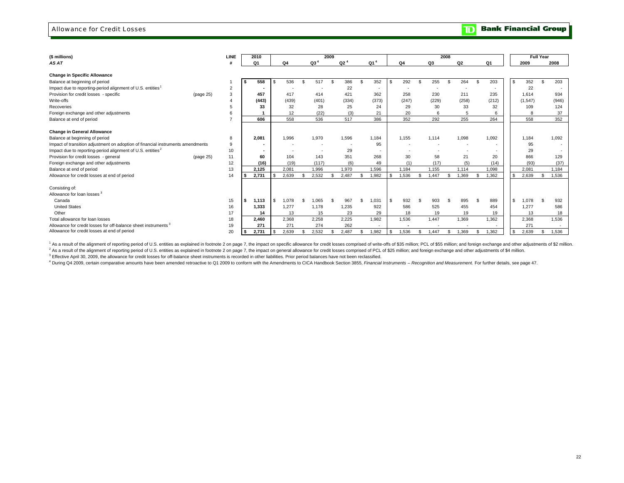### Allowance for Credit Losses

**Bank Financial Group**  $\overline{\mathbf{D}}$ 

| (\$ millions)                                                                   |           | <b>LINE</b>    | 2010                     |          |       |               |                 | 2009           |                 |     |                 |     |                |    |       | 2008 |                          |               |                          |      |          | <b>Full Year</b> |       |
|---------------------------------------------------------------------------------|-----------|----------------|--------------------------|----------|-------|---------------|-----------------|----------------|-----------------|-----|-----------------|-----|----------------|----|-------|------|--------------------------|---------------|--------------------------|------|----------|------------------|-------|
| AS AT                                                                           |           |                | Q1                       |          | Q4    |               | Q3 <sup>4</sup> |                | Q2 <sup>4</sup> |     | Q1 <sup>4</sup> |     | 04             |    | Q3    |      | Q <sub>2</sub>           |               | Q1                       |      | 2009     |                  | 2008  |
| <b>Change in Specific Allowance</b>                                             |           |                |                          |          |       |               |                 |                |                 |     |                 |     |                |    |       |      |                          |               |                          |      |          |                  |       |
| Balance at beginning of period                                                  |           |                | 558                      | \$       | 536   | $\mathcal{S}$ | 517             | $\mathfrak{L}$ | 386             | \$  | 352             | Ŝ.  | 292            | £. | 255   | S.   | 264                      | - \$          | 203                      | l \$ | 352      | \$               | 203   |
| Impact due to reporting-period alignment of U.S. entities                       |           | $\overline{2}$ | $\overline{\phantom{a}}$ |          |       |               |                 |                | 22              |     | $\sim$          |     | $\overline{a}$ |    |       |      |                          |               | $\overline{\phantom{a}}$ |      | 22       |                  |       |
| Provision for credit losses - specific                                          | (page 25) | 3              | 457                      |          | 417   |               | 414             |                | 421             |     | 362             |     | 258            |    | 230   |      | 211                      |               | 235                      |      | 1.614    |                  | 934   |
| Write-offs                                                                      |           | 4              | (443)                    |          | (439) |               | (401)           |                | (334)           |     | (373)           |     | (247)          |    | (229) |      | (258)                    |               | (212)                    |      | (1, 547) |                  | (946) |
| Recoveries                                                                      |           | 5              | 33                       |          | 32    |               | 28              |                | 25              |     | 24              |     | 29             |    | 30    |      | 33                       |               | 32                       |      | 109      |                  | 124   |
| Foreign exchange and other adjustments                                          |           | 6              |                          |          | 12    |               | (22)            |                | (3)             |     | 21              |     | 20             |    | 6     |      | 5                        |               | 6                        |      |          |                  | 37    |
| Balance at end of period                                                        |           | $\overline{z}$ | 606                      |          | 558   |               | 536             |                | 517             |     | 386             |     | 352            |    | 292   |      | 255                      |               | 264                      |      | 558      |                  | 352   |
|                                                                                 |           |                |                          |          |       |               |                 |                |                 |     |                 |     |                |    |       |      |                          |               |                          |      |          |                  |       |
| <b>Change in General Allowance</b>                                              |           |                |                          |          |       |               |                 |                |                 |     |                 |     |                |    |       |      |                          |               |                          |      |          |                  |       |
| Balance at beginning of period                                                  |           | 8              | 2,081                    |          | 1,996 |               | 1,970           |                | 1,596           |     | 1,184           |     | 1.155          |    | 1.114 |      | 1,098                    |               | 1,092                    |      | 1,184    |                  | 1,092 |
| Impact of transition adjustment on adoption of financial instruments amendments |           | 9              | $\blacksquare$           |          |       |               |                 |                |                 |     | 95              |     |                |    |       |      | ٠                        |               | ٠                        |      | 95       |                  |       |
| Impact due to reporting-period alignment of U.S. entities <sup>2</sup>          |           | 10             |                          |          |       |               |                 |                | 29              |     |                 |     |                |    |       |      | $\overline{\phantom{a}}$ |               | $\sim$                   |      | 29       |                  |       |
| Provision for credit losses - general                                           | (page 25) | 11             | 60                       |          | 104   |               | 143             |                | 351             |     | 268             |     | 30             |    | 58    |      | 21                       |               | 20                       |      | 866      |                  | 129   |
| Foreign exchange and other adjustments                                          |           | 12             | (16)                     |          | (19)  |               | (117)           |                | (6)             |     | 49              |     | (1)            |    | (17)  |      | (5)                      |               | (14)                     |      | (93)     |                  | (37)  |
| Balance at end of period                                                        |           | 13             | 2,125                    |          | 2,081 |               | 1,996           |                | 1,970           |     | 1.596           |     | 1.184          |    | 1,155 |      | 1.114                    |               | 1,098                    |      | 2,081    |                  | 1.184 |
| Allowance for credit losses at end of period                                    |           | 14             | 2,731                    |          | 2,639 |               | 2,532           |                | 2.487           |     | 1.982           | \$  | 1,536          |    | 1.447 | \$.  | 1.369                    | $\mathcal{F}$ | 1.362                    |      | 2.639    |                  | 1.536 |
|                                                                                 |           |                |                          |          |       |               |                 |                |                 |     |                 |     |                |    |       |      |                          |               |                          |      |          |                  |       |
| Consisting of:                                                                  |           |                |                          |          |       |               |                 |                |                 |     |                 |     |                |    |       |      |                          |               |                          |      |          |                  |       |
| Allowance for loan losses <sup>3</sup>                                          |           |                |                          |          |       |               |                 |                |                 |     |                 |     |                |    |       |      |                          |               |                          |      |          |                  |       |
| Canada                                                                          |           | 15             | 1,113                    | <b>S</b> | 1.078 |               | 1.065           |                | 967             | \$. | 1,031           | \$. | 932            |    | 903   | £.   | 895                      | - \$          | 889                      | l S  | 1,078    | £.               | 932   |
| <b>United States</b>                                                            |           | 16             | 1,333                    |          | 1,277 |               | 1,178           |                | 1,235           |     | 922             |     | 586            |    | 525   |      | 455                      |               | 454                      |      | 1,277    |                  | 586   |
| Other                                                                           |           | 17             | 14                       |          | 13    |               | 15              |                | 23              |     | 29              |     | 18             |    | 19    |      | 19                       |               | 19                       |      | 13       |                  | 18    |
| Total allowance for loan losses                                                 |           | 18             | 2,460                    |          | 2,368 |               | 2,258           |                | 2,225           |     | 1,982           |     | 1,536          |    | 1.447 |      | 1,369                    |               | 1,362                    |      | 2,368    |                  | 1,536 |
| Allowance for credit losses for off-balance sheet instruments <sup>3</sup>      |           | 19             | 271                      |          | 271   |               | 274             |                | 262             |     |                 |     |                |    |       |      |                          |               |                          |      | 271      |                  |       |
| Allowance for credit losses at end of period                                    |           | 20             | 2.731                    |          | 2.639 |               | 2.532           |                | 2.487           |     | 1.982           | Ŝ.  | 1.536          |    | 1.447 | \$.  | 1.369                    | \$            | 1,362                    | - \$ | 2.639    |                  | 1.536 |

1 As a result of the alignment of reporting period of U.S. entities as explained in footnote 2 on page 7, the impact on specific allowance for credit losses comprised of write-offs of \$35 million; PCL of \$55 million; PCL o <sup>2</sup> As a result of the alignment of reporting period of U.S. entities as explained in footnote 2 on page 7, the impact on general allowance for credit losses comprised of PCL of \$25 million, and foreign exchange and other

<sup>3</sup> Effective April 30, 2009, the allowance for credit losses for off-balance sheet instruments is recorded in other liabilities. Prior period balances have not been reclassified.

4 During Q4 2009, certain comparative amounts have been amended retroactive to Q1 2009 to conform with the Amendments to CICA Handbook Section 3855, Financial Instruments - Recognition and Measurement. For further details,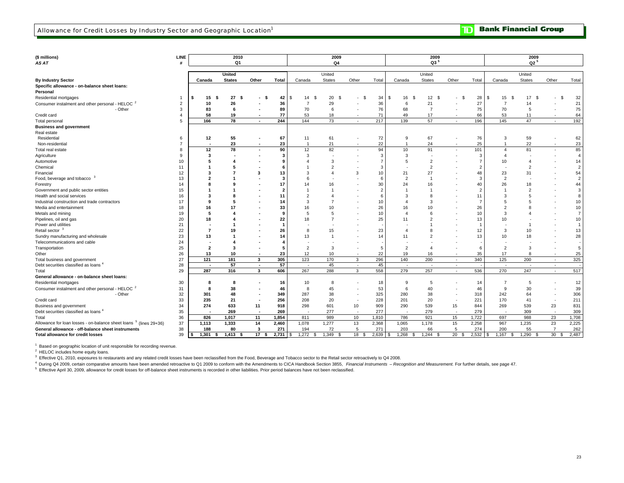| $Q3^5$<br>$Q2^5$<br>Q4<br>AS AT<br>Q1<br><b>United</b><br>United<br>United<br>United<br>Other<br>Total<br>Other<br>Other<br><b>By Industry Sector</b><br>Canada<br><b>States</b><br>Other<br>Total<br>Canada<br><b>States</b><br>Canada<br><b>States</b><br>Total<br>Canada<br><b>States</b><br>Specific allowance - on-balance sheet loans:<br>Personal<br>15<br>27<br>20<br>34<br>12 <sup>2</sup><br>28<br>Residential mortgages<br>- \$<br>42<br>14<br>\$<br>-\$<br>16<br>- \$<br>15<br>17<br>- \$<br>\$<br>- \$<br>\$.<br>l \$<br>$\mathbf{\hat{S}}$<br>-S<br>- \$<br>-S<br>S.<br>٠<br>27<br>Consumer instalment and other personal - HELOC <sup>2</sup><br>26<br>29<br>36<br>21<br>2<br>10<br>36<br>$\overline{7}$<br>6<br>$\overline{7}$<br>14<br>76<br>$\overline{7}$<br>75<br>70<br>3<br>83<br>89<br>70<br>68<br>- Other<br>6<br>6<br>5<br>17<br>Credit card<br>58<br>19<br>77<br>53<br>18<br>71<br>49<br>66<br>53<br>4<br>11<br>57<br>166<br>78<br>244<br>144<br>73<br>217<br>139<br>196<br>145<br>47<br><b>Total personal</b><br>5<br>$\sim$<br>$\sim$<br>$\sim$<br>$\sim$<br><b>Business and government</b><br>Real estate<br>55<br>61<br>72<br>67<br>76<br>59<br>12<br>67<br>11<br>9<br>3<br>Residential<br>6<br>23<br>22<br>22<br>23<br>21<br>24<br>25<br>Non-residential<br>$\overline{7}$<br>$\overline{1}$<br>$\overline{1}$<br>$\overline{1}$<br>٠ |                |
|---------------------------------------------------------------------------------------------------------------------------------------------------------------------------------------------------------------------------------------------------------------------------------------------------------------------------------------------------------------------------------------------------------------------------------------------------------------------------------------------------------------------------------------------------------------------------------------------------------------------------------------------------------------------------------------------------------------------------------------------------------------------------------------------------------------------------------------------------------------------------------------------------------------------------------------------------------------------------------------------------------------------------------------------------------------------------------------------------------------------------------------------------------------------------------------------------------------------------------------------------------------------------------------------------------------------------------------------------------------------|----------------|
|                                                                                                                                                                                                                                                                                                                                                                                                                                                                                                                                                                                                                                                                                                                                                                                                                                                                                                                                                                                                                                                                                                                                                                                                                                                                                                                                                                     |                |
|                                                                                                                                                                                                                                                                                                                                                                                                                                                                                                                                                                                                                                                                                                                                                                                                                                                                                                                                                                                                                                                                                                                                                                                                                                                                                                                                                                     |                |
|                                                                                                                                                                                                                                                                                                                                                                                                                                                                                                                                                                                                                                                                                                                                                                                                                                                                                                                                                                                                                                                                                                                                                                                                                                                                                                                                                                     |                |
|                                                                                                                                                                                                                                                                                                                                                                                                                                                                                                                                                                                                                                                                                                                                                                                                                                                                                                                                                                                                                                                                                                                                                                                                                                                                                                                                                                     | Total          |
|                                                                                                                                                                                                                                                                                                                                                                                                                                                                                                                                                                                                                                                                                                                                                                                                                                                                                                                                                                                                                                                                                                                                                                                                                                                                                                                                                                     |                |
|                                                                                                                                                                                                                                                                                                                                                                                                                                                                                                                                                                                                                                                                                                                                                                                                                                                                                                                                                                                                                                                                                                                                                                                                                                                                                                                                                                     |                |
|                                                                                                                                                                                                                                                                                                                                                                                                                                                                                                                                                                                                                                                                                                                                                                                                                                                                                                                                                                                                                                                                                                                                                                                                                                                                                                                                                                     | 32             |
|                                                                                                                                                                                                                                                                                                                                                                                                                                                                                                                                                                                                                                                                                                                                                                                                                                                                                                                                                                                                                                                                                                                                                                                                                                                                                                                                                                     | 21             |
|                                                                                                                                                                                                                                                                                                                                                                                                                                                                                                                                                                                                                                                                                                                                                                                                                                                                                                                                                                                                                                                                                                                                                                                                                                                                                                                                                                     | 75             |
|                                                                                                                                                                                                                                                                                                                                                                                                                                                                                                                                                                                                                                                                                                                                                                                                                                                                                                                                                                                                                                                                                                                                                                                                                                                                                                                                                                     | 64             |
|                                                                                                                                                                                                                                                                                                                                                                                                                                                                                                                                                                                                                                                                                                                                                                                                                                                                                                                                                                                                                                                                                                                                                                                                                                                                                                                                                                     | 192            |
|                                                                                                                                                                                                                                                                                                                                                                                                                                                                                                                                                                                                                                                                                                                                                                                                                                                                                                                                                                                                                                                                                                                                                                                                                                                                                                                                                                     |                |
|                                                                                                                                                                                                                                                                                                                                                                                                                                                                                                                                                                                                                                                                                                                                                                                                                                                                                                                                                                                                                                                                                                                                                                                                                                                                                                                                                                     |                |
|                                                                                                                                                                                                                                                                                                                                                                                                                                                                                                                                                                                                                                                                                                                                                                                                                                                                                                                                                                                                                                                                                                                                                                                                                                                                                                                                                                     | 62             |
|                                                                                                                                                                                                                                                                                                                                                                                                                                                                                                                                                                                                                                                                                                                                                                                                                                                                                                                                                                                                                                                                                                                                                                                                                                                                                                                                                                     | 23             |
| 78<br>90<br>12<br>82<br>94<br>10<br>91<br>101<br>81<br>12<br>Total real estate<br>8<br>$\overline{4}$                                                                                                                                                                                                                                                                                                                                                                                                                                                                                                                                                                                                                                                                                                                                                                                                                                                                                                                                                                                                                                                                                                                                                                                                                                                               | 85             |
| 3<br>3<br>3<br>3<br>Agriculture<br>9<br>$\overline{4}$                                                                                                                                                                                                                                                                                                                                                                                                                                                                                                                                                                                                                                                                                                                                                                                                                                                                                                                                                                                                                                                                                                                                                                                                                                                                                                              | $\overline{4}$ |
| 5<br>$\overline{2}$<br>$\overline{7}$<br>10<br>3<br>10<br>Automotive<br>5                                                                                                                                                                                                                                                                                                                                                                                                                                                                                                                                                                                                                                                                                                                                                                                                                                                                                                                                                                                                                                                                                                                                                                                                                                                                                           | 14             |
| $\overline{2}$<br>$\overline{2}$<br>$\overline{2}$<br>Chemical<br>11                                                                                                                                                                                                                                                                                                                                                                                                                                                                                                                                                                                                                                                                                                                                                                                                                                                                                                                                                                                                                                                                                                                                                                                                                                                                                                | $\overline{2}$ |
| 27<br>23<br>Financial<br>12<br>3<br>3<br>10<br>21<br>48<br>13<br>31<br>$\overline{4}$                                                                                                                                                                                                                                                                                                                                                                                                                                                                                                                                                                                                                                                                                                                                                                                                                                                                                                                                                                                                                                                                                                                                                                                                                                                                               | 54             |
| Food, beverage and tobacco<br>$\overline{2}$<br>$\overline{2}$<br>13<br>3                                                                                                                                                                                                                                                                                                                                                                                                                                                                                                                                                                                                                                                                                                                                                                                                                                                                                                                                                                                                                                                                                                                                                                                                                                                                                           | $\sqrt{2}$     |
| 40<br>26<br>Forestry<br>30<br>16<br>14<br>17<br>16<br>24<br>18                                                                                                                                                                                                                                                                                                                                                                                                                                                                                                                                                                                                                                                                                                                                                                                                                                                                                                                                                                                                                                                                                                                                                                                                                                                                                                      | 44             |
| Government and public sector entities<br>15<br>$\overline{2}$                                                                                                                                                                                                                                                                                                                                                                                                                                                                                                                                                                                                                                                                                                                                                                                                                                                                                                                                                                                                                                                                                                                                                                                                                                                                                                       | $\sqrt{3}$     |
| 3<br>8<br>Health and social services<br>16<br>11<br>3<br>11<br>F<br>5                                                                                                                                                                                                                                                                                                                                                                                                                                                                                                                                                                                                                                                                                                                                                                                                                                                                                                                                                                                                                                                                                                                                                                                                                                                                                               | 8              |
| Industrial construction and trade contractors<br>17<br>3<br>- 7<br>c<br>14<br>3<br>10<br>5<br>$\boldsymbol{\Lambda}$                                                                                                                                                                                                                                                                                                                                                                                                                                                                                                                                                                                                                                                                                                                                                                                                                                                                                                                                                                                                                                                                                                                                                                                                                                                | 10             |
| 26<br>$\overline{2}$<br>Media and entertainment<br>18<br>33<br>10<br>16<br>10<br>26<br>16<br>17<br>16                                                                                                                                                                                                                                                                                                                                                                                                                                                                                                                                                                                                                                                                                                                                                                                                                                                                                                                                                                                                                                                                                                                                                                                                                                                               | 10             |
| 3<br>Metals and mining<br>19<br>5<br>5<br>10<br>6<br>10<br>-9<br>$\overline{4}$                                                                                                                                                                                                                                                                                                                                                                                                                                                                                                                                                                                                                                                                                                                                                                                                                                                                                                                                                                                                                                                                                                                                                                                                                                                                                     | $\overline{7}$ |
| Pipelines, oil and gas<br>20<br>18<br>22<br>25<br>2<br>13<br>10<br>18<br>$\overline{7}$<br>11                                                                                                                                                                                                                                                                                                                                                                                                                                                                                                                                                                                                                                                                                                                                                                                                                                                                                                                                                                                                                                                                                                                                                                                                                                                                       | 10             |
| Power and utilities<br>21<br>-1                                                                                                                                                                                                                                                                                                                                                                                                                                                                                                                                                                                                                                                                                                                                                                                                                                                                                                                                                                                                                                                                                                                                                                                                                                                                                                                                     | $\mathbf{1}$   |
| Retail sector <sup>3</sup><br>22<br>15<br>23<br>12<br>3<br>7<br>26<br>8<br>10<br>19<br>$\mathbf{A}$                                                                                                                                                                                                                                                                                                                                                                                                                                                                                                                                                                                                                                                                                                                                                                                                                                                                                                                                                                                                                                                                                                                                                                                                                                                                 | 13             |
| Sundry manufacturing and wholesale<br>23<br>13<br>13<br>14<br>11<br>$\overline{2}$<br>13<br>10<br>14<br>$\mathbf{1}$<br>18                                                                                                                                                                                                                                                                                                                                                                                                                                                                                                                                                                                                                                                                                                                                                                                                                                                                                                                                                                                                                                                                                                                                                                                                                                          | 28             |
| Telecommunications and cable<br>24                                                                                                                                                                                                                                                                                                                                                                                                                                                                                                                                                                                                                                                                                                                                                                                                                                                                                                                                                                                                                                                                                                                                                                                                                                                                                                                                  |                |
| 25<br>$\overline{2}$<br>3<br>$\overline{2}$<br>$\overline{2}$<br>Transportation<br>$\overline{\mathbf{2}}$<br>5<br>6<br>3<br>-3<br>4                                                                                                                                                                                                                                                                                                                                                                                                                                                                                                                                                                                                                                                                                                                                                                                                                                                                                                                                                                                                                                                                                                                                                                                                                                | $\,$ 5         |
| 26<br>12<br>10<br>22<br>19<br>35<br>17<br>Other<br>13<br>10<br>23<br>16<br>8<br>$\sim$                                                                                                                                                                                                                                                                                                                                                                                                                                                                                                                                                                                                                                                                                                                                                                                                                                                                                                                                                                                                                                                                                                                                                                                                                                                                              | 25             |
| 170<br>296<br>200<br>125<br>27<br>121<br>181<br>3<br>305<br>123<br>$\mathbf{3}$<br>140<br>340<br>200<br>Total business and government<br>$\sim$<br>$\sim$                                                                                                                                                                                                                                                                                                                                                                                                                                                                                                                                                                                                                                                                                                                                                                                                                                                                                                                                                                                                                                                                                                                                                                                                           | 325            |
| 57<br>57<br>45<br>45<br>Debt securities classified as loans <sup>4</sup><br>28<br>$\sim$<br>$\sim$<br>$\sim$<br>$\sim$<br>$\sim$<br>$\sim$<br>$\overline{\phantom{a}}$<br>$\sim$<br>$\sim$<br>$\sim$                                                                                                                                                                                                                                                                                                                                                                                                                                                                                                                                                                                                                                                                                                                                                                                                                                                                                                                                                                                                                                                                                                                                                                |                |
| 558<br>257<br>29<br>287<br>316<br>3<br>606<br>267<br>288<br>$\mathbf{3}$<br>279<br>536<br>270<br>247<br>Total<br>$\sim$<br>$\overline{\phantom{a}}$                                                                                                                                                                                                                                                                                                                                                                                                                                                                                                                                                                                                                                                                                                                                                                                                                                                                                                                                                                                                                                                                                                                                                                                                                 | 517            |
| General allowance - on-balance sheet loans:                                                                                                                                                                                                                                                                                                                                                                                                                                                                                                                                                                                                                                                                                                                                                                                                                                                                                                                                                                                                                                                                                                                                                                                                                                                                                                                         |                |
| 5<br>Residential mortgages<br>30<br>16<br>10<br>8<br>18<br>9<br>14<br>8<br>7<br>5<br>-8                                                                                                                                                                                                                                                                                                                                                                                                                                                                                                                                                                                                                                                                                                                                                                                                                                                                                                                                                                                                                                                                                                                                                                                                                                                                             | 12             |
| 38<br>53<br>6<br>40<br>Consumer instalment and other personal - HELOC <sup>2</sup><br>31<br>8<br>45<br>46<br>9<br>30<br>8<br>46                                                                                                                                                                                                                                                                                                                                                                                                                                                                                                                                                                                                                                                                                                                                                                                                                                                                                                                                                                                                                                                                                                                                                                                                                                     | 39             |
| - Other<br>32<br>48<br>287<br>38<br>325<br>280<br>38<br>318<br>242<br>301<br>349<br>64<br>$\overline{\phantom{a}}$                                                                                                                                                                                                                                                                                                                                                                                                                                                                                                                                                                                                                                                                                                                                                                                                                                                                                                                                                                                                                                                                                                                                                                                                                                                  | 306            |
| 33<br>208<br>20<br>228<br>201<br>20<br>221<br>170<br>Credit card<br>235<br>21<br>256<br>41<br>$\sim$                                                                                                                                                                                                                                                                                                                                                                                                                                                                                                                                                                                                                                                                                                                                                                                                                                                                                                                                                                                                                                                                                                                                                                                                                                                                | 211            |
| 633<br>298<br>601<br>10<br>909<br>290<br>539<br>844<br>269<br>539<br>23<br>Business and government<br>34<br>274<br>11<br>918<br>15                                                                                                                                                                                                                                                                                                                                                                                                                                                                                                                                                                                                                                                                                                                                                                                                                                                                                                                                                                                                                                                                                                                                                                                                                                  | 831            |
| Debt securities classified as loans <sup>4</sup><br>279<br>35<br>269<br>269<br>277<br>277<br>279<br>309                                                                                                                                                                                                                                                                                                                                                                                                                                                                                                                                                                                                                                                                                                                                                                                                                                                                                                                                                                                                                                                                                                                                                                                                                                                             | 309            |
| 36<br>826<br>1,017<br>1,854<br>989<br>786<br>921<br>1,722<br>988<br>23<br>Total<br>11<br>811<br>10<br>1,810<br>15<br>697                                                                                                                                                                                                                                                                                                                                                                                                                                                                                                                                                                                                                                                                                                                                                                                                                                                                                                                                                                                                                                                                                                                                                                                                                                            | 1,708          |
| Allowance for loan losses - on-balance sheet loans <sup>5</sup> (lines 29+36)<br>1,333<br>14<br>1,277<br>13<br>2,368<br>1,065<br>15<br>2,258<br>967<br>23<br>37<br>1,113<br>2,460<br>1,078<br>1,178<br>1,235                                                                                                                                                                                                                                                                                                                                                                                                                                                                                                                                                                                                                                                                                                                                                                                                                                                                                                                                                                                                                                                                                                                                                        | 2,225          |
| 72<br>274<br>General allowance - off-balance sheet instruments<br>38<br>188<br>80<br>3<br>271<br>194<br>5<br>271<br>203<br>66<br>5<br>200<br>55<br>$\overline{7}$                                                                                                                                                                                                                                                                                                                                                                                                                                                                                                                                                                                                                                                                                                                                                                                                                                                                                                                                                                                                                                                                                                                                                                                                   | 262            |
| 1,301<br>1,413<br>17<br>2,731<br>1,272<br>1,349<br>2,639<br>1,268<br>1,244<br>20<br>2,532<br>1,290<br>30<br>18<br>1,167<br>Total allowance for credit losses<br>39<br>- \$<br>-S<br>S<br>-9<br>S<br>S<br>- 55                                                                                                                                                                                                                                                                                                                                                                                                                                                                                                                                                                                                                                                                                                                                                                                                                                                                                                                                                                                                                                                                                                                                                       | 2,487          |

 $^1\,$  Based on geographic location of unit responsible for recording revenue.<br> $^2\,$  HELOC includes home equity loans.

<sup>3</sup> Effective Q1, 2010, exposures to restaurants and any related credit losses have been reclassified from the Food, Beverage and Tobacco sector to the Retail sector retroactively to Q4 2008.

4 During Q4 2009, certain comparative amounts have been amended retroactive to Q1 2009 to conform with the Amendments to CICA Handbook Section 3855, Financial Instruments - Recognition and Measurement. For further details,

5 Effective April 30, 2009, allowance for credit losses for off-balance sheet instruments is recorded in other liabilities. Prior period balances have not been reclassified.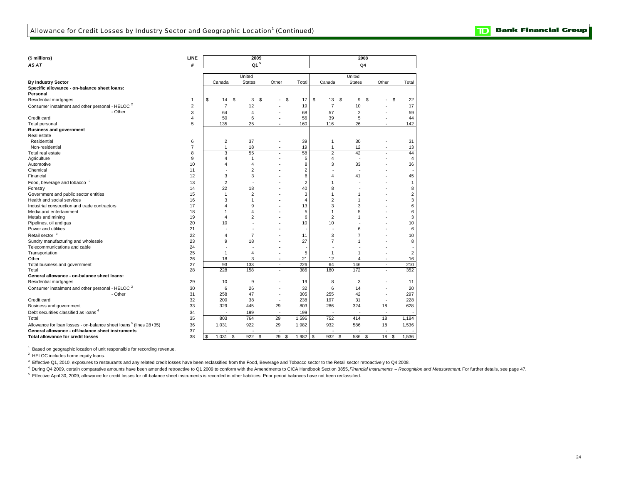$\overline{\mathbf{D}}$ **Bank Financial Group** 

| (\$ millions)                                                                 | LINE                    |                     |          | 2009                    |                          |                     |                              |               | 2008                    |                          |                      |
|-------------------------------------------------------------------------------|-------------------------|---------------------|----------|-------------------------|--------------------------|---------------------|------------------------------|---------------|-------------------------|--------------------------|----------------------|
| AS AT                                                                         | #                       |                     |          | Q1 <sup>5</sup>         |                          |                     |                              |               | Q4                      |                          |                      |
|                                                                               |                         |                     |          |                         |                          |                     |                              |               |                         |                          |                      |
|                                                                               |                         |                     | United   |                         |                          |                     |                              | United        |                         |                          |                      |
| <b>By Industry Sector</b>                                                     |                         | Canada              |          | <b>States</b>           | Other                    | Total               | Canada                       | <b>States</b> |                         | Other                    | Total                |
| Specific allowance - on-balance sheet loans:                                  |                         |                     |          |                         |                          |                     |                              |               |                         |                          |                      |
| Personal<br>Residential mortgages                                             | 1                       | \$<br>14            | <b>S</b> | 3                       | \$                       | \$<br>17            | \$<br>13                     | <b>S</b>      | 9<br>\$                 |                          | \$<br>22             |
|                                                                               |                         |                     |          |                         |                          |                     |                              |               |                         |                          |                      |
| Consumer instalment and other personal - HELOC <sup>2</sup>                   | $\overline{\mathbf{c}}$ | $\overline{7}$      |          | 12                      |                          | 19                  | $\overline{7}$               | 10            |                         |                          | 17                   |
| - Other                                                                       | 3                       | 64                  |          | $\overline{4}$          |                          | 68                  | 57                           |               | 2                       |                          | 59                   |
| Credit card                                                                   | 4                       | 50                  |          | 6                       |                          | 56                  | 39                           |               | 5                       |                          | 44                   |
| <b>Total personal</b>                                                         | 5                       | 135                 |          | 25                      | $\overline{\phantom{a}}$ | 160                 | 116                          |               | 26                      | $\sim$                   | 142                  |
| <b>Business and government</b>                                                |                         |                     |          |                         |                          |                     |                              |               |                         |                          |                      |
| Real estate                                                                   |                         |                     |          |                         |                          |                     |                              |               |                         |                          |                      |
| Residential                                                                   | 6<br>$\overline{7}$     | $\overline{2}$<br>1 |          | 37                      |                          | 39                  | $\mathbf{1}$<br>$\mathbf{1}$ | 30            |                         |                          | 31                   |
| Non-residential                                                               |                         | 3                   |          | 18<br>55                |                          | 19                  | $\overline{2}$               | 12<br>42      |                         |                          | 13                   |
| Total real estate                                                             | 8<br>9                  | 4                   |          | 1                       |                          | 58<br>5             | $\overline{4}$               |               | $\sim$                  |                          | 44<br>$\overline{4}$ |
| Agriculture                                                                   | 10                      | 4                   |          | $\overline{\mathbf{A}}$ |                          |                     |                              |               |                         |                          |                      |
| Automotive<br>Chemical                                                        | 11                      |                     |          | $\overline{2}$          |                          | 8<br>$\overline{2}$ | 3                            | 33            |                         |                          | 36                   |
| Financial                                                                     | 12                      | 3                   |          | 3                       |                          | 6                   | 4                            | 41            |                         |                          | 45                   |
|                                                                               |                         |                     |          |                         |                          |                     |                              |               |                         |                          |                      |
| Food, beverage and tobacco <sup>3</sup>                                       | 13                      | $\overline{2}$      |          |                         |                          | $\overline{2}$      | -1                           |               |                         |                          | $\mathbf{1}$         |
| Forestry                                                                      | 14                      | 22                  |          | 18                      |                          | 40                  | 8                            |               |                         |                          | 8                    |
| Government and public sector entities                                         | 15                      | $\mathbf{1}$        |          | $\overline{2}$          |                          | 3                   | $\mathbf{1}$                 |               | 1                       |                          | $\sqrt{2}$           |
| Health and social services                                                    | 16                      | 3<br>4              |          | 1                       |                          | $\overline{4}$      | $\overline{2}$               |               | 1                       |                          | 3                    |
| Industrial construction and trade contractors                                 | 17                      |                     |          | 9                       |                          | 13                  | 3                            |               | 3                       |                          | 6                    |
| Media and entertainment                                                       | 18<br>19                | 1                   |          | $\overline{4}$          |                          | 5<br>6              | $\mathbf{1}$                 |               | 5                       |                          | 6                    |
| Metals and mining                                                             |                         | 4                   |          | $\overline{2}$          |                          |                     | $\overline{2}$               |               |                         |                          | 3                    |
| Pipelines, oil and gas                                                        | 20                      | 10                  |          |                         |                          | 10                  | 10                           |               |                         |                          | 10                   |
| Power and utilities                                                           | 21                      |                     |          |                         |                          |                     |                              |               | 6                       |                          | 6                    |
| Retail sector <sup>3</sup>                                                    | 22                      | 4                   |          | $\overline{7}$          |                          | 11                  | 3                            |               | 7                       |                          | 10                   |
| Sundry manufacturing and wholesale                                            | 23                      | 9                   |          | 18                      |                          | 27                  | 7                            |               |                         |                          | 8                    |
| Telecommunications and cable                                                  | 24                      |                     |          |                         |                          |                     |                              |               |                         |                          |                      |
| Transportation                                                                | 25                      | $\overline{1}$      |          | $\overline{4}$          |                          | 5                   | 1                            |               |                         |                          | $\overline{2}$       |
| Other                                                                         | 26                      | 18                  |          | 3                       | $\blacksquare$           | 21                  | 12<br>64                     |               | $\overline{\mathbf{A}}$ | ٠                        | 16                   |
| Total business and government                                                 | 27                      | 93<br>228           |          | 133<br>158              | $\sim$<br>$\sim$         | 226<br>386          | 180                          | 146<br>172    |                         | $\sim$                   | 210<br>352           |
| Total                                                                         | 28                      |                     |          |                         |                          |                     |                              |               |                         | $\sim$                   |                      |
| General allowance - on-balance sheet loans:<br>Residential mortgages          | 29                      | 10                  |          | 9                       |                          | 19                  | 8                            |               | 3                       |                          | 11                   |
|                                                                               |                         | 6                   |          |                         |                          |                     |                              | 14            |                         |                          |                      |
| Consumer instalment and other personal - HELOC <sup>2</sup>                   | 30                      |                     |          | 26                      |                          | 32                  | 6                            |               |                         |                          | 20                   |
| - Other<br>Credit card                                                        | 31<br>32                | 258<br>200          |          | 47<br>38                |                          | 305                 | 255<br>197                   | 42<br>31      |                         |                          | 297                  |
|                                                                               | 33                      | 329                 |          |                         | ٠<br>29                  | 238<br>803          | 286                          | 324           |                         | $\overline{\phantom{a}}$ | 228<br>628           |
| Business and government                                                       |                         |                     |          | 445                     |                          |                     |                              |               |                         | 18                       |                      |
| Debt securities classified as loans <sup>4</sup>                              | 34                      |                     |          | 199                     | ٠                        | 199                 |                              |               |                         | ٠.                       |                      |
| Total                                                                         | 35                      | 803                 |          | 764                     | 29                       | 1,596               | 752                          | 414           |                         | 18                       | 1,184                |
| Allowance for loan losses - on-balance sheet loans <sup>5</sup> (lines 28+35) | 36                      | 1,031               |          | 922                     | 29                       | 1,982               | 932                          | 586           |                         | 18                       | 1,536                |
| General allowance - off-balance sheet instruments                             | 37                      |                     |          |                         |                          |                     |                              |               |                         | ٠.                       |                      |
| <b>Total allowance for credit losses</b>                                      | 38                      | \$<br>1,031         | \$       | 922                     | \$<br>29                 | \$<br>1,982         | \$<br>932                    | \$<br>586     | \$                      | 18                       | \$<br>1,536          |

<sup>1</sup> Based on geographic location of unit responsible for recording revenue.

<sup>2</sup> HELOC includes home equity loans.

<sup>3</sup> Effective Q1, 2010, exposures to restaurants and any related credit losses have been reclassified from the Food, Beverage and Tobacco sector to the Retail sector retroactively to Q4 2008.

4 During Q4 2009, certain comparative amounts have been amended retroactive to Q1 2009 to conform with the Amendments to CICA Handbook Section 3855, Financial Instruments - Recognition and Measurement. For further details,

5 Effective April 30, 2009, allowance for credit losses for off-balance sheet instruments is recorded in other liabilities. Prior period balances have not been reclassified.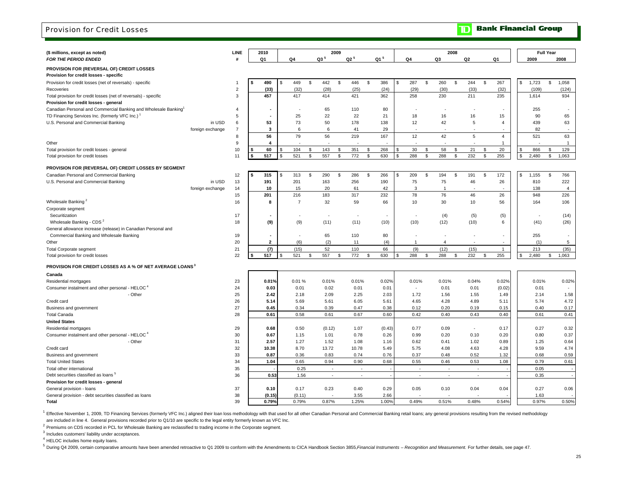#### Provision for Credit Losses

| (\$ millions, except as noted)                                                       |                  | LINE           |    | 2010           |      |                |    |                          | 2009         |        |                 |    |                          |                | 2008                     |                          |                          |                |    |       | <b>Full Year</b> |                |
|--------------------------------------------------------------------------------------|------------------|----------------|----|----------------|------|----------------|----|--------------------------|--------------|--------|-----------------|----|--------------------------|----------------|--------------------------|--------------------------|--------------------------|----------------|----|-------|------------------|----------------|
| FOR THE PERIOD ENDED                                                                 |                  | #              |    | Q1             |      | Q4             |    | $Q3^5$                   |              | $Q2^5$ | Q1 <sup>5</sup> |    | Q4                       | Q3             |                          | Q2                       |                          | Q1             |    | 2009  |                  | 2008           |
| PROVISION FOR (REVERSAL OF) CREDIT LOSSES<br>Provision for credit losses - specific  |                  |                |    |                |      |                |    |                          |              |        |                 |    |                          |                |                          |                          |                          |                |    |       |                  |                |
| Provision for credit losses (net of reversals) - specific                            |                  | 1              | -S | 490            | - \$ | 449            | \$ | 442                      | \$           | 446    | \$<br>386       | \$ | 287<br>\$                | 260            | \$                       | 244                      | \$                       | 267            | \$ | 1,723 | \$               | 1,058          |
| Recoveries                                                                           |                  | $\overline{2}$ |    | (33)           |      | (32)           |    | (28)                     |              | (25)   | (24)            |    | (29)                     | (30)           |                          | (33)                     |                          | (32)           |    | (109) |                  | (124)          |
| Total provision for credit losses (net of reversals) - specific                      |                  | 3              |    | 457            |      | 417            |    | 414                      |              | 421    | 362             |    | 258                      | 230            |                          | 211                      |                          | 235            |    | 1,614 |                  | 934            |
| Provision for credit losses - general                                                |                  |                |    |                |      |                |    |                          |              |        |                 |    |                          |                |                          |                          |                          |                |    |       |                  |                |
| Canadian Personal and Commercial Banking and Wholesale Banking <sup>1</sup>          |                  | 4              |    |                |      |                |    | 65                       |              | 110    | 80              |    |                          |                |                          |                          |                          |                |    | 255   |                  |                |
| TD Financing Services Inc. (formerly VFC Inc.) <sup>1</sup>                          |                  | 5              |    |                |      | 25             |    | 22                       |              | 22     | 21              |    | 18                       | 16             |                          | 16                       |                          | 15             |    | 90    |                  | 65             |
| U.S. Personal and Commercial Banking                                                 | in USD           | 6              |    | 53             |      | 73             |    | 50                       |              | 178    | 138             |    | 12                       | 42             |                          | 5                        |                          | 4              |    | 439   |                  | 63             |
|                                                                                      | foreign exchange | $\overline{7}$ |    | 3              |      | 6              |    | 6                        |              | 41     | 29              |    |                          |                |                          |                          |                          |                |    | 82    |                  |                |
|                                                                                      |                  | 8              |    | 56             |      | 79             |    | 56                       |              | 219    | 167             |    | 12                       | 42             |                          | 5                        |                          | $\overline{4}$ |    | 521   |                  | 63             |
| Other                                                                                |                  | 9              |    | $\overline{a}$ |      |                |    |                          |              |        |                 |    |                          |                |                          |                          |                          | $\overline{1}$ |    |       |                  | $\overline{1}$ |
| Total provision for credit losses - general                                          |                  | 10             | S  | 60             |      | 104            | \$ | 143                      | \$           | 351    | \$<br>268       | S  | 30<br>S.                 | 58             | \$                       | 21                       | \$                       | 20             | Ŝ. | 866   | \$               | 129            |
| Total provision for credit losses                                                    |                  | 11             | s  | 517            |      | 521            | s. | 557                      | $\mathbb{S}$ | 772    | \$<br>630       | \$ | 288<br>S.                | 288            | \$                       | 232                      | \$                       | 255            | \$ | 2,480 | \$               | 1,063          |
| PROVISION FOR (REVERSAL OF) CREDIT LOSSES BY SEGMENT                                 |                  |                |    |                |      |                |    |                          |              |        |                 |    |                          |                |                          |                          |                          |                |    |       |                  |                |
| Canadian Personal and Commercial Banking                                             |                  | 12             | S  | 315            | - \$ | 313            | -S | 290                      | \$           | 286    | \$<br>266       | \$ | 209<br>S                 | 194            | \$                       | 191                      | \$                       | 172            | \$ | 1,155 | \$               | 766            |
| U.S. Personal and Commercial Banking                                                 | in USD           | 13             |    | 191            |      | 201            |    | 163                      |              | 256    | 190             |    | 75                       | 75             |                          | 46                       |                          | 26             |    | 810   |                  | 222            |
|                                                                                      | foreign exchange | 14             |    | 10             |      | 15             |    | 20                       |              | 61     | 42              |    | 3                        | $\overline{1}$ |                          |                          |                          |                |    | 138   |                  | $\overline{4}$ |
|                                                                                      |                  | 15             |    | 201            |      | 216            |    | 183                      |              | 317    | 232             |    | 78                       | 76             |                          | 46                       |                          | 26             |    | 948   |                  | 226            |
| Wholesale Banking <sup>2</sup>                                                       |                  | 16             |    | 8              |      | $\overline{7}$ |    | 32                       |              | 59     | 66              |    | 10                       | 30             |                          | 10                       |                          | 56             |    | 164   |                  | 106            |
| Corporate segment                                                                    |                  |                |    |                |      |                |    |                          |              |        |                 |    |                          |                |                          |                          |                          |                |    |       |                  |                |
| Securitization                                                                       |                  | 17             |    |                |      |                |    |                          |              |        |                 |    |                          |                | (4)                      | (5)                      |                          | (5)            |    |       |                  | (14)           |
| Wholesale Banking - CDS <sup>2</sup>                                                 |                  | 18             |    | (9)            |      | (9)            |    | (11)                     |              | (11)   | (10)            |    | (10)                     | (12)           |                          | (10)                     |                          | 6              |    | (41)  |                  | (26)           |
| General allowance increase (release) in Canadian Personal and                        |                  |                |    |                |      |                |    |                          |              |        |                 |    |                          |                |                          |                          |                          |                |    |       |                  |                |
| Commercial Banking and Wholesale Banking                                             |                  | 19             |    |                |      |                |    | 65                       |              | 110    | 80              |    |                          |                | ٠                        | $\sim$                   |                          |                |    | 255   |                  |                |
| Other                                                                                |                  | 20             |    | $\overline{2}$ |      | (6)            |    | (2)                      |              | 11     | (4)             |    | $\mathbf{1}$             |                | $\overline{4}$           |                          |                          |                |    | (1)   |                  | 5              |
| <b>Total Corporate segment</b>                                                       |                  | 21             |    | (7)            |      | (15)           |    | 52                       |              | 110    | 66              |    | (9)                      | (12)           |                          | (15)                     |                          | $\overline{1}$ |    | 213   |                  | (35)           |
| Total provision for credit losses                                                    |                  | 22             | Ŝ. | 517            | -\$  | 521            | \$ | 557                      | \$           | 772    | \$<br>630       | £. | 288<br>\$                | 288            | \$                       | 232                      | \$                       | 255            | Ŝ. | 2,480 | \$               | 1,063          |
| PROVISION FOR CREDIT LOSSES AS A % OF NET AVERAGE LOANS                              |                  |                |    |                |      |                |    |                          |              |        |                 |    |                          |                |                          |                          |                          |                |    |       |                  |                |
|                                                                                      |                  |                |    |                |      |                |    |                          |              |        |                 |    |                          |                |                          |                          |                          |                |    |       |                  |                |
| Canada                                                                               |                  | 23             |    | 0.01%          |      | 0.01%          |    | 0.01%                    |              | 0.01%  | 0.02%           |    | 0.01%                    |                | 0.01%                    | 0.04%                    |                          | 0.02%          |    | 0.01% |                  | 0.02%          |
| Residential mortgages<br>Consumer instalment and other personal - HELOC <sup>4</sup> |                  | 24             |    | 0.03           |      | 0.01           |    | 0.02                     |              | 0.01   | 0.01            |    | $\sim$                   |                | 0.01                     | 0.01                     |                          | (0.02)         |    | 0.01  |                  | $\sim$         |
| - Other                                                                              |                  | 25             |    | 2.42           |      | 2.18           |    | 2.09                     |              | 2.25   | 2.03            |    | 1.72                     |                | 1.56                     | 1.55                     |                          | 1.49           |    | 2.14  |                  | 1.58           |
| Credit card                                                                          |                  | 26             |    | 5.14           |      | 5.69           |    | 5.61                     |              | 6.05   | 5.61            |    | 4.65                     |                | 4.28                     | 4.89                     |                          | 5.11           |    | 5.74  |                  | 4.72           |
| Business and government                                                              |                  | 27             |    | 0.45           |      | 0.34           |    | 0.39                     |              | 0.47   | 0.38            |    | 0.12                     |                | 0.20                     | 0.19                     |                          | 0.15           |    | 0.40  |                  | 0.17           |
| <b>Total Canada</b>                                                                  |                  | 28             |    | 0.61           |      | 0.58           |    | 0.61                     |              | 0.67   | 0.60            |    | 0.42                     |                | 0.40                     | 0.43                     |                          | 0.40           |    | 0.61  |                  | 0.41           |
| <b>United States</b>                                                                 |                  |                |    |                |      |                |    |                          |              |        |                 |    |                          |                |                          |                          |                          |                |    |       |                  |                |
| Residential mortgages                                                                |                  | 29             |    | 0.68           |      | 0.50           |    | (0.12)                   |              | 1.07   | (0.43)          |    | 0.77                     |                | 0.09                     | $\overline{\phantom{a}}$ |                          | 0.17           |    | 0.27  |                  | 0.32           |
| Consumer instalment and other personal - HELOC <sup>4</sup>                          |                  | 30             |    | 0.67           |      | 1.15           |    | 1.01                     |              | 0.78   | 0.26            |    | 0.99                     |                | 0.20                     | 0.10                     |                          | 0.20           |    | 0.80  |                  | 0.37           |
| - Other                                                                              |                  | 31             |    | 2.57           |      | 1.27           |    | 1.52                     |              | 1.08   | 1.16            |    | 0.62                     |                | 0.41                     | 1.02                     |                          | 0.89           |    | 1.25  |                  | 0.64           |
| Credit card                                                                          |                  | 32             |    | 10.38          |      | 8.70           |    | 13.72                    |              | 10.78  | 5.49            |    | 5.75                     |                | 4.08                     | 4.63                     |                          | 4.28           |    | 9.59  |                  | 4.74           |
| Business and government                                                              |                  | 33             |    | 0.87           |      | 0.36           |    | 0.83                     |              | 0.74   | 0.76            |    | 0.37                     |                | 0.48                     | 0.52                     |                          | 1.32           |    | 0.68  |                  | 0.59           |
| <b>Total United States</b>                                                           |                  | 34             |    | 1.04           |      | 0.65           |    | 0.94                     |              | 0.90   | 0.68            |    | 0.55                     |                | 0.46                     | 0.53                     |                          | 1.08           |    | 0.79  |                  | 0.61           |
| Total other international                                                            |                  | 35             |    |                |      | 0.25           |    | $\overline{\phantom{a}}$ |              | $\sim$ |                 |    | $\overline{\phantom{a}}$ |                | $\overline{\phantom{a}}$ |                          | $\overline{\phantom{a}}$ |                |    | 0.05  |                  |                |
| Debt securities classified as loans <sup>5</sup>                                     |                  | 36             |    | 0.53           |      | 1.56           |    | ÷.                       |              | $\sim$ |                 |    | $\sim$                   |                | ×.                       |                          | $\sim$                   |                |    | 0.35  |                  | $\sim$         |
| Provision for credit losses - general                                                |                  |                |    |                |      |                |    |                          |              |        |                 |    |                          |                |                          |                          |                          |                |    |       |                  |                |
| General provision - Ioans                                                            |                  | 37             |    | 0.10           |      | 0.17           |    | 0.23                     |              | 0.40   | 0.29            |    | 0.05                     |                | 0.10                     | 0.04                     |                          | 0.04           |    | 0.27  |                  | 0.06           |
| General provision - debt securities classified as loans                              |                  | 38             |    | (0.15)         |      | (0.11)         |    |                          |              | 3.55   | 2.66            |    |                          |                |                          |                          |                          |                |    | 1.63  |                  |                |
| Total                                                                                |                  | 39             |    | 0.79%          |      | 0.79%          |    | 0.87%                    |              | 1.25%  | 1.00%           |    | 0.49%                    |                | 0.51%                    | 0.48%                    |                          | 0.54%          |    | 0.97% |                  | 0.50%          |

<sup>1</sup> Effective November 1, 2009, TD Financing Services (formerly VFC Inc.) aligned their loan loss methodology with that used for all other Canadian Personal and Commercial Banking retail loans; any general provisions resul

are included in line 4. General provisions recorded prior to Q1/10 are specific to the legal entity formerly known as VFC Inc.

 $^2$  Premiums on CDS recorded in PCL for Wholesale Banking are reclassified to trading income in the Corporate segment.

 $3$  Includes customers' liability under acceptances.

<sup>4</sup> HELOC includes home equity loans.

<sup>5</sup> During Q4 2009, certain comparative amounts have been amended retroactive to Q1 2009 to conform with the Amendments to CICA Handbook Section 3855, Financial Instruments - Recognition and Measurement. For further detail

### 25

**TD** Bank Financial Group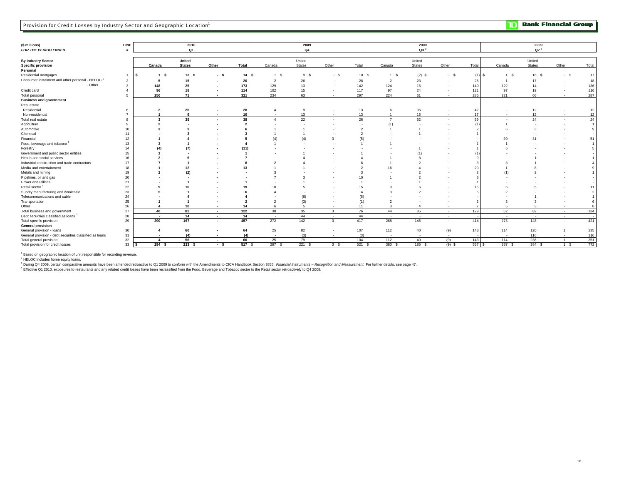**TD** Bank Financial Group

| (\$ millions)<br>FOR THE PERIOD ENDED                              | LINE         |                          | 2010<br>Q1              |                          |        |        | 2009<br>Q4       |                          |                         |                          | 2009<br>Q3 <sup>3</sup> |                          |          |        | 2009<br>Q2 <sup>3</sup> |                          |       |
|--------------------------------------------------------------------|--------------|--------------------------|-------------------------|--------------------------|--------|--------|------------------|--------------------------|-------------------------|--------------------------|-------------------------|--------------------------|----------|--------|-------------------------|--------------------------|-------|
| <b>By Industry Sector</b><br><b>Specific provision</b><br>Personal |              | Canada                   | United<br><b>States</b> | Other                    | Total  | Canada | United<br>States | Other                    | Total                   | Canada                   | United<br><b>States</b> | Other                    | Total    | Canada | United<br><b>States</b> | Other                    | Total |
| Residential mortgages                                              |              | 1 S<br>۱s                | 13S                     | - s                      | 14S    | 1 S    | 9S               | $-S$                     | 10 <sup>1</sup><br>- \$ | 1 S                      | $(2)$ \$                | $-5$                     | $(1)$ \$ | 1 S    | 16 S                    | - S                      | 17    |
| Consumer instalment and other personal - HELOC <sup>2</sup>        |              |                          | 15                      |                          | 20     |        | 26               |                          | 28                      | $\overline{2}$           | 23                      |                          | 25       |        | 17                      |                          | 18    |
| - Other                                                            | $\mathbf{B}$ | 148                      | 25                      |                          | 173    | 129    | 13               | $\sim$                   | 142                     | 124                      | 16                      | $\overline{\phantom{a}}$ | 140      | 122    | 14                      | $\overline{\phantom{a}}$ | 136   |
| Credit card                                                        |              | 96                       | 18                      |                          | 114    | 102    | 15               | $\sim$                   | 117                     | 97                       | 24                      |                          | 121      | 97     | 19                      | $\overline{\phantom{a}}$ | 116   |
| Total personal                                                     |              | 250                      | 71                      | $\overline{\phantom{a}}$ | 321    | 234    | 63               | $\sim$                   | 297                     | 224                      | 61                      | $\overline{\phantom{a}}$ | 285      | 221    | 66                      | $\overline{\phantom{a}}$ | 287   |
| <b>Business and government</b>                                     |              |                          |                         |                          |        |        |                  |                          |                         |                          |                         |                          |          |        |                         |                          |       |
| Real estate                                                        |              |                          |                         |                          |        |        |                  |                          |                         |                          |                         |                          |          |        |                         |                          |       |
| Residential                                                        |              |                          | 26                      |                          | 28     |        | -9               | $\overline{\phantom{a}}$ | 13                      |                          | 36                      |                          | 42       |        | 12                      |                          | 12    |
| Non-residential                                                    |              |                          | $\mathbf{q}$            | $\overline{\phantom{a}}$ | 10     | $\sim$ | 13               | $\sim$                   | 13                      |                          | 16                      | $\overline{\phantom{a}}$ | 17       | $\sim$ | 12                      | $\sim$                   | 12    |
| Total real estate                                                  |              | $\mathbf{3}$             | 35                      |                          | 38     |        | 22               | - 2                      | 26                      | $\overline{7}$           | 52                      |                          | 59       |        | 24                      |                          | 24    |
| Agriculture                                                        |              |                          |                         |                          |        |        |                  |                          |                         | (1)                      |                         |                          |          |        |                         |                          |       |
| Automotive                                                         | 10           |                          |                         |                          |        |        |                  |                          |                         |                          |                         |                          |          |        |                         |                          |       |
| Chemical                                                           | 11           |                          |                         |                          |        |        |                  |                          |                         |                          |                         |                          |          |        |                         |                          |       |
| Financial                                                          | 12           |                          |                         |                          |        |        |                  |                          |                         |                          |                         |                          |          | 20     | 31                      |                          | 51    |
| Food, beverage and tobacco <sup>4</sup>                            | 13           |                          |                         |                          |        |        |                  |                          |                         |                          |                         |                          |          |        |                         |                          |       |
| Forestry                                                           | 14           |                          |                         |                          | (11    |        |                  |                          |                         |                          |                         |                          |          |        |                         |                          |       |
| Government and public sector entities                              | 15           |                          |                         |                          |        |        |                  |                          |                         |                          |                         |                          |          |        |                         |                          |       |
| Health and social services                                         | 16           |                          |                         |                          |        |        |                  |                          |                         |                          |                         |                          |          |        |                         |                          |       |
| Industrial construction and trade contractors                      | 17           |                          |                         |                          |        |        |                  |                          |                         |                          |                         |                          |          |        |                         |                          |       |
| Media and entertainment                                            | 18           |                          | 12                      |                          |        |        |                  |                          |                         |                          |                         |                          | 20       |        |                         |                          |       |
| Metals and mining                                                  | 19           |                          | (2)                     |                          |        |        |                  |                          |                         |                          |                         |                          |          |        |                         |                          |       |
| Pipelines, oil and gas                                             | 20           |                          |                         |                          |        |        |                  |                          | 10                      |                          |                         |                          |          |        |                         |                          |       |
| Power and utilities                                                | 21           |                          |                         |                          |        |        |                  |                          |                         |                          |                         |                          |          |        |                         |                          |       |
| Retail sector <sup>4</sup>                                         | 22           |                          |                         |                          |        |        |                  |                          | 15                      |                          |                         |                          | 15       |        |                         |                          |       |
| Sundry manufacturing and wholesale                                 | 23           |                          |                         |                          |        |        |                  |                          |                         |                          |                         |                          |          |        |                         |                          |       |
| Telecommunications and cable                                       | 24           |                          |                         |                          |        |        | (6)              |                          |                         |                          |                         |                          |          |        |                         |                          |       |
| Transportation                                                     | 25           |                          |                         |                          |        |        | (3)              |                          | (1)                     |                          |                         |                          |          |        |                         |                          |       |
| Other                                                              | 26           |                          | 10                      |                          | 14     |        | 5                | $\overline{\phantom{a}}$ | 11                      |                          |                         |                          |          |        |                         | $\sim$                   |       |
| Total business and government                                      | 27           | 40                       | 82                      | $\overline{\phantom{a}}$ | 122    | 38     | 35               | $\overline{\mathbf{3}}$  | 76                      | 44                       | 85                      | $\sim$                   | 129      | 52     | 82                      | $\sim$                   | 134   |
| Debt securities classified as loans <sup>3</sup>                   | 28           | $\overline{\phantom{a}}$ | 14                      | $\overline{\phantom{a}}$ | 14     | $\sim$ | 44               | $\sim$                   | 44                      | $\sim$                   | $\sim$                  | $\sim$                   |          | $\sim$ | $\sim$                  | $\sim$                   |       |
| Total specific provision                                           | 29           | 290                      | 167                     | $\overline{\phantom{a}}$ | 457    | 272    | 142              | $\mathbf{3}$             | 417                     | 268                      | 146                     | $\sim$                   | 414      | 273    | 148                     | $\sim$                   | 421   |
| <b>General provision</b>                                           |              |                          |                         |                          |        |        |                  |                          |                         |                          |                         |                          |          |        |                         |                          |       |
| General provision - loans                                          | 30           |                          | 60                      |                          | 64     | 25     | 82               | $\overline{\phantom{a}}$ | 107                     | 112                      | 40                      | (9)                      | 143      | 114    | 120                     |                          | 235   |
| General provision - debt securities classified as loans            | 31           | $\overline{\phantom{a}}$ | (4)                     | $\overline{\phantom{a}}$ | (4)    | $\sim$ | (3)              | $\sim$                   | (3)                     | $\overline{\phantom{a}}$ |                         | $\sim$                   |          | $\sim$ | 116                     | $\sim$                   | 116   |
| Total general provision                                            | 32           |                          | 56                      | $\overline{\phantom{a}}$ | 60     | 25     | 79               | $\sim$                   | 104                     | 112                      | 40                      | (9)                      | 143      | 114    | 236                     | $\overline{1}$           | 351   |
| Total provision for credit losses                                  | 33           | 294S<br>-S               | 223S                    | $-5$                     | 517 \$ | 297 \$ | 221S             | 3 <sup>5</sup>           | 521S                    | 380 \$                   | 186 \$                  | $(9)$ \$                 | 557 \$   | 387 \$ | 384 \$                  | 1 S                      | 772   |

<sup>1</sup> Based on geographic location of unit responsible for recording revenue.<br><sup>2</sup> HELOC includes home equity loans.<br><sup>3</sup> During Q4 2009, certain comparative amounts have been amended retroactive to Q1 2009 to conform with the

4 Effective Q1 2010, exposures to restaurants and any related credit losses have been reclassified from the Food, Beverage and Tobacco sector to the Retail sector retroactively to Q4 2008.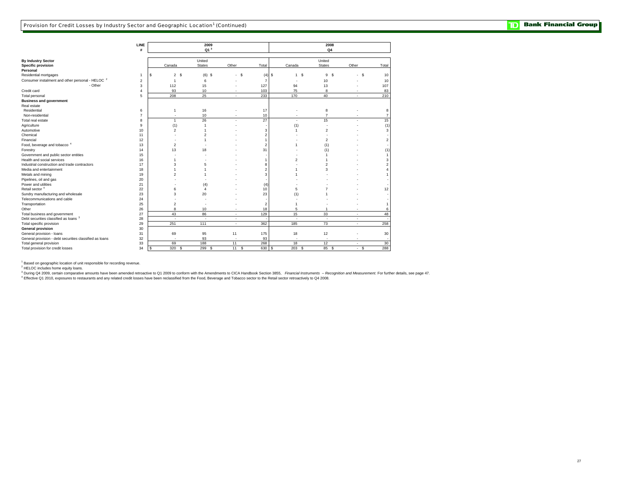|                                                                          | LINE<br>#      |                |                         | 2009<br>Q1 <sup>3</sup> |                |                         |                | 2008<br>Q <sub>4</sub> |        |                |
|--------------------------------------------------------------------------|----------------|----------------|-------------------------|-------------------------|----------------|-------------------------|----------------|------------------------|--------|----------------|
|                                                                          |                |                |                         |                         |                |                         |                |                        |        |                |
| By Industry Sector                                                       |                |                |                         | United                  |                |                         |                | United                 |        |                |
| <b>Specific provision</b>                                                |                | Canada         |                         | <b>States</b>           | Other          | Total                   | Canada         | <b>States</b>          | Other  | Total          |
| Personal                                                                 |                |                |                         |                         |                |                         |                |                        |        |                |
| Residential mortgages                                                    | $\mathbf{1}$   | \$             | 2S                      | $(6)$ \$                | - \$<br>٠.     | $(4)$ \$                | 1S             | 9<br><b>S</b>          | $-5$   | 10             |
| Consumer instalment and other personal - HELOC <sup>2</sup>              | $\overline{2}$ | $\overline{1}$ |                         | 6                       |                | $\overline{7}$          |                | 10                     |        | 10             |
| - Other                                                                  | 3              | 112            |                         | 15                      |                | 127                     | 94             | 13                     |        | 107            |
| Credit card                                                              | $\overline{4}$ | 93             |                         | 10                      |                | 103                     | 75             | 8                      |        | 83             |
| Total personal                                                           | 5              | 208            |                         | 25                      | ٠              | 233                     | 170            | 40                     | ٠      | 210            |
| <b>Business and government</b>                                           |                |                |                         |                         |                |                         |                |                        |        |                |
| Real estate                                                              |                |                |                         |                         |                |                         |                |                        |        |                |
| Residential                                                              | 6              |                | 1                       | 16                      |                | 17                      |                | 8                      |        | 8              |
| Non-residential                                                          | $\overline{7}$ |                |                         | 10                      |                | 10                      |                | $\overline{7}$         |        | $\overline{7}$ |
| Total real estate                                                        | 8              |                | $\mathbf{1}$            | 26                      |                | 27                      |                | 15                     |        | 15             |
| Agriculture                                                              | 9              | (1)            |                         | 1                       |                |                         | (1)            |                        |        | (1)            |
| Automotive                                                               | 10             |                | $\overline{2}$          |                         |                | 3                       | $\overline{1}$ | $\overline{2}$         |        | 3              |
| Chemical                                                                 | 11             |                |                         |                         |                | $\overline{2}$          |                |                        |        |                |
| Financial                                                                | 12             |                |                         | 1                       |                |                         |                | $\mathfrak{p}$         |        |                |
| Food, beverage and tobacco <sup>4</sup>                                  | 13             |                | $\overline{c}$          |                         |                | $\overline{2}$          |                | (1)                    |        |                |
| Forestry                                                                 | 14             | 13             |                         | 18                      |                | 31                      |                |                        |        |                |
| Government and public sector entities                                    | 15             |                |                         |                         |                |                         |                | (1)                    |        | (1)            |
| Health and social services                                               |                |                |                         |                         |                |                         | $\overline{c}$ |                        |        |                |
|                                                                          | 16             |                |                         |                         |                |                         |                |                        |        |                |
| Industrial construction and trade contractors<br>Media and entertainment | 17             |                | 3                       | 5                       |                | 8                       |                | 3                      |        |                |
|                                                                          | 18             |                |                         |                         |                | $\overline{2}$          |                |                        |        |                |
| Metals and mining                                                        | 19             |                | $\mathfrak{p}$          |                         |                | 3                       |                |                        |        |                |
| Pipelines, oil and gas                                                   | 20             |                |                         |                         |                |                         |                |                        |        |                |
| Power and utilities                                                      | 21             |                |                         | (4)                     |                | (4)                     |                |                        |        |                |
| Retail sector <sup>4</sup>                                               | 22             |                | 6                       | $\overline{4}$          |                | 10                      | 5              |                        |        | 12             |
| Sundry manufacturing and wholesale                                       | 23             |                | 3                       | 20                      |                | 23                      | (1)            |                        |        |                |
| Telecommunications and cable                                             | 24             |                |                         |                         |                |                         |                |                        |        |                |
| Transportation                                                           | 25             |                | $\overline{\mathbf{c}}$ |                         |                | $\overline{\mathbf{c}}$ |                |                        |        | $\overline{1}$ |
| Other                                                                    | 26             |                | 8                       | 10                      | ٠              | 18                      | 5              |                        |        | 6              |
| Total business and government                                            | 27             | 43             |                         | 86                      | $\blacksquare$ | 129                     | 15             | 33                     | $\sim$ | 48             |
| Debt securities classified as loans 3                                    | 28             |                | $\sim$                  | $\sim$                  | ٠              |                         | - 20           | $\sim$                 | $\sim$ | $\sim$         |
| Total specific provision                                                 | 29             | 251            |                         | 111                     | ٠              | 362                     | 185            | 73                     | $\sim$ | 258            |
| <b>General provision</b>                                                 | 30             |                |                         |                         |                |                         |                |                        |        |                |
| General provision - loans                                                | 31             | 69             |                         | 95                      | 11             | 175                     | 18             | 12                     |        | 30             |
| General provision - debt securities classified as loans                  | 32             |                | $\overline{a}$          | 93                      | ٠              | 93                      |                | $\sim$                 | ٠      | $\sim$         |
| Total general provision                                                  | 33             | 69             |                         | 188                     | 11             | 268                     | 18             | 12                     | ٠      | 30             |
| Total provision for credit losses                                        | 34             | 320<br>\$      | - S                     | 299<br>-S               | <b>S</b><br>11 | 630 \$                  | 203S           | 85 \$                  | - \$   | 288            |

<sup>1</sup> Based on geographic location of unit responsible for recording revenue.<br><sup>2</sup> HELOC includes home equity loans.<br><sup>3</sup> During Q4 2009, certain comparative amounts have been amended retroactive to Q1 2009 to conform with the

4 Effective Q1 2010, exposures to restaurants and any related credit losses have been reclassified from the Food, Beverage and Tobacco sector to the Retail sector retroactively to Q4 2008.

**TD** Bank Financial Group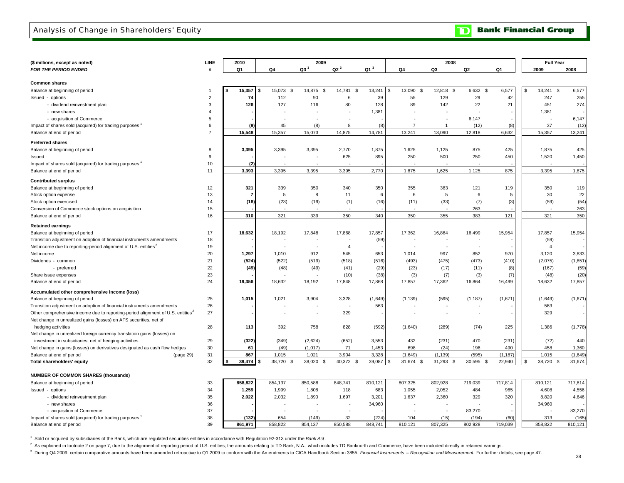### Analysis of Change in Shareholders' Equity

**TD** Bank Financial Group

| (\$ millions, except as noted)                                                             | LINE           |    | 2010           |                | 2009                     |                          |                  |                    | 2008            |                  |                 | <b>Full Year</b>   |                  |
|--------------------------------------------------------------------------------------------|----------------|----|----------------|----------------|--------------------------|--------------------------|------------------|--------------------|-----------------|------------------|-----------------|--------------------|------------------|
| FOR THE PERIOD ENDED                                                                       | #              |    | Q1             | Q4             | Q3 <sup>3</sup>          | Q2 <sup>3</sup>          | Q1 <sup>3</sup>  | Q4                 | Q3              | Q2               | Q1              | 2009               | 2008             |
|                                                                                            |                |    |                |                |                          |                          |                  |                    |                 |                  |                 |                    |                  |
| <b>Common shares</b>                                                                       |                |    |                |                |                          |                          |                  |                    |                 |                  |                 |                    |                  |
| Balance at beginning of period                                                             | $\mathbf{1}$   | -S | 15,357         | 15,073<br>- \$ | 14,875<br>-\$            | 14,781<br><b>S</b>       | 13,241           | \$<br>13,090<br>\$ | 12,818<br>\$    | 6,632<br>-S      | 6,577           | \$<br>13,241<br>-S | 6,577            |
| Issued - options                                                                           | $\overline{2}$ |    | 74             | 112            | 90                       | 6                        | 39               | 55                 | 129             | 29               | 42              | 247                | 255              |
| - dividend reinvestment plan                                                               | 3              |    | 126            | 127            | 116                      | 80                       | 128              | 89                 | 142             | 22               | 21              | 451                | 274              |
| - new shares                                                                               | $\overline{4}$ |    |                |                |                          |                          | 1,381            |                    |                 |                  |                 | 1,381              |                  |
| - acquisition of Commerce                                                                  | 5              |    |                |                |                          |                          |                  |                    |                 | 6,147            |                 |                    | 6,147            |
| Impact of shares sold (acquired) for trading purposes 1                                    | 6              |    | (9)            | 45             | (8)                      | 8                        | (8)              | $\overline{7}$     | $\overline{1}$  | (12)             | (8)             | 37                 | (12)             |
| Balance at end of period                                                                   | $\overline{7}$ |    | 15,548         | 15,357         | 15,073                   | 14,875                   | 14,781           | 13,241             | 13,090          | 12,818           | 6,632           | 15,357             | 13,241           |
| <b>Preferred shares</b>                                                                    |                |    |                |                |                          |                          |                  |                    |                 |                  |                 |                    |                  |
| Balance at beginning of period                                                             | 8              |    | 3,395          | 3,395          | 3,395                    | 2,770                    | 1,875            | 1,625              | 1,125           | 875              | 425             | 1,875              | 425              |
| Issued                                                                                     | 9              |    |                |                |                          | 625                      | 895              | 250                | 500             | 250              | 450             | 1,520              | 1,450            |
| Impact of shares sold (acquired) for trading purposes                                      | 10             |    | (2)            |                |                          |                          |                  |                    |                 |                  |                 |                    |                  |
| Balance at end of period                                                                   | 11             |    | 3,393          | 3,395          | 3,395                    | 3,395                    | 2,770            | 1,875              | 1,625           | 1,125            | 875             | 3,395              | 1,875            |
| <b>Contributed surplus</b>                                                                 |                |    |                |                |                          |                          |                  |                    |                 |                  |                 |                    |                  |
| Balance at beginning of period                                                             | 12             |    | 321            | 339            | 350                      | 340                      | 350              | 355                | 383             | 121              | 119             | 350                | 119              |
| Stock option expense                                                                       | 13             |    | $\overline{7}$ | 5              | 8                        | 11                       | 6                | 6                  | 5               | 6                | 5               | 30                 | 22               |
| Stock option exercised                                                                     | 14             |    | (18)           | (23)           | (19)                     | (1)                      | (16)             | (11)               | (33)            | (7)              | (3)             | (59)               | (54)             |
| Conversion of Commerce stock options on acquisition                                        | 15             |    |                |                |                          |                          |                  |                    |                 | 263              |                 |                    | 263              |
| Balance at end of period                                                                   | 16             |    | 310            | 321            | 339                      | 350                      | 340              | 350                | 355             | 383              | 121             | 321                | 350              |
| <b>Retained earnings</b>                                                                   |                |    |                |                |                          |                          |                  |                    |                 |                  |                 |                    |                  |
| Balance at beginning of period                                                             | 17             |    | 18,632         | 18,192         | 17,848                   | 17,868                   | 17,857           | 17,362             | 16,864          | 16,499           | 15,954          | 17,857             | 15,954           |
| Transition adjustment on adoption of financial instruments amendments                      | 18             |    |                |                |                          |                          | (59)             |                    |                 |                  |                 | (59)               |                  |
| Net income due to reporting-period alignment of U.S. entities <sup>2</sup>                 | 19             |    |                |                | $\overline{\phantom{a}}$ | $\overline{4}$           |                  |                    |                 | $\blacksquare$   |                 | $\overline{4}$     |                  |
| Net income                                                                                 | 20             |    | 1,297          | 1,010          | 912                      | 545                      | 653              | 1,014              | 997             | 852              | 970             | 3,120              | 3,833            |
| Dividends - common                                                                         | 21             |    | (524)          | (522)          | (519)                    | (518)                    | (516)            | (493)              | (475)           | (473)            | (410)           | (2,075)            | (1, 851)         |
| - preferred                                                                                | 22             |    | (49)           | (48)           | (49)                     | (41)                     | (29)             | (23)               | (17)            | (11)             | (8)             | (167)              | (59)             |
| Share issue expenses                                                                       | 23             |    |                |                |                          | (10)                     | (38)             | (3)                | (7)             | (3)              | (7)             | (48)               | (20)             |
| Balance at end of period                                                                   | 24             |    | 19,356         | 18,632         | 18,192                   | 17,848                   | 17,868           | 17,857             | 17,362          | 16,864           | 16,499          | 18,632             | 17,857           |
| Accumulated other comprehensive income (loss)                                              |                |    |                |                |                          |                          |                  |                    |                 |                  |                 |                    |                  |
| Balance at beginning of period                                                             | 25             |    | 1,015          | 1,021          | 3,904                    | 3,328                    | (1,649)          | (1, 139)           | (595)           | (1, 187)         | (1,671)         | (1,649)            | (1,671)          |
| Transition adjustment on adoption of financial instruments amendments                      | 26             |    |                |                |                          | $\overline{\phantom{a}}$ | 563              |                    |                 |                  |                 | 563                |                  |
| Other comprehensive income due to reporting-period alignment of U.S. entities <sup>2</sup> | 27             |    |                |                |                          | 329                      |                  |                    | $\sim$          |                  |                 | 329                |                  |
| Net change in unrealized gains (losses) on AFS securities, net of                          |                |    |                |                |                          |                          |                  |                    |                 |                  |                 |                    |                  |
| hedging activities                                                                         | 28             |    | 113            | 392            | 758                      | 828                      | (592)            | (1,640)            | (289)           | (74)             | 225             | 1,386              | (1,778)          |
| Net change in unrealized foreign currency translation gains (losses) on                    |                |    |                |                |                          |                          |                  |                    |                 |                  |                 |                    |                  |
| investment in subsidiaries, net of hedging activities                                      | 29             |    | (322)          | (349)          | (2,624)                  | (652)                    | 3,553            | 432                | (231)           | 470              | (231)           | (72)               | 440              |
| Net change in gains (losses) on derivatives designated as cash flow hedges                 | 30             |    | 61             | (49)           | (1,017)                  | 71                       | 1,453            | 698                | (24)            | 196              | 490             | 458                | 1,360            |
| Balance at end of period<br>(page 29)                                                      | 31             |    | 867            | 1.015          | 1,021                    | 3,904                    | 3,328            | (1,649)            | (1, 139)        | (595)            | (1, 187)        | 1,015              | (1,649)          |
| Total shareholders' equity                                                                 | 32             |    | 39,474         | 38,720<br>- \$ | 38,020<br>- \$           | 40,372 \$                | 39,087           | 31,674 \$          | 31,293 \$       | 30,595<br>- \$   | 22,940          | 38,720 \$          | 31,674           |
|                                                                                            |                |    |                |                |                          |                          |                  |                    |                 |                  |                 |                    |                  |
| <b>NUMBER OF COMMON SHARES (thousands)</b>                                                 |                |    |                |                |                          |                          |                  |                    |                 |                  |                 |                    |                  |
| Balance at beginning of period                                                             | 33             |    | 858,822        | 854,137        | 850,588                  | 848,741                  | 810,121          | 807,325            | 802,928         | 719,039          | 717,814         | 810,121            | 717,814          |
| Issued - options                                                                           | 34             |    | 1,259          | 1,999          | 1,808                    | 118                      | 683              | 1,055              | 2,052           | 484              | 965             | 4,608              | 4,556            |
| - dividend reinvestment plan                                                               | 35             |    | 2,022          | 2,032          | 1,890                    | 1,697                    | 3,201            | 1,637              | 2,360           | 329              | 320             | 8,820              | 4,646            |
| - new shares                                                                               | 36             |    |                |                |                          |                          | 34,960           |                    |                 |                  |                 | 34,960             |                  |
| - acquisition of Commerce                                                                  | 37             |    | (132)          |                |                          |                          |                  |                    |                 | 83,270           |                 | 313                | 83,270           |
| Impact of shares sold (acquired) for trading purposes<br>Balance at end of period          | 38<br>39       |    | 861,971        | 654<br>858.822 | (149)<br>854.137         | 32<br>850.588            | (224)<br>848,741 | 104<br>810.121     | (15)<br>807,325 | (194)<br>802,928 | (60)<br>719.039 | 858.822            | (165)<br>810,121 |
|                                                                                            |                |    |                |                |                          |                          |                  |                    |                 |                  |                 |                    |                  |

1 Sold or acquired by subsidiaries of the Bank, which are regulated securities entities in accordance with Regulation 92-313 under the *Bank Act* .

<sup>2</sup> As explained in footnote 2 on page 7, due to the alignment of reporting period of U.S. entities, the amounts relating to TD Bank, N.A., which includes TD Banknorth and Commerce, have been included directly in retained

<sup>3</sup> During Q4 2009, certain comparative amounts have been amended retroactive to Q1 2009 to conform with the Amendments to CICA Handbook Section 3855, Financial Instruments - Recognition and Measurement. For further detail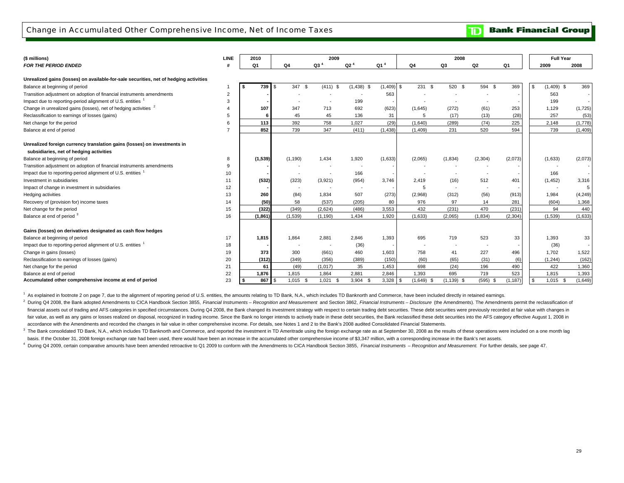### Change in Accumulated Other Comprehensive Income, Net of Income Taxes

**Bank Financial Group** וסד

| (\$ millions)                                                                         | <b>LINE</b>    | 2010 |             |                          | 2009                     |                          |                 |                            | 2008                     |                |          |          | <b>Full Year</b>      |
|---------------------------------------------------------------------------------------|----------------|------|-------------|--------------------------|--------------------------|--------------------------|-----------------|----------------------------|--------------------------|----------------|----------|----------|-----------------------|
| <b>FOR THE PERIOD ENDED</b>                                                           |                | Q1   |             | Q4                       | $Q3$ <sup>4</sup>        | Q2 <sup>4</sup>          | Q1 <sup>4</sup> | Q4                         | Q3                       | Q <sub>2</sub> | Q1       | 2009     | 2008                  |
| Unrealized gains (losses) on available-for-sale securities, net of hedging activities |                |      |             |                          |                          |                          |                 |                            |                          |                |          |          |                       |
|                                                                                       |                | \$   | 739<br>l \$ | 347<br>\$                | $(411)$ \$               | $(1,438)$ \$             | $(1,409)$ \$    | 231S                       | 520 \$                   | 594 \$         | 369      | l \$     | $(1,409)$ \$<br>369   |
| Balance at beginning of period                                                        | $\overline{2}$ |      |             |                          |                          |                          | 563             |                            |                          |                |          | 563      |                       |
| Transition adjustment on adoption of financial instruments amendments                 |                |      |             |                          |                          |                          |                 |                            |                          |                |          |          |                       |
| Impact due to reporting-period alignment of U.S. entities <sup>1</sup>                | 3              |      |             |                          |                          | 199                      |                 |                            |                          |                |          | 199      |                       |
| Change in unrealized gains (losses), net of hedging activities <sup>2</sup>           |                |      | 107         | 347                      | 713                      | 692                      | (623)           | (1,645)                    | (272)                    | (61)           | 253      | 1,129    | (1,725)               |
| Reclassification to earnings of losses (gains)                                        | 5              |      | 6           | 45                       | 45                       | 136                      | 31              | 5                          | (17)                     | (13)           | (28)     | 257      | (53)                  |
| Net change for the period                                                             | 6              |      | 113         | 392                      | 758                      | 1,027                    | (29)            | (1,640)                    | (289)                    | (74)           | 225      | 2,148    | (1,778)               |
| Balance at end of period                                                              | $\overline{7}$ |      | 852         | 739                      | 347                      | (411)                    | (1,438)         | (1,409)                    | 231                      | 520            | 594      | 739      | (1,409)               |
| Unrealized foreign currency translation gains (losses) on investments in              |                |      |             |                          |                          |                          |                 |                            |                          |                |          |          |                       |
| subsidiaries, net of hedging activities                                               |                |      |             |                          |                          |                          |                 |                            |                          |                |          |          |                       |
| Balance at beginning of period                                                        | 8              |      | (1, 539)    | (1, 190)                 | 1,434                    | 1,920                    | (1,633)         | (2,065)                    | (1,834)                  | (2, 304)       | (2,073)  | (1,633)  | (2,073)               |
| Transition adjustment on adoption of financial instruments amendments                 | 9              |      |             |                          |                          | $\overline{\phantom{a}}$ |                 | $\overline{\phantom{a}}$   |                          |                |          |          |                       |
| Impact due to reporting-period alignment of U.S. entities <sup>1</sup>                | 10             |      |             | $\overline{\phantom{a}}$ | $\overline{\phantom{a}}$ | 166                      |                 |                            | $\overline{\phantom{a}}$ |                |          | 166      |                       |
| Investment in subsidiaries                                                            | 11             |      | (532)       | (323)                    | (3,921)                  | (954)                    | 3,746           | 2.419                      | (16)                     | 512            | 401      | (1, 452) | 3,316                 |
| Impact of change in investment in subsidiaries                                        | 12             |      |             | $\overline{\phantom{a}}$ |                          | $\overline{\phantom{a}}$ |                 | 5                          | $\overline{\phantom{a}}$ | $\overline{a}$ |          |          | 5                     |
| Hedging activities                                                                    | 13             |      | 260         | (84)                     | 1.834                    | 507                      | (273)           | (2,968)                    | (312)                    | (56)           | (913)    | 1,984    | (4, 249)              |
| Recovery of (provision for) income taxes                                              | 14             |      | (50)        | 58                       | (537)                    | (205)                    | 80              | 976                        | 97                       | 14             | 281      | (604)    | 1,368                 |
| Net change for the period                                                             | 15             |      | (322)       | (349)                    | (2,624)                  | (486)                    | 3,553           | 432                        | (231)                    | 470            | (231)    |          | 94<br>440             |
| Balance at end of period 3                                                            | 16             |      | (1,861)     | (1,539)                  | (1, 190)                 | 1,434                    | 1,920           | (1,633)                    | (2,065)                  | (1, 834)       | (2, 304) | (1,539)  | (1,633)               |
|                                                                                       |                |      |             |                          |                          |                          |                 |                            |                          |                |          |          |                       |
| Gains (losses) on derivatives designated as cash flow hedges                          |                |      |             |                          |                          |                          |                 |                            |                          |                |          |          |                       |
| Balance at beginning of period                                                        | 17             |      | 1,815       | 1.864                    | 2,881                    | 2,846                    | 1,393           | 695                        | 719                      | 523            | 33       | 1,393    | 33                    |
| Impact due to reporting-period alignment of U.S. entities                             | 18             |      |             |                          |                          | (36)                     |                 |                            |                          |                |          | (36)     |                       |
| Change in gains (losses)                                                              | 19             |      | 373         | 300                      | (661)                    | 460                      | 1,603           | 758                        | 41                       | 227            | 496      | 1.702    | 1,522                 |
| Reclassification to earnings of losses (gains)                                        | 20             |      | (312)       | (349)                    | (356)                    | (389)                    | (150)           | (60)                       | (65)                     | (31)           | (6)      | (1, 244) | (162)                 |
| Net change for the period                                                             | 21             |      | 61          | (49)                     | (1.017)                  | 35                       | 1,453           | 698                        | (24)                     | 196            | 490      | 422      | 1,360                 |
| Balance at end of period                                                              | 22             |      | 1,876       | 1,815                    | 1.864                    | 2,881                    | 2,846           | 1,393                      | 695                      | 719            | 523      | 1,815    | 1,393                 |
| Accumulated other comprehensive income at end of period                               | 23             | \$   | 867 \$      | $1,015$ \$               | 1,021<br>- \$            | $3,904$ \$               | 3,328           | $\sqrt{3}$<br>$(1,649)$ \$ | $(1, 139)$ \$            | $(595)$ \$     | (1, 187) |          | $1,015$ \$<br>(1,649) |

<sup>1</sup> As explained in footnote 2 on page 7, due to the alignment of reporting period of U.S. entities, the amounts relating to TD Bank, N.A., which includes TD Banknorth and Commerce, have been included directly in retained

<sup>2</sup> During Q4 2008, the Bank adopted Amendments to CICA Handbook Section 3855, Financial Instruments - Recognition and Measurement and Section 3862, Financial Instruments - Disclosure (the Amendments). The Amendments permi fair value, as well as any gains or losses realized on disposal, recognized in trading income. Since the Bank no longer intends to actively trade in these debt securities, the Bank reclassified these debt securities into t accordance with the Amendments and recorded the changes in fair value in other comprehensive income. For details, see Notes 1 and 2 to the Bank's 2008 audited Consolidated Financial Statements. financial assets out of trading and AFS categories in specified circumstances. During Q4 2008, the Bank changed its investment strategy with respect to certain trading debt securities. These debt securities were previously

<sup>3</sup> The Bank consolidated TD Bank, N.A., which includes TD Banknorth and Commerce, and reported the investment in TD Ameritrade using the foreign exchange rate as at September 30, 2008 as the results of these operations we basis. If the October 31, 2008 foreign exchange rate had been used, there would have been an increase in the accumulated other comprehensive income of \$3,347 million, with a corresponding increase in the Bank's net assets.

<sup>4</sup> During Q4 2009, certain comparative amounts have been amended retroactive to Q1 2009 to conform with the Amendments to CICA Handbook Section 3855, Financial Instruments - Recognition and Measurement. For further detail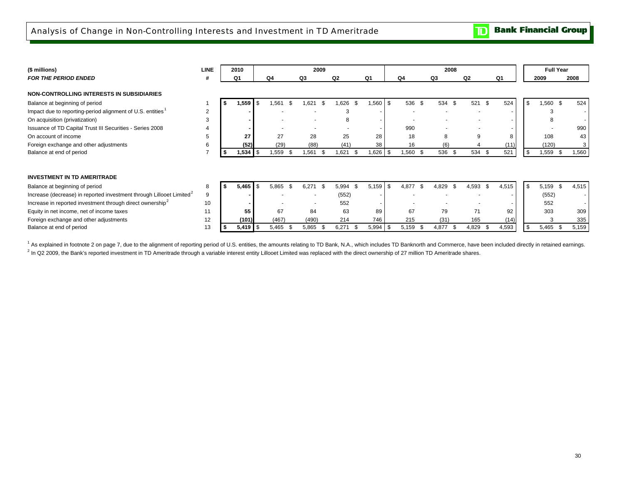**Bank Financial Group**  $\mathbf{D}$ 

| (\$ millions)                                                                    | <b>LINE</b> | 2010               |      |               |      | 2009                     |          |      |                          |             |           | 2008     |      |       |      |       | <b>Full Year</b> |       |
|----------------------------------------------------------------------------------|-------------|--------------------|------|---------------|------|--------------------------|----------|------|--------------------------|-------------|-----------|----------|------|-------|------|-------|------------------|-------|
| <b>FOR THE PERIOD ENDED</b>                                                      |             | Q <sub>1</sub>     |      | Q4            | Q3   |                          | Q2       |      | Q1                       | Q4          |           | Q3       | Q2   |       |      | Q1    | 2009             | 2008  |
| NON-CONTROLLING INTERESTS IN SUBSIDIARIES                                        |             |                    |      |               |      |                          |          |      |                          |             |           |          |      |       |      |       |                  |       |
| Balance at beginning of period                                                   |             | 1,559              | l S  | .561          | -S   | .621<br>\$.              | .626     | - \$ | .560                     | \$<br>536   | \$.       | 534 \$   |      | 521   | -\$  | 524   | \$<br>$,560$ \$  | 524   |
| Impact due to reporting-period alignment of U.S. entities <sup>1</sup>           | 2           |                    |      |               |      | $\sim$                   | 3        |      | $\overline{\phantom{a}}$ | $\sim$      |           |          |      |       |      |       |                  |       |
| On acquisition (privatization)                                                   | 3           |                    |      |               |      | $\overline{a}$           | 8        |      |                          |             |           |          |      |       |      |       |                  |       |
| Issuance of TD Capital Trust III Securities - Series 2008                        |             |                    |      |               |      | $\overline{\phantom{a}}$ | . .      |      |                          | 990         |           |          |      |       |      |       |                  | 990   |
| On account of income                                                             | 5           | 27                 |      | 27            |      | 28                       | 25       |      | 28                       | 18          |           | 8        |      | 9     |      | 8     | 108              | 43    |
| Foreign exchange and other adjustments                                           | 6           | (52)               |      | (29)          |      | (88)                     | (41)     |      | 38                       | 16          |           | (6)      |      |       |      | (11)  | (120)            |       |
| Balance at end of period                                                         |             | 1,534              | l S  | 1,559<br>- \$ |      | 1,561<br>- \$            | .621     |      | 1,626                    | 1,560       | -\$       | 536 \$   |      | 534   | \$.  | 521   | \$<br>,559 \$    | 1,560 |
|                                                                                  |             |                    |      |               |      |                          |          |      |                          |             |           |          |      |       |      |       |                  |       |
| <b>INVESTMENT IN TD AMERITRADE</b>                                               |             |                    |      |               |      |                          |          |      |                          |             |           |          |      |       |      |       |                  |       |
| Balance at beginning of period                                                   | 8           | 5,465              | l \$ | 5,865         | \$.  | 6,271<br>-\$             | 5,994 \$ |      | 5,159                    | \$<br>4,877 | <b>.s</b> | 4,829    | - \$ | 4,593 | -S   | 4,515 | \$<br>$5,159$ \$ | 4,515 |
| Increase (decrease) in reported investment through Lillooet Limited <sup>2</sup> | 9           |                    |      |               |      |                          | (552)    |      |                          |             |           |          |      |       |      |       | (552)            |       |
| Increase in reported investment through direct ownership <sup>2</sup>            | 10          |                    |      |               |      |                          | 552      |      |                          |             |           |          |      |       |      |       | 552              |       |
| Equity in net income, net of income taxes                                        | 11          | 55                 |      | 67            |      | 84                       | 63       |      | 89                       | 67          |           | 79       |      | 71    |      | 92    | 303              | 309   |
| Foreign exchange and other adjustments                                           | 12          | (101)              |      | (467)         |      | (490)                    | 214      |      | 746                      | 215         |           | (31)     |      | 165   |      | (14)  |                  | 335   |
| Balance at end of period                                                         | 13          | $5,419$ $\sqrt{5}$ |      | 5,465         | - \$ | 5,865<br>- \$            | 6,271    |      | 5,994                    | 5,159       | - \$      | 4,877 \$ |      | 4,829 | - 35 | 4,593 | \$<br>$5,465$ \$ | 5,159 |

<sup>1</sup> As explained in footnote 2 on page 7, due to the alignment of reporting period of U.S. entities, the amounts relating to TD Bank, N.A., which includes TD Banknorth and Commerce, have been included directly in retained  $^{2}$  In Q2 2009, the Bank's reported investment in TD Ameritrade through a variable interest entity Lillooet Limited was replaced with the direct ownership of 27 million TD Ameritrade shares.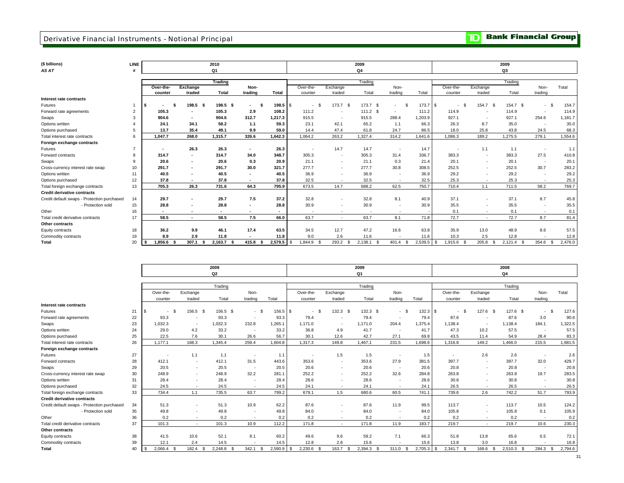### **Derivative Financial Instruments - Notional Principal**

**TD** Bank Financial Group

| (\$ billions)                               | <b>LINE</b>     |                               |                          | 2010           |               |              |                    |                | 2009            |            |              |                          |                          | 2009         |               |         |
|---------------------------------------------|-----------------|-------------------------------|--------------------------|----------------|---------------|--------------|--------------------|----------------|-----------------|------------|--------------|--------------------------|--------------------------|--------------|---------------|---------|
| AS AT                                       |                 |                               |                          | Q1             |               |              |                    |                | Q4              |            |              |                          |                          | Q3           |               |         |
|                                             |                 |                               |                          | <b>Trading</b> |               |              |                    |                | Trading         |            |              |                          |                          | Trading      |               |         |
|                                             |                 | Over-the-                     | Exchange                 |                | Non-          |              | Over-the-          | Exchange       |                 | Non-       |              | Over-the-                | Exchange                 |              | Non-          | Total   |
|                                             |                 | counter                       | traded                   | Total          | trading       | Total        | counter            | traded         | Total           | trading    | Total        | counter                  | traded                   | Total        | trading       |         |
| Interest rate contracts                     |                 |                               |                          |                |               |              |                    |                |                 |            |              |                          |                          |              |               |         |
| Futures                                     |                 | - \$<br>l S<br>$\blacksquare$ | $198.5$ \$               | 198.5 \$       | $\sim$        |              | <b>S</b><br>$\sim$ | $173.7$ \$     | 173.7 \$        | -S<br>٠    | 173.7        | <b>S</b><br>-9<br>$\sim$ | 154.7 \$                 | 154.7 \$     | $\sim$        | 154.7   |
| Forward rate agreements                     | $\overline{2}$  | 105.3                         | $\overline{\phantom{a}}$ | 105.3          | 2.9           | 108.2        | 111.2              |                | $111.2$ \$      | $\sim$     | 111.2        | 114.9                    | ۰.                       | 114.9        | <b>1999</b>   | 114.9   |
| Swaps                                       |                 | 904.6                         | $\sim$                   | 904.6          | 312.7         | 1.217.3      | 915.5              | $\sim$         | 915.5           | 288.4      | 1.203.9      | 927.1                    | ۰.                       | 927.1        | 254.6         | 1,181.7 |
| Options written                             |                 | 24.1                          | 34.1                     | 58.2           | 1.1           | 59.3         | 23.1               | 42.1           | 65.2            | 1.1        | 66.3         | 26.3                     | 8.7                      | 35.0         | <b>1999</b>   | 35.0    |
| Options purchased                           | 5               | 13.7                          | 35.4                     | 49.1           | 9.9           | 59.0         | 14.4               | 47.4           | 61.8            | 24.7       | 86.5         | 18.0                     | 25.8                     | 43.8         | 24.5          | 68.3    |
| Total interest rate contracts               | 6               | 1.047.7                       | 268.0                    | 1,315.7        | 326.6         | 1,642.3      | 1,064.2            | 263.2          | 1,327.4         | 314.2      | 1.641.6      | 1,086.3                  | 189.2                    | 1,275.5      | 279.1         | 1,554.6 |
| Foreign exchange contracts                  |                 |                               |                          |                |               |              |                    |                |                 |            |              |                          |                          |              |               |         |
| Futures                                     | $\overline{7}$  | $\blacksquare$                | 26.3                     | 26.3           | $\sim$        | 26.3         |                    | 14.7           | 14.7            | $\sim$     | 14.7         |                          | 1.1                      | 1.1          | <b>1999</b>   | 1.1     |
| Forward contracts                           | 8               | 314.7                         | $\sim$                   | 314.7          | 34.0          | 348.7        | 305.3              | $\sim$         | 305.3           | 31.4       | 336.7        | 383.3                    | $\sim$                   | 383.3        | 27.5          | 410.8   |
| Swaps                                       |                 | 20.6                          | $\blacksquare$           | 20.6           | 0.3           | 20.9         | 21.1               | $\sim$         | 21.1            | 0.3        | 21.4         | 20.1                     | $\sim$                   | 20.1         | - 1           | 20.1    |
| Cross-currency interest rate swap           | 10 <sup>1</sup> | 291.7                         | $\sim$                   | 291.7          | 30.0          | 321.7        | 277.7              | $\sim$         | 277.7           | 30.8       | 308.5        | 252.5                    | $\sim$                   | 252.5        | 30.7          | 283.2   |
| Options written                             | 11              | 40.5                          | $\sim$                   | 40.5           | $\sim$        | 40.5         | 36.9               | $\sim$         | 36.9            | ٠          | 36.9         | 29.2                     | $\sim$                   | 29.2         | $\sim$        | 29.2    |
| Options purchased                           | 12              | 37.8                          | $\overline{\phantom{a}}$ | 37.8           |               | 37.8         | 32.5               | $\sim$         | 32.5            | ٠          | 32.5         | 25.3                     | $\sim$                   | 25.3         | $\sim$        | 25.3    |
| Total foreign exchange contracts            | 13              | 705.3                         | 26.3                     | 731.6          | 64.3          | 795.9        | 673.5              | 14.7           | 688.2           | 62.5       | 750.7        | 710.4                    | 1.1                      | 711.5        | 58.2          | 769.7   |
| <b>Credit derivative contracts</b>          |                 |                               |                          |                |               |              |                    |                |                 |            |              |                          |                          |              |               |         |
| Credit default swaps - Protection purchased | 14              | 29.7                          | $\sim$                   | 29.7           | 7.5           | 37.2         | 32.8               | ٠              | 32.8            | 8.1        | 40.9         | 37.1                     | $\sim$                   | 37.1         | 8.7           | 45.8    |
| - Protection sold                           | 15              | 28.8                          | $\blacksquare$           | 28.8           | $\sim$        | 28.8         | 30.9               |                | 30.9            | ٠          | 30.9         | 35.5                     | $\overline{\phantom{a}}$ | 35.5         | <b>1999</b>   | 35.5    |
| Other                                       | 16              | $\sim$                        |                          | $\sim$         | $\sim$        | $\sim$       |                    |                |                 | $\sim$     |              | 0.1                      | $\sim$                   | 0.1          | $\sim$        | 0.1     |
| Total credit derivative contracts           | 17              | 58.5                          | $\sim$                   | 58.5           | 7.5           | 66.0         | 63.7               | $\overline{a}$ | 63.7            | 8.1        | 71.8         | 72.7                     | $\sim$                   | 72.7         | 8.7           | 81.4    |
| <b>Other contracts</b>                      |                 |                               |                          |                |               |              |                    |                |                 |            |              |                          |                          |              |               |         |
| Equity contracts                            | 18              | 36.2                          | 9.9                      | 46.1           | 17.4          | 63.5         | 34.5               | 12.7           | 47.2            | 16.6       | 63.8         | 35.9                     | 13.0                     | 48.9         | 8.6           | 57.5    |
| Commodity contracts                         | 19              | 8.9                           | 2.9                      | 11.8           |               | 11.8         | 9.0                | 2.6            | 11.6            |            | 11.6         | 10.3                     | 2.5                      | 12.8         | <b>1999</b>   | 12.8    |
| <b>Total</b>                                | 20              | 1.856.6                       | 307.1<br>-9              | 2.163.7        | 415.8<br>- \$ | $2.579.5$ \$ | 1.844.9<br>- \$    | 293.2<br>- \$  | 2.138.1<br>- \$ | $401.4$ \$ | $2.539.5$ \$ | 1.915.6<br>- \$          | 205.8<br>- \$            | $2.121.4$ \$ | 354.6<br>- \$ | 2.476.0 |

|                                             |    |                          |                          | 2009<br>Q2 |                          |          |           |                          | 2009<br>Q1 |                          |            |                          |                   | 2008<br>Q4 |         |         |
|---------------------------------------------|----|--------------------------|--------------------------|------------|--------------------------|----------|-----------|--------------------------|------------|--------------------------|------------|--------------------------|-------------------|------------|---------|---------|
|                                             |    |                          |                          |            |                          |          |           |                          |            |                          |            |                          |                   |            |         |         |
|                                             |    |                          |                          | Trading    |                          |          |           |                          | Trading    |                          |            |                          |                   | Trading    |         |         |
|                                             |    | Over-the-                | Exchange                 |            | Non-                     |          | Over-the- | Exchange                 |            | Non-                     |            | Over-the-                | Exchange          |            | Non-    | Total   |
|                                             |    | counter                  | traded                   | Total      | trading                  | Total    | counter   | traded                   | Total      | trading                  | Total      | counter                  | traded            | Total      | trading |         |
| Interest rate contracts                     |    |                          |                          |            |                          |          |           |                          |            |                          |            |                          |                   |            |         |         |
| Futures                                     | 21 | $\mathbf{s}$<br>S.<br>×. | 156.5 \$                 | 156.5 \$   | $-5$                     | 156.5 \$ | $-$ \$    | $132.3$ \$               | $132.3$ \$ | $-5$                     | $132.3$ \$ | - \$<br>$\sim$           | 127.6<br><b>S</b> | 127.6 \$   | $-$ \$  | 127.6   |
| Forward rate agreements                     | 22 | 93.3                     | $\overline{\phantom{a}}$ | 93.3       | ۰.                       | 93.3     | 79.4      | $\overline{\phantom{a}}$ | 79.4       | $\sim$                   | 79.4       | 87.6                     | . .               | 87.6       | 3.0     | 90.6    |
| Swaps                                       | 23 | 1.032.3                  | $\overline{\phantom{a}}$ | 1,032.3    | 232.8                    | 1,265.1  | 1.171.0   | $\sim$                   | 1.171.0    | 204.4                    | 1,375.4    | 1,138.4                  |                   | 1,138.4    | 184.1   | 1,322.5 |
| Options written                             | 24 | 29.0                     | 4.2                      | 33.2       | ٠.                       | 33.2     | 36.8      | 4.9                      | 41.7       | $\sim$                   | 41.7       | 47.3                     | 10.2              | 57.5       | $\sim$  | 57.5    |
| Options purchased                           | 25 | 22.5                     | 7.6                      | 30.1       | 26.6                     | 56.7     | 30.1      | 12.6                     | 42.7       | 27.1                     | 69.8       | 43.5                     | 11.4              | 54.9       | 28.4    | 83.3    |
| Total interest rate contracts               | 26 | 1.177.1                  | 168.3                    | 1,345.4    | 259.4                    | 1.604.8  | 1.317.3   | 149.8                    | 1.467.1    | 231.5                    | 1,698.6    | 1,316.8                  | 149.2             | 1,466.0    | 215.5   | 1,681.5 |
| Foreign exchange contracts                  |    |                          |                          |            |                          |          |           |                          |            |                          |            |                          |                   |            |         |         |
| Futures                                     | 27 | $\overline{a}$           | 1.1                      | 1.1        | ٠.                       | 1.1      |           | 1.5                      | 1.5        | ٠                        | 1.5        | $\overline{\phantom{a}}$ | 2.6               | 2.6        | $\sim$  | 2.6     |
| Forward contracts                           | 28 | 412.1                    | ٠                        | 412.1      | 31.5                     | 443.6    | 353.6     | $\overline{\phantom{a}}$ | 353.6      | 27.9                     | 381.5      | 397.7                    | $\sim$            | 397.7      | 32.0    | 429.7   |
| Swaps                                       | 29 | 20.5                     | $\sim$                   | 20.5       | $\sim$                   | 20.5     | 20.6      | $\sim$                   | 20.6       | $\overline{\phantom{a}}$ | 20.6       | 20.8                     | $\sim$            | 20.8       | $\sim$  | 20.8    |
| Cross-currency interest rate swap           | 30 | 248.9                    | ٠                        | 248.9      | 32.2                     | 281.1    | 252.2     | ٠                        | 252.2      | 32.6                     | 284.8      | 263.8                    | $\sim$            | 263.8      | 19.7    | 283.5   |
| Options written                             | 31 | 28.4                     | $\overline{\phantom{a}}$ | 28.4       |                          | 28.4     | 28.6      | ٠                        | 28.6       | ٠                        | 28.6       | 30.8                     | $\sim$            | 30.8       | $\sim$  | 30.8    |
| Options purchased                           | 32 | 24.5                     |                          | 24.5       | $\overline{\phantom{a}}$ | 24.5     | 24.1      | $\sim$                   | 24.1       | ٠                        | 24.1       | 26.5                     | ٠                 | 26.5       | $\sim$  | 26.5    |
| Total foreign exchange contracts            | 33 | 734.4                    | 1.1                      | 735.5      | 63.7                     | 799.2    | 679.1     | 1.5                      | 680.6      | 60.5                     | 741.1      | 739.6                    | 2.6               | 742.2      | 51.7    | 793.9   |
| <b>Credit derivative contracts</b>          |    |                          |                          |            |                          |          |           |                          |            |                          |            |                          |                   |            |         |         |
| Credit default swaps - Protection purchased | 34 | 51.3                     | $\overline{\phantom{a}}$ | 51.3       | 10.9                     | 62.2     | 87.6      | ٠                        | 87.6       | 11.9                     | 99.5       | 113.7                    | ٠                 | 113.7      | 10.5    | 124.2   |
| - Protection sold                           | 35 | 49.8                     | $\sim$                   | 49.8       | ۰.                       | 49.8     | 84.0      | ٠                        | 84.0       | ٠                        | 84.0       | 105.8                    | $\sim$            | 105.8      | 0.1     | 105.9   |
| Other                                       | 36 | 0.2                      |                          | 0.2        |                          | 0.2      | 0.2       | $\sim$                   | 0.2        |                          | 0.2        | 0.2                      | <b>.</b>          | 0.2        | $\sim$  | 0.2     |
| Total credit derivative contracts           | 37 | 101.3                    | $\sim$                   | 101.3      | 10.9                     | 112.2    | 171.8     | $\sim$                   | 171.8      | 11.9                     | 183.7      | 219.7                    | $\sim$            | 219.7      | 10.6    | 230.3   |
| Other contracts                             |    |                          |                          |            |                          |          |           |                          |            |                          |            |                          |                   |            |         |         |
| Equity contracts                            | 38 | 41.5                     | 10.6                     | 52.1       | 8.1                      | 60.2     | 49.6      | 9.6                      | 59.2       | 7.1                      | 66.3       | 51.8                     | 13.8              | 65.6       | 6.5     | 72.1    |
| Commodity contracts                         | 39 | 12.1                     | 2.4                      | 14.5       |                          | 14.5     | 12.8      | 2.8                      | 15.6       |                          | 15.6       | 13.8                     | 3.0               | 16.8       | $\sim$  | 16.8    |
| Total                                       | 40 | $2,066.4$ \$             | 182.4<br>- \$            | 2,248.8 \$ | 342.1<br>- \$            | 2,590.9  | 2,230.6   | 163.7                    | 2,394.3 \$ | $311.0$ \$               | 2,705.3    | 2,341.7 \$<br>S.         | 168.6<br>-S       | 2,510.3    | 284.3   | 2,794.6 |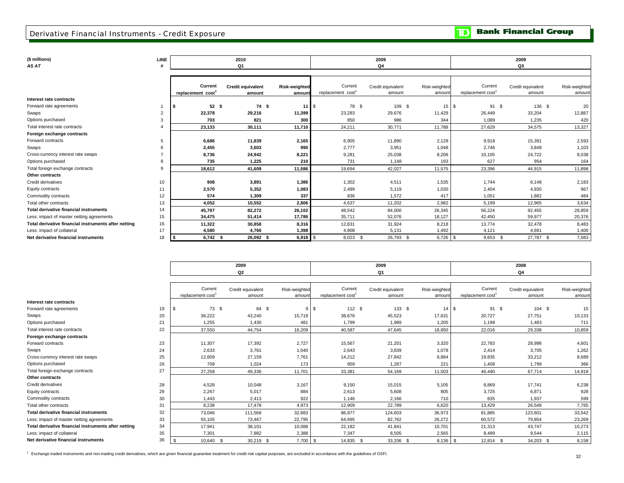### Derivative Financial Instruments - Credit Exposure

**TD** Bank Financial Group

*AS AT*

| (\$ millions)                                        | <b>LINE</b>    |                  | 2010                     |                      |                               | 2009              |               |                  | 2009              |               |
|------------------------------------------------------|----------------|------------------|--------------------------|----------------------|-------------------------------|-------------------|---------------|------------------|-------------------|---------------|
| AS AT                                                |                |                  | Q1                       |                      |                               | Q4                |               |                  | Q3                |               |
|                                                      |                |                  |                          |                      |                               |                   |               |                  |                   |               |
|                                                      |                |                  |                          |                      |                               |                   |               |                  |                   |               |
|                                                      |                | Current          | <b>Credit equivalent</b> | <b>Risk-weighted</b> | Current                       | Credit equivalent | Risk-weighted | Current          | Credit equivalent | Risk-weighted |
| Interest rate contracts                              |                | replacement cost | amount                   | amount               | replacement cost <sup>1</sup> | amount            | amoun         | replacement cost | amount            | amount        |
|                                                      |                | 52S              | 74 \$                    |                      | 78 \$                         |                   |               |                  |                   |               |
| Forward rate agreements                              |                | IS.              |                          | 11                   | -\$                           | 109 \$            | 15S           | 91 \$            | 136 \$            | 20            |
| Swaps                                                | $\overline{2}$ | 22,378           | 29,216                   | 11,399               | 23,283                        | 29,676            | 11,429        | 26,449           | 33,204            | 12,887        |
| Options purchased                                    | 3              | 703              | 821                      | 300                  | 850                           | 986               | 344           | 1,089            | 1,235             | 420           |
| Total interest rate contracts                        |                | 23,133           | 30,111                   | 11,710               | 24,211                        | 30,771            | 11,788        | 27,629           | 34,575            | 13,327        |
| Foreign exchange contracts                           |                |                  |                          |                      |                               |                   |               |                  |                   |               |
| Forward contracts                                    | 5              | 6,686            | 11,839                   | 2,165                | 6,905                         | 11,890            | 2,128         | 9,918            | 15,391            | 2,593         |
| Swaps                                                |                | 2,455            | 3,603                    | 990                  | 2.777                         | 3,951             | 1.048         | 2,746            | 3,848             | 1,103         |
| Cross-currency interest rate swaps                   |                | 8,736            | 24,942                   | 8,221                | 9,281                         | 25,038            | 8,206         | 10,105           | 24,722            | 8,038         |
| Options purchased                                    | 8              | 735              | 1,225                    | 210                  | 731                           | 1,148             | 193           | 627              | 954               | 164           |
| Total foreign exchange contracts                     | 9              | 18,612           | 41,609                   | 11,586               | 19,694                        | 42,027            | 11,575        | 23,396           | 44,915            | 11,898        |
| Other contracts                                      |                |                  |                          |                      |                               |                   |               |                  |                   |               |
| Credit derivatives                                   | 10             | 908              | 3,891                    | 1,386                | 1,302                         | 4,511             | 1,535         | 1,744            | 6,148             | 2,183         |
| <b>Equity contracts</b>                              | 11             | 2,570            | 5,352                    | 1,083                | 2,499                         | 5,119             | 1,030         | 2,404            | 4,935             | 967           |
| Commodity contracts                                  | 12             | 574              | 1.309                    | 337                  | 836                           | 1.572             | 417           | 1,051            | 1.882             | 484           |
| Total other contracts                                | 13             | 4,052            | 10,552                   | 2,806                | 4,637                         | 11,202            | 2,982         | 5,199            | 12,965            | 3,634         |
| <b>Total derivative financial instruments</b>        | 14             | 45,797           | 82,272                   | 26,102               | 48,542                        | 84,000            | 26,345        | 56,224           | 92,455            | 28,859        |
| Less: impact of master netting agreements            | 15             | 34,475           | 51,414                   | 17,786               | 35,711                        | 52,076            | 18,127        | 42,450           | 59,977            | 20,376        |
| Total derivative financial instruments after netting | 16             | 11,322           | 30,858                   | 8,316                | 12,831                        | 31,924            | 8,218         | 13,774           | 32,478            | 8,483         |
| Less: impact of collateral                           | 17             | 4,580            | 4,766                    | 1,398                | 4,808                         | 5,131             | 1,492         | 4,121            | 4,691             | 1,400         |
| Net derivative financial instruments                 | 18             | $6,742$ \$       | 26.092 \$                | 6,918                | $8,023$ \$                    | 26,793 \$         | $6,726$ \$    | $9,653$ \$       | 27,787 \$         | 7,083         |

|                                                      |    |                             | 2009                        |                        |                             | 2009                        |                        |                                          | 2008                        |                         |
|------------------------------------------------------|----|-----------------------------|-----------------------------|------------------------|-----------------------------|-----------------------------|------------------------|------------------------------------------|-----------------------------|-------------------------|
|                                                      |    |                             | Q2                          |                        |                             | Q1                          |                        |                                          | Q4                          |                         |
|                                                      |    | Current<br>replacement cost | Credit equivalent<br>amount | Risk-weighted<br>amoun | Current<br>replacement cost | Credit equivalent<br>amount | Risk-weighted<br>amoun | Current<br>replacement cost <sup>1</sup> | Credit equivalent<br>amount | Risk-weighted<br>amount |
| Interest rate contracts                              |    |                             |                             |                        |                             |                             |                        |                                          |                             |                         |
| Forward rate agreements                              | 19 | 73 \$<br>S                  | 84 \$                       | 9                      | 112S<br>\$                  | 133S                        | 14                     | 91 \$<br>S.                              | 104 \$                      | 15                      |
| Swaps                                                | 20 | 36,222                      | 43,240                      | 15,719                 | 38,676                      | 45,523                      | 17,631                 | 20,727                                   | 27,751                      | 10,133                  |
| Options purchased                                    | 21 | 1.255                       | 1,430                       | 481                    | 1,799                       | 1.989                       | 1,205                  | 1,198                                    | 1,483                       | 711                     |
| Total interest rate contracts                        | 22 | 37,550                      | 44,754                      | 16,209                 | 40,587                      | 47,645                      | 18,850                 | 22,016                                   | 29,338                      | 10,859                  |
| Foreign exchange contracts                           |    |                             |                             |                        |                             |                             |                        |                                          |                             |                         |
| Forward contracts                                    | 23 | 11,307                      | 17,392                      | 2,727                  | 15,567                      | 21,201                      | 3,320                  | 22,783                                   | 28,998                      | 4,601                   |
| Swaps                                                | 24 | 2,633                       | 3,761                       | 1,040                  | 2,643                       | 3,839                       | 1,078                  | 2,414                                    | 3,705                       | 1,262                   |
| Cross-currency interest rate swaps                   | 25 | 12,609                      | 27,159                      | 7,761                  | 14,212                      | 27,842                      | 6,884                  | 19,835                                   | 33,212                      | 8,689                   |
| Options purchased                                    | 26 | 709                         | 1,024                       | 173                    | 959                         | 1,287                       | 221                    | 1,408                                    | 1,799                       | 366                     |
| Total foreign exchange contracts                     | 27 | 27,258                      | 49,336                      | 11,701                 | 33,381                      | 54,169                      | 11,503                 | 46,440                                   | 67,714                      | 14,918                  |
| Other contracts                                      |    |                             |                             |                        |                             |                             |                        |                                          |                             |                         |
| Credit derivatives                                   | 28 | 4,528                       | 10,048                      | 3,167                  | 9,150                       | 15,015                      | 5,105                  | 8,869                                    | 17,741                      | 6,238                   |
| Equity contracts                                     | 29 | 2,267                       | 5,017                       | 884                    | 2,613                       | 5,608                       | 805                    | 3,725                                    | 6,871                       | 928                     |
| Commodity contracts                                  | 30 | 1,443                       | 2,413                       | 922                    | 1,146                       | 2,166                       | 710                    | 835                                      | 1,937                       | 599                     |
| Total other contracts                                | 31 | 8,238                       | 17,478                      | 4,973                  | 12,909                      | 22,789                      | 6,620                  | 13,429                                   | 26,549                      | 7,765                   |
| <b>Total derivative financial instruments</b>        | 32 | 73,046                      | 111,568                     | 32,883                 | 86,877                      | 124,603                     | 36,973                 | 81,885                                   | 123,601                     | 33,542                  |
| Less: impact of master netting agreements            | 33 | 55,105                      | 73,467                      | 22,795                 | 64,695                      | 82,762                      | 26,272                 | 60,572                                   | 79,854                      | 23,269                  |
| Total derivative financial instruments after netting | 34 | 17,941                      | 38,101                      | 10,088                 | 22,182                      | 41,841                      | 10,701                 | 21,313                                   | 43,747                      | 10,273                  |
| Less: impact of collateral                           | 35 | 7,301                       | 7,882                       | 2,388                  | 7,347                       | 8,505                       | 2,565                  | 8,499                                    | 9,544                       | 2,115                   |
| Net derivative financial instruments                 | 36 | 10,640 \$<br>\$.            | 30,219 \$                   | $7,700$ \$             | 14,835 \$                   | 33,336 \$                   | $8,136$ \$             | 12,814 \$                                | 34,203 \$                   | 8,158                   |

<sup>1</sup> Exchange traded instruments and non-trading credit derivatives, which are given financial guarantee treatment for credit risk capital purposes, are excluded in accordance with the guidelines of OSFI.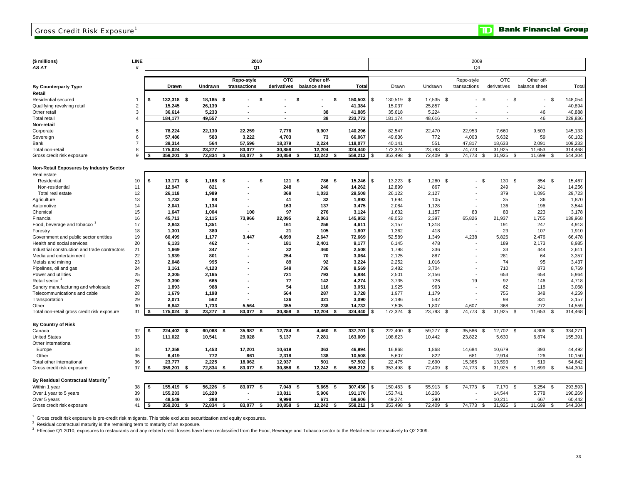**Bank Financial Group** 

**(\$ millions) LINE**

| (\$ millions)                                 | LINE                    |     |              |                | 2010                     |                          |                        |              |      |                 |                | 2009                     |                |                          |      |         |
|-----------------------------------------------|-------------------------|-----|--------------|----------------|--------------------------|--------------------------|------------------------|--------------|------|-----------------|----------------|--------------------------|----------------|--------------------------|------|---------|
| AS AT                                         | #                       |     |              |                | Q1                       |                          |                        |              |      |                 |                | Q <sub>4</sub>           |                |                          |      |         |
|                                               |                         |     |              |                |                          |                          |                        |              |      |                 |                |                          |                |                          |      |         |
|                                               |                         |     |              |                | Repo-style               | <b>OTC</b>               | Other off-             |              |      |                 |                | Repo-style               | <b>OTC</b>     | Other off-               |      |         |
| <b>By Counterparty Type</b>                   |                         |     | <b>Drawn</b> | Undrawn        | transactions             | derivatives              | balance sheet          | Tota         |      | Drawn           | Undrawn        | transactions             | derivatives    | balance sheet            |      | Total   |
| Retail                                        |                         |     |              |                |                          |                          |                        |              |      |                 |                |                          |                |                          |      |         |
| Residential secured                           | 1                       | \$  | 132,318 \$   | 18,185 \$      | -\$                      |                          | \$<br>- \$             | 150,503      | \$   | 130,519 \$      | 17,535 \$      | - \$<br>$\sim$           | - \$<br>÷      | $\overline{\phantom{a}}$ | - \$ | 148,054 |
| Qualifying revolving retail                   | $\overline{2}$          |     | 15,245       | 26,139         |                          |                          |                        | 41,384       |      | 15,037          | 25,857         |                          |                |                          |      | 40,894  |
| Other retail                                  | 3                       |     | 36,614       | 5,233          |                          |                          | 38                     | 41,885       |      | 35,618          | 5,224          |                          |                | 46                       |      | 40,888  |
| <b>Total retail</b>                           | $\overline{\mathbf{A}}$ |     | 184,177      | 49,557         | $\overline{a}$           | $\overline{\phantom{a}}$ | 38                     | 233,772      |      | 181,174         | 48,616         | $\overline{a}$           |                | 46                       |      | 229,836 |
| Non-retail                                    |                         |     |              |                |                          |                          |                        |              |      |                 |                |                          |                |                          |      |         |
| Corporate                                     | 5                       |     | 78,224       | 22,130         | 22,259                   | 7,776                    | 9,907                  | 140,296      |      | 82,547          | 22,470         | 22,953                   | 7,660          | 9,503                    |      | 145,133 |
| Sovereign                                     | 6                       |     | 57,486       | 583            | 3,222                    | 4,703                    | 73                     | 66,067       |      | 49,636          | 772            | 4,003                    | 5,632          | 59                       |      | 60,102  |
| Bank                                          | $\overline{7}$          |     | 39.314       | 564            | 57,596                   | 18,379                   | 2,224                  | 118,077      |      | 40.141          | 551            | 47,817                   | 18,633         | 2,091                    |      | 109,233 |
| Total non-retail                              | 8                       |     | 175.024      | 23.277         | 83.077                   | 30.858                   | 12.204                 | 324.440      |      | 172.324         | 23,793         | 74.773                   | 31.925         | 11.653                   |      | 314,468 |
| Gross credit risk exposure                    | 9                       | - 5 | 359,201      | 72,834<br>\$   | 83,077<br>-S             | 30,858<br>Ŝ.             | 12,242<br>- \$<br>- \$ | 558,212      | - \$ | 353,498<br>-9   | 72,409<br>- \$ | 74,773<br>- \$           | 31,925<br>- \$ | 11,699                   | - \$ | 544,304 |
|                                               |                         |     |              |                |                          |                          |                        |              |      |                 |                |                          |                |                          |      |         |
| Non-Retail Exposures by Industry Sector       |                         |     |              |                |                          |                          |                        |              |      |                 |                |                          |                |                          |      |         |
| Real estate                                   |                         |     |              |                |                          |                          |                        |              |      |                 |                |                          |                |                          |      |         |
| Residential                                   | 10                      | \$  | 13,171 \$    | $1,168$ \$     |                          | \$<br>121S               | 786 \$                 | 15,246       | \$   | 13,223 \$       | $1,260$ \$     | - \$                     | 130 \$         | 854 \$                   |      | 15,467  |
| Non-residential                               | 11                      |     | 12,947       | 821            |                          | 248                      | 246                    | 14,262       |      | 12,899          | 867            | $\overline{\phantom{a}}$ | 249            | 241                      |      | 14,256  |
| Total real estate                             | 12                      |     | 26,118       | 1,989          | $\overline{a}$           | 369                      | 1,032                  | 29,508       |      | 26,122          | 2,127          | $\overline{\phantom{a}}$ | 379            | 1,095                    |      | 29,723  |
| Agriculture                                   | 13                      |     | 1,732        | 88             |                          | 41                       | 32                     | 1,893        |      | 1,694           | 105            |                          | 35             | 36                       |      | 1,870   |
| Automotive                                    | 14                      |     | 2,041        | 1,134          |                          | 163                      | 137                    | 3,475        |      | 2.084           | 1,128          |                          | 136            | 196                      |      | 3,544   |
| Chemical                                      | 15                      |     | 1,647        | 1,004          | 100                      | 97                       | 276                    | 3,124        |      | 1,632           | 1,157          | 83                       | 83             | 223                      |      | 3,178   |
| Financial                                     | 16                      |     | 45,713       | 2,115          | 73,966                   | 22,095                   | 2,063                  | 145,952      |      | 48,053          | 2,397          | 65,826                   | 21,937         | 1,755                    |      | 139,968 |
| Food, beverage and tobacco <sup>3</sup>       | 17                      |     | 2,843        | 1,351          | $\overline{\phantom{a}}$ | 161                      | 256                    | 4,611        |      | 3,157           | 1,318          | $\overline{\phantom{a}}$ | 191            | 247                      |      | 4,913   |
| Forestry                                      | 18                      |     | 1,301        | 380            |                          | 21                       | 105                    | 1,807        |      | 1,362           | 418            | $\overline{\phantom{a}}$ | 23             | 107                      |      | 1,910   |
| Government and public sector entities         | 19                      |     | 60,499       | 1,177          | 3,447                    | 4,899                    | 2,647                  | 72,669       |      | 52,589          | 1,349          | 4,238                    | 5,826          | 2,476                    |      | 66,478  |
| Health and social services                    | 20                      |     | 6,133        | 462            |                          | 181                      | 2,401                  | 9,177        |      | 6,145           | 478            | $\overline{a}$           | 189            | 2,173                    |      | 8,985   |
| Industrial construction and trade contractors | 21                      |     | 1,669        | 347            |                          | 32                       | 460                    | 2,508        |      | 1,798           | 336            |                          | 33             | 444                      |      | 2,611   |
| Media and entertainment                       | 22                      |     | 1,939        | 801            |                          | 254                      | 70                     | 3,064        |      | 2,125           | 887            |                          | 281            | 64                       |      | 3,357   |
| Metals and mining                             | 23                      |     | 2,048        | 995            |                          | 89                       | 92                     | 3.224        |      | 2.252           | 1.016          |                          | 74             | 95                       |      | 3.437   |
| Pipelines, oil and gas                        | 24                      |     | 3,161        | 4,123          |                          | 549                      | 736                    | 8,569        |      | 3,482           | 3,704          |                          | 710            | 873                      |      | 8,769   |
| Power and utilities                           | 25                      |     | 2,305        | 2,165          |                          | 721                      | 793                    | 5,984        |      | 2,501           | 2,156          |                          | 653            | 654                      |      | 5,964   |
| Retail sector <sup>3</sup>                    | 26                      |     | 3,390        | 665            |                          | 77                       | 142                    | 4,274        |      | 3,735           | 726            | 19                       | 92             | 146                      |      | 4,718   |
| Sundry manufacturing and wholesale            | 27                      |     | 1,893        | 988            |                          | 54                       | 116                    | 3,051        |      | 1,925           | 963            |                          | 62             | 118                      |      | 3,068   |
| Telecommunications and cable                  | 28                      |     | 1,679        | 1,198          |                          | 564                      | 287                    | 3,728        |      | 1,977           | 1,179          |                          | 755            | 348                      |      | 4,259   |
| Transportation                                | 29                      |     | 2,071        | 562            |                          | 136                      | 321                    | 3,090        |      | 2,186           | 542            |                          | 98             | 331                      |      | 3,157   |
| Other                                         | 30                      |     | 6,842        | 1,733          | 5,564                    | 355                      | 238                    | 14,732       |      | 7,505           | 1,807          | 4,607                    | 368            | 272                      |      | 14,559  |
| Total non-retail gross credit risk exposure   | 31                      |     | 175,024      | 23,277<br>- \$ | 83,077<br>-S             | 30,858<br>-\$            | 12,204<br>Ŝ.           | 324,440      |      | 172,324<br>- \$ | 23,793<br>- \$ | 74,773<br>- \$           | 31,925         | 11,653                   | - \$ | 314,468 |
|                                               |                         |     |              |                |                          |                          |                        |              |      |                 |                |                          |                |                          |      |         |
| By Country of Risk                            |                         |     |              |                |                          |                          |                        |              |      |                 |                |                          |                |                          |      |         |
| Canada                                        | 32                      | \$  | 224,402      | 60,068<br>-\$  | 35,987<br>-\$<br>-\$     | 12,784                   | 4,460<br>\$<br>\$      | 337,701      | - \$ | 222,400<br>- \$ | 59,277 \$      | 35,586<br>-S             | 12,702 \$      | 4,306                    | - \$ | 334,271 |
|                                               | 33                      |     | 111,022      | 10,541         | 29,028                   | 5,137                    | 7,281                  |              |      | 108,623         | 10,442         | 23,822                   | 5,630          | 6,874                    |      | 155,391 |
| <b>United States</b>                          |                         |     |              |                |                          |                          |                        | 163,009      |      |                 |                |                          |                |                          |      |         |
| Other international                           |                         |     |              |                |                          |                          |                        |              |      |                 |                |                          |                |                          |      |         |
| Europe                                        | 34                      |     | 17,358       | 1,453          | 17,201                   | 10,619                   | 363                    | 46,994       |      | 16,868          | 1,868          | 14,684                   | 10,679         | 393                      |      | 44,492  |
| Other                                         | 35                      |     | 6.419        | 772            | 861                      | 2,318                    | 138                    | 10,508       |      | 5,607           | 822            | 681                      | 2,914          | 126                      |      | 10,150  |
| Total other international                     | 36<br>37                |     | 23.777       | 2,225          | 18,062                   | 12,937                   | 501                    | 57,502       |      | 22,475          | 2,690          | 15,365                   | 13,593         | 519                      |      | 54,642  |
| Gross credit risk exposure                    |                         | Ŝ.  | 359,201      | 72,834<br>- \$ | 83,077<br>-\$<br>- \$    | 30,858                   | 12,242<br>-\$<br>£.    | 558,212      | - SS | 353,498<br>- \$ | 72,409<br>- \$ | 74,773<br>- \$           | 31,925         | 11,699                   |      | 544,304 |
|                                               |                         |     |              |                |                          |                          |                        |              |      |                 |                |                          |                |                          |      |         |
| By Residual Contractual Maturity <sup>2</sup> |                         |     |              |                |                          |                          |                        |              |      |                 |                |                          |                |                          |      |         |
| Within 1 year                                 | 38                      | \$  | 155,419      | 56,226<br>-\$  | 83,077 \$<br>-\$         | 7,049                    | 5,665<br>\$<br>\$      | 307,436      | \$   | 150,483<br>- \$ | 55,913 \$      | 74,773<br>\$             | 7,170<br>- \$  | 5,254                    | - \$ | 293,593 |
| Over 1 year to 5 years                        | 39                      |     | 155,233      | 16,220         |                          | 13,811                   | 5,906                  | 191,170      |      | 153,741         | 16,206         |                          | 14,544         | 5,778                    |      | 190,269 |
| Over 5 years                                  | 40                      |     | 48,549       | 388            |                          | 9,998                    | 671                    | 59,606       |      | 49,274          | 290            |                          | 10,211         | 667                      |      | 60,442  |
| Gross credit risk exposure                    | 41                      | \$  | 359,201      | 72.834<br>\$   | $83,077$ \$<br>- \$      | 30,858                   | 12,242<br>-\$<br>- \$  | $558,212$ \$ |      | 353,498<br>-\$  | 72,409<br>- \$ | 74,773<br>\$             | 31,925<br>- 35 | 11,699                   | -S   | 544,304 |

 $^1\,$  Gross credit risk exposure is pre-credit risk mitigants. This table excludes securitization and equity exposures.<br><sup>2</sup> Residual contractual maturity is the remaining term to maturity of an exposure.

<sup>3</sup> Effective Q1 2010, exposures to restaurants and any related credit losses have been reclassified from the Food, Beverage and Tobacco sector to the Retail sector retroactively to Q2 2009.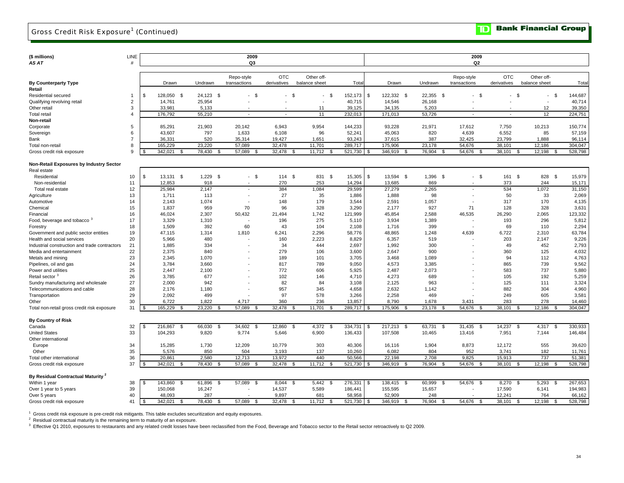## Gross Credit Risk Exposure<sup>1</sup> (Continued)

**Bank Financial Group**  $\blacksquare$ 

| (\$ millions)                                 | LINE           |     |                               |                          | 2009                     |                        |                                     |                   |      |                   |                         | 2009                     |                                  |                      |                   |
|-----------------------------------------------|----------------|-----|-------------------------------|--------------------------|--------------------------|------------------------|-------------------------------------|-------------------|------|-------------------|-------------------------|--------------------------|----------------------------------|----------------------|-------------------|
| AS AT                                         | #              |     |                               |                          | Q3                       |                        |                                     |                   |      |                   |                         | Q <sub>2</sub>           |                                  |                      |                   |
|                                               |                |     |                               |                          |                          |                        |                                     |                   |      |                   |                         |                          |                                  |                      |                   |
|                                               |                |     |                               |                          | Repo-style               | <b>OTC</b>             | Other off-                          |                   |      |                   |                         | Repo-style               | <b>OTC</b>                       | Other off-           |                   |
| <b>By Counterparty Type</b>                   |                |     | Drawn                         | Undrawn                  | transactions             | derivatives            | balance sheet                       | Tota              |      | Drawn             | Undrawn                 | transactions             | derivatives                      | balance sheet        | Tota              |
| Retail                                        |                |     |                               |                          |                          |                        |                                     |                   |      |                   |                         |                          |                                  |                      |                   |
| Residential secured                           | $\mathbf{1}$   | \$  | 128,050<br>- \$               | 24.123 \$                | \$<br>$\blacksquare$     | -S<br>$\blacksquare$   | - \$<br>$\overline{\phantom{a}}$    | 152,173           | - \$ | 122,332 \$        | 22,355 \$               | $-$ \$                   | - \$<br>$\overline{\phantom{a}}$ | - \$<br>$\sim$       | 144,687           |
| Qualifying revolving retail                   | $\overline{2}$ |     | 14,761                        | 25,954                   |                          |                        |                                     | 40,715            |      | 14,546            | 26,168                  |                          |                                  | ÷                    | 40,714            |
| Other retail                                  | 3              |     | 33,981                        | 5,133                    |                          |                        | 11                                  | 39,125            |      | 34,135            | 5,203                   |                          |                                  | 12                   | 39,350            |
| <b>Total retail</b>                           | 4              |     | 176.792                       | 55.210                   | $\overline{\phantom{a}}$ | $\blacksquare$         | 11                                  | 232.013           |      | 171,013           | 53.726                  | $\overline{\phantom{a}}$ | ÷,                               | 12                   | 224,751           |
| Non-retail                                    |                |     |                               |                          |                          |                        |                                     |                   |      |                   |                         |                          |                                  |                      |                   |
| Corporate                                     | 5              |     | 85,291                        | 21,903                   | 20,142                   | 6,943                  | 9,954                               | 144,233           |      | 93,228            | 21,971                  | 17,612                   | 7,750                            | 10,213               | 150,774           |
| Sovereign                                     | 6              |     | 43.607                        | 797                      | 1,633                    | 6,108                  | 96                                  | 52,241            |      | 45,063            | 820                     | 4,639                    | 6.552                            | 85                   | 57,159            |
| Bank                                          | $\overline{7}$ |     | 36,331                        | 520                      | 35,314                   | 19,427                 | 1,651                               | 93,243            |      | 37,615            | 387                     | 32,425                   | 23,799                           | 1,888                | 96,114            |
| Total non-retail                              | 8              |     | 165,229                       | 23,220                   | 57,089                   | 32,478                 | 11,701                              | 289,717           |      | 175,906           | 23,178                  | 54,676                   | 38,101                           | 12,186               | 304,047           |
| Gross credit risk exposure                    | 9              |     | 342,021<br>\$                 | 78,430<br>$\mathfrak{R}$ | 57,089<br>$\mathcal{F}$  | 32,478                 | 11,712<br>- \$<br>- \$              | 521,730           | - \$ | 346,919<br>- \$   | 76,904<br>-\$           | 54,676<br>- \$           | 38,101<br>- \$                   | 12,198<br>- \$       | 528,798           |
| Non-Retail Exposures by Industry Sector       |                |     |                               |                          |                          |                        |                                     |                   |      |                   |                         |                          |                                  |                      |                   |
|                                               |                |     |                               |                          |                          |                        |                                     |                   |      |                   |                         |                          |                                  |                      |                   |
| Real estate                                   | 10             | \$  | $13,131$ \$                   | 1,229<br>- \$            | $-$ \$                   | 114S                   | 831 \$                              | 15,305            | \$   | 13,594 \$         | 1,396 \$                | $-$ \$                   | 161<br>- \$                      | 828 \$               | 15,979            |
| Residential<br>Non-residential                | 11             |     | 12,853                        | 918                      |                          | 270                    | 253                                 | 14,294            |      | 13,685            | 869                     | $\overline{\phantom{a}}$ | 373                              | 244                  | 15,171            |
| Total real estate                             | 12             |     | 25,984                        | 2,147                    |                          | 384                    | 1.084                               | 29,599            |      | 27,279            | 2,265                   |                          | 534                              | 1,072                | 31,150            |
| Agriculture                                   | 13             |     | 1,711                         | 113                      |                          | 27                     | 35                                  | 1,886             |      | 1,888             | 98                      |                          | 50                               | 33                   | 2,069             |
| Automotive                                    | 14             |     | 2,143                         | 1,074                    |                          | 148                    | 179                                 | 3,544             |      | 2,591             | 1,057                   | $\overline{\phantom{a}}$ | 317                              | 170                  | 4,135             |
| Chemical                                      | 15             |     | 1,837                         | 959                      | 70                       | 96                     | 328                                 | 3,290             |      | 2,177             | 927                     | 71                       | 128                              | 328                  | 3,631             |
| Financial                                     | 16             |     | 46,024                        | 2,307                    | 50,432                   | 21,494                 | 1,742                               | 121,999           |      | 45,854            | 2,588                   | 46,535                   | 26,290                           | 2,065                | 123,332           |
| Food, beverage and tobacco <sup>3</sup>       | 17             |     | 3,329                         | 1.310                    |                          | 196                    | 275                                 | 5,110             |      | 3,934             | 1,389                   |                          | 193                              | 296                  | 5,812             |
| Forestry                                      | 18             |     | 1,509                         | 392                      | 60                       | 43                     | 104                                 | 2,108             |      | 1,716             | 399                     |                          | 69                               | 110                  | 2,294             |
| Government and public sector entities         | 19             |     | 47,115                        | 1,314                    | 1,810                    | 6,241                  | 2,296                               | 58,776            |      | 48,865            | 1,248                   | 4,639                    | 6,722                            | 2,310                | 63,784            |
| Health and social services                    | 20             |     | 5,966                         | 480                      |                          | 160                    | 2,223                               | 8,829             |      | 6,357             | 519                     |                          | 203                              | 2,147                | 9,226             |
| Industrial construction and trade contractors | 21             |     | 1,885                         | 334                      |                          | 34                     | 444                                 | 2,697             |      | 1,992             | 300                     |                          | 49                               | 452                  | 2,793             |
| Media and entertainment                       | 22             |     | 2,375                         | 840                      |                          | 279                    | 106                                 | 3,600             |      | 2,647             | 900                     |                          | 360                              | 125                  | 4,032             |
| Metals and mining                             | 23             |     | 2,345                         | 1,070                    |                          | 189                    | 101                                 | 3,705             |      | 3,468             | 1,089                   |                          | 94                               | 112                  | 4,763             |
| Pipelines, oil and gas                        | 24             |     | 3,784                         | 3,660                    |                          | 817                    | 789                                 | 9,050             |      | 4,573             | 3,385                   |                          | 865                              | 739                  | 9,562             |
| Power and utilities                           | 25             |     | 2,447                         | 2,100                    |                          | 772                    | 606                                 | 5,925             |      | 2,487             | 2,073                   |                          | 583                              | 737                  | 5,880             |
| Retail sector <sup>3</sup>                    | 26             |     | 3.785                         | 677                      |                          | 102                    | 146                                 | 4,710             |      | 4,273             | 689                     |                          | 105                              | 192                  | 5,259             |
| Sundry manufacturing and wholesale            | 27             |     | 2,000                         | 942                      |                          | 82                     | 84                                  | 3,108             |      | 2,125             | 963                     |                          | 125                              | 111                  | 3,324             |
| Telecommunications and cable                  | 28             |     | 2,176                         | 1,180                    |                          | 957                    | 345                                 | 4,658             |      | 2,632             | 1,142                   |                          | 882                              | 304                  | 4,960             |
| Transportation                                | 29             |     | 2,092                         | 499                      |                          | 97                     | 578                                 | 3,266             |      | 2,258             | 469                     |                          | 249                              | 605                  | 3,581             |
| Other                                         | 30             |     | 6,722                         | 1,822                    | 4,717                    | 360                    | 236                                 | 13,857            |      | 8,790             | 1,678                   | 3,431                    | 283                              | 278                  | 14,460            |
| Total non-retail gross credit risk exposure   | 31             | -96 | 165,229                       | 23,220<br>\$.            | 57,089                   | 32,478                 | 11,701<br>\$<br>. ື                 | 289,717           |      | 175,906           | 23,178<br>\$            | 54,676                   | 38,101                           | 12,186<br>\$<br>- \$ | 304.047           |
|                                               |                |     |                               |                          |                          |                        |                                     |                   |      |                   |                         |                          |                                  |                      |                   |
| <b>By Country of Risk</b>                     |                |     |                               |                          |                          |                        |                                     |                   |      |                   |                         |                          |                                  |                      |                   |
| Canada                                        | 32             |     | 216,867<br>$\mathbf{s}$       | 66,030<br>$\mathfrak{s}$ | 34,602<br>٩.             | 12,860                 | <b>S</b><br>4,372<br>$\mathfrak{S}$ | 334,731           | -\$  | 217,213<br>- \$   | 63,731<br>\$            | 31,435<br>- \$           | 14,237<br>\$                     | 4,317<br>- \$        | 330,933           |
| <b>United States</b>                          | 33             |     | 104,293                       | 9,820                    | 9,774                    | 5,646                  | 6,900                               | 136,433           |      | 107,508           | 10,465                  | 13,416                   | 7,951                            | 7,144                | 146,484           |
| Other international                           |                |     |                               |                          |                          |                        |                                     |                   |      |                   |                         |                          |                                  |                      |                   |
| Europe                                        | 34             |     | 15,285                        | 1,730                    | 12,209                   | 10,779                 | 303                                 | 40,306            |      | 16,116            | 1,904                   | 8,873                    | 12,172                           | 555                  | 39,620            |
| Other                                         | 35<br>36       |     | 5,576                         | 850                      | 504                      | 3,193                  | 137<br>440                          | 10,260            |      | 6,082             | 804                     | 952                      | 3,741                            | 182                  | 11,761            |
| Total other international                     | 37             |     | 20,861<br>342,021             | 2,580<br>78,430          | 12,713<br>-9             | 13,972<br>32,478<br>-9 | 11,712<br>- \$                      | 50,566<br>521,730 | -96  | 22,198<br>346,919 | 2,708<br>76,904<br>£.   | 9,825<br>54,676<br>- 9   | 15,913<br>-\$                    | 737<br>12,198<br>-\$ | 51,381<br>528,798 |
| Gross credit risk exposure                    |                |     |                               |                          | 57,089                   |                        |                                     |                   |      |                   |                         |                          | 38,101                           |                      |                   |
| By Residual Contractual Maturity <sup>2</sup> |                |     |                               |                          |                          |                        |                                     |                   |      |                   |                         |                          |                                  |                      |                   |
| Within 1 year                                 | 38             | \$  | 143,860<br>- \$               | 61,896<br>\$             | 57,089<br>- \$           | 8,044                  | \$<br>5,442<br>- \$                 | 276,331           | \$   | 138,415 \$        | 60,999<br>-\$           | 54,676<br>- \$           | 8,270<br>\$                      | 5,293<br>- \$        | 267,653           |
| Over 1 year to 5 years                        | 39             |     | 150,068                       | 16,247                   |                          | 14,537                 | 5,589                               | 186,441           |      | 155,595           | 15,657                  |                          | 17,590                           | 6,141                | 194,983           |
| Over 5 years                                  | 40             |     | 48,093                        | 287                      |                          | 9,897                  | 681                                 | 58,958            |      | 52,909            | 248                     |                          | 12,241                           | 764                  | 66,162            |
| Gross credit risk exposure                    | 41             | \$. | 342.021<br>$\mathbf{\hat{f}}$ | 78,430<br>£.             | 57,089<br>- \$           | 32,478<br>-9           | 11.712<br>$\mathcal{S}$             | 521,730           | . ፍ  | 346,919<br>՝ Գ    | 76,904<br>$\mathcal{R}$ | 54,676<br>- \$           | 38.101<br>\$                     | 12.198<br>- \$       | 528,798           |

<sup>1</sup> Gross credit risk exposure is pre-credit risk mitigants. This table excludes securitization and equity exposures.<br><sup>2</sup> Residual contractual maturity is the remaining term to maturity of an exposure.<br><sup>3</sup> Effective Q1 201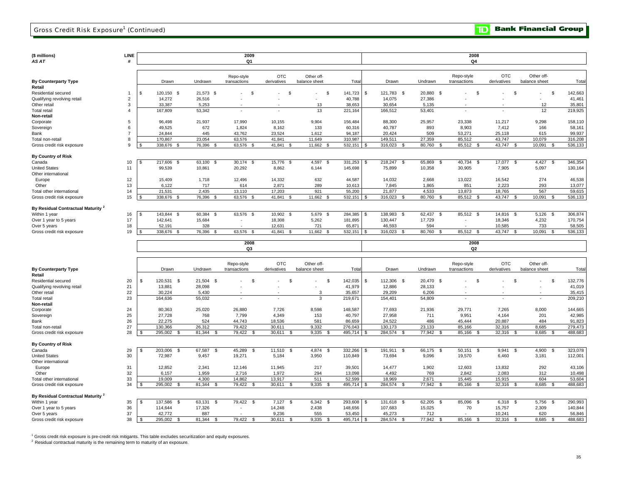| (\$ millions)<br>AS AT                        | <b>LINE</b><br># |    |                         |              | 2009<br>Q <sub>1</sub>   |                |                |         |                               |                        | 2008<br>Q4               |                    |                |         |
|-----------------------------------------------|------------------|----|-------------------------|--------------|--------------------------|----------------|----------------|---------|-------------------------------|------------------------|--------------------------|--------------------|----------------|---------|
|                                               |                  |    |                         |              |                          |                |                |         |                               |                        |                          |                    |                |         |
|                                               |                  |    |                         |              |                          |                |                |         |                               |                        |                          |                    |                |         |
|                                               |                  |    |                         |              | Repo-style               | <b>OTC</b>     | Other off-     |         |                               |                        | Repo-style               | <b>OTC</b>         | Other off-     |         |
| <b>By Counterparty Type</b>                   |                  |    | Drawn                   | Undrawn      | transactions             | derivatives    | balance sheet  | Tota    | Drawn                         | Undrawn                | transactions             | derivatives        | balance sheet  | Tota    |
| Retail                                        |                  |    |                         |              |                          |                |                |         |                               |                        |                          |                    |                |         |
| Residential secured                           | $\overline{1}$   | \$ | 120,150 \$              | 21,573 \$    | \$<br>÷.                 | S.<br>×.       | - \$           | 141,723 | -S<br>121,783 \$              | 20,880 \$              | - \$                     | $\mathcal{S}$      | -S             | 142,663 |
| Qualifying revolving retail                   | $\overline{2}$   |    | 14,272                  | 26,516       |                          |                |                | 40,788  | 14,075                        | 27,386                 |                          |                    |                | 41,461  |
| Other retail                                  | 3                |    | 33,387                  | 5,253        |                          |                | 13             | 38,653  | 30,654                        | 5,135                  |                          |                    | 12             | 35,801  |
| Total retail                                  | $\overline{A}$   |    | 167,809                 | 53,342       | $\overline{\phantom{a}}$ | ä,             | 13             | 221,164 | 166,512                       | 53,401                 | $\overline{\phantom{a}}$ |                    | 12             | 219,925 |
| Non-retail                                    |                  |    |                         |              |                          |                |                |         |                               |                        |                          |                    |                |         |
| Corporate                                     | 5                |    | 96,498                  | 21,937       | 17,990                   | 10.155         | 9,904          | 156,484 | 88,300                        | 25,957                 | 23,338                   | 11,217             | 9,298          | 158,110 |
| Sovereign                                     | 6                |    | 49,525                  | 672          | 1,824                    | 8,162          | 133            | 60,316  | 40,787                        | 893                    | 8,903                    | 7,412              | 166            | 58,161  |
| Bank                                          | $\overline{7}$   |    | 24,844                  | 445          | 43,762                   | 23,524         | 1,612          | 94,187  | 20,424                        | 509                    | 53,271                   | 25,118             | 615            | 99,937  |
| Total non-retail                              | 8                |    | 170.867                 | 23,054       | 63,576                   | 41.841         | 11,649         | 310,987 | 149,511                       | 27,359                 | 85,512                   | 43,747             | 10,079         | 316,208 |
| Gross credit risk exposure                    | 9                |    | 338,676                 | 76,396       | 63,576<br>- 93           | 41,841         | 11,662         | 532,151 | 316,023                       | 80,760<br>- 96         | 85,512<br>-8             | 43,747<br>- \$     | 10,091         | 536,133 |
|                                               |                  |    |                         |              |                          |                |                |         |                               |                        |                          |                    |                |         |
| By Country of Risk                            |                  |    |                         |              |                          |                |                |         |                               |                        |                          |                    |                |         |
| Canada                                        | 10               |    | 217,606<br>$\mathbf{s}$ | 63,100 \$    | 30,174 \$                | 15,776 \$      | 4,597 \$       | 331,253 | 218,247 \$<br>$\mathbf{s}$    | 65,869<br>$\mathbf{s}$ | 40,734<br><b>S</b>       | 17,077 \$          | 4,427<br>\$    | 346,354 |
| <b>United States</b>                          | 11               |    | 99,539                  | 10,861       | 20,292                   | 8,862          | 6,144          | 145,698 | 75,899                        | 10,358                 | 30,905                   | 7,905              | 5,097          | 130,164 |
| Other international                           |                  |    |                         |              |                          |                |                |         |                               |                        |                          |                    |                |         |
| Europe                                        | 12               |    | 15,409                  | 1,718        | 12,496                   | 14,332         | 632            | 44,587  | 14,032                        | 2,668                  | 13,022                   | 16,542             | 274            | 46,538  |
| Other                                         | 13               |    | 6,122                   | 717          | 614                      | 2,871          | 289            | 10,613  | 7,845                         | 1,865                  | 851                      | 2,223              | 293            | 13,077  |
| Total other international                     | 14               |    | 21,531                  | 2,435        | 13,110                   | 17,203         | 921            | 55,200  | 21,877                        | 4,533                  | 13,873                   | 18,765             | 567            | 59,615  |
| Gross credit risk exposure                    | 15               |    | 338,676<br>- \$         | 76,396 \$    | 63,576 \$                | 41,841 \$      | 11,662 \$      | 532,151 | 316,023<br>-S<br>- \$         | 80,760<br>-S           | 85,512<br>- \$           | 43,747<br>- \$     | 10,091<br>- \$ | 536,133 |
|                                               |                  |    |                         |              |                          |                |                |         |                               |                        |                          |                    |                |         |
| By Residual Contractual Maturity <sup>2</sup> |                  |    |                         |              |                          |                |                |         |                               |                        |                          |                    |                |         |
| Within 1 year                                 | 16               | \$ | 143,844 \$              | 60,384 \$    | 63,576 \$                | $10,902$ \$    | 5,679 \$       | 284,385 | 138,983 \$<br>\$              | $62,437$ \$            | 85,512 \$                | 14,816 \$          | $5,126$ \$     | 306,874 |
| Over 1 year to 5 years                        | 17               |    | 142,641                 | 15,684       |                          | 18,308         | 5,262          | 181,895 | 130,447                       | 17,729                 |                          | 18,346             | 4,232          | 170,754 |
| Over 5 years                                  | 18               |    | 52.191                  | 328          |                          | 12.631         | 721            | 65.871  | 46.593                        | 594                    |                          | 10,585             | 733            | 58,505  |
| Gross credit risk exposure                    | 19               | S. | 338.676<br>- \$         | 76,396 \$    | 63,576 \$                | 41,841<br>- \$ | 11,662 \$      | 532.151 | 316,023<br>\$<br>- 96         | 80,760<br>- \$         | 85,512<br><b>S</b>       | 43,747<br><b>S</b> | 10.091<br>- \$ | 536,133 |
|                                               |                  |    |                         |              |                          |                |                |         |                               |                        |                          |                    |                |         |
|                                               |                  |    |                         |              | 2008<br>Q <sub>3</sub>   |                |                |         |                               |                        | 2008<br>Q2               |                    |                |         |
|                                               |                  |    |                         |              |                          |                |                |         |                               |                        |                          |                    |                |         |
|                                               |                  |    |                         |              |                          |                |                |         |                               |                        |                          |                    |                |         |
|                                               |                  |    |                         |              | Repo-style               | <b>OTC</b>     | Other off-     |         |                               |                        | Repo-style               | <b>OTC</b>         | Other off-     |         |
| <b>By Counterparty Type</b>                   |                  |    | Drawn                   | Undrawn      | transactions             | derivatives    | balance sheet  | Tota    | Drawn                         | Undrawn                | transactions             | derivatives        | balance sheet  | Tota    |
| Retail                                        |                  |    |                         |              |                          |                |                |         |                               |                        |                          |                    |                |         |
| Residential secured                           | 20               | \$ | 120,531 \$              | 21,504 \$    | \$                       | \$             | \$<br>٠        | 142,035 | 112,306 \$<br>-S              | 20,470 \$              | \$                       | - \$               | - \$           | 132,776 |
| Qualifying revolving retail                   | 21               |    | 13,881                  | 28,098       |                          |                |                | 41,979  | 12,886                        | 28,133                 |                          |                    |                | 41,019  |
| Other retail                                  | 22               |    | 30.224                  | 5,430        |                          |                | 3              | 35,657  | 29,209                        | 6,206                  |                          |                    |                | 35,415  |
| <b>Total retail</b>                           | 23               |    | 164,636                 | 55,032       |                          |                | $\overline{3}$ | 219,671 | 154,401                       | 54,809                 |                          |                    |                | 209,210 |
| Non-retail                                    |                  |    |                         |              |                          |                |                |         |                               |                        |                          |                    |                |         |
| Corporate                                     | 24               |    | 80.363                  | 25,020       | 26,880                   | 7,726          | 8,598          | 148.587 | 77.693                        | 21.936                 | 29.771                   | 7.265              | 8,000          | 144,665 |
| Sovereign                                     | 25               |    | 27,728                  | 768          | 7,799                    | 4,349          | 153            | 40,797  | 27,958                        | 711                    | 9,951                    | 4,164              | 201            | 42,985  |
| Bank                                          | 26               |    | 22,275                  | 524          | 44,743                   | 18,536         | 581            | 86,659  | 24,522                        | 486                    | 45,444                   | 20,887             | 484            | 91,823  |
| Total non-retail                              | 27               |    | 130,366                 | 26,312       | 79,422                   | 30,611         | 9,332          | 276,043 | 130,173                       | 23,133                 | 85,166                   | 32,316             | 8,685          | 279,473 |
| Gross credit risk exposure                    | 28               | -S | 295,002<br>- \$         | 81,344<br>s. | 79,422<br>-S             | 30,611<br>-S   | 9,335<br>-S    | 495,714 | 284,574<br>- \$<br>- 55       | 77,942<br>- \$         | 85,166<br>- \$           | 32,316<br>- \$     | 8,685<br>- \$  | 488,683 |
|                                               |                  |    |                         |              |                          |                |                |         |                               |                        |                          |                    |                |         |
| <b>By Country of Risk</b>                     |                  |    |                         |              |                          |                |                |         |                               |                        |                          |                    |                |         |
| Canada                                        | 29               | \$ | 203,006<br>\$           | 67,587<br>\$ | 45,289<br>\$             | 11,510<br>S.   | 4,874<br>\$    | 332,266 | 191,911<br>$\mathbb{S}$<br>-S | 66,175<br>\$           | 50,151<br>\$             | 9,941<br>\$        | 4,900<br>\$    | 323,078 |
| <b>United States</b>                          | 30               |    | 72,987                  | 9,457        | 19,271                   | 5,184          | 3,950          | 110,849 | 73,694                        | 9,096                  | 19,570                   | 6,460              | 3,181          | 112,001 |
| Other international                           |                  |    |                         |              |                          |                |                |         |                               |                        |                          |                    |                |         |
| Europe                                        | 31               |    | 12,852                  | 2,341        | 12,146                   | 11,945         | 217            | 39,501  | 14,477                        | 1,902                  | 12,603                   | 13,832             | 292            | 43,106  |
| Other                                         | 32               |    | 6,157                   | 1,959        | 2,716                    | 1,972          | 294            | 13,098  | 4,492                         | 769                    | 2,842                    | 2,083              | 312            | 10,498  |
| Total other international                     | 33               |    | 19.009                  | 4,300        | 14,862                   | 13,917         | 511            | 52,599  | 18,969                        | 2,671                  | 15,445                   | 15,915             | 604            | 53,604  |
| Gross credit risk exposure                    | 34               |    | 295,002<br>\$.          | 81,344<br>£. | 79,422                   | 30,611         | 9,335          | 495,714 | 284,574                       | 77,942<br>£.           | 85,166                   | 32,316             | 8,685          | 488,683 |
|                                               |                  |    |                         |              |                          |                |                |         |                               |                        |                          |                    |                |         |

35 | \$137,586 \$63,131 \$79,422 \$7,127 \$6,342 \$293,608 | \$131,618 \$62,205 \$85,096 \$6,318 \$5,756 \$290,993 Over 1 year to 5 years 36 | 114,644 17,326 14,248 2,438 148,656 | 10,7,683 15,025 70 15,757 2,309 140,844 Over 5 years 37 | 42,772 887 9,236 555 53,450 | 45,273 712 10,241 620 56,846 38 295,002 \$ 81,344 \$ 79,422 \$ 30,611 \$ 9,335 \$ 495,714 \$ 284,574 \$ 77,942 \$ 85,166 \$ 32,316 \$ 8,685 \$ 488,683 \$ **By Residual Contractual Maturity <sup>2</sup><br>Within 1 year** Gross credit risk exposure

<sup>1</sup> Gross credit risk exposure is pre-credit risk mitigants. This table excludes securitization and equity exposures.

 $2$  Residual contractual maturity is the remaining term to maturity of an exposure.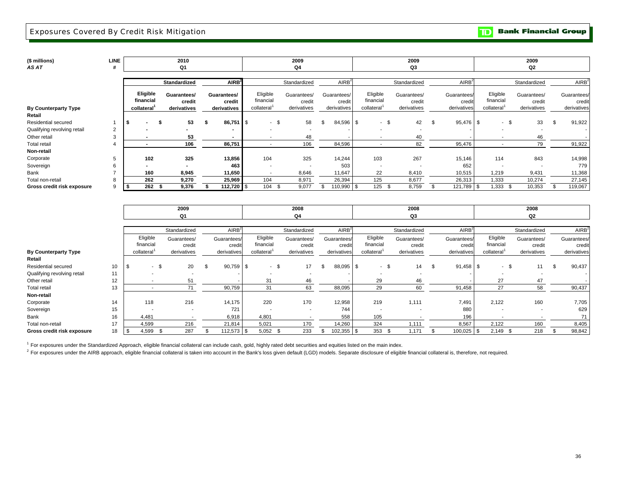### Exposures Covered By Credit Risk Mitigation

**Bank Financial Group**  $\mathbf{D}$ 

| (\$ millions)<br>AS AT      | LINE<br>#      |                          |     | 2010<br>Q1            |    |                        |                         | 2009<br>Q4   |                          |                       |                          |     | 2009<br>Q3            |                       |                          |        | 2009<br>Q2               |                       |
|-----------------------------|----------------|--------------------------|-----|-----------------------|----|------------------------|-------------------------|--------------|--------------------------|-----------------------|--------------------------|-----|-----------------------|-----------------------|--------------------------|--------|--------------------------|-----------------------|
|                             |                |                          |     |                       |    |                        |                         |              |                          |                       |                          |     |                       |                       |                          |        |                          |                       |
|                             |                |                          |     | Standardized          |    | AIRB <sup>2</sup>      |                         | Standardized |                          | AIRB <sup>2</sup>     |                          |     | Standardized          | AlRB <sup>2</sup>     |                          |        | Standardized             | AIRB <sup>2</sup>     |
|                             |                | Eligible<br>financial    |     | Guarantees/<br>credit |    | Guarantees/<br>credit  | Eligible<br>financial   | Guarantees/  | credit                   | Guarantees/<br>credit | Eligible<br>financial    |     | Guarantees/<br>credit | Guarantees/<br>credit | Eligible<br>financial    |        | Guarantees/<br>credit    | Guarantees/<br>credit |
| <b>By Counterparty Type</b> |                | collateral               |     | derivatives           |    | derivatives            | collateral <sup>1</sup> |              | derivatives              | derivatives           | collateral <sup>1</sup>  |     | derivatives           | derivatives           | collateral <sup>1</sup>  |        | derivatives              | derivatives           |
| Retail                      |                |                          |     |                       |    |                        |                         |              |                          |                       |                          |     |                       |                       |                          |        |                          |                       |
| Residential secured         |                | $\overline{\phantom{0}}$ | -S  | 53                    | -S | $86,751$ $\frac{8}{3}$ | - \$                    |              | 58                       | \$<br>84,596 \$       | $-$ \$                   |     | 42                    | 95,476 \$             |                          | $-$ \$ | 33                       | 91,922                |
| Qualifying revolving retail | 2              |                          |     |                       |    |                        |                         |              |                          |                       | ۰.                       |     |                       |                       |                          |        |                          |                       |
| Other retail                | 3              | $\overline{\phantom{0}}$ |     | 53                    |    | $\sim$                 | $\sim$                  |              | 48                       |                       | $\overline{\phantom{a}}$ |     | 40                    |                       | $\overline{\phantom{a}}$ |        | 46                       |                       |
| <b>Total retail</b>         | $\overline{4}$ | $\overline{\phantom{0}}$ |     | 106                   |    | 86,751                 | $\sim$                  |              | 106                      | 84,596                | $\overline{\phantom{a}}$ |     | 82                    | 95,476                | $\overline{\phantom{a}}$ |        | 79                       | 91,922                |
| Non-retail                  |                |                          |     |                       |    |                        |                         |              |                          |                       |                          |     |                       |                       |                          |        |                          |                       |
| Corporate                   |                | 102                      |     | 325                   |    | 13,856                 | 104                     |              | 325                      | 14,244                | 103                      |     | 267                   | 15,146                | 114                      |        | 843                      | 14,998                |
| Sovereign                   |                | $\blacksquare$           |     | $\blacksquare$        |    | 463                    | $\sim$                  |              | $\overline{\phantom{a}}$ | 503                   | $\overline{\phantom{a}}$ |     |                       | 652                   | $\overline{\phantom{a}}$ |        | $\overline{\phantom{a}}$ | 779                   |
| Bank                        |                | 160                      |     | 8,945                 |    | 11,650                 | $\sim$                  |              | 8,646                    | 11,647                | 22                       |     | 8,410                 | 10,515                | 1,219                    |        | 9,431                    | 11,368                |
| Total non-retail            |                | 262                      |     | 9,270                 |    | 25,969                 | 104                     |              | 8,971                    | 26,394                | 125                      |     | 8,677                 | 26,313                | 1,333                    |        | 10,274                   | 27,145                |
| Gross credit risk exposure  | 9              | 262                      | - 5 | 9,376                 |    | 112,720 $\frac{1}{2}$  | 104                     |              | 9,077                    | 110,990 \$            | 125                      | -96 | 8,759                 | 121,789 \$            | 1,333                    | - \$   | 10,353                   | 119,067               |
|                             |                |                          |     |                       |    |                        |                         |              |                          |                       |                          |     |                       |                       |                          |        |                          |                       |
|                             |                |                          |     | 2009                  |    |                        |                         | 2008         |                          |                       |                          |     | 2008                  |                       |                          |        | 2008                     |                       |

|                             |    |          |                       | Q1                    |                       |      |                          |      | Q4                    |     |                       |                       | Q3                    |                       |                          | Q2                    |        |                       |
|-----------------------------|----|----------|-----------------------|-----------------------|-----------------------|------|--------------------------|------|-----------------------|-----|-----------------------|-----------------------|-----------------------|-----------------------|--------------------------|-----------------------|--------|-----------------------|
|                             |    |          |                       |                       |                       |      |                          |      |                       |     |                       |                       |                       |                       |                          |                       |        |                       |
|                             |    |          |                       | Standardized          | AIRB <sup>2</sup>     |      |                          |      | Standardized          |     | AIRB <sup>2</sup>     |                       | Standardized          | AIRB <sup>2</sup>     |                          | Standardized          |        | AIRB <sup>2</sup>     |
|                             |    |          | Eligible<br>financial | Guarantees/<br>credit | Guarantees/<br>credit |      | Eligible<br>financial    |      | Guarantees/<br>credit |     | Guarantees/<br>credit | Eligible<br>financial | Guarantees/<br>credit | Guarantees/<br>credit | Eligible<br>financial    | Guarantees/<br>credit |        | Guarantees/<br>credit |
| <b>By Counterparty Type</b> |    |          | collateral            | derivatives           | derivatives           |      | collateral <sup>1</sup>  |      | derivatives           |     | derivatives           | collateral            | derivatives           | derivatives           | collateral <sup>1</sup>  | derivatives           |        | derivatives           |
| Retail                      |    |          |                       |                       |                       |      |                          |      |                       |     |                       |                       |                       |                       |                          |                       |        |                       |
| <b>Residential secured</b>  | 10 | <b>S</b> | - \$                  | 20                    | 90,759                | - \$ | $\sim$                   | - \$ | 17                    | \$. | 88,095 \$             | $-$ \$                | 14                    | $91,458$ \$           | - \$                     | 11                    |        | 90,437                |
| Qualifying revolving retail | 11 |          |                       |                       |                       |      | $\overline{\phantom{a}}$ |      |                       |     |                       |                       |                       |                       |                          |                       |        |                       |
| Other retail                | 12 |          |                       | 51                    |                       |      | 31                       |      | 46                    |     |                       | 29                    | 46                    |                       | 27                       | 47                    |        |                       |
| <b>Total retail</b>         | 13 |          |                       | 71                    | 90,759                |      | 31                       |      | 63                    |     | 88,095                | 29                    | 60                    | 91,458                | 27                       | 58                    |        | 90,437                |
| Non-retail                  |    |          |                       |                       |                       |      |                          |      |                       |     |                       |                       |                       |                       |                          |                       |        |                       |
| Corporate                   | 14 |          | 118                   | 216                   | 14,175                |      | 220                      |      | 170                   |     | 12,958                | 219                   | 1,111                 | 7,491                 | 2,122                    | 160                   |        | 7,705                 |
| Sovereign                   | 15 |          |                       |                       | 721                   |      | $\overline{\phantom{a}}$ |      |                       |     | 744                   |                       |                       | 880                   |                          |                       | $\sim$ | 629                   |
| Bank                        | 16 |          | 4,481                 |                       | 6,918                 |      | 4,801                    |      |                       |     | 558                   | 105                   |                       | 196                   | $\overline{\phantom{a}}$ |                       |        | 71                    |
| Total non-retail            | 17 |          | 4,599                 | 216                   | 21,814                |      | 5,021                    |      | 170                   |     | 14,260                | 324                   | 1,111                 | 8,567                 | 2,122                    | 160                   |        | 8,405                 |
| Gross credit risk exposure  | 18 | l \$     | 4,599                 | 287                   | 112,573               | l S  | $5,052$ \$               |      | 233                   |     | 102,355 \$            | 353<br>- \$           | 1.171                 | 100,025               | 2,149<br>-S              | 218                   |        | 98,842                |

<sup>1</sup> For exposures under the Standardized Approach, eligible financial collateral can include cash, gold, highly rated debt securities and equities listed on the main index.

<sup>2</sup> For exposures under the AIRB approach, eligible financial collateral is taken into account in the Bank's loss given default (LGD) models. Separate disclosure of eligible financial collateral is, therefore, not required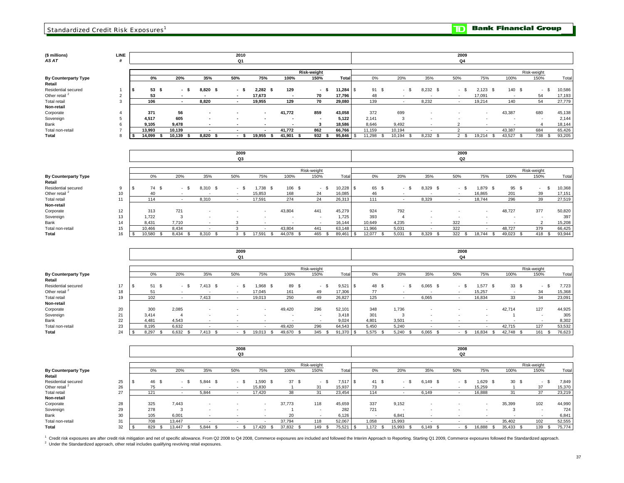## **(\$ millions) LINE** *AS AT* **#**

**Total By Counterparty Type** Total non-retail Residential secured Other retail<sup>2</sup> Total retail **Non-retail** Sovereign Bank Corporate **Retail** 

| LINE<br>#           |                  |           |                | 2010<br>Q1                       |                  |        |                            |                         |              |    |                |               | 2009<br>Q4               |                      |                    |                     |                  |
|---------------------|------------------|-----------|----------------|----------------------------------|------------------|--------|----------------------------|-------------------------|--------------|----|----------------|---------------|--------------------------|----------------------|--------------------|---------------------|------------------|
|                     | 0%               | 20%       | 35%            | 50%                              | 75%              | 100%   | <b>Risk-weight</b><br>150% | Total                   | $0\%$        |    | 20%            | 35%           | 50%                      | 75%                  | 100%               | Risk-weight<br>150% | Total            |
| $\overline{2}$      | 53<br>- \$<br>53 | - \$      | 8,820<br>- \$  | - \$<br>$\overline{\phantom{a}}$ | 2,282<br>17,673  | 129    | - \$<br>70                 | $11,284$ \ \$<br>17,796 | 91 \$<br>48  |    | - \$           | 8,232 \$      | $-$ \$                   | $2,123$ \$<br>17,091 | 140<br>- \$<br>. . | $-S$<br>54          | 10,586<br>17,193 |
| 3                   | 106              |           | 8,820          | $\overline{\phantom{a}}$         | 19,955           | 129    | 70                         | 29,080                  | 139          |    |                | 8,232         | $\overline{\phantom{a}}$ | 19,214               | 140                | 54                  | 27,779           |
| $\overline{a}$<br>5 | 371<br>4,517     | 56<br>605 | $\blacksquare$ |                                  | $\sim$<br>$\sim$ | 41,772 | 859                        | 43,058<br>5,122         | 372<br>2,141 |    | 699            | ٠             |                          |                      | 43,387             | 680                 | 45,138<br>2,144  |
| 6                   | 9,105            | 9,478     |                |                                  | $\sim$           |        |                            | 18,586                  | 8,646        |    | 9,492          |               |                          |                      |                    |                     | 18,144           |
|                     | 13,993           | 10,139    |                |                                  | $\sim$           | 41,772 | 862                        | 66,766                  | 11,159       |    | 10,194         |               |                          |                      | 43,387             | 684                 | 65,426           |
| 8                   | 14,099<br>- 55   | 10,139    | 8,820<br>-3    |                                  | 19,955<br>- 55   | 41,901 | 932S                       | 95,846 \$               | 11,298       | _ზ | 10,194<br>- \$ | 8,232<br>- \$ | 2S                       | 19,214<br>- 95       | 43,527<br>- 55     | 738<br>. ა          | 93,205           |

**2009**

|                             |    |             |                |               | Q3   |        |           |             |           |        |       |       | Q2   |                          |                |             |        |
|-----------------------------|----|-------------|----------------|---------------|------|--------|-----------|-------------|-----------|--------|-------|-------|------|--------------------------|----------------|-------------|--------|
|                             |    |             |                |               |      |        |           |             |           |        |       |       |      |                          |                |             |        |
|                             |    |             |                |               |      |        |           | Risk-weight |           |        |       |       |      |                          |                | Risk-weight |        |
| <b>By Counterparty Type</b> |    | 0%          | 20%            | 35%           | 50%  | 75%    | 100%      | 150%        | Total     | 0%     | 20%   | 35%   | 50%  | 75%                      | 100%           | 150%        | Total  |
| Retail                      |    |             |                |               |      |        |           |             |           |        |       |       |      |                          |                |             |        |
| Residential secured         |    | 74 \$<br>.৯ | - 55<br>$\sim$ | 8,310<br>- \$ | - 35 | .738   | 106<br>-S | - \$        | 10,228 \$ | 65 \$  | - 5   | 8,329 | - \$ | 1,879                    | 95 \$          | . .         | 10,368 |
| Other retail <sup>2</sup>   | 10 | 40          |                |               |      | 15,853 | 168       | 24          | 16,085    | 46     |       |       |      | 16,865                   | 201            | 39          | 17,151 |
| <b>Total retail</b>         |    | 114         |                | 8,310         |      | 17,591 | 274       | 24          | 26,313    | 111    |       | 8,329 |      | 18,744                   | 296            | 39          | 27,519 |
| Non-retail                  |    |             |                |               |      |        |           |             |           |        |       |       |      |                          |                |             |        |
| Corporate                   | 12 | 313         | 721            |               |      | $\sim$ | 43,804    | 441         | 45,279    | 924    | 792   |       |      | $\overline{\phantom{a}}$ | 48,727         | 377         | 50,820 |
| Sovereign                   | 13 | 1,722       | $\sim$         |               |      |        |           |             | 1,725     | 393    |       | . .   | . .  |                          |                |             | 397    |
| Bank                        | 14 | 8.431       | 7.710          |               |      |        |           |             | 16.144    | 10,649 | 4,235 |       | 322  |                          |                |             | 15,208 |
| Total non-retail            | 15 | 10.466      | 8,434          |               |      |        | 43,804    | 441         | 63,148    | 11,966 | 5,031 |       | 322  |                          | 48,727         | 379         | 66,425 |
| Total                       | 16 | 10,580      | 8.434<br>- \$  | 8,310         |      | 17,591 | 44,078    | 465         | 89,461    | 12,077 | 5.031 | 8.329 | 322  | 18.744<br>- \$           | 49,023<br>- \$ | 418<br>_ზ   | 93,944 |

**2009**

|                             |    |                        |        |               | 2009           |        |        |             |        |       |       |       | 2008   |                |                |             |        |
|-----------------------------|----|------------------------|--------|---------------|----------------|--------|--------|-------------|--------|-------|-------|-------|--------|----------------|----------------|-------------|--------|
|                             |    |                        |        |               | Q <sub>1</sub> |        |        |             |        |       |       |       | Q4     |                |                |             |        |
|                             |    |                        |        |               |                |        |        |             |        |       |       |       |        |                |                |             |        |
|                             |    |                        |        |               |                |        |        | Risk-weight |        |       |       |       |        |                |                | Risk-weight |        |
| <b>By Counterparty Type</b> |    | 0%                     | 20%    | 35%           | 50%            | 75%    | 100%   | 150%        | Total  | 0%    | 20%   | 35%   | 50%    | 75%            | 100%           | 150%        | Total  |
| Retail                      |    |                        |        |               |                |        |        |             |        |       |       |       |        |                |                |             |        |
| Residential secured         | 17 | 51 \$                  | $\sim$ | 7.413<br>- 35 | - *            | ,968   | 89 \$  | $-$ \$      | 9,521  | 48 \$ | - 5   | 6,065 | - 8    | 1,577          | $33 \quad$     | $-$ \$      | 7,723  |
| Other retail <sup>2</sup>   | 18 | 51                     |        |               |                | 17,045 | 161    | 49          | 17,306 | 77    |       |       | . .    | 15,257         |                | 34          | 15,368 |
| <b>Total retail</b>         | 19 | 102                    |        | 7,413         |                | 19,013 | 250    | 49          | 26,827 | 125   |       | 6,065 | $\sim$ | 16,834         | 33             | 34          | 23,091 |
| Non-retail                  |    |                        |        |               |                |        |        |             |        |       |       |       |        |                |                |             |        |
| Corporate                   | 20 | 300                    | 2,085  |               |                | $\sim$ | 49,420 | 296         | 52,101 | 348   | 1,736 |       |        |                | 42,714         | 127         | 44,925 |
| Sovereign                   | 21 | 3.414                  |        |               |                |        |        |             | 3,418  | 301   |       |       | . .    |                |                |             | 305    |
| Bank                        | 22 | 4,481                  | 4,543  |               |                |        |        |             | 9,024  | 4,801 | 3,501 |       |        |                |                |             | 8,302  |
| Total non-retail            | 23 | 8.195                  | 6,632  | . .           |                | . .    | 49,420 | 296         | 64,543 | 5,450 | 5,240 | . .   | . .    | $\sim$         | 42.715         | 127         | 53,532 |
| Total                       | 24 | 8.297<br>$\mathcal{F}$ | 6,632  | 7.413         |                | 19,013 | 49,670 | 345<br>- 55 | 91,370 | 5,575 | 5,240 | 6,065 | -SS    | 16,834<br>- 55 | 42,748<br>- 96 | 161 \$      | 76,623 |

|                             |    |     |               |              | 2008   |               |        |             |        |       |        |               | 2008     |                          |                 |             |        |
|-----------------------------|----|-----|---------------|--------------|--------|---------------|--------|-------------|--------|-------|--------|---------------|----------|--------------------------|-----------------|-------------|--------|
|                             |    |     |               |              | Q3     |               |        |             |        |       |        |               | Q2       |                          |                 |             |        |
|                             |    |     |               |              |        |               |        |             |        |       |        |               |          |                          |                 |             |        |
|                             |    |     |               |              |        |               |        | Risk-weight |        |       |        |               |          |                          |                 | Risk-weight |        |
| <b>By Counterparty Type</b> |    | 0%  | 20%           | 35%          | 50%    | 75%           | 100%   | 150%        | Tota   | 0%    | 20%    | 35%           | 50%      | 75%                      | 100%            | 150%        | Total  |
| Retail                      |    |     |               |              |        |               |        |             |        |       |        |               |          |                          |                 |             |        |
| Residential secured         | 25 | 46  | - \$          | .844<br>- \$ | $\sim$ | i,590<br>- 35 | 37S    | - \$        | 7,517  | 41 \$ | $\sim$ | 6,149<br>- \$ | - 8      | 1,629                    | 30 <sup>5</sup> | - 8         | 7,849  |
| Other retail <sup>2</sup>   | 26 |     |               |              |        | 15,830        |        | 31          | 15.937 | 73    |        |               |          | 15.259                   |                 | 37          | 15,370 |
| <b>Total retail</b>         | 27 | 121 |               | 5,844        |        | 17,420        | 38     | 31          | 23,454 | 114   |        | 6,149         | . .      | 16,888                   | 31              | 37          | 23,219 |
| Non-retail                  |    |     |               |              |        |               |        |             |        |       |        |               |          |                          |                 |             |        |
| Corporate                   | 28 | 325 | 7,443         | . .          |        | $\sim$        | 37,773 | 118         | 45,659 | 337   | 9,152  |               |          | $\sim$                   | 35,399          | 102         | 44,990 |
| Sovereign                   | 29 | 278 | $\sim$<br>ъD, |              |        |               |        |             | 282    | 721   | . .    |               | <b>.</b> | $\overline{\phantom{a}}$ | -5              |             | 724    |
| Bank                        | 30 | 105 | 6.001         |              | $\sim$ |               | 20     | . .         | 6,126  | . .   | 6,841  | . .           | . .      | . .                      | $\sim$          | . .         | 6,841  |
| Total non-retail            | 31 | 708 | 13.447        |              |        |               | 37,794 | 118         | 52,067 | 1,058 | 15,993 |               |          |                          | 35,402          | 102         | 52,555 |
| Total                       | 32 | 829 | 13,447        | 5.844        |        | 17,420        | 37,832 | 149         | 75,521 | 1.172 | 15,993 | 6,149         |          | 16,888                   | 35,433          | 139         | 75,774 |

<sup>1</sup> Credit risk exposures are after credit risk mitigation and net of specific allowance. From Q2 2008 to Q4 2008, Commerce exposures are included and followed the Interim Approach to Reporting. Starting Q1 2009, Commerce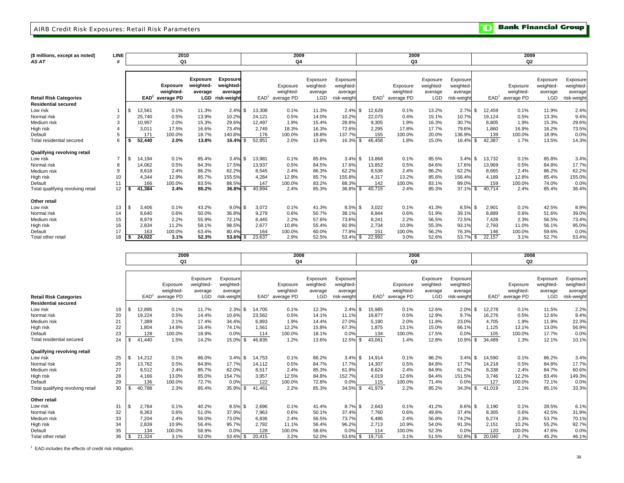### AIRB Credit Risk Exposures: Retail Risk Parameters

**Bank Financial Group** וסד

| (\$ millions, except as noted)<br>AS AT | <b>LINE</b>     |                  | 2010<br>Q1 |                 |                 |                  | 2009<br>Q4 |            |             |                  | 2009<br>Q3 |            |             |                  | 2009<br>Q <sub>2</sub> |           |             |
|-----------------------------------------|-----------------|------------------|------------|-----------------|-----------------|------------------|------------|------------|-------------|------------------|------------|------------|-------------|------------------|------------------------|-----------|-------------|
|                                         |                 |                  |            |                 |                 |                  |            |            |             |                  |            |            |             |                  |                        |           |             |
|                                         |                 |                  |            |                 |                 |                  |            |            |             |                  |            |            |             |                  |                        |           |             |
|                                         |                 |                  |            | <b>Exposure</b> | <b>Exposure</b> |                  |            | Exposure   | Exposure    |                  |            | Exposure   | Exposure    |                  |                        | Exposure  | Exposure    |
|                                         |                 |                  | Exposure   | weighted-       | weighted-       |                  | Exposure   | weighted-  | weighted-   |                  | Exposure   | weighted-  | weighted-   |                  | Exposure               | weighted- | weighted-   |
|                                         |                 |                  | weighted-  | average         | average         |                  | weighted-  | average    | average     |                  | weighted-  | average    | average     |                  | weighted-              | average   | average     |
| <b>Retail Risk Categories</b>           |                 | EAD <sup>1</sup> | average PD | <b>LGD</b>      | risk-weight     | EAD <sup>1</sup> | average PD | <b>LGD</b> | risk-weight | EAD <sup>1</sup> | average PD | <b>LGD</b> | risk-weight | EAD <sup>1</sup> | average PD             | LGD       | risk-weight |
| <b>Residential secured</b>              |                 |                  |            |                 |                 |                  |            |            |             |                  |            |            |             |                  |                        |           |             |
| Low risk                                |                 | 12,561           | 0.1%       | 11.3%           | $2.4\%$ \$      | 13,308           | 0.1%       | 11.3%      | 2.4%        | 12,628<br>-\$    | 0.1%       | 13.2%      | 2.7%        | \$<br>12,459     | 0.1%                   | 11.9%     | 2.4%        |
| Normal risk                             |                 | 25,740           | 0.5%       | 13.9%           | 10.2%           | 24.121           | 0.5%       | 14.0%      | 10.2%       | 22,075           | 0.4%       | 15.1%      | 10.7%       | 19.124           | 0.5%                   | 13.3%     | 9.4%        |
| Medium risk                             | 3               | 10,957           | 2.0%       | 15.3%           | 29.6%           | 12.497           | 1.9%       | 15.4%      | 28.8%       | 9,305            | 1.9%       | 16.3%      | 30.7%       | 8,805            | 1.9%                   | 15.3%     | 29.6%       |
| High risk                               |                 | 3.011            | 17.5%      | 16.6%           | 73.4%           | 2.749            | 18.3%      | 16.3%      | 72.6%       | 2,295            | 17.8%      | 17.7%      | 79.6%       | 1.860            | 16.9%                  | 16.2%     | 73.5%       |
| Default                                 |                 | 171              | 100.0%     | 18.7%           | 140.8%          | 176              | 100.0%     | 18.8%      | 137.7%      | 155              | 100.0%     | 20.0%      | 136.9%      | 139              | 100.0%                 | 18.9%     | 0.0%        |
| Total residential secured               |                 | 52,440           | 2.0%       | 13.8%           | $16.4%$ \$      | 52,851           | 2.0%       | 13.8%      | 16.3%       | 46.458<br>-\$    | 1.8%       | 15.0%      | 16.4%       | \$<br>42,387     | 1.7%                   | 13.5%     | 14.3%       |
| Qualifying revolving retail             |                 |                  |            |                 |                 |                  |            |            |             |                  |            |            |             |                  |                        |           |             |
| Low risk                                | $\overline{ }$  | 14,194           | 0.1%       | 85.4%           | $3.4\%$ \$      | 13,981           | 0.1%       | 85.6%      | 3.4%        | 13,868<br>-\$    | 0.1%       | 85.5%      | 3.4%        | \$<br>13,732     | 0.1%                   | 85.8%     | 3.4%        |
| Normal risk                             |                 | 14,062           | 0.5%       | 84.3%           | 17.5%           | 13,937           | 0.5%       | 84.5%      | 17.6%       | 13,852           | 0.5%       | 84.6%      | 17.6%       | 13,969           | 0.5%                   | 84.8%     | 17.7%       |
| Medium risk                             | 9               | 8.618            | 2.4%       | 86.2%           | 62.2%           | 8.545            | 2.4%       | 86.3%      | 62.2%       | 8.536            | 2.4%       | 86.2%      | 62.2%       | 8.665            | 2.4%                   | 86.2%     | 62.2%       |
| High risk                               | 10 <sup>1</sup> | 4,344            | 12.9%      | 85.7%           | 155.5%          | 4,284            | 12.9%      | 85.7%      | 155.8%      | 4.317            | 13.2%      | 85.6%      | 156.4%      | 4,189            | 12.8%                  | 85.4%     | 155.0%      |
| Default                                 | 11              | 166              | 100.0%     | 83.5%           | 88.5%           | 147              | 100.0%     | 83.2%      | 88.3%       | 142              | 100.0%     | 83.1%      | 89.0%       | 159              | 100.0%                 | 74.0%     | 0.0%        |
| Total qualifying revolving retail       | 12              | 41,384           | 2.4%       | 85.2%           | $36.8\%$ \$     | 40.894           | 2.4%       | 85.3%      | 36.8%       | 40.715<br>\$     | 2.4%       | 85.3%      | 37.1%       | \$<br>40.714     | 2.4%                   | 85.4%     | 36.4%       |
| Other retail                            |                 |                  |            |                 |                 |                  |            |            |             |                  |            |            |             |                  |                        |           |             |
| Low risk                                | 13              | 3,406            | 0.1%       | 43.2%           | $9.0\%$ \$      | 3,072            | 0.1%       | 41.3%      | 8.5%        | 3,022<br>-\$     | 0.1%       | 41.3%      | $8.5\%$ \$  | 2,901            | 0.1%                   | 42.5%     | 8.9%        |
| Normal risk                             | 14              | 8.640            | 0.6%       | 50.0%           | 36.8%           | 9.279            | 0.6%       | 50.7%      | 38.1%       | 8.844            | 0.6%       | 51.9%      | 39.1%       | 8.889            | 0.6%                   | 51.6%     | 39.0%       |
| Medium risk                             | 15              | 8,979            | 2.2%       | 55.9%           | 72.1%           | 8.445            | 2.2%       | 57.6%      | 73.6%       | 8.241            | 2.2%       | 56.5%      | 72.5%       | 7.428            | 2.3%                   | 56.5%     | 73.4%       |
| High risk                               | 16              | 2.834            | 11.2%      | 58.1%           | 98.5%           | 2.677            | 10.8%      | 55.4%      | 92.9%       | 2.734            | 10.9%      | 55.3%      | 93.1%       | 2.793            | 11.0%                  | 56.1%     | 95.0%       |
| Default                                 | 17              | 163              | 100.0%     | 63.4%           | 80.4%           | 164              | 100.0%     | 60.0%      | 77.8%       | 151              | 100.0%     | 56.2%      | 76.3%       | 146              | 100.0%                 | 59.6%     | 0.0%        |
| Total other retail                      | 18              | 24.022           | 3.1%       | 52.3%           | $53.6\%$ \$     | 23.637           | 2.9%       | 52.5%      | 53.4%       | 22,992<br>\$     | 3.0%       | 52.6%      | 53.7% \$    | 22,157           | 3.1%                   | 52.7%     | 53.4%       |

|                                   |    |      |                  | 2009       |            |             |                | 2008              |            |             |               | 2008                           |            |             |     |                  | 2008           |           |             |
|-----------------------------------|----|------|------------------|------------|------------|-------------|----------------|-------------------|------------|-------------|---------------|--------------------------------|------------|-------------|-----|------------------|----------------|-----------|-------------|
|                                   |    |      |                  | Q1         |            |             |                | Q <sub>4</sub>    |            |             |               | Q3                             |            |             |     |                  | Q <sub>2</sub> |           |             |
|                                   |    |      |                  |            |            |             |                |                   |            |             |               |                                |            |             |     |                  |                |           |             |
|                                   |    |      |                  |            | Exposure   | Exposure    |                |                   | Exposure   | Exposure    |               |                                | Exposure   | Exposure    |     |                  |                | Exposure  | Exposure    |
|                                   |    |      |                  | Exposure   | weighted-  | weighted    |                | Exposure          | weighted-  | weighted-   |               | Exposure                       | weighted-  | weighted-   |     |                  | Exposure       | weighted- | weighted-   |
|                                   |    |      |                  | weighted-  | average    | average     |                | weighted-         | average    | average     |               | weighted-                      | average    | average     |     |                  | weighted-      | average   | average     |
| <b>Retail Risk Categories</b>     |    |      | EAD <sup>1</sup> | average PD | <b>LGD</b> | risk-weight |                | $EAD1$ average PD | <b>LGD</b> | risk-weight |               | EAD <sup>1</sup><br>average PD | <b>LGD</b> | risk-weight |     | EAD <sup>1</sup> | average PD     | LGD       | risk-weight |
| <b>Residential secured</b>        |    |      |                  |            |            |             |                |                   |            |             |               |                                |            |             |     |                  |                |           |             |
| Low risk                          | 19 | - \$ | 12,895           | 0.1%       | 11.7%      | $2.3\%$ \$  | 14,705         | 0.1%              | 12.3%      | $2.4\%$ \$  | 15,985        | 0.1%                           | 12.6%      | 2.0%        | \$. | 12,278           | 0.1%           | 11.5%     | 2.2%        |
| Normal risk                       | 20 |      | 19.224           | 0.5%       | 14.4%      | 10.6%       | 23,562         | 0.5%              | 14.1%      | 11.1%       | 19.877        | 0.5%                           | 12.9%      | 9.7%        |     | 16.276           | 0.5%           | 12.6%     | 9.4%        |
| Medium risk                       | 21 |      | 7.389            | 2.1%       | 17.4%      | 34.4%       | 6,893          | 1.9%              | 14.4%      | 27.0%       |               | 2.0%<br>5,190                  | 11.8%      | 23.0%       |     | 4.705            | 1.9%           | 11.9%     | 22.3%       |
| High risk                         | 22 |      | 1,804            | 14.6%      | 16.4%      | 74.1%       | 1,561          | 12.2%             | 15.8%      | 67.3%       |               | 13.1%<br>1,875                 | 15.0%      | 66.1%       |     | 1,125            | 13.1%          | 13.0%     | 56.9%       |
| Default                           | 23 |      | 128              | 100.0%     | 18.9%      | 0.0%        | 114            | 100.0%            | 18.1%      | 0.0%        |               | 134<br>100.0%                  | 17.5%      | 0.0%        |     | 105              | 100.0%         | 17.7%     | 0.0%        |
| Total residential secured         | 24 | £.   | 41.440           | 1.5%       | 14.2%      | 15.0%       | \$<br>46.835   | 1.2%              | 13.6%      | 12.5%       | 43,061<br>-\$ | 1.4%                           | 12.8%      | 10.9%       | \$  | 34,489           | 1.3%           | 12.1%     | 10.1%       |
| Qualifying revolving retail       |    |      |                  |            |            |             |                |                   |            |             |               |                                |            |             |     |                  |                |           |             |
| Low risk                          | 25 | -96  | 14.212           | 0.1%       | 86.0%      | $3.4\%$ \$  | 14.753         | 0.1%              | 86.2%      | $3.4\%$ \$  | 14,914        | 0.1%                           | 86.2%      | 3.4%        | \$  | 14,590           | 0.1%           | 86.2%     | 3.4%        |
| Normal risk                       | 26 |      | 13,762           | 0.5%       | 84.8%      | 17.7%       | 14,112         | 0.5%              | 84.7%      | 17.7%       | 14,307        | 0.5%                           | 84.8%      | 17.7%       |     | 14,218           | 0.5%           | 84.8%     | 17.7%       |
| Medium risk                       | 27 |      | 8.512            | 2.4%       | 85.7%      | 62.0%       | 8.517          | 2.4%              | 85.3%      | 61.9%       |               | 8.624<br>2.4%                  | 84.9%      | 61.2%       |     | 8.338            | 2.4%           | 84.7%     | 60.6%       |
| High risk                         | 28 |      | 4,166            | 13.0%      | 85.0%      | 154.7%      | 3,957          | 12.5%             | 84.8%      | 152.7%      |               | 12.6%<br>4,019                 | 84.4%      | 151.5%      |     | 3,746            | 12.2%          | 83.4%     | 149.3%      |
| Default                           | 29 |      | 136              | 100.0%     | 72.7%      | 0.0%        | 122            | 100.0%            | 72.8%      | 0.0%        |               | 115<br>100.0%                  | 71.4%      | 0.0%        |     | 127              | 100.0%         | 72.1%     | 0.0%        |
| Total qualifying revolving retail | 30 |      | 40.788           | 2.3%       | 85.4%      | 35.9%       | \$<br>41.461   | 2.2%              | 85.3%      | 34.5%       | 41,979<br>-\$ | 2.2%                           | 85.2%      | 34.3%       | \$  | 41,019           | 2.1%           | 85.1%     | 33.3%       |
| Other retail                      |    |      |                  |            |            |             |                |                   |            |             |               |                                |            |             |     |                  |                |           |             |
| Low risk                          | 31 | - \$ | 2,784            | 0.1%       | 40.2%      | $8.5\%$ \$  | 2,696          | 0.1%              | 41.4%      | $8.7\%$ \$  |               | 2,643<br>0.1%                  | 41.2%      | 8.6%        | κ.  | 3,190            | 0.1%           | 28.5%     | 6.1%        |
| Normal risk                       | 32 |      | 8.363            | 0.6%       | 51.0%      | 37.9%       | 7.963          | 0.6%              | 50.1%      | 37.4%       |               | 7.760<br>0.6%                  | 49.8%      | 37.4%       |     | 8,305            | 0.6%           | 42.5%     | 31.9%       |
| Medium risk                       | 33 |      | 7.204            | 2.4%       | 56.0%      | 73.0%       | 6,836          | 2.4%              | 56.5%      | 73.7%       |               | 6.486<br>2.4%                  | 56.8%      | 74.2%       |     | 6.274            | 2.3%           | 53.7%     | 70.1%       |
| High risk                         | 34 |      | 2,839            | 10.9%      | 56.4%      | 95.7%       | 2,792          | 11.1%             | 56.4%      | 96.2%       |               | 2,713<br>10.9%                 | 54.0%      | 91.3%       |     | 2,151            | 10.2%          | 55.2%     | 92.7%       |
| Default                           | 35 |      | 134              | 100.0%     | 58.9%      | 0.0%        | 128            | 100.0%            | 58.6%      | 0.0%        |               | 100.0%<br>114                  | 52.3%      | 0.0%        |     | 120              | 100.0%         | 47.6%     | 0.0%        |
| Total other retai                 | 36 |      | 21.324           | 3.1%       | 52.0%      | 53.4%       | l \$<br>20,415 | 3.2%              | 52.0%      | 53.6%       | 19.716        | 3.1%                           | 51.5%      | 52.8%       | \$  | 20.040           | 2.7%           | 45.2%     | 46.1%       |

1 EAD includes the effects of credit risk mitigation.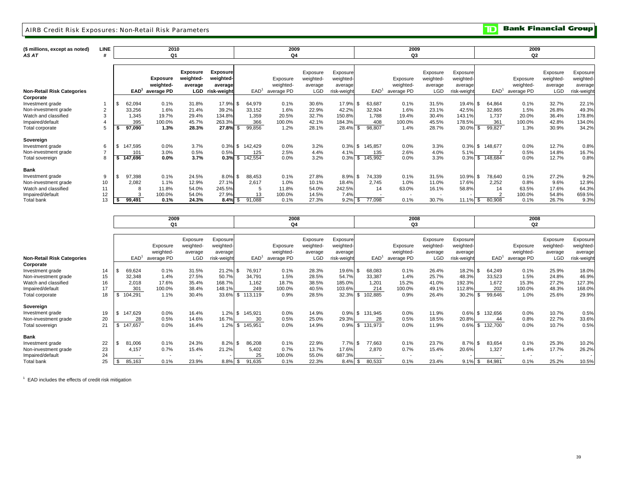### AIRB Credit Risk Exposures: Non-Retail Risk Parameters

**TD** Bank Financial Group

| (\$ millions, except as noted)<br>AS AT | LINE |     |         | 2010<br>Q1      |           |                 |      |                  | 2009<br>Q4 |            |             |                  | 2009<br>Q3               |                          |             |     |                  | 2009<br>Q <sub>2</sub> |           |             |
|-----------------------------------------|------|-----|---------|-----------------|-----------|-----------------|------|------------------|------------|------------|-------------|------------------|--------------------------|--------------------------|-------------|-----|------------------|------------------------|-----------|-------------|
|                                         |      |     |         |                 |           |                 |      |                  |            |            |             |                  |                          |                          |             |     |                  |                        |           |             |
|                                         |      |     |         |                 | Exposure  | <b>Exposure</b> |      |                  |            | Exposure   | Exposure    |                  |                          | Exposure                 | Exposure    |     |                  |                        | Exposure  | Exposure    |
|                                         |      |     |         | <b>Exposure</b> | weighted- | weighted-       |      |                  | Exposure   | weighted-  | weighted-   |                  | Exposure                 | weighted-                | weighted-   |     |                  | Exposure               | weighted- | weighted    |
|                                         |      |     |         | weighted-       | average   | average         |      |                  | weighted-  | average    | average     |                  | weighted-                | average                  | average     |     |                  | weighted-              | average   | average     |
| <b>Non-Retail Risk Categories</b>       |      |     | EAD'    | average PD      | LGD       | risk-weight     |      | EAD <sup>T</sup> | average PD | <b>LGD</b> | risk-weight | EAD <sup>1</sup> | average PD               | LGD                      | risk-weight |     | EAD <sup>1</sup> | average PD             | LGD       | risk-weight |
| Corporate                               |      |     |         |                 |           |                 |      |                  |            |            |             |                  |                          |                          |             |     |                  |                        |           |             |
| Investment grade                        |      | -\$ | 62,094  | 0.1%            | 31.8%     | 17.9%           |      | 64,979           | 0.1%       | 30.6%      | 17.9% \$    | 63,687           | 0.1%                     | 31.5%                    | 19.4% \$    |     | 64,864           | 0.1%                   | 32.7%     | 22.1%       |
| Non-investment grade                    |      |     | 33,256  | 1.6%            | 21.4%     | 39.2%           |      | 33,152           | 1.6%       | 22.9%      | 42.2%       | 32,924           | 1.6%                     | 23.1%                    | 42.5%       |     | 32,865           | 1.5%                   | 26.8%     | 49.3%       |
| Watch and classified                    | 3    |     | 1.345   | 19.7%           | 29.4%     | 134.8%          |      | 1,359            | 20.5%      | 32.7%      | 150.8%      | 1.788            | 19.4%                    | 30.4%                    | 143.1%      |     | 1.737            | 20.0%                  | 36.4%     | 178.8%      |
| Impaired/default                        |      |     | 395     | 100.0%          | 45.7%     | 263.3%          |      | 366              | 100.0%     | 42.1%      | 184.3%      | 408              | 100.0%                   | 45.5%                    | 178.5%      |     | 361              | 100.0%                 | 42.8%     | 134.0%      |
| Total corporate                         |      |     | 97,090  | 1.3%            | 28.3%     | 27.8%           |      | 99,856           | 1.2%       | 28.1%      | 28.4%       | 98,807           | 1.4%                     | 28.7%                    | 30.0%       |     | 99,827           | 1.3%                   | 30.9%     | 34.2%       |
| Sovereign                               |      |     |         |                 |           |                 |      |                  |            |            |             |                  |                          |                          |             |     |                  |                        |           |             |
| Investment grade                        | 6    |     | 147,595 | 0.0%            | 3.7%      | 0.3%            | \$   | 142,429          | 0.0%       | 3.2%       | $0.3\%$ \$  | 145,857          | 0.0%                     | 3.3%                     | $0.3\%$ \$  |     | 148,677          | 0.0%                   | 12.7%     | 0.8%        |
| Non-investment grade                    |      |     | 101     | 3.0%            | 0.5%      | 0.5%            |      | 125              | 2.5%       | 4.4%       | 4.1%        | 135              | 2.6%                     | 4.0%                     | 5.1%        |     |                  | 0.5%                   | 14.8%     | 16.7%       |
| Total sovereign                         | 8    |     | 147,696 | $0.0\%$         | 3.7%      | 0.3%            | - \$ | 142,554          | 0.0%       | 3.2%       | 0.3%        | \$<br>145,992    | 0.0%                     | 3.3%                     | 0.3%        | \$. | 148,684          | 0.0%                   | 12.7%     | 0.8%        |
| <b>Bank</b>                             |      |     |         |                 |           |                 |      |                  |            |            |             |                  |                          |                          |             |     |                  |                        |           |             |
| Investment grade                        | 9    |     | 97,398  | 0.1%            | 24.5%     | 8.0%            | l \$ | 88,453           | 0.1%       | 27.8%      | 8.9% \$     | 74,339           | 0.1%                     | 31.5%                    | 10.9% \$    |     | 78,640           | 0.1%                   | 27.2%     | 9.2%        |
| Non-investment grade                    | 10   |     | 2,082   | 1.1%            | 12.9%     | 27.1%           |      | 2,617            | 1.0%       | 10.1%      | 18.4%       | 2,745            | 1.0%                     | 11.0%                    | 17.6%       |     | 2,252            | 0.8%                   | 9.6%      | 12.9%       |
| Watch and classified                    | 11   |     |         | 11.8%           | 54.0%     | 245.5%          |      | 5                | 11.8%      | 54.0%      | 242.5%      | 14               | 63.0%                    | 16.1%                    | 58.8%       |     | 14               | 63.5%                  | 17.6%     | 64.3%       |
| Impaired/default                        | 12   |     |         | 100.0%          | 54.0%     | 27.9%           |      | 13               | 100.0%     | 14.5%      | 7.4%        |                  | $\overline{\phantom{a}}$ | $\overline{\phantom{0}}$ |             |     |                  | 100.0%                 | 54.8%     | 659.5%      |
| Total bank                              | 13   |     | 99,491  | 0.1%            | 24.3%     | $8.4\%$ \$      |      | 91,088           | 0.1%       | 27.3%      | $9.2\%$ \$  | 77,098           | 0.1%                     | 30.7%                    | $11.1\%$ \$ |     | 80,908           | 0.1%                   | 26.7%     | 9.3%        |

|                                   |    | 2009    |                          |                          |             |      |                  | 2008       |            |             |     |                  | 2008                     |            |             |     |                  | 2008                     |                          |             |
|-----------------------------------|----|---------|--------------------------|--------------------------|-------------|------|------------------|------------|------------|-------------|-----|------------------|--------------------------|------------|-------------|-----|------------------|--------------------------|--------------------------|-------------|
|                                   |    |         | Q1                       |                          |             |      |                  | Q4         |            |             |     |                  | Q3                       |            |             |     |                  | Q2                       |                          |             |
|                                   |    |         |                          |                          |             |      |                  |            |            |             |     |                  |                          |            |             |     |                  |                          |                          |             |
|                                   |    |         |                          | Exposure                 | Exposure    |      |                  |            | Exposure   | Exposure    |     |                  |                          | Exposure   | Exposure    |     |                  |                          | Exposure                 | Exposure    |
|                                   |    |         | Exposure                 | weighted-                | weighted-   |      |                  | Exposure   | weighted-  | weighted    |     |                  | Exposure                 | weighted-  | weighted-   |     |                  | Exposure                 | weighted-                | weighted    |
|                                   |    |         | weighted-                | average                  | average     |      |                  | weighted-  | average    | average     |     |                  | weighted-                | average    | average     |     |                  | weighted-                | average                  | average     |
| <b>Non-Retail Risk Categories</b> |    | EAD'    | average PD               | <b>LGD</b>               | risk-weight |      | EAD <sup>1</sup> | average PD | <b>LGD</b> | risk-weight |     | EAD <sup>1</sup> | average PD               | <b>LGD</b> | risk-weight |     | EAD <sup>1</sup> | average PD               | LGD                      | risk-weight |
| Corporate                         |    |         |                          |                          |             |      |                  |            |            |             |     |                  |                          |            |             |     |                  |                          |                          |             |
| Investment grade                  | 14 | 69,624  | 0.1%                     | 31.5%                    | 21.2%       |      | 76,917           | 0.1%       | 28.3%      | 19.6%       |     | 68,083           | 0.1%                     | 26.4%      | 18.2%       |     | 64,249           | 0.1%                     | 25.9%                    | 18.0%       |
| Non-investment grade              | 15 | 32,348  | 1.4%                     | 27.5%                    | 50.7%       |      | 34,791           | 1.5%       | 28.5%      | 54.7%       |     | 33,387           | 1.4%                     | 25.7%      | 48.3%       |     | 33,523           | 1.5%                     | 24.8%                    | 46.9%       |
| Watch and classified              | 16 | 2,018   | 17.6%                    | 35.4%                    | 168.7%      |      | 1,162            | 18.7%      | 38.5%      | 185.0%      |     | 1.201            | 15.2%                    | 41.0%      | 192.3%      |     | 1,672            | 15.3%                    | 27.2%                    | 127.3%      |
| Impaired/default                  |    | 301     | 100.0%                   | 38.4%                    | 148.1%      |      | 249              | 100.0%     | 40.5%      | 103.6%      |     | 214              | 100.0%                   | 49.1%      | 112.8%      |     | 202              | 100.0%                   | 48.3%                    | 168.0%      |
| Total corporate                   | 18 | 104,291 | 1.1%                     | 30.4%                    | 33.6%       | \$   | 113,119          | 0.9%       | 28.5%      | 32.3%       |     | 102,885          | 0.9%                     | 26.4%      | 30.2%       |     | 99,646           | 1.0%                     | 25.6%                    | 29.9%       |
| Sovereign                         |    |         |                          |                          |             |      |                  |            |            |             |     |                  |                          |            |             |     |                  |                          |                          |             |
| Investment grade                  | 19 | 147,629 | 0.0%                     | 16.4%                    | 1.2%        | \$.  | 145,921          | 0.0%       | 14.9%      | 0.9%        | -S. | 131,945          | 0.0%                     | 11.9%      | $0.6\%$ \$  |     | 132,656          | 0.0%                     | 10.7%                    | 0.5%        |
| Non-investment grade              | 20 | 28      | 0.5%                     | 14.6%                    | 16.7%       |      | 30               | 0.5%       | 25.0%      | 29.3%       |     | 28               | 0.5%                     | 18.5%      | 20.8%       |     | 44               | 0.8%                     | 22.7%                    | 33.6%       |
| Total sovereign                   | 21 | 147,657 | 0.0%                     | 16.4%                    | 1.2%        | \$   | 145,951          | 0.0%       | 14.9%      | 0.9%        |     | 131,973          | 0.0%                     | 11.9%      | 0.6%        | \$  | 132,700          | 0.0%                     | 10.7%                    | 0.5%        |
| Bank                              |    |         |                          |                          |             |      |                  |            |            |             |     |                  |                          |            |             |     |                  |                          |                          |             |
| Investment grade                  | 22 | 81,006  | 0.1%                     | 24.3%                    | 8.2%        |      | 86,208           | 0.1%       | 22.9%      | 7.7%        |     | 77,663           | 0.1%                     | 23.7%      | 8.7%        |     | 83,654           | 0.1%                     | 25.3%                    | 10.2%       |
| Non-investment grade              | 23 | 4.157   | 0.7%                     | 15.4%                    | 21.2%       |      | 5,402            | 0.7%       | 13.7%      | 17.6%       |     | 2.870            | 0.7%                     | 15.4%      | 20.6%       |     | 1,327            | 1.4%                     | 17.7%                    | 26.2%       |
| Impaired/default                  | 24 |         | $\overline{\phantom{a}}$ | $\overline{\phantom{a}}$ |             |      | 25               | 100.0%     | 55.0%      | 687.3%      |     |                  | $\overline{\phantom{a}}$ | $\sim$     |             |     |                  | $\overline{\phantom{a}}$ | $\overline{\phantom{0}}$ |             |
| <b>Total bank</b>                 | 25 | 85,163  | 0.1%                     | 23.9%                    | 8.8%        | - \$ | 91,635           | 0.1%       | 22.3%      | 8.4%        |     | 80,533           | 0.1%                     | 23.4%      | 9.1%        | \$. | 84,981           | 0.1%                     | 25.2%                    | 10.5%       |

 $1$  EAD includes the effects of credit risk mitigation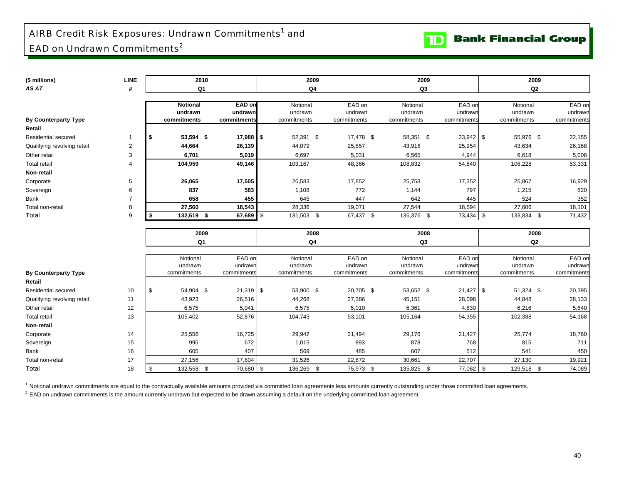# AIRB Credit Risk Exposures: Undrawn Commitments<sup>1</sup> and EAD on Undrawn Commitments<sup>2</sup>

| (\$ millions)               | <b>LINE</b>    | 2010                |                   |      | 2009                |                   | 2009                |                   | 2009                |                   |
|-----------------------------|----------------|---------------------|-------------------|------|---------------------|-------------------|---------------------|-------------------|---------------------|-------------------|
| AS AT                       | #              | Q <sub>1</sub>      |                   |      | Q <sub>4</sub>      |                   | Q3                  |                   | Q2                  |                   |
|                             |                |                     |                   |      |                     |                   |                     |                   |                     |                   |
|                             |                | <b>Notional</b>     | EAD on            |      | Notional            | EAD on            | Notional            | EAD on            | Notional            | EAD on            |
|                             |                | undrawn             | undrawn           |      | undrawn             | undrawn           | undrawn             | undrawn           | undrawn             | undrawn           |
| <b>By Counterparty Type</b> |                | commitments         | commitments       |      | commitments         | commitments       | commitments         | commitments       | commitments         | commitments       |
| Retail                      |                |                     |                   |      |                     |                   |                     |                   |                     |                   |
| Residential secured         | 1              | 53,594 \$<br>\$     | $17,988$ \$       |      | 52,391 \$           | $17,478$ \$       | 58,351 \$           | $23,942$ \$       | 55,976 \$           | 22,155            |
| Qualifying revolving retail | $\overline{2}$ | 44,664              | 26,139            |      | 44,079              | 25,857            | 43,916              | 25,954            | 43,634              | 26,168            |
| Other retail                | 3              | 6,701               | 5,019             |      | 6,697               | 5,031             | 6,565               | 4,944             | 6,618               | 5,008             |
| <b>Total retail</b>         | 4              | 104,959             | 49,146            |      | 103,167             | 48,366            | 108,832             | 54,840            | 106,228             | 53,331            |
| Non-retail                  |                |                     |                   |      |                     |                   |                     |                   |                     |                   |
| Corporate                   | 5              | 26,065              | 17,505            |      | 26,583              | 17,852            | 25,758              | 17,352            | 25,867              | 16,929            |
| Sovereign                   | 6              | 837                 | 583               |      | 1,108               | 772               | 1,144               | 797               | 1,215               | 820               |
| Bank                        | $\overline{7}$ | 658                 | 455               |      | 645                 | 447               | 642                 | 445               | 524                 | 352               |
| Total non-retail            | 8              | 27,560              | 18,543            |      | 28,336              | 19,071            | 27,544              | 18,594            | 27,606              | 18,101            |
| Total                       | 9              | 132,519 \$<br>S.    | 67,689            | l \$ | 131,503 \$          | 67,437            | \$<br>136,376 \$    | 73,434 \$         | 133,834 \$          | 71,432            |
|                             |                |                     |                   |      |                     |                   |                     |                   |                     |                   |
|                             |                | 2009                |                   |      | 2008                |                   | 2008                |                   | 2008                |                   |
|                             |                | Q1                  |                   |      | Q4                  |                   | Q3                  |                   | Q2                  |                   |
|                             |                |                     |                   |      |                     |                   |                     |                   |                     |                   |
|                             |                | Notional<br>undrawn | EAD on<br>undrawn |      | Notional<br>undrawn | EAD on<br>undrawn | Notional<br>undrawn | EAD on<br>undrawr | Notional<br>undrawn | EAD on<br>undrawn |
| <b>By Counterparty Type</b> |                | commitments         | commitments       |      | commitments         | commitments       | commitments         | commitments       | commitments         | commitments       |
| Retail                      |                |                     |                   |      |                     |                   |                     |                   |                     |                   |
| Residential secured         | 10             | 54,904 \$<br>\$     | $21,319$ \$       |      | 53,900 \$           | $20,705$ \$       | 53,652 \$           | $21,427$ \$       | 51,324 \$           | 20,395            |
| Qualifying revolving retail | 11             | 43,923              | 26,516            |      | 44,268              | 27,386            | 45,151              | 28,098            | 44,848              | 28,133            |
| Other retail                | 12             | 6,575               | 5,041             |      | 6,575               | 5,010             | 6,361               | 4,830             | 6,216               | 5,640             |
| <b>Total retail</b>         | 13             | 105,402             | 52,876            |      | 104,743             | 53,101            | 105,164             | 54,355            | 102,388             | 54,168            |
| Non-retail                  |                |                     |                   |      |                     |                   |                     |                   |                     |                   |
| Corporate                   | 14             | 25,556              | 16,725            |      | 29,942              | 21,494            | 29,176              | 21,427            | 25,774              | 18,760            |
| Sovereign                   | 15             | 995                 | 672               |      | 1,015               | 893               | 878                 | 768               | 815                 | 711               |
| Bank                        | 16             | 605                 | 407               |      | 569                 | 485               | 607                 | 512               | 541                 | 450               |
| Total non-retail            | 17             | 27,156              | 17,804            |      | 31,526              | 22,872            | 30,661              | 22,707            | 27,130              | 19,921            |
|                             |                |                     |                   |      |                     |                   |                     |                   |                     |                   |

<sup>1</sup> Notional undrawn commitments are equal to the contractually available amounts provided via committed loan agreements less amounts currently outstanding under those committed loan agreements.

 $2$  EAD on undrawn commitments is the amount currently undrawn but expected to be drawn assuming a default on the underlying committed loan agreement.

**TD** Bank Financial Group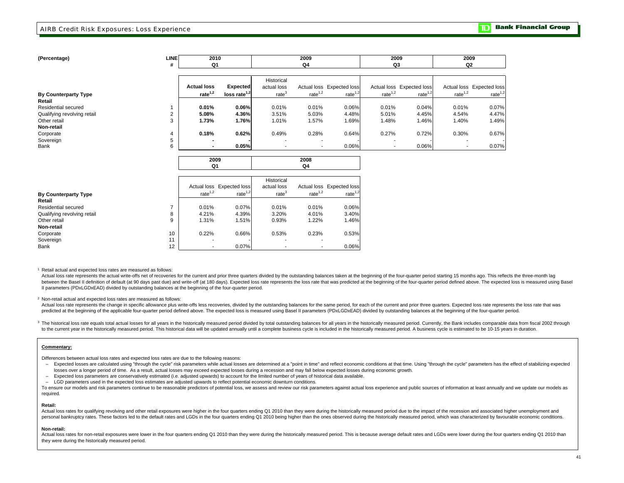| (Percentage)                | LINEI<br># | 2010<br>Q1         |                 |                   | 2009<br>Q4               |                           | 2009<br>Q3 |                           | 2009<br>Q2               |                           |
|-----------------------------|------------|--------------------|-----------------|-------------------|--------------------------|---------------------------|------------|---------------------------|--------------------------|---------------------------|
|                             |            |                    |                 |                   |                          |                           |            |                           |                          |                           |
|                             |            |                    |                 | Historical        |                          |                           |            |                           |                          |                           |
|                             |            | <b>Actual loss</b> | <b>Expected</b> | actual loss       |                          | Actual loss Expected loss |            | Actual loss Expected loss |                          | Actual loss Expected loss |
| <b>By Counterparty Type</b> |            | rate $1,2$         | loss rate $1,2$ | rate <sup>3</sup> | rate $1,2$               | rate $1,2$                | rate $1,2$ | rate $1,2$                | rate $1,2$               | rate $1,2$                |
| Retail                      |            |                    |                 |                   |                          |                           |            |                           |                          |                           |
| Residential secured         |            | 0.01%              | 0.06%           | 0.01%             | 0.01%                    | 0.06%                     | 0.01%      | 0.04%                     | 0.01%                    | 0.07%                     |
| Qualifying revolving retail |            | 5.08%              | 4.36%           | 3.51%             | 5.03%                    | 4.48%                     | 5.01%      | 4.45%                     | 4.54%                    | 4.47%                     |
| Other retail                |            | 1.73%              | 1.76%           | 1.01%             | 1.57%                    | 1.69%                     | 1.48%      | 1.46%                     | 1.40%                    | 1.49%                     |
| Non-retail                  |            |                    |                 |                   |                          |                           |            |                           |                          |                           |
| Corporate                   |            | 0.18%              | 0.62%           | 0.49%             | 0.28%                    | 0.64%                     | 0.27%      | 0.72%                     | 0.30%                    | 0.67%                     |
| Sovereign                   |            |                    |                 |                   |                          |                           |            |                           |                          |                           |
| Bank                        | 6          |                    | 0.05%           |                   | $\overline{\phantom{a}}$ | 0.06%                     |            | 0.06%                     | $\overline{\phantom{a}}$ | 0.07%                     |
|                             |            |                    |                 |                   |                          |                           |            |                           |                          |                           |

|                             |    | Q1         |                           |                   | Q4         |                           |
|-----------------------------|----|------------|---------------------------|-------------------|------------|---------------------------|
|                             |    |            |                           |                   |            |                           |
|                             |    |            |                           | Historical        |            |                           |
|                             |    |            | Actual loss Expected loss | actual loss       |            | Actual loss Expected loss |
| <b>By Counterparty Type</b> |    | rate $1,2$ | rate $1,2$                | rate <sup>3</sup> | rate $1,2$ | rate $1,2$                |
| Retail                      |    |            |                           |                   |            |                           |
| Residential secured         | ⇁  | 0.01%      | 0.07%                     | 0.01%             | 0.01%      | 0.06%                     |
| Qualifying revolving retail | 8  | 4.21%      | 4.39%                     | 3.20%             | 4.01%      | 3.40%                     |
| Other retail                | 9  | 1.31%      | 1.51%                     | 0.93%             | 1.22%      | 1.46%                     |
| Non-retail                  |    |            |                           |                   |            |                           |
| Corporate                   | 10 | 0.22%      | 0.66%                     | 0.53%             | 0.23%      | 0.53%                     |
| Sovereign                   | 11 |            |                           |                   |            |                           |
| Bank                        | 12 |            | 0.07%                     |                   |            | 0.06%                     |

**2009**

1 Retail actual and expected loss rates are measured as follows:

Actual loss rate represents the actual write-offs net of recoveries for the current and prior three quarters divided by the outstanding balances taken at the beginning of the four-quarter period starting 15 months ago. Thi between the Basel II definition of default (at 90 days past due) and write-off (at 180 days). Expected loss rate represents the loss rate that was predicted at the beginning of the four-quarter period defined above. The ex II parameters (PDxLGDxEAD) divided by outstanding balances at the beginning of the four-quarter period.

**2008**

#### 2 Non-retail actual and expected loss rates are measured as follows:

Actual loss rate represents the change in specific allowance plus write-offs less recoveries, divided by the outstanding balances for the same period, for each of the current and prior three quarters. Expected loss rate re predicted at the beginning of the applicable four-quarter period defined above. The expected loss is measured using Basel II parameters (PDxLGDxEAD) divided by outstanding balances at the beginning of the four-quarter peri

<sup>3</sup> The historical loss rate equals total actual losses for all years in the historically measured period divided by total outstanding balances for all years in the historically measured period through the about the base i to the current year in the historically measured period. This historical data will be updated annually until a complete business cycle is included in the historically measured period. A business cycle is estimated to be 10

#### **Commentary:**

Differences between actual loss rates and expected loss rates are due to the following reasons:

- Expected losses are calculated using "through the cycle" risk parameters while actual losses are determined at a "point in time" and reflect economic conditions at that time. Using "through the cycle" parameters has the losses over a longer period of time. As a result, actual losses may exceed expected losses during a recession and may fall below expected losses during economic growth.
- Expected loss parameters are conservatively estimated (i.e. adjusted upwards) to account for the limited number of years of historical data available.

– LGD parameters used in the expected loss estimates are adjusted upwards to reflect potential economic downturn conditions.

To ensure our models and risk parameters continue to be reasonable predictors of potential loss, we assess and review our risk parameters against actual loss experience and public sources of information at least annually a required.

#### **Retail:**

Actual loss rates for qualifying revolving and other retail exposures were higher in the four quarters ending Q1 2010 than they were during the historically measured period due to the impact of the recession and associated personal bankruptcy rates. These factors led to the default rates and LGDs in the four quarters ending Q1 2010 being higher than the ones observed during the historically measured period, which was characterized by favoura

#### **Non-retail:**

Actual loss rates for non-retail exposures were lower in the four quarters ending Q1 2010 than they were during the historically measured period. This is because average default rates and LGDs were lower during the four qu they were during the historically measured period.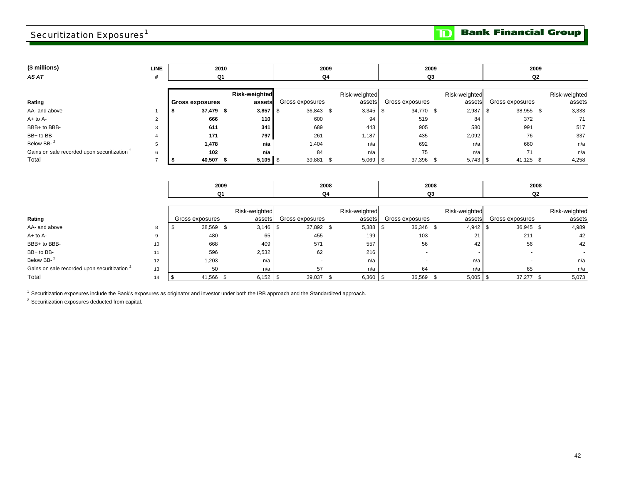# Securitization Exposures $^1$

**Bank Financial Group** 

 $\mathbf{D}$ 

| (\$ millions)                                           | <b>LINE</b>    | 2010                   |                      |                 | 2009             |                   | 2009             |                  | 2009          |
|---------------------------------------------------------|----------------|------------------------|----------------------|-----------------|------------------|-------------------|------------------|------------------|---------------|
| AS AT                                                   | #              | Q1                     |                      | Q4              |                  |                   | Q3               |                  | Q2            |
|                                                         |                |                        |                      |                 |                  |                   |                  |                  |               |
|                                                         |                |                        | <b>Risk-weighted</b> |                 | Risk-weighted    |                   | Risk-weighted    |                  | Risk-weighted |
| Rating                                                  |                | <b>Gross exposures</b> | assets               | Gross exposures | assets           | Gross exposures   | assets           | Gross exposures  | assets        |
| AA- and above                                           |                | 37,479 \$<br>£         | $3,857$ \$           | 36,843 \$       | 3,345            | - \$<br>34,770 \$ | 2,987            | 38,955 \$<br>l S | 3,333         |
| $A+$ to $A-$                                            | $\overline{2}$ | 666                    | 110                  | 600             | 94               | 519               | 84               | 372              | 71            |
| BBB+ to BBB-                                            | 3              | 611                    | 341                  | 689             | 443              | 905               | 580              | 991              | 517           |
| BB+ to BB-                                              |                | 171                    | 797                  | 261             | 1,187            | 435               | 2,092            | 76               | 337           |
| Below BB-2                                              | 5              | 1,478                  | n/a                  | 1,404           | n/a              | 692               | n/a              | 660              | n/a           |
| Gains on sale recorded upon securitization <sup>2</sup> | 6              | 102                    | n/a                  | 84              | n/a              | 75                | n/a              | 71               | n/a           |
| Total                                                   | $\overline{7}$ | 40,507 \$<br>-\$       | $5,105$ \$           | 39,881          | $5,069$ \$<br>\$ | 37,396            | \$<br>$5,743$ \$ | 41,125 \$        | 4,258         |
|                                                         |                |                        |                      |                 |                  |                   |                  |                  |               |
|                                                         |                |                        |                      |                 |                  |                   |                  |                  |               |
|                                                         |                | 2009                   |                      |                 | 2008             |                   | 2008             |                  | 2008          |
|                                                         |                | Q <sub>1</sub>         |                      | Q4              |                  |                   | Q3               |                  | Q2            |
|                                                         |                |                        |                      |                 |                  |                   |                  |                  |               |
|                                                         |                |                        | Risk-weighted        |                 | Risk-weighted    |                   | Risk-weighted    |                  | Risk-weighted |
| Rating                                                  |                | Gross exposures        | assets               | Gross exposures | assets           | Gross exposures   | assets           | Gross exposures  | assets        |
| AA- and above                                           | 8              | 38,569 \$<br>\$        | 3,146                | 37,892 \$<br>\$ | 5,388            | 36,346 \$<br>- \$ | $4,942$ \$       | 36,945 \$        | 4,989         |
| $A+$ to $A-$                                            | 9              | 480                    | 65                   | 455             | 199              | 103               | 21               | 211              | 42            |
| BBB+ to BBB-                                            | 10             | 668                    | 409                  | 571             | 557              | 56                | 42               | 56               | 42            |
| BB+ to BB-                                              | 11             | 596                    | 2,532                | 62              | 216              |                   |                  |                  |               |
| Below BB- <sup>2</sup>                                  | 12             | 1,203                  | n/a                  | $\sim$          | n/a              |                   | n/a              | ۰                | n/a           |

4 |\$ 41,566 \$ 6,152|\$ 39,037 \$ 6,360|\$ 36,569 \$ 5,005|\$ 37,277 \$ 5,073

Gains on sale recorded upon securitization <sup>2</sup> 13 1/a 50 n/a 57 n/a 64 n/a n/a 65 n/a 65 n/a Total 14

<sup>1</sup> Securitization exposures include the Bank's exposures as originator and investor under both the IRB approach and the Standardized approach.

2 Securitization exposures deducted from capital.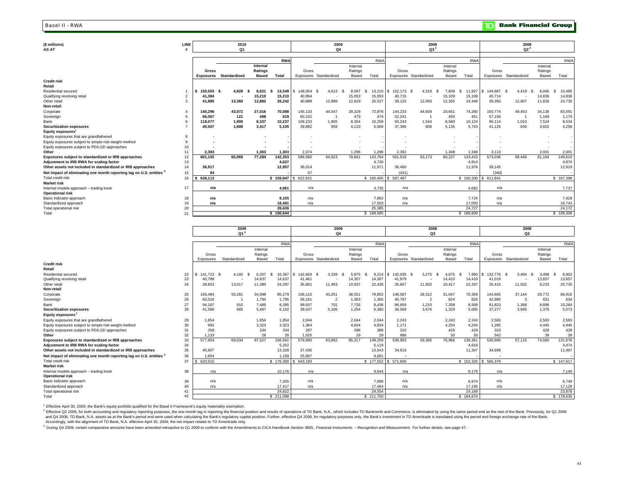#### Basel II - RWA

| (\$ millions)                                                                   | LINE     |            | 2010                   |                          |            |         | 2009                     |                          |            |                        | 2009                     |          |               |                     | 2009                   |          |              |
|---------------------------------------------------------------------------------|----------|------------|------------------------|--------------------------|------------|---------|--------------------------|--------------------------|------------|------------------------|--------------------------|----------|---------------|---------------------|------------------------|----------|--------------|
| <b>ASAT</b>                                                                     |          |            | Q <sub>1</sub>         |                          |            |         | Q <sub>4</sub>           |                          |            |                        | Q3 <sup>3</sup>          |          |               |                     | $Q2^3$                 |          |              |
|                                                                                 |          |            |                        |                          |            |         |                          |                          |            |                        |                          |          |               |                     |                        |          |              |
|                                                                                 |          |            |                        |                          | <b>RWA</b> |         |                          |                          | <b>RWA</b> |                        |                          |          | <b>RWA</b>    |                     |                        |          | <b>RWA</b>   |
|                                                                                 |          |            |                        | Internal                 |            |         |                          | Internal                 |            |                        |                          | Internal |               |                     |                        | Internal |              |
|                                                                                 |          | Gross      |                        | Ratings                  |            | Gross   |                          | Ratings                  |            | Gross                  |                          | Ratings  |               | Gross               |                        | Ratings  |              |
|                                                                                 |          |            | Exposures Standardized | <b>Based</b>             | Total      |         | Exposures Standardized   | Based                    | Total      | Exposures Standardized |                          | Based    | Total         |                     | Exposures Standardized | Based    | Total        |
| <b>Credit risk</b>                                                              |          |            |                        |                          |            |         |                          |                          |            |                        |                          |          |               |                     |                        |          |              |
| Retail                                                                          |          |            |                        |                          |            |         |                          |                          |            |                        |                          |          |               |                     |                        |          |              |
| Residential secured                                                             |          | 150.503 \$ | 4.928                  | 8.621                    | 13,549     | 148.054 | 4.613                    | 8.597                    | 13,210     | \$152,173 \$           | 4,318<br>-9              | 7.609    | 11,927<br>\$. | 144.687             | 4.419                  | 6,066    | 10,485<br>-S |
| Qualifying revolving retail                                                     |          | 41,384     |                        | 15,210                   | 15,210     | 40,894  | $\overline{\phantom{a}}$ | 15,053                   | 15,053     | 40,715                 | $\overline{\phantom{a}}$ | 15,109   | 15,109        | 40,714              |                        | 14,836   | 14,836       |
| Other retail                                                                    | 3        | 41,885     | 13,360                 | 12,882                   | 26,242     | 40.888  | 12,898                   | 12,629                   | 25,527     | 39,125                 | 12,093                   | 12,355   | 24,448        | 39,350              | 12,907                 | 11,828   | 24,735       |
| Non-retail                                                                      |          |            |                        |                          |            |         |                          |                          |            |                        |                          |          |               |                     |                        |          |              |
| Corporate                                                                       |          | 140.296    | 43.072                 | 27,016                   | 70,088     | 145.133 | 44,547                   | 28,329                   | 72,876     | 144.233                | 44.609                   | 29,651   | 74,260        | 150.774             | 49.453                 | 34.138   | 83,591       |
| Sovereign                                                                       |          | 66.067     | 121                    | 498                      | 619        | 60.102  |                          | 473                      | 474        | 52,241                 |                          | 450      | 451           | 57,159              |                        | 1,169    | 1,170        |
| Bank                                                                            |          | 118,077    | 1,900                  | 8,337                    | 10,237     | 109,233 | 1,905                    | 8,354                    | 10,259     | 93,243                 | 1,544                    | 8,580    | 10,124        | 96.114              | 1,010                  | 7,524    | 8,534        |
| <b>Securitization exposures</b>                                                 |          | 40,507     | 1.688                  | 3,417                    | 5.105      | 39.882  | 959                      | 4.110                    | 5.069      | 37,396                 | 608                      | 5.135    | 5.743         | 41,125              | 656                    | 3,602    | 4,258        |
| Equity exposures                                                                |          |            |                        |                          |            |         |                          |                          |            |                        |                          |          |               |                     |                        |          |              |
| Equity exposures that are grandfathered                                         | 8        |            |                        |                          |            |         |                          |                          |            |                        |                          |          |               |                     |                        |          |              |
| Equity exposures subject to simple risk-weight method                           | $\alpha$ |            |                        |                          |            |         |                          |                          |            |                        |                          |          |               |                     |                        |          |              |
| Equity exposures subject to PD/LGD approaches                                   | 10       |            |                        | $\overline{\phantom{a}}$ |            |         |                          | $\overline{\phantom{a}}$ |            |                        |                          |          |               |                     |                        |          |              |
| Other                                                                           | 11       | 2.383      |                        | 1,303                    | 1,303      | 2,374   |                          | 1,296                    | 1,296      | 2,392                  |                          | 1,348    | 1,348         | 3,113               |                        | 2,001    | 2,001        |
| Exposures subject to standardized or IRB approaches                             | 12       | 601.102    | 65.069                 | 77,284                   | 142,353    | 586.560 | 64.923                   | 78,841                   | 143.764    | 561,518                | 63,173                   | 80.237   | 143,410       | 573,036             | 68.446                 | 81,164   | 149,610      |
| Adjustment to IRB RWA for scaling factor                                        | 13       |            |                        |                          | 4,637      |         |                          |                          | 4.730      |                        |                          |          | 4.814         |                     |                        |          | 4,870        |
| Other assets not included in standardized or IRB approaches                     | 14       | 36,917     |                        |                          | 12,957     | 36,014  |                          |                          | 11,971     | 36,400                 |                          |          | 11,976        | 39,145              |                        |          | 12,919       |
| Net impact of eliminating one month reporting lag on U.S. entities <sup>2</sup> | 15       | 94         |                        |                          |            | 57      |                          |                          |            | (431)                  |                          |          |               | (340)               |                        |          |              |
| Total credit risk                                                               | 16       | 638,113    |                        |                          | 159,947    | 622,631 |                          |                          |            | \$160,465 \$597,487    |                          |          |               | \$160,200 \$611,841 |                        |          | \$167,399    |
| <b>Market risk</b>                                                              |          |            |                        |                          |            |         |                          |                          |            |                        |                          |          |               |                     |                        |          |              |
| Internal models approach - trading book                                         | 17       | n/a        |                        |                          | 4.061      | n/a     |                          |                          | 3.735      | n/a                    |                          |          | 4.682         | n/a                 |                        |          | 7,737        |
| <b>Operational risk</b>                                                         |          |            |                        |                          |            |         |                          |                          |            |                        |                          |          |               |                     |                        |          |              |
| Basic indicator approach                                                        | 18       | n/a        |                        |                          | 8,155      | n/a     |                          |                          | 7,882      | n/a                    |                          |          | 7,724         | n/a                 |                        |          | 7,429        |
| Standardized approach                                                           | 19       | n/a        |                        |                          | 18.481     | n/a     |                          |                          | 17.503     | n/a                    |                          |          | 17.003        | n/a                 |                        |          | 16,743       |
| Total operational risk                                                          | 20       |            |                        |                          | 26.636     |         |                          |                          | 25.385     |                        |                          |          | 24.727        |                     |                        |          | 24,172       |
| Total                                                                           | 21       |            |                        |                          | 190,644    |         |                          |                          | 189,585    |                        |                          |          | 189,609<br>S  |                     |                        |          | \$199,308    |

|                                                                                 |    |            | 2009<br>Q1 <sup>3</sup> |          |              |                 | 2008                   |          |            |                     | 2008                   |               |                |                     | 2008                   |             |            |
|---------------------------------------------------------------------------------|----|------------|-------------------------|----------|--------------|-----------------|------------------------|----------|------------|---------------------|------------------------|---------------|----------------|---------------------|------------------------|-------------|------------|
|                                                                                 |    |            |                         |          |              |                 | Q4                     |          |            |                     | Q3                     |               |                |                     | Q <sub>2</sub>         |             |            |
|                                                                                 |    |            |                         |          | <b>RWA</b>   |                 |                        |          | <b>RWA</b> |                     |                        |               | <b>RWA</b>     |                     |                        |             | <b>RWA</b> |
|                                                                                 |    |            |                         | Internal |              |                 |                        | Internal |            |                     |                        | Internal      |                |                     |                        | Internal    |            |
|                                                                                 |    | Gross      |                         | Ratings  |              | Gross           |                        | Ratings  |            | Gross               |                        | Ratings       |                | Gross               |                        | Ratings     |            |
|                                                                                 |    | Exposures  | Standardized            | Based    | Total        |                 | Exposures Standardized | Based    | Total      |                     | Exposures Standardized | Based         | Total          |                     | Exposures Standardized | Based       | Total      |
| <b>Credit risk</b>                                                              |    |            |                         |          |              |                 |                        |          |            |                     |                        |               |                |                     |                        |             |            |
| Retail                                                                          |    |            |                         |          |              |                 |                        |          |            |                     |                        |               |                |                     |                        |             |            |
| Residential secured                                                             | 22 | 141.723 \$ | 4,160                   | 6,207    | 10,367<br>S. | 142,663<br>l \$ | 3,339                  | 5.875    | 9.214      | 142,035 \$<br>l S   | 3,275                  | 4.675<br>- \$ | 7,950 \$<br>-8 | 132,776             | 3.404<br>-8            | 3.498<br>-S | 6,902      |
| Qualifying revolving retail                                                     | 23 | 40.788     |                         | 14,637   | 14,637       | 41.461          |                        | 14.307   | 14,307     | 41.979              |                        | 14.410        | 14,410         | 41,019              |                        | 13,657      | 13,657     |
| Other retail                                                                    | 24 | 38.653     | 13,017                  | 11,380   | 24,397       | 35.801          | 11,493                 | 10,937   | 22,430     | 35.657              | 11,920                 | 10,417        | 22,337         | 35,415              | 11,502                 | 9,233       | 20,735     |
| Non-retail                                                                      |    |            |                         |          |              |                 |                        |          |            |                     |                        |               |                |                     |                        |             |            |
| Corporate                                                                       | 25 | 156,484    | 50,281                  | 34,998   | 85,279       | 158,110         | 43,251                 | 36,551   | 79,802     | 148,587             | 39,312                 | 31,047        | 70,359         | 144,665             | 37.144                 | 29,772      | 66,916     |
| Sovereign                                                                       | 26 | 60,316     |                         | 1,794    | 1,795        | 58.161          | $\overline{2}$         | 1,363    | 1,365      | 40,797              | $\overline{2}$         | 824           | 826            | 42,985              |                        | 631         | 634        |
| Bank                                                                            | 27 | 94.187     | 910                     | 7.485    | 8,395        | 99.937          | 701                    | 7,735    | 8.436      | 86.659              | 1,210                  | 7.358         | 8,568          | 91,823              | 1.368                  | 8.896       | 10,264     |
| <b>Securitization exposures</b>                                                 | 28 | 41.566     | 665                     | 5,487    | 6,152        | 39.037          | 5.106                  | 1,254    | 6,360      | 36,569              | 3.676                  | 1.329         | 5,005          | 37,277              | 3.695                  | 1,378       | 5,073      |
| Equity exposures <sup>1</sup>                                                   |    |            |                         |          |              |                 |                        |          |            |                     |                        |               |                |                     |                        |             |            |
| Equity exposures that are grandfathered                                         | 29 | 1.854      |                         | 1,854    | 1,854        | 2.044           |                        | 2,044    | 2,044      | 2,243               |                        | 2,243         | 2,243          | 2,583               |                        | 2,583       | 2,583      |
| Equity exposures subject to simple risk-weight method                           | 30 | 992        |                         | 3,323    | 3,323        | 1.364           |                        | 4,834    | 4.834      | 1.171               |                        | 4,204         | 4,204          | 1,285               |                        | 4.445       | 4,445      |
| Equity exposures subject to PD/LGD approaches                                   | 31 | 258        |                         | 334      | 334          | 287             |                        | 388      | 388        | 310                 |                        | 429           | 429            | 310                 |                        | 428         | 428        |
| Other                                                                           | 32 | 1.133      |                         | 28       | 28           | 1.025           |                        | 29       | 29         | 986                 |                        | 30            | 30             | 542                 |                        | 39          | 39         |
| Exposures subject to standardized or IRB approaches                             | 33 | 577.954    | 69.034                  | 87.527   | 156,561      | 579.890         | 63.892                 | 85.317   | 149,209    | 536.993             | 59,395                 | 76.966        | 136,361        | 530,680             | 57.116                 | 74.560      | 131,676    |
| Adjustment to IRB RWA for scaling factor                                        | 34 |            |                         |          | 5,252        |                 |                        |          | 5,119      |                     |                        |               | 4,618          |                     |                        |             | 4,474      |
| Other assets not included in standardized or IRB approaches                     | 35 | 40.907     |                         |          | 13,328       | 37.436          |                        |          | 13,543     | 34.613              |                        |               | 11,347         | 34,699              |                        |             | 11,467     |
| Net impact of eliminating one month reporting lag on U.S. entities <sup>2</sup> | 36 | 1,654      |                         |          | 1.159        | 25,867          |                        |          | 9,681      |                     |                        |               |                |                     |                        |             |            |
| Total credit risk                                                               | 37 | 620,515    |                         |          | \$176,300    | 643,193         |                        |          |            | \$177,552 \$571,606 |                        |               |                | \$152,326 \$565,379 |                        |             | \$147,617  |
| <b>Market risk</b>                                                              |    |            |                         |          |              |                 |                        |          |            |                     |                        |               |                |                     |                        |             |            |
| Internal models approach - trading book                                         | 38 | n/a        |                         |          | 10.176       | n/a             |                        |          | 9.644      | n/a                 |                        |               | 8.179          | n/a                 |                        |             | 7,140      |
| <b>Operational risk</b>                                                         |    |            |                         |          |              |                 |                        |          |            |                     |                        |               |                |                     |                        |             |            |
| Basic indicator approach                                                        | 39 | n/a        |                         |          | 7,205        | n/a             |                        |          | 7,090      | n/a                 |                        |               | 6,974          | n/a                 |                        |             | 6,749      |
| Standardized approach                                                           | 40 | n/a        |                         |          | 17,417       | n/a             |                        |          | 17.464     | n/a                 |                        |               | 17.195         | n/a                 |                        |             | 17.129     |
| Total operational risk                                                          | 41 |            |                         |          | 24.622       |                 |                        |          | 24.554     |                     |                        |               | 24.169         |                     |                        |             | 23,878     |
| Total                                                                           | 42 |            |                         |          | \$211,098    |                 |                        |          | \$211,750  |                     |                        |               | \$184,674      |                     |                        |             | \$178,635  |

 $1$  Effective April 30, 2009, the Bank's equity portfolio qualified for the Basel II Framework's equity materiality exemption.

 Accordingly, with the alignment of TD Bank, N.A. effective April 30, 2009, the net impact relates to TD Ameritrade only. <sup>2</sup> Effective Q2 2009, for both accounting and regulatory reporting purposes, the one month lag in reporting the financial position and results of operations of TD Bank, N.A., which includes TD Banknoth and Commerce, is el and Q4 2008, TD Bank, N.A. assets as at the Bank's period end were used when calculating the Bank's regulatory capital position. Further, effective Q4 2008, for regulatory purposes only, the Bank's investment in TD Ameritr

<sup>3</sup> During Q4 2009, certain comparative amounts have been amended retroactive to Q1 2009 to conform with the Amendments to CICA Handbook Section 3855, Financial Instruments - Recognition and Measurement. For further detail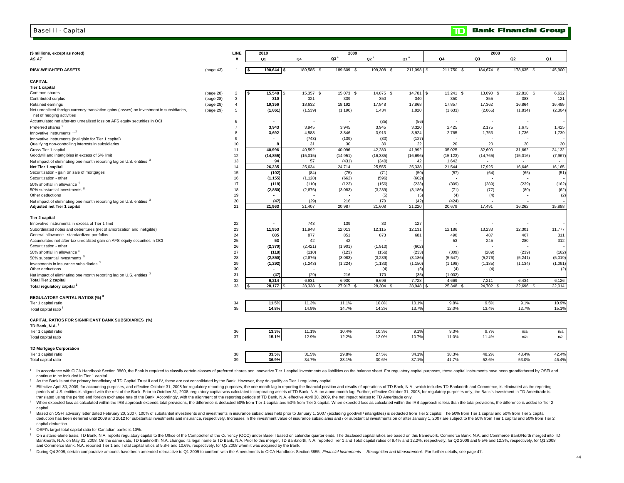#### Basel II - Capital

| $Q3^8$<br>$Q2^8$<br>Q1 <sup>8</sup><br>Q3<br>AS AT<br>Q <sub>1</sub><br>Q <sub>4</sub><br>Q4<br>Q2<br>Q1<br>190,644 \$<br>145,900<br>189,585 \$<br>199,308 \$<br>211,098 \$<br>211,750 \$<br>184,674 \$<br>178,635 \$<br>(page 43)<br>189,609<br>- \$<br>15,548<br>$\overline{2}$<br>l \$<br>15,357 \$<br>15,073 \$<br>14,875 \$<br>14,781<br>$13,241$ \$<br>13,090 \$<br>12,818 \$<br>6,632<br>(page 28)<br>l \$<br>l S<br>$\mathbf{3}$<br>321<br>339<br>350<br>340<br>350<br>355<br>383<br>121<br>(page 28)<br>310<br>$\overline{4}$<br>19,356<br>18,632<br>18,192<br>17,848<br>17,868<br>17,857<br>17,362<br>16,864<br>16,499<br>(page 28)<br>(2,065)<br>(2, 304)<br>(page 29)<br>5<br>(1, 861)<br>(1,539)<br>(1, 190)<br>1,434<br>1,920<br>(1,633)<br>(1,834)<br>net of hedging activities<br>6<br>(35)<br>(56)<br>$\overline{\phantom{a}}$<br>$\blacksquare$<br>1,425<br>$\overline{7}$<br>3,943<br>3,945<br>3,945<br>3,945<br>3,320<br>2,425<br>2,175<br>1,675<br>3,692<br>4,588<br>3,924<br>1,739<br>8<br>3,846<br>3,913<br>2,765<br>1,753<br>1,736<br>9<br>(743)<br>(139)<br>(80)<br>(127)<br>20<br>20<br>20<br>20<br>10<br>31<br>30<br>30<br>22<br>11<br>40,996<br>40,592<br>40,096<br>42,280<br>41,992<br>35,025<br>32,690<br>31,662<br>24,132<br>12<br>(14, 855)<br>(15, 015)<br>(14, 951)<br>(16, 385)<br>(16, 696)<br>(15, 123)<br>(14, 765)<br>(15,016)<br>(7,967)<br>13<br>(431)<br>(340)<br>94<br>57<br>42<br>1,642<br>26,235<br>25,634<br>24,714<br>25,555<br>25,338<br>21,544<br>17,925<br>16,646<br>16,165<br>14<br>(51)<br>15<br>(102)<br>(84)<br>(75)<br>(71)<br>(50)<br>(57)<br>(64)<br>(65)<br>(1, 155)<br>Securitization - other<br>16<br>(1, 128)<br>(662)<br>(596)<br>(602)<br>$\overline{\phantom{a}}$<br>(233)<br>17<br>(118)<br>(123)<br>(156)<br>(309)<br>(289)<br>(239)<br>(162)<br>50% shortfall in allowance<br>(110)<br>(2,850)<br>(3,289)<br>(62)<br>50% substantial investments <sup>5</sup><br>18<br>(2,876)<br>(3,083)<br>(3, 186)<br>(71)<br>(77)<br>(80)<br>Other deductions<br>19<br>(2)<br>(4)<br>(4)<br>(5)<br>(5<br>20<br>(47)<br>(29)<br>216<br>170<br>(42)<br>(424)<br>Net impact of eliminating one month reporting lag on U.S. entities<br>Adjusted net Tier 1 capital<br>21<br>21,963<br>21,407<br>20.987<br>21,608<br>21,220<br>20,679<br>17.491<br>16,262<br>15,888<br>Tier 2 capital<br>Innovative instruments in excess of Tier 1 limit<br>22<br>743<br>80<br>139<br>127<br>11,777<br>Subordinated notes and debentures (net of amortization and ineligible)<br>23<br>11,953<br>12,013<br>12,115<br>13,233<br>12,301<br>11,948<br>12,131<br>12,186<br>24<br>885<br>877<br>851<br>873<br>490<br>487<br>467<br>311<br>681<br>Accumulated net after-tax unrealized gain on AFS equity securities in OCI<br>25<br>53<br>42<br>42<br>53<br>245<br>280<br>312<br>26<br>(2, 370)<br>(2, 421)<br>(1,901)<br>(602)<br>(1,910)<br>27<br>(233)<br>(162)<br>50% shortfall in allowance<br>(118)<br>(110)<br>(123)<br>(156)<br>(309)<br>(289)<br>(239)<br>28<br>(3,289)<br>(5,019)<br>(2,850)<br>(2,876)<br>(3,083)<br>(3, 186)<br>(5, 547)<br>(5,276)<br>(5, 241)<br>29<br>(1, 292)<br>(1, 243)<br>(1,091)<br>(1,224)<br>(1, 183)<br>(1, 150)<br>(1, 198)<br>(1, 185)<br>(1, 134)<br>30<br>(2)<br>(4)<br>(5)<br>(4)<br>(4)<br>31<br>(47)<br>(29)<br>216<br>170<br>(35)<br>(1,002)<br>Net impact of eliminating one month reporting lag on U.S. entities <sup>3</sup><br>٠.<br>32<br>6,214<br>6,930<br>6,696<br>6,434<br>6,931<br>7,728<br>4,669<br>7,211<br>6,126<br>33<br>28,177<br>27,917 \$<br>28,304 \$<br>28,948<br>25,348<br>24,702 \$<br>22,696<br>22,014<br>28,338<br>- \$<br><b>REGULATORY CAPITAL RATIOS (%) 3</b><br>9.5%<br>9.1%<br>11.5%<br>11.3%<br>11.1%<br>10.8%<br>10.1%<br>9.8%<br>10.9%<br>Tier 1 capital ratio<br>34<br>35<br>14.8%<br>14.9%<br>14.7%<br>14.2%<br>13.7%<br>12.0%<br>13.4%<br>12.7%<br>15.1%<br>Total capital ratio <sup>b</sup><br>10.4%<br>10.3%<br>9.7%<br>13.3%<br>11.1%<br>9.1%<br>9.3%<br>36<br>n/a<br>n/a<br>37<br>15.1%<br>12.9%<br>12.2%<br>12.0%<br>10.7%<br>11.0%<br>11.4%<br>n/a<br>n/a<br><b>TD Mortgage Corporation</b><br>48.2%<br>42.4%<br>Tier 1 capital ratio<br>38<br>33.5%<br>31.5%<br>29.8%<br>27.5%<br>34.1%<br>38.3%<br>48.4%<br>39<br>36.9%<br>34.7%<br>33.1%<br>30.6%<br>37.1%<br>41.7%<br>52.6%<br>53.0%<br>46.4% |                                                                                           |             |      |      |  |      |  |
|-------------------------------------------------------------------------------------------------------------------------------------------------------------------------------------------------------------------------------------------------------------------------------------------------------------------------------------------------------------------------------------------------------------------------------------------------------------------------------------------------------------------------------------------------------------------------------------------------------------------------------------------------------------------------------------------------------------------------------------------------------------------------------------------------------------------------------------------------------------------------------------------------------------------------------------------------------------------------------------------------------------------------------------------------------------------------------------------------------------------------------------------------------------------------------------------------------------------------------------------------------------------------------------------------------------------------------------------------------------------------------------------------------------------------------------------------------------------------------------------------------------------------------------------------------------------------------------------------------------------------------------------------------------------------------------------------------------------------------------------------------------------------------------------------------------------------------------------------------------------------------------------------------------------------------------------------------------------------------------------------------------------------------------------------------------------------------------------------------------------------------------------------------------------------------------------------------------------------------------------------------------------------------------------------------------------------------------------------------------------------------------------------------------------------------------------------------------------------------------------------------------------------------------------------------------------------------------------------------------------------------------------------------------------------------------------------------------------------------------------------------------------------------------------------------------------------------------------------------------------------------------------------------------------------------------------------------------------------------------------------------------------------------------------------------------------------------------------------------------------------------------------------------------------------------------------------------------------------------------------------------------------------------------------------------------------------------------------------------------------------------------------------------------------------------------------------------------------------------------------------------------------------------------------------------------------------------------------------------------------------------------------------------------------------------------------------------------------------------------------------------------------------------------------------------------------------------------------------------------------------------------------------------------------------------------------------------------------------------------------------------------------------------------------------------------------------------------------------------------------------------------------------------------------------------------------------------------------------------------------------------------------------------------------------------------------------|-------------------------------------------------------------------------------------------|-------------|------|------|--|------|--|
|                                                                                                                                                                                                                                                                                                                                                                                                                                                                                                                                                                                                                                                                                                                                                                                                                                                                                                                                                                                                                                                                                                                                                                                                                                                                                                                                                                                                                                                                                                                                                                                                                                                                                                                                                                                                                                                                                                                                                                                                                                                                                                                                                                                                                                                                                                                                                                                                                                                                                                                                                                                                                                                                                                                                                                                                                                                                                                                                                                                                                                                                                                                                                                                                                                                                                                                                                                                                                                                                                                                                                                                                                                                                                                                                                                                                                                                                                                                                                                                                                                                                                                                                                                                                                                                                                                                         | (\$ millions, except as noted)                                                            | <b>LINE</b> | 2010 | 2009 |  | 2008 |  |
|                                                                                                                                                                                                                                                                                                                                                                                                                                                                                                                                                                                                                                                                                                                                                                                                                                                                                                                                                                                                                                                                                                                                                                                                                                                                                                                                                                                                                                                                                                                                                                                                                                                                                                                                                                                                                                                                                                                                                                                                                                                                                                                                                                                                                                                                                                                                                                                                                                                                                                                                                                                                                                                                                                                                                                                                                                                                                                                                                                                                                                                                                                                                                                                                                                                                                                                                                                                                                                                                                                                                                                                                                                                                                                                                                                                                                                                                                                                                                                                                                                                                                                                                                                                                                                                                                                                         |                                                                                           |             |      |      |  |      |  |
|                                                                                                                                                                                                                                                                                                                                                                                                                                                                                                                                                                                                                                                                                                                                                                                                                                                                                                                                                                                                                                                                                                                                                                                                                                                                                                                                                                                                                                                                                                                                                                                                                                                                                                                                                                                                                                                                                                                                                                                                                                                                                                                                                                                                                                                                                                                                                                                                                                                                                                                                                                                                                                                                                                                                                                                                                                                                                                                                                                                                                                                                                                                                                                                                                                                                                                                                                                                                                                                                                                                                                                                                                                                                                                                                                                                                                                                                                                                                                                                                                                                                                                                                                                                                                                                                                                                         | <b>RISK-WEIGHTED ASSETS</b>                                                               |             |      |      |  |      |  |
|                                                                                                                                                                                                                                                                                                                                                                                                                                                                                                                                                                                                                                                                                                                                                                                                                                                                                                                                                                                                                                                                                                                                                                                                                                                                                                                                                                                                                                                                                                                                                                                                                                                                                                                                                                                                                                                                                                                                                                                                                                                                                                                                                                                                                                                                                                                                                                                                                                                                                                                                                                                                                                                                                                                                                                                                                                                                                                                                                                                                                                                                                                                                                                                                                                                                                                                                                                                                                                                                                                                                                                                                                                                                                                                                                                                                                                                                                                                                                                                                                                                                                                                                                                                                                                                                                                                         | <b>CAPITAL</b>                                                                            |             |      |      |  |      |  |
|                                                                                                                                                                                                                                                                                                                                                                                                                                                                                                                                                                                                                                                                                                                                                                                                                                                                                                                                                                                                                                                                                                                                                                                                                                                                                                                                                                                                                                                                                                                                                                                                                                                                                                                                                                                                                                                                                                                                                                                                                                                                                                                                                                                                                                                                                                                                                                                                                                                                                                                                                                                                                                                                                                                                                                                                                                                                                                                                                                                                                                                                                                                                                                                                                                                                                                                                                                                                                                                                                                                                                                                                                                                                                                                                                                                                                                                                                                                                                                                                                                                                                                                                                                                                                                                                                                                         | Tier 1 capital                                                                            |             |      |      |  |      |  |
|                                                                                                                                                                                                                                                                                                                                                                                                                                                                                                                                                                                                                                                                                                                                                                                                                                                                                                                                                                                                                                                                                                                                                                                                                                                                                                                                                                                                                                                                                                                                                                                                                                                                                                                                                                                                                                                                                                                                                                                                                                                                                                                                                                                                                                                                                                                                                                                                                                                                                                                                                                                                                                                                                                                                                                                                                                                                                                                                                                                                                                                                                                                                                                                                                                                                                                                                                                                                                                                                                                                                                                                                                                                                                                                                                                                                                                                                                                                                                                                                                                                                                                                                                                                                                                                                                                                         | Common shares                                                                             |             |      |      |  |      |  |
|                                                                                                                                                                                                                                                                                                                                                                                                                                                                                                                                                                                                                                                                                                                                                                                                                                                                                                                                                                                                                                                                                                                                                                                                                                                                                                                                                                                                                                                                                                                                                                                                                                                                                                                                                                                                                                                                                                                                                                                                                                                                                                                                                                                                                                                                                                                                                                                                                                                                                                                                                                                                                                                                                                                                                                                                                                                                                                                                                                                                                                                                                                                                                                                                                                                                                                                                                                                                                                                                                                                                                                                                                                                                                                                                                                                                                                                                                                                                                                                                                                                                                                                                                                                                                                                                                                                         | Contributed surplus                                                                       |             |      |      |  |      |  |
|                                                                                                                                                                                                                                                                                                                                                                                                                                                                                                                                                                                                                                                                                                                                                                                                                                                                                                                                                                                                                                                                                                                                                                                                                                                                                                                                                                                                                                                                                                                                                                                                                                                                                                                                                                                                                                                                                                                                                                                                                                                                                                                                                                                                                                                                                                                                                                                                                                                                                                                                                                                                                                                                                                                                                                                                                                                                                                                                                                                                                                                                                                                                                                                                                                                                                                                                                                                                                                                                                                                                                                                                                                                                                                                                                                                                                                                                                                                                                                                                                                                                                                                                                                                                                                                                                                                         | Retained earnings                                                                         |             |      |      |  |      |  |
|                                                                                                                                                                                                                                                                                                                                                                                                                                                                                                                                                                                                                                                                                                                                                                                                                                                                                                                                                                                                                                                                                                                                                                                                                                                                                                                                                                                                                                                                                                                                                                                                                                                                                                                                                                                                                                                                                                                                                                                                                                                                                                                                                                                                                                                                                                                                                                                                                                                                                                                                                                                                                                                                                                                                                                                                                                                                                                                                                                                                                                                                                                                                                                                                                                                                                                                                                                                                                                                                                                                                                                                                                                                                                                                                                                                                                                                                                                                                                                                                                                                                                                                                                                                                                                                                                                                         | Net unrealized foreign currency translation gains (losses) on investment in subsidiaries, |             |      |      |  |      |  |
|                                                                                                                                                                                                                                                                                                                                                                                                                                                                                                                                                                                                                                                                                                                                                                                                                                                                                                                                                                                                                                                                                                                                                                                                                                                                                                                                                                                                                                                                                                                                                                                                                                                                                                                                                                                                                                                                                                                                                                                                                                                                                                                                                                                                                                                                                                                                                                                                                                                                                                                                                                                                                                                                                                                                                                                                                                                                                                                                                                                                                                                                                                                                                                                                                                                                                                                                                                                                                                                                                                                                                                                                                                                                                                                                                                                                                                                                                                                                                                                                                                                                                                                                                                                                                                                                                                                         |                                                                                           |             |      |      |  |      |  |
|                                                                                                                                                                                                                                                                                                                                                                                                                                                                                                                                                                                                                                                                                                                                                                                                                                                                                                                                                                                                                                                                                                                                                                                                                                                                                                                                                                                                                                                                                                                                                                                                                                                                                                                                                                                                                                                                                                                                                                                                                                                                                                                                                                                                                                                                                                                                                                                                                                                                                                                                                                                                                                                                                                                                                                                                                                                                                                                                                                                                                                                                                                                                                                                                                                                                                                                                                                                                                                                                                                                                                                                                                                                                                                                                                                                                                                                                                                                                                                                                                                                                                                                                                                                                                                                                                                                         | Accumulated net after-tax unrealized loss on AFS equity securities in OCI                 |             |      |      |  |      |  |
|                                                                                                                                                                                                                                                                                                                                                                                                                                                                                                                                                                                                                                                                                                                                                                                                                                                                                                                                                                                                                                                                                                                                                                                                                                                                                                                                                                                                                                                                                                                                                                                                                                                                                                                                                                                                                                                                                                                                                                                                                                                                                                                                                                                                                                                                                                                                                                                                                                                                                                                                                                                                                                                                                                                                                                                                                                                                                                                                                                                                                                                                                                                                                                                                                                                                                                                                                                                                                                                                                                                                                                                                                                                                                                                                                                                                                                                                                                                                                                                                                                                                                                                                                                                                                                                                                                                         | Preferred shares                                                                          |             |      |      |  |      |  |
|                                                                                                                                                                                                                                                                                                                                                                                                                                                                                                                                                                                                                                                                                                                                                                                                                                                                                                                                                                                                                                                                                                                                                                                                                                                                                                                                                                                                                                                                                                                                                                                                                                                                                                                                                                                                                                                                                                                                                                                                                                                                                                                                                                                                                                                                                                                                                                                                                                                                                                                                                                                                                                                                                                                                                                                                                                                                                                                                                                                                                                                                                                                                                                                                                                                                                                                                                                                                                                                                                                                                                                                                                                                                                                                                                                                                                                                                                                                                                                                                                                                                                                                                                                                                                                                                                                                         | Innovative instruments 1, 2                                                               |             |      |      |  |      |  |
|                                                                                                                                                                                                                                                                                                                                                                                                                                                                                                                                                                                                                                                                                                                                                                                                                                                                                                                                                                                                                                                                                                                                                                                                                                                                                                                                                                                                                                                                                                                                                                                                                                                                                                                                                                                                                                                                                                                                                                                                                                                                                                                                                                                                                                                                                                                                                                                                                                                                                                                                                                                                                                                                                                                                                                                                                                                                                                                                                                                                                                                                                                                                                                                                                                                                                                                                                                                                                                                                                                                                                                                                                                                                                                                                                                                                                                                                                                                                                                                                                                                                                                                                                                                                                                                                                                                         | Innovative instruments (ineligible for Tier 1 capital)                                    |             |      |      |  |      |  |
|                                                                                                                                                                                                                                                                                                                                                                                                                                                                                                                                                                                                                                                                                                                                                                                                                                                                                                                                                                                                                                                                                                                                                                                                                                                                                                                                                                                                                                                                                                                                                                                                                                                                                                                                                                                                                                                                                                                                                                                                                                                                                                                                                                                                                                                                                                                                                                                                                                                                                                                                                                                                                                                                                                                                                                                                                                                                                                                                                                                                                                                                                                                                                                                                                                                                                                                                                                                                                                                                                                                                                                                                                                                                                                                                                                                                                                                                                                                                                                                                                                                                                                                                                                                                                                                                                                                         | Qualifying non-controlling interests in subsidiaries                                      |             |      |      |  |      |  |
|                                                                                                                                                                                                                                                                                                                                                                                                                                                                                                                                                                                                                                                                                                                                                                                                                                                                                                                                                                                                                                                                                                                                                                                                                                                                                                                                                                                                                                                                                                                                                                                                                                                                                                                                                                                                                                                                                                                                                                                                                                                                                                                                                                                                                                                                                                                                                                                                                                                                                                                                                                                                                                                                                                                                                                                                                                                                                                                                                                                                                                                                                                                                                                                                                                                                                                                                                                                                                                                                                                                                                                                                                                                                                                                                                                                                                                                                                                                                                                                                                                                                                                                                                                                                                                                                                                                         | Gross Tier 1 capital                                                                      |             |      |      |  |      |  |
|                                                                                                                                                                                                                                                                                                                                                                                                                                                                                                                                                                                                                                                                                                                                                                                                                                                                                                                                                                                                                                                                                                                                                                                                                                                                                                                                                                                                                                                                                                                                                                                                                                                                                                                                                                                                                                                                                                                                                                                                                                                                                                                                                                                                                                                                                                                                                                                                                                                                                                                                                                                                                                                                                                                                                                                                                                                                                                                                                                                                                                                                                                                                                                                                                                                                                                                                                                                                                                                                                                                                                                                                                                                                                                                                                                                                                                                                                                                                                                                                                                                                                                                                                                                                                                                                                                                         | Goodwill and intangibles in excess of 5% limit                                            |             |      |      |  |      |  |
|                                                                                                                                                                                                                                                                                                                                                                                                                                                                                                                                                                                                                                                                                                                                                                                                                                                                                                                                                                                                                                                                                                                                                                                                                                                                                                                                                                                                                                                                                                                                                                                                                                                                                                                                                                                                                                                                                                                                                                                                                                                                                                                                                                                                                                                                                                                                                                                                                                                                                                                                                                                                                                                                                                                                                                                                                                                                                                                                                                                                                                                                                                                                                                                                                                                                                                                                                                                                                                                                                                                                                                                                                                                                                                                                                                                                                                                                                                                                                                                                                                                                                                                                                                                                                                                                                                                         | Net impact of eliminating one month reporting lag on U.S. entities <sup>3</sup>           |             |      |      |  |      |  |
|                                                                                                                                                                                                                                                                                                                                                                                                                                                                                                                                                                                                                                                                                                                                                                                                                                                                                                                                                                                                                                                                                                                                                                                                                                                                                                                                                                                                                                                                                                                                                                                                                                                                                                                                                                                                                                                                                                                                                                                                                                                                                                                                                                                                                                                                                                                                                                                                                                                                                                                                                                                                                                                                                                                                                                                                                                                                                                                                                                                                                                                                                                                                                                                                                                                                                                                                                                                                                                                                                                                                                                                                                                                                                                                                                                                                                                                                                                                                                                                                                                                                                                                                                                                                                                                                                                                         | Net Tier 1 capital                                                                        |             |      |      |  |      |  |
|                                                                                                                                                                                                                                                                                                                                                                                                                                                                                                                                                                                                                                                                                                                                                                                                                                                                                                                                                                                                                                                                                                                                                                                                                                                                                                                                                                                                                                                                                                                                                                                                                                                                                                                                                                                                                                                                                                                                                                                                                                                                                                                                                                                                                                                                                                                                                                                                                                                                                                                                                                                                                                                                                                                                                                                                                                                                                                                                                                                                                                                                                                                                                                                                                                                                                                                                                                                                                                                                                                                                                                                                                                                                                                                                                                                                                                                                                                                                                                                                                                                                                                                                                                                                                                                                                                                         | Securitization - gain on sale of mortgages                                                |             |      |      |  |      |  |
|                                                                                                                                                                                                                                                                                                                                                                                                                                                                                                                                                                                                                                                                                                                                                                                                                                                                                                                                                                                                                                                                                                                                                                                                                                                                                                                                                                                                                                                                                                                                                                                                                                                                                                                                                                                                                                                                                                                                                                                                                                                                                                                                                                                                                                                                                                                                                                                                                                                                                                                                                                                                                                                                                                                                                                                                                                                                                                                                                                                                                                                                                                                                                                                                                                                                                                                                                                                                                                                                                                                                                                                                                                                                                                                                                                                                                                                                                                                                                                                                                                                                                                                                                                                                                                                                                                                         |                                                                                           |             |      |      |  |      |  |
|                                                                                                                                                                                                                                                                                                                                                                                                                                                                                                                                                                                                                                                                                                                                                                                                                                                                                                                                                                                                                                                                                                                                                                                                                                                                                                                                                                                                                                                                                                                                                                                                                                                                                                                                                                                                                                                                                                                                                                                                                                                                                                                                                                                                                                                                                                                                                                                                                                                                                                                                                                                                                                                                                                                                                                                                                                                                                                                                                                                                                                                                                                                                                                                                                                                                                                                                                                                                                                                                                                                                                                                                                                                                                                                                                                                                                                                                                                                                                                                                                                                                                                                                                                                                                                                                                                                         |                                                                                           |             |      |      |  |      |  |
|                                                                                                                                                                                                                                                                                                                                                                                                                                                                                                                                                                                                                                                                                                                                                                                                                                                                                                                                                                                                                                                                                                                                                                                                                                                                                                                                                                                                                                                                                                                                                                                                                                                                                                                                                                                                                                                                                                                                                                                                                                                                                                                                                                                                                                                                                                                                                                                                                                                                                                                                                                                                                                                                                                                                                                                                                                                                                                                                                                                                                                                                                                                                                                                                                                                                                                                                                                                                                                                                                                                                                                                                                                                                                                                                                                                                                                                                                                                                                                                                                                                                                                                                                                                                                                                                                                                         |                                                                                           |             |      |      |  |      |  |
|                                                                                                                                                                                                                                                                                                                                                                                                                                                                                                                                                                                                                                                                                                                                                                                                                                                                                                                                                                                                                                                                                                                                                                                                                                                                                                                                                                                                                                                                                                                                                                                                                                                                                                                                                                                                                                                                                                                                                                                                                                                                                                                                                                                                                                                                                                                                                                                                                                                                                                                                                                                                                                                                                                                                                                                                                                                                                                                                                                                                                                                                                                                                                                                                                                                                                                                                                                                                                                                                                                                                                                                                                                                                                                                                                                                                                                                                                                                                                                                                                                                                                                                                                                                                                                                                                                                         |                                                                                           |             |      |      |  |      |  |
|                                                                                                                                                                                                                                                                                                                                                                                                                                                                                                                                                                                                                                                                                                                                                                                                                                                                                                                                                                                                                                                                                                                                                                                                                                                                                                                                                                                                                                                                                                                                                                                                                                                                                                                                                                                                                                                                                                                                                                                                                                                                                                                                                                                                                                                                                                                                                                                                                                                                                                                                                                                                                                                                                                                                                                                                                                                                                                                                                                                                                                                                                                                                                                                                                                                                                                                                                                                                                                                                                                                                                                                                                                                                                                                                                                                                                                                                                                                                                                                                                                                                                                                                                                                                                                                                                                                         |                                                                                           |             |      |      |  |      |  |
|                                                                                                                                                                                                                                                                                                                                                                                                                                                                                                                                                                                                                                                                                                                                                                                                                                                                                                                                                                                                                                                                                                                                                                                                                                                                                                                                                                                                                                                                                                                                                                                                                                                                                                                                                                                                                                                                                                                                                                                                                                                                                                                                                                                                                                                                                                                                                                                                                                                                                                                                                                                                                                                                                                                                                                                                                                                                                                                                                                                                                                                                                                                                                                                                                                                                                                                                                                                                                                                                                                                                                                                                                                                                                                                                                                                                                                                                                                                                                                                                                                                                                                                                                                                                                                                                                                                         |                                                                                           |             |      |      |  |      |  |
|                                                                                                                                                                                                                                                                                                                                                                                                                                                                                                                                                                                                                                                                                                                                                                                                                                                                                                                                                                                                                                                                                                                                                                                                                                                                                                                                                                                                                                                                                                                                                                                                                                                                                                                                                                                                                                                                                                                                                                                                                                                                                                                                                                                                                                                                                                                                                                                                                                                                                                                                                                                                                                                                                                                                                                                                                                                                                                                                                                                                                                                                                                                                                                                                                                                                                                                                                                                                                                                                                                                                                                                                                                                                                                                                                                                                                                                                                                                                                                                                                                                                                                                                                                                                                                                                                                                         |                                                                                           |             |      |      |  |      |  |
|                                                                                                                                                                                                                                                                                                                                                                                                                                                                                                                                                                                                                                                                                                                                                                                                                                                                                                                                                                                                                                                                                                                                                                                                                                                                                                                                                                                                                                                                                                                                                                                                                                                                                                                                                                                                                                                                                                                                                                                                                                                                                                                                                                                                                                                                                                                                                                                                                                                                                                                                                                                                                                                                                                                                                                                                                                                                                                                                                                                                                                                                                                                                                                                                                                                                                                                                                                                                                                                                                                                                                                                                                                                                                                                                                                                                                                                                                                                                                                                                                                                                                                                                                                                                                                                                                                                         |                                                                                           |             |      |      |  |      |  |
|                                                                                                                                                                                                                                                                                                                                                                                                                                                                                                                                                                                                                                                                                                                                                                                                                                                                                                                                                                                                                                                                                                                                                                                                                                                                                                                                                                                                                                                                                                                                                                                                                                                                                                                                                                                                                                                                                                                                                                                                                                                                                                                                                                                                                                                                                                                                                                                                                                                                                                                                                                                                                                                                                                                                                                                                                                                                                                                                                                                                                                                                                                                                                                                                                                                                                                                                                                                                                                                                                                                                                                                                                                                                                                                                                                                                                                                                                                                                                                                                                                                                                                                                                                                                                                                                                                                         |                                                                                           |             |      |      |  |      |  |
|                                                                                                                                                                                                                                                                                                                                                                                                                                                                                                                                                                                                                                                                                                                                                                                                                                                                                                                                                                                                                                                                                                                                                                                                                                                                                                                                                                                                                                                                                                                                                                                                                                                                                                                                                                                                                                                                                                                                                                                                                                                                                                                                                                                                                                                                                                                                                                                                                                                                                                                                                                                                                                                                                                                                                                                                                                                                                                                                                                                                                                                                                                                                                                                                                                                                                                                                                                                                                                                                                                                                                                                                                                                                                                                                                                                                                                                                                                                                                                                                                                                                                                                                                                                                                                                                                                                         | General allowance - standardized portfolios                                               |             |      |      |  |      |  |
|                                                                                                                                                                                                                                                                                                                                                                                                                                                                                                                                                                                                                                                                                                                                                                                                                                                                                                                                                                                                                                                                                                                                                                                                                                                                                                                                                                                                                                                                                                                                                                                                                                                                                                                                                                                                                                                                                                                                                                                                                                                                                                                                                                                                                                                                                                                                                                                                                                                                                                                                                                                                                                                                                                                                                                                                                                                                                                                                                                                                                                                                                                                                                                                                                                                                                                                                                                                                                                                                                                                                                                                                                                                                                                                                                                                                                                                                                                                                                                                                                                                                                                                                                                                                                                                                                                                         |                                                                                           |             |      |      |  |      |  |
|                                                                                                                                                                                                                                                                                                                                                                                                                                                                                                                                                                                                                                                                                                                                                                                                                                                                                                                                                                                                                                                                                                                                                                                                                                                                                                                                                                                                                                                                                                                                                                                                                                                                                                                                                                                                                                                                                                                                                                                                                                                                                                                                                                                                                                                                                                                                                                                                                                                                                                                                                                                                                                                                                                                                                                                                                                                                                                                                                                                                                                                                                                                                                                                                                                                                                                                                                                                                                                                                                                                                                                                                                                                                                                                                                                                                                                                                                                                                                                                                                                                                                                                                                                                                                                                                                                                         | Securitization - other                                                                    |             |      |      |  |      |  |
|                                                                                                                                                                                                                                                                                                                                                                                                                                                                                                                                                                                                                                                                                                                                                                                                                                                                                                                                                                                                                                                                                                                                                                                                                                                                                                                                                                                                                                                                                                                                                                                                                                                                                                                                                                                                                                                                                                                                                                                                                                                                                                                                                                                                                                                                                                                                                                                                                                                                                                                                                                                                                                                                                                                                                                                                                                                                                                                                                                                                                                                                                                                                                                                                                                                                                                                                                                                                                                                                                                                                                                                                                                                                                                                                                                                                                                                                                                                                                                                                                                                                                                                                                                                                                                                                                                                         |                                                                                           |             |      |      |  |      |  |
|                                                                                                                                                                                                                                                                                                                                                                                                                                                                                                                                                                                                                                                                                                                                                                                                                                                                                                                                                                                                                                                                                                                                                                                                                                                                                                                                                                                                                                                                                                                                                                                                                                                                                                                                                                                                                                                                                                                                                                                                                                                                                                                                                                                                                                                                                                                                                                                                                                                                                                                                                                                                                                                                                                                                                                                                                                                                                                                                                                                                                                                                                                                                                                                                                                                                                                                                                                                                                                                                                                                                                                                                                                                                                                                                                                                                                                                                                                                                                                                                                                                                                                                                                                                                                                                                                                                         | 50% substantial investments <sup>5</sup>                                                  |             |      |      |  |      |  |
|                                                                                                                                                                                                                                                                                                                                                                                                                                                                                                                                                                                                                                                                                                                                                                                                                                                                                                                                                                                                                                                                                                                                                                                                                                                                                                                                                                                                                                                                                                                                                                                                                                                                                                                                                                                                                                                                                                                                                                                                                                                                                                                                                                                                                                                                                                                                                                                                                                                                                                                                                                                                                                                                                                                                                                                                                                                                                                                                                                                                                                                                                                                                                                                                                                                                                                                                                                                                                                                                                                                                                                                                                                                                                                                                                                                                                                                                                                                                                                                                                                                                                                                                                                                                                                                                                                                         | Investments in insurance subsidiaries                                                     |             |      |      |  |      |  |
|                                                                                                                                                                                                                                                                                                                                                                                                                                                                                                                                                                                                                                                                                                                                                                                                                                                                                                                                                                                                                                                                                                                                                                                                                                                                                                                                                                                                                                                                                                                                                                                                                                                                                                                                                                                                                                                                                                                                                                                                                                                                                                                                                                                                                                                                                                                                                                                                                                                                                                                                                                                                                                                                                                                                                                                                                                                                                                                                                                                                                                                                                                                                                                                                                                                                                                                                                                                                                                                                                                                                                                                                                                                                                                                                                                                                                                                                                                                                                                                                                                                                                                                                                                                                                                                                                                                         | Other deductions                                                                          |             |      |      |  |      |  |
|                                                                                                                                                                                                                                                                                                                                                                                                                                                                                                                                                                                                                                                                                                                                                                                                                                                                                                                                                                                                                                                                                                                                                                                                                                                                                                                                                                                                                                                                                                                                                                                                                                                                                                                                                                                                                                                                                                                                                                                                                                                                                                                                                                                                                                                                                                                                                                                                                                                                                                                                                                                                                                                                                                                                                                                                                                                                                                                                                                                                                                                                                                                                                                                                                                                                                                                                                                                                                                                                                                                                                                                                                                                                                                                                                                                                                                                                                                                                                                                                                                                                                                                                                                                                                                                                                                                         |                                                                                           |             |      |      |  |      |  |
|                                                                                                                                                                                                                                                                                                                                                                                                                                                                                                                                                                                                                                                                                                                                                                                                                                                                                                                                                                                                                                                                                                                                                                                                                                                                                                                                                                                                                                                                                                                                                                                                                                                                                                                                                                                                                                                                                                                                                                                                                                                                                                                                                                                                                                                                                                                                                                                                                                                                                                                                                                                                                                                                                                                                                                                                                                                                                                                                                                                                                                                                                                                                                                                                                                                                                                                                                                                                                                                                                                                                                                                                                                                                                                                                                                                                                                                                                                                                                                                                                                                                                                                                                                                                                                                                                                                         | <b>Total Tier 2 capital</b>                                                               |             |      |      |  |      |  |
|                                                                                                                                                                                                                                                                                                                                                                                                                                                                                                                                                                                                                                                                                                                                                                                                                                                                                                                                                                                                                                                                                                                                                                                                                                                                                                                                                                                                                                                                                                                                                                                                                                                                                                                                                                                                                                                                                                                                                                                                                                                                                                                                                                                                                                                                                                                                                                                                                                                                                                                                                                                                                                                                                                                                                                                                                                                                                                                                                                                                                                                                                                                                                                                                                                                                                                                                                                                                                                                                                                                                                                                                                                                                                                                                                                                                                                                                                                                                                                                                                                                                                                                                                                                                                                                                                                                         | Total regulatory capital <sup>3</sup>                                                     |             |      |      |  |      |  |
|                                                                                                                                                                                                                                                                                                                                                                                                                                                                                                                                                                                                                                                                                                                                                                                                                                                                                                                                                                                                                                                                                                                                                                                                                                                                                                                                                                                                                                                                                                                                                                                                                                                                                                                                                                                                                                                                                                                                                                                                                                                                                                                                                                                                                                                                                                                                                                                                                                                                                                                                                                                                                                                                                                                                                                                                                                                                                                                                                                                                                                                                                                                                                                                                                                                                                                                                                                                                                                                                                                                                                                                                                                                                                                                                                                                                                                                                                                                                                                                                                                                                                                                                                                                                                                                                                                                         |                                                                                           |             |      |      |  |      |  |
|                                                                                                                                                                                                                                                                                                                                                                                                                                                                                                                                                                                                                                                                                                                                                                                                                                                                                                                                                                                                                                                                                                                                                                                                                                                                                                                                                                                                                                                                                                                                                                                                                                                                                                                                                                                                                                                                                                                                                                                                                                                                                                                                                                                                                                                                                                                                                                                                                                                                                                                                                                                                                                                                                                                                                                                                                                                                                                                                                                                                                                                                                                                                                                                                                                                                                                                                                                                                                                                                                                                                                                                                                                                                                                                                                                                                                                                                                                                                                                                                                                                                                                                                                                                                                                                                                                                         |                                                                                           |             |      |      |  |      |  |
|                                                                                                                                                                                                                                                                                                                                                                                                                                                                                                                                                                                                                                                                                                                                                                                                                                                                                                                                                                                                                                                                                                                                                                                                                                                                                                                                                                                                                                                                                                                                                                                                                                                                                                                                                                                                                                                                                                                                                                                                                                                                                                                                                                                                                                                                                                                                                                                                                                                                                                                                                                                                                                                                                                                                                                                                                                                                                                                                                                                                                                                                                                                                                                                                                                                                                                                                                                                                                                                                                                                                                                                                                                                                                                                                                                                                                                                                                                                                                                                                                                                                                                                                                                                                                                                                                                                         |                                                                                           |             |      |      |  |      |  |
|                                                                                                                                                                                                                                                                                                                                                                                                                                                                                                                                                                                                                                                                                                                                                                                                                                                                                                                                                                                                                                                                                                                                                                                                                                                                                                                                                                                                                                                                                                                                                                                                                                                                                                                                                                                                                                                                                                                                                                                                                                                                                                                                                                                                                                                                                                                                                                                                                                                                                                                                                                                                                                                                                                                                                                                                                                                                                                                                                                                                                                                                                                                                                                                                                                                                                                                                                                                                                                                                                                                                                                                                                                                                                                                                                                                                                                                                                                                                                                                                                                                                                                                                                                                                                                                                                                                         |                                                                                           |             |      |      |  |      |  |
|                                                                                                                                                                                                                                                                                                                                                                                                                                                                                                                                                                                                                                                                                                                                                                                                                                                                                                                                                                                                                                                                                                                                                                                                                                                                                                                                                                                                                                                                                                                                                                                                                                                                                                                                                                                                                                                                                                                                                                                                                                                                                                                                                                                                                                                                                                                                                                                                                                                                                                                                                                                                                                                                                                                                                                                                                                                                                                                                                                                                                                                                                                                                                                                                                                                                                                                                                                                                                                                                                                                                                                                                                                                                                                                                                                                                                                                                                                                                                                                                                                                                                                                                                                                                                                                                                                                         | <b>CAPITAL RATIOS FOR SIGNIFICANT BANK SUBSIDIARIES (%)</b>                               |             |      |      |  |      |  |
|                                                                                                                                                                                                                                                                                                                                                                                                                                                                                                                                                                                                                                                                                                                                                                                                                                                                                                                                                                                                                                                                                                                                                                                                                                                                                                                                                                                                                                                                                                                                                                                                                                                                                                                                                                                                                                                                                                                                                                                                                                                                                                                                                                                                                                                                                                                                                                                                                                                                                                                                                                                                                                                                                                                                                                                                                                                                                                                                                                                                                                                                                                                                                                                                                                                                                                                                                                                                                                                                                                                                                                                                                                                                                                                                                                                                                                                                                                                                                                                                                                                                                                                                                                                                                                                                                                                         | TD Bank. N.A.                                                                             |             |      |      |  |      |  |
|                                                                                                                                                                                                                                                                                                                                                                                                                                                                                                                                                                                                                                                                                                                                                                                                                                                                                                                                                                                                                                                                                                                                                                                                                                                                                                                                                                                                                                                                                                                                                                                                                                                                                                                                                                                                                                                                                                                                                                                                                                                                                                                                                                                                                                                                                                                                                                                                                                                                                                                                                                                                                                                                                                                                                                                                                                                                                                                                                                                                                                                                                                                                                                                                                                                                                                                                                                                                                                                                                                                                                                                                                                                                                                                                                                                                                                                                                                                                                                                                                                                                                                                                                                                                                                                                                                                         | Tier 1 capital ratio                                                                      |             |      |      |  |      |  |
|                                                                                                                                                                                                                                                                                                                                                                                                                                                                                                                                                                                                                                                                                                                                                                                                                                                                                                                                                                                                                                                                                                                                                                                                                                                                                                                                                                                                                                                                                                                                                                                                                                                                                                                                                                                                                                                                                                                                                                                                                                                                                                                                                                                                                                                                                                                                                                                                                                                                                                                                                                                                                                                                                                                                                                                                                                                                                                                                                                                                                                                                                                                                                                                                                                                                                                                                                                                                                                                                                                                                                                                                                                                                                                                                                                                                                                                                                                                                                                                                                                                                                                                                                                                                                                                                                                                         | Total capital ratio                                                                       |             |      |      |  |      |  |
|                                                                                                                                                                                                                                                                                                                                                                                                                                                                                                                                                                                                                                                                                                                                                                                                                                                                                                                                                                                                                                                                                                                                                                                                                                                                                                                                                                                                                                                                                                                                                                                                                                                                                                                                                                                                                                                                                                                                                                                                                                                                                                                                                                                                                                                                                                                                                                                                                                                                                                                                                                                                                                                                                                                                                                                                                                                                                                                                                                                                                                                                                                                                                                                                                                                                                                                                                                                                                                                                                                                                                                                                                                                                                                                                                                                                                                                                                                                                                                                                                                                                                                                                                                                                                                                                                                                         |                                                                                           |             |      |      |  |      |  |
|                                                                                                                                                                                                                                                                                                                                                                                                                                                                                                                                                                                                                                                                                                                                                                                                                                                                                                                                                                                                                                                                                                                                                                                                                                                                                                                                                                                                                                                                                                                                                                                                                                                                                                                                                                                                                                                                                                                                                                                                                                                                                                                                                                                                                                                                                                                                                                                                                                                                                                                                                                                                                                                                                                                                                                                                                                                                                                                                                                                                                                                                                                                                                                                                                                                                                                                                                                                                                                                                                                                                                                                                                                                                                                                                                                                                                                                                                                                                                                                                                                                                                                                                                                                                                                                                                                                         |                                                                                           |             |      |      |  |      |  |
|                                                                                                                                                                                                                                                                                                                                                                                                                                                                                                                                                                                                                                                                                                                                                                                                                                                                                                                                                                                                                                                                                                                                                                                                                                                                                                                                                                                                                                                                                                                                                                                                                                                                                                                                                                                                                                                                                                                                                                                                                                                                                                                                                                                                                                                                                                                                                                                                                                                                                                                                                                                                                                                                                                                                                                                                                                                                                                                                                                                                                                                                                                                                                                                                                                                                                                                                                                                                                                                                                                                                                                                                                                                                                                                                                                                                                                                                                                                                                                                                                                                                                                                                                                                                                                                                                                                         | Total capital ratio                                                                       |             |      |      |  |      |  |

1 In accordance with CICA Handbook Section 3860, the Bank is required to classify certain classes of preferred shares and innovative Tier 1 capital investments as liabilities on the balance sheet. For regulatory capital pu continue to be included in Tier 1 capital.

 $2$  As the Bank is not the primary beneficiary of TD Capital Trust II and IV, these are not consolidated by the Bank. However, they do qualify as Tier 1 regulatory capital.

<sup>3</sup> Effective April 30, 2009, for accounting purposes, and effective October 31, 2008 for regulatory reporting purposes, the one month lag in reporting the financial position and results of operations of TD Bank, N.A., whi periods of U.S. entities is aligned with the rest of the Bank. Prior to October 31, 2008, regulatory capital was calculated incorporating assets of TD Bank, N.A. on a one month lag. Further, effective October 31, 2008, for translated using the period end foreign exchange rate of the Bank. Accordingly, with the alignment of the reporting periods of TD Bank, N.A. effective April 30, 2009, the net impact relates to TD Ameritrade only.

4 When expected loss as calculated within the IRB approach exceeds total provisions, the difference is deducted 50% from Tier 1 capital and 50% from Tier 2 capital. When expected loss as calculated within the IRB approach capital.

5Based on OSFI advisory letter dated February 20, 2007, 100% of substantial investments and investments in insurance subsidiaries held prior to January 1, 2007 (excluding goodwill / intangibles) is deducted from Tier 2 capi deduction has been deferred until 2009 and 2012 for substantial investments and insurance, respectively. Increases in the investment value of insurance subsidiaries and / or substantial investments on or after January 1, 2 capital deduction.

6 OSFI's target total capital ratio for Canadian banks is 10%.

7On a stand-alone basis, TD Bank, N.A. reports regulatory capital to the Office of the Comptroller of the Comptroller of the Currency (OCC) under Basel I based on calendar quarter ends. The disclosed capital ratios are base Banknorth, N.A. on May 31, 2008. On the same date, TD Banknorth, N.A. changed its legal name to TD Bank, N.A. Prior to this merger, TD Banknorth, N.A. changed its merger, TD Banknorth, N.A. creported Tier 1 and Total capit and Commerce Bank, N.A. reported Tier 1 and Total capital ratios of 9.8% and 10.6%, respectively, for Q2 2008 when it was acquired by the Bank.

<sup>8</sup> During Q4 2009, certain comparative amounts have been amended retroactive to Q1 2009 to conform with the Amendments to CICA Handbook Section 3855, Financial Instruments - Recognition and Measurement. For further detail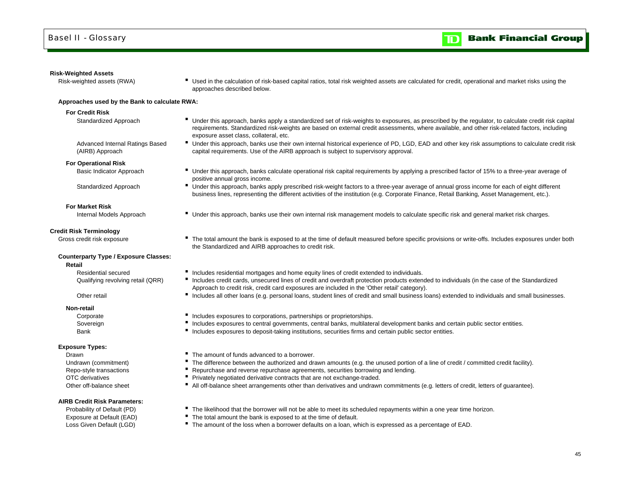#### **Risk-Weighted Assets**

Risk-weighted assets (RWA) **F** Used in the calculation of risk-based capital ratios, total risk weighted assets are calculated for credit, operational and market risks using the approaches described below.

#### **Approaches used by the Bank to calculate RWA:**

#### **For Credit Risk**

- 
- Standardized Approach **IF** Under this approach, banks apply a standardized set of risk-weights to exposures, as prescribed by the regulator, to calculate credit risk capital requirements. Standardized risk-weights are based on external credit assessments, where available, and other risk-related factors, including exposure asset class, collateral, etc.
- Advanced Internal Ratings Based Under this approach, banks use their own internal historical experience of PD, LGD, EAD and other key risk assumptions to calculate credit risk capital requirements. Use of the AIRB approach is subject to supervisory approval.
- (AIRB) Approach **For Operational Risk**

- Basic Indicator Approach **E** Under this approach, banks calculate operational risk capital requirements by applying a prescribed factor of 15% to a three-year average of positive annual gross income.
- Standardized Approach **IDCO CONFERGATE:** Under this approach, banks apply prescribed risk-weight factors to a three-year average of annual gross income for each of eight different business lines, representing the different activities of the institution (e.g. Corporate Finance, Retail Banking, Asset Management, etc.).
- Internal Models Approach **Internal Trainglet Conder this approach**, banks use their own internal risk management models to calculate specific risk and general market risk charges.

#### **Credit Risk Terminology**

**For Market Risk**

Gross credit risk exposure **The total amount the bank is exposed to at the time of default measured before specific provisions or write-offs. Includes exposures under both** 

### **Counterparty Type / Exposure Classes:**

**Retail**

Residential secured

Other retail

#### **Non-retail**

Bank

#### **Exposure Types:**

DrawnOTC derivativesOther off-balance sheet

### **AIRB Credit Risk Parameters:**

- Includes residential mortgages and home equity lines of credit extended to individuals.
- Qualifying revolving retail (QRR) <sup>I</sup>ncludes credit cards, unsecured lines of credit and overdraft protection products extended to individuals (in the case of the Standardized Approach to credit risk, credit card exposures are included in the 'Other retail' category).
	- Includes all other loans (e.g. personal loans, student lines of credit and small business loans) extended to individuals and small businesses.
- Corporate **Includes exposures to corporations, partnerships or proprietorships.**

the Standardized and AIRB approaches to credit risk.

- Sovereign **Includes exposures to central governments**, central banks, multilateral development banks and certain public sector entities.
	- Includes exposures to deposit-taking institutions, securities firms and certain public sector entities.
	- The amount of funds advanced to a borrower.
- Undrawn (commitment) **F** The difference between the authorized and drawn amounts (e.g. the unused portion of a line of credit / committed credit facility).
- Repo-style transactions **F** Repurchase and reverse repurchase agreements, securities borrowing and lending.
	- **Privately negotiated derivative contracts that are not exchange-traded.**
	- All off-balance sheet arrangements other than derivatives and undrawn commitments (e.g. letters of credit, letters of guarantee).
- Probability of Default (PD) **The likelihood that the borrower will not be able to meet its scheduled repayments within a one year time horizon.**
- Exposure at Default (EAD) The total amount the bank is exposed to at the time of default.
- Loss Given Default (LGD) **The amount of the loss when a borrower defaults on a loan, which is expressed as a percentage of EAD.**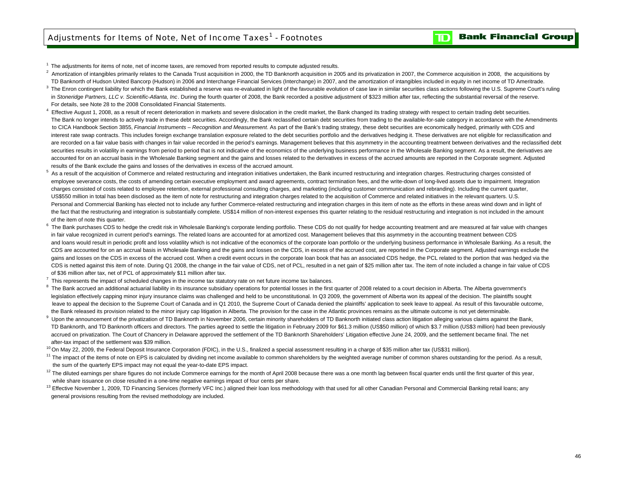$1$  The adjustments for items of note, net of income taxes, are removed from reported results to compute adjusted results.

- $2$  Amortization of intangibles primarily relates to the Canada Trust acquisition in 2000, the TD Banknorth acquisition in 2005 and its privatization in 2007, the Commerce acquisition in 2008, the acquisitions by TD Banknorth of Hudson United Bancorp (Hudson) in 2006 and Interchange Financial Services (Interchange) in 2007, and the amortization of intangibles included in equity in net income of TD Ameritrade.
- <sup>3</sup> The Enron contingent liability for which the Bank established a reserve was re-evaluated in light of the favourable evolution of case law in similar securities class actions following the U.S. Supreme Court's ruling in *Stoneridge Partners, LLC v. Scientific-Atlanta, Inc*. During the fourth quarter of 2008, the Bank recorded a positive adjustment of \$323 million after tax, reflecting the substantial reversal of the reserve. For details, see Note 28 to the 2008 Consolidated Financial Statements.
- <sup>4</sup> Effective August 1, 2008, as a result of recent deterioration in markets and severe dislocation in the credit market, the Bank changed its trading strategy with respect to certain trading debt securities. The Bank no longer intends to actively trade in these debt securities. Accordingly, the Bank reclassified certain debt securities from trading to the available-for-sale category in accordance with the Amendments to CICA Handbook Section 3855, *Financial Instruments – Recognition and Measurement*. As part of the Bank's trading strategy, these debt securities are economically hedged, primarily with CDS and interest rate swap contracts. This includes foreign exchange translation exposure related to the debt securities portfolio and the derivatives hedging it. These derivatives are not eligible for reclassification and are recorded on a fair value basis with changes in fair value recorded in the period's earnings. Management believes that this asymmetry in the accounting treatment between derivatives and the reclassified debt securities results in volatility in earnings from period to period that is not indicative of the economics of the underlying business performance in the Wholesale Banking segment. As a result, the derivatives are accounted for on an accrual basis in the Wholesale Banking segment and the gains and losses related to the derivatives in excess of the accrued amounts are reported in the Corporate segment. Adjusted results of the Bank exclude the gains and losses of the derivatives in excess of the accrued amount.
- <sup>5</sup> As a result of the acquisition of Commerce and related restructuring and integration initiatives undertaken, the Bank incurred restructuring and integration charges. Restructuring charges consisted of employee severance costs, the costs of amending certain executive employment and award agreements, contract termination fees, and the write-down of long-lived assets due to impairment. Integration charges consisted of costs related to employee retention, external professional consulting charges, and marketing (including customer communication and rebranding). Including the current quarter, the fact that the restructuring and integration is substantially complete. US\$14 million of non-interest expenses this quarter relating to the residual restructuring and integration is not included in the amount of the item of note this quarter. US\$550 million in total has been disclosed as the item of note for restructuring and integration charges related to the acquisition of Commerce and related initiatives in the relevant quarters. U.S. Personal and Commercial Banking has elected not to include any further Commerce-related restructuring and integration charges in this item of note as the efforts in these areas wind down and in light of
- <sup>6</sup> The Bank purchases CDS to hedge the credit risk in Wholesale Banking's corporate lending portfolio. These CDS do not qualify for hedge accounting treatment and are measured at fair value with changes in fair value recognized in current period's earnings. The related loans are accounted for at amortized cost. Management believes that this asymmetry in the accounting treatment between CDS and loans would result in periodic profit and loss volatility which is not indicative of the economics of the corporate loan portfolio or the underlying business performance in Wholesale Banking. As a result, the CDS are accounted for on an accrual basis in Wholesale Banking and the gains and losses on the CDS, in excess of the accrued cost, are reported in the Corporate segment. Adjusted earnings exclude the gains and losses on the CDS in excess of the accrued cost. When a credit event occurs in the corporate loan book that has an associated CDS hedge, the PCL related to the portion that was hedged via the CDS is netted against this item of note. During Q1 2008, the change in the fair value of CDS, net of PCL, resulted in a net gain of \$25 million after tax. The item of note included a change in fair value of CDS of \$36 million after tax, net of PCL of approximately \$11 million after tax.
- $7$  This represents the impact of scheduled changes in the income tax statutory rate on net future income tax balances.
- <sup>8</sup> The Bank accrued an additional actuarial liability in its insurance subsidiary operations for potential losses in the first quarter of 2008 related to a court decision in Alberta. The Alberta government's legislation effectively capping minor injury insurance claims was challenged and held to be unconstitutional. In Q3 2009, the government of Alberta won its appeal of the decision. The plaintiffs sought leave to appeal the decision to the Supreme Court of Canada and in Q1 2010, the Supreme Court of Canada denied the plaintiffs' application to seek leave to appeal. As result of this favourable outcome, the Bank released its provision related to the minor injury cap litigation in Alberta. The provision for the case in the Atlantic provinces remains as the ultimate outcome is not yet determinable.
- <sup>9</sup> Upon the announcement of the privatization of TD Banknorth in November 2006, certain minority shareholders of TD Banknorth initiated class action litigation alleging various claims against the Bank, TD Banknorth, and TD Banknorth officers and directors. The parties agreed to settle the litigation in February 2009 for \$61.3 million (US\$50 million) of which \$3.7 million (US\$3 million) had been previously accrued on privatization. The Court of Chancery in Delaware approved the settlement of the TD Banknorth Shareholders' Litigation effective June 24, 2009, and the settlement became final. The net after-tax impact of the settlement was \$39 million.
- <sup>10</sup> On May 22, 2009, the Federal Deposit Insurance Corporation (FDIC), in the U.S., finalized a special assessment resulting in a charge of \$35 million after tax (US\$31 million).
- <sup>11</sup> The impact of the items of note on EPS is calculated by dividing net income available to common shareholders by the weighted average number of common shares outstanding for the period. As a result, the sum of the quarterly EPS impact may not equal the year-to-date EPS impact.
- $12$  The diluted earnings per share figures do not include Commerce earnings for the month of April 2008 because there was a one month lag between fiscal quarter ends until the first quarter of this year, while share issuance on close resulted in a one-time negative earnings impact of four cents per share.
- <sup>13</sup> Effective November 1, 2009, TD Financing Services (formerly VFC Inc.) aligned their loan loss methodology with that used for all other Canadian Personal and Commercial Banking retail loans; any general provisions resulting from the revised methodology are included.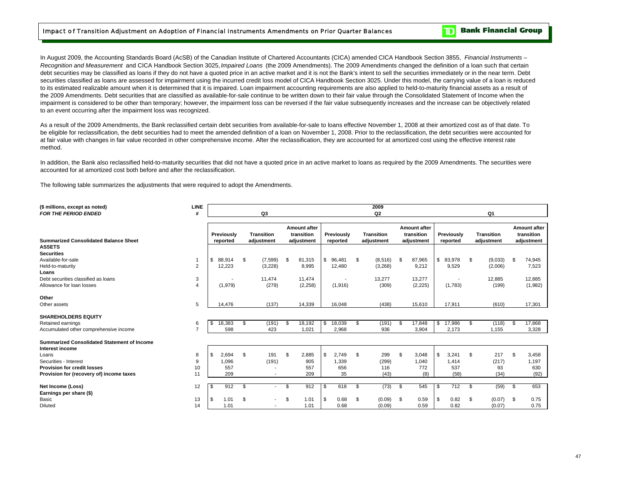In August 2009, the Accounting Standards Board (AcSB) of the Canadian Institute of Chartered Accountants (CICA) amended CICA Handbook Section 3855, *Financial Instruments – Recognition and Measurement* and CICA Handbook Section 3025, *Impaired Loans* (the 2009 Amendments). The 2009 Amendments changed the definition of a loan such that certain debt securities may be classified as loans if they do not have a quoted price in an active market and it is not the Bank's intent to sell the securities immediately or in the near term. Debt securities classified as loans are assessed for impairment using the incurred credit loss model of CICA Handbook Section 3025. Under this model, the carrying value of a loan is reduced to its estimated realizable amount when it is determined that it is impaired. Loan impairment accounting requirements are also applied to held-to-maturity financial assets as a result of the 2009 Amendments. Debt securities that are classified as available-for-sale continue to be written down to their fair value through the Consolidated Statement of Income when the impairment is considered to be other than temporary; however, the impairment loss can be reversed if the fair value subsequently increases and the increase can be objectively related to an event occurring after the impairment loss was recognized.

As a result of the 2009 Amendments, the Bank reclassified certain debt securities from available-for-sale to loans effective November 1, 2008 at their amortized cost as of that date. To be eligible for reclassification, the debt securities had to meet the amended definition of a loan on November 1, 2008. Prior to the reclassification, the debt securities were accounted for at fair value with changes in fair value recorded in other comprehensive income. After the reclassification, they are accounted for at amortized cost using the effective interest rate method.

In addition, the Bank also reclassified held-to-maturity securities that did not have a quoted price in an active market to loans as required by the 2009 Amendments. The securities were accounted for at amortized cost both before and after the reclassification.

The following table summarizes the adjustments that were required to adopt the Amendments.

| (\$ millions, except as noted)<br><b>FOR THE PERIOD ENDED</b>         | <b>LINE</b><br># |              | Q3                              |                                          |    |            | 2009<br>Q <sub>2</sub>          |                                          |                          | Q1                |                                          |
|-----------------------------------------------------------------------|------------------|--------------|---------------------------------|------------------------------------------|----|------------|---------------------------------|------------------------------------------|--------------------------|-------------------|------------------------------------------|
| <b>Summarized Consolidated Balance Sheet</b>                          |                  | Previously   | <b>Transition</b><br>adjustment | Amount after<br>transition<br>adjustment |    | Previously | <b>Transition</b><br>adiustment | Amount after<br>transition<br>adjustment | Previously               | <b>Transition</b> | Amount after<br>transition<br>adjustment |
| <b>ASSETS</b><br><b>Securities</b>                                    |                  | reported     |                                 |                                          |    | reported   |                                 |                                          | reported                 | adjustment        |                                          |
| Available-for-sale                                                    |                  | \$<br>88,914 | \$<br>(7, 599)                  | \$<br>81,315                             | \$ | 96,481     | \$<br>(8,516)                   | \$<br>87,965                             | \$<br>83,978             | \$<br>(9,033)     | \$<br>74,945                             |
| Held-to-maturity                                                      | 2                | 12,223       | (3,228)                         | 8,995                                    |    | 12,480     | (3,268)                         | 9,212                                    | 9,529                    | (2,006)           | 7,523                                    |
| Loans                                                                 |                  |              |                                 |                                          |    |            |                                 |                                          |                          |                   |                                          |
| Debt securities classified as loans                                   | 3                |              | 11.474                          | 11.474                                   |    |            | 13,277                          | 13,277                                   | $\overline{\phantom{a}}$ | 12,885            | 12,885                                   |
| Allowance for loan losses                                             | $\overline{4}$   | (1,979)      | (279)                           | (2,258)                                  |    | (1,916)    | (309)                           | (2, 225)                                 | (1,783)                  | (199)             | (1,982)                                  |
| Other                                                                 |                  |              |                                 |                                          |    |            |                                 |                                          |                          |                   |                                          |
| Other assets                                                          | 5                | 14.476       | (137)                           | 14,339                                   |    | 16.048     | (438)                           | 15,610                                   | 17,911                   | (610)             | 17,301                                   |
| <b>SHAREHOLDERS EQUITY</b>                                            |                  |              |                                 |                                          |    |            |                                 |                                          |                          |                   |                                          |
| Retained earnings                                                     | 6                | \$<br>18,383 | \$<br>(191)                     | \$<br>18,192                             | \$ | 18,039     | \$<br>(191)                     | \$<br>17,848                             | \$<br>17,986             | \$<br>(118)       | \$<br>17,868                             |
| Accumulated other comprehensive income                                | $\overline{ }$   | 598          | 423                             | 1,021                                    |    | 2,968      | 936                             | 3,904                                    | 2,173                    | 1,155             | 3,328                                    |
| <b>Summarized Consolidated Statement of Income</b><br>Interest income |                  |              |                                 |                                          |    |            |                                 |                                          |                          |                   |                                          |
| Loans                                                                 | 8                | \$<br>2,694  | \$<br>191                       | \$<br>2,885                              | S  | 2,749      | \$<br>299                       | \$<br>3,048                              | \$<br>3,241              | \$<br>217         | \$<br>3,458                              |
| Securities - Interest                                                 | 9                | 1,096        | (191)                           | 905                                      |    | 1,339      | (299)                           | 1,040                                    | 1,414                    | (217)             | 1,197                                    |
| <b>Provision for credit losses</b>                                    | 10               | 557          |                                 | 557                                      |    | 656        | 116                             | 772                                      | 537                      | 93                | 630                                      |
| Provision for (recovery of) income taxes                              | 11               | 209          | $\overline{\phantom{a}}$        | 209                                      |    | 35         | (43)                            | (8)                                      | (58)                     | (34)              | (92)                                     |
| Net Income (Loss)<br>Earnings per share (\$)                          | 12               | \$<br>912    | \$<br>$\overline{\phantom{a}}$  | \$<br>912                                | S  | 618        | \$<br>(73)                      | \$<br>545                                | \$<br>712                | \$<br>(59)        | \$<br>653                                |
| Basic                                                                 | 13               | \$<br>1.01   | \$<br>$\overline{\phantom{a}}$  | \$<br>1.01                               | S. | 0.68       | \$<br>(0.09)                    | \$<br>0.59                               | \$<br>0.82               | \$<br>(0.07)      | \$<br>0.75                               |
| <b>Diluted</b>                                                        | 14               | 1.01         | $\overline{\phantom{a}}$        | 1.01                                     |    | 0.68       | (0.09)                          | 0.59                                     | 0.82                     | (0.07)            | 0.75                                     |